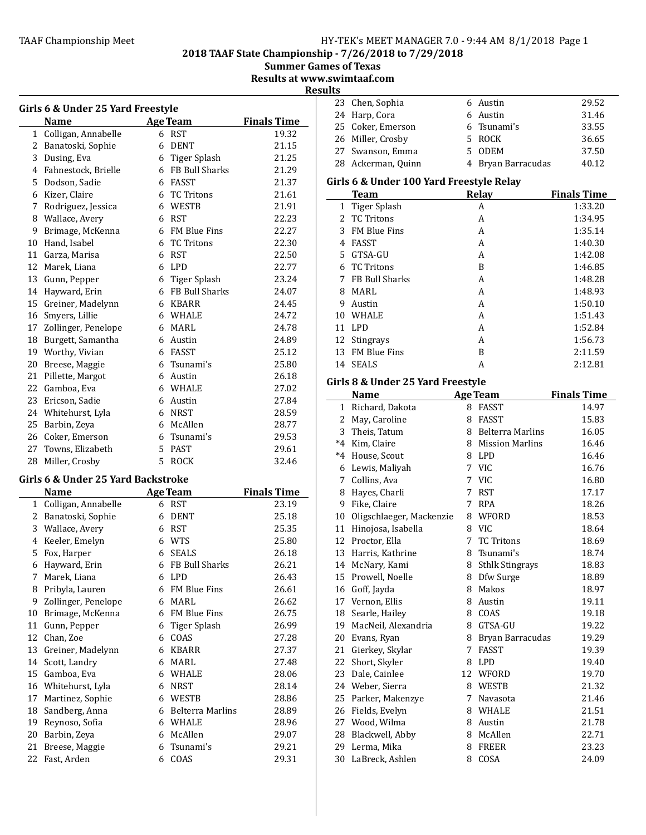2018 TAAF State Championship - 7/26/2018 to 7/29/2018

Summer Games of Texas

Results at www.swimtaaf.com

**Results** 

|                                 | Girls 6 & Under 25 Yard Freestyle<br><b>Name</b> |    | <b>Age Team</b>     | <b>Finals Time</b> |  |
|---------------------------------|--------------------------------------------------|----|---------------------|--------------------|--|
| $\mathbf{1}$                    | Colligan, Annabelle                              |    | 6 RST               | 19.32              |  |
| 2                               | Banatoski, Sophie                                |    | 6 DENT              | 21.15              |  |
| 3                               | Dusing, Eva                                      |    | 6 Tiger Splash      | 21.25              |  |
| 4                               | Fahnestock, Brielle                              |    | 6 FB Bull Sharks    | 21.29              |  |
| 5                               | Dodson, Sadie                                    |    | 6 FASST             | 21.37              |  |
| 6                               | Kizer, Claire                                    | 6  | <b>TC Tritons</b>   | 21.61              |  |
| 7                               | Rodriguez, Jessica                               | 6  | <b>WESTB</b>        | 21.91              |  |
| 8                               | Wallace, Avery                                   | 6  | <b>RST</b>          | 22.23              |  |
| 9                               | Brimage, McKenna                                 |    | 6 FM Blue Fins      | 22.27              |  |
| 10                              | Hand, Isabel                                     | 6  | <b>TC Tritons</b>   | 22.30              |  |
| 11                              | Garza, Marisa                                    |    | 6 RST               | 22.50              |  |
| 12                              | Marek, Liana                                     |    | 6 LPD               | 22.77              |  |
| 13                              | Gunn, Pepper                                     | 6  | <b>Tiger Splash</b> | 23.24              |  |
| 14                              | Hayward, Erin                                    |    | 6 FB Bull Sharks    | 24.07              |  |
| 15                              | Greiner, Madelynn                                | 6  | KBARR               | 24.45              |  |
| 16                              | Smyers, Lillie                                   |    | 6 WHALE             | 24.72              |  |
| 17                              | Zollinger, Penelope                              |    | 6 MARL              | 24.78              |  |
| 18                              | Burgett, Samantha                                |    | 6 Austin            | 24.89              |  |
| 19                              | Worthy, Vivian                                   |    | 6 FASST             | 25.12              |  |
| 20                              | Breese, Maggie                                   | 6  | Tsunami's           | 25.80              |  |
| 21                              | Pillette, Margot                                 |    | 6 Austin            | 26.18              |  |
| 22                              | Gamboa, Eva                                      |    | 6 WHALE             | 27.02              |  |
| 23                              | Ericson, Sadie                                   |    | 6 Austin            | 27.84              |  |
| 24                              | Whitehurst, Lyla                                 |    | 6 NRST              | 28.59              |  |
| 25                              | Barbin, Zeya                                     |    | 6 McAllen           | 28.77              |  |
| 26                              | Coker, Emerson                                   |    | 6 Tsunami's         | 29.53              |  |
| 27                              | Towns, Elizabeth                                 | 5  | <b>PAST</b>         | 29.61              |  |
| 28                              | Miller, Crosby                                   | 5. | <b>ROCK</b>         | 32.46              |  |
|                                 | Girls 6 & Under 25 Yard Backstroke               |    |                     |                    |  |
| Finals Time<br>Name<br>Age Team |                                                  |    |                     |                    |  |

|              | <b>Name</b>         |   | <b>Age Team</b>     | <b>Finals Time</b> |
|--------------|---------------------|---|---------------------|--------------------|
| $\mathbf{1}$ | Colligan, Annabelle | 6 | <b>RST</b>          | 23.19              |
| 2            | Banatoski, Sophie   | 6 | <b>DENT</b>         | 25.18              |
| 3            | Wallace, Avery      | 6 | <b>RST</b>          | 25.35              |
| 4            | Keeler, Emelyn      | 6 | <b>WTS</b>          | 25.80              |
| 5            | Fox, Harper         | 6 | <b>SEALS</b>        | 26.18              |
| 6            | Hayward, Erin       | 6 | FB Bull Sharks      | 26.21              |
| 7            | Marek, Liana        | 6 | <b>LPD</b>          | 26.43              |
| 8            | Pribyla, Lauren     | 6 | <b>FM Blue Fins</b> | 26.61              |
| 9            | Zollinger, Penelope | 6 | MARL                | 26.62              |
| 10           | Brimage, McKenna    | 6 | <b>FM Blue Fins</b> | 26.75              |
| 11           | Gunn, Pepper        | 6 | Tiger Splash        | 26.99              |
| 12           | Chan, Zoe           | 6 | COAS                | 27.28              |
| 13           | Greiner, Madelynn   | 6 | <b>KBARR</b>        | 27.37              |
| 14           | Scott, Landry       | 6 | <b>MARL</b>         | 27.48              |
| 15           | Gamboa, Eva         | 6 | WHALE               | 28.06              |
| 16           | Whitehurst, Lyla    | 6 | <b>NRST</b>         | 28.14              |
| 17           | Martinez, Sophie    | 6 | WESTB               | 28.86              |
| 18           | Sandberg, Anna      | 6 | Belterra Marlins    | 28.89              |
| 19           | Reynoso, Sofia      | 6 | WHALE               | 28.96              |
| 20           | Barbin, Zeya        | 6 | McAllen             | 29.07              |
| 21           | Breese, Maggie      | 6 | Tsunami's           | 29.21              |
| 22           | Fast, Arden         | 6 | COAS                | 29.31              |

| ls |                    |                    |       |
|----|--------------------|--------------------|-------|
|    | 23 Chen, Sophia    | 6 Austin           | 29.52 |
|    | 24 Harp, Cora      | 6 Austin           | 31.46 |
|    | 25 Coker, Emerson  | 6 Tsunami's        | 33.55 |
|    | 26 Miller, Crosby  | 5 ROCK             | 36.65 |
|    | 27 Swanson, Emma   | 5 ODEM             | 37.50 |
|    | 28 Ackerman, Quinn | 4 Bryan Barracudas | 40.12 |

# Girls 6 & Under 100 Yard Freestyle Relay

|    | Team                | Relay | <b>Finals Time</b> |
|----|---------------------|-------|--------------------|
|    | 1 Tiger Splash      | A     | 1:33.20            |
|    | 2 TC Tritons        | A     | 1:34.95            |
| 3  | <b>FM Blue Fins</b> | A     | 1:35.14            |
| 4  | <b>FASST</b>        | A     | 1:40.30            |
| 5. | GTSA-GU             | A     | 1:42.08            |
| 6. | <b>TC Tritons</b>   | B     | 1:46.85            |
| 7  | FB Bull Sharks      | A     | 1:48.28            |
| 8  | MARL                | A     | 1:48.93            |
| 9  | Austin              | A     | 1:50.10            |
| 10 | WHALE               | A     | 1:51.43            |
| 11 | <b>LPD</b>          | A     | 1:52.84            |
| 12 | Stingrays           | A     | 1:56.73            |
| 13 | <b>FM Blue Fins</b> | B     | 2:11.59            |
| 14 | <b>SEALS</b>        | А     | 2:12.81            |
|    |                     |       |                    |

# Girls 8 & Under 25 Yard Freestyle

|         | Name                     |    | <b>Age Team</b>         | <b>Finals Time</b> |
|---------|--------------------------|----|-------------------------|--------------------|
| 1       | Richard, Dakota          | 8  | <b>FASST</b>            | 14.97              |
| 2       | May, Caroline            | 8  | <b>FASST</b>            | 15.83              |
| 3       | Theis, Tatum             | 8  | <b>Belterra Marlins</b> | 16.05              |
| $*_{4}$ | Kim, Claire              | 8  | <b>Mission Marlins</b>  | 16.46              |
| $*4$    | House, Scout             | 8  | <b>LPD</b>              | 16.46              |
| 6       | Lewis, Maliyah           |    | 7 VIC                   | 16.76              |
| 7       | Collins, Ava             | 7  | <b>VIC</b>              | 16.80              |
| 8       | Hayes, Charli            | 7  | <b>RST</b>              | 17.17              |
| 9       | Fike, Claire             | 7  | <b>RPA</b>              | 18.26              |
| 10      | Oligschlaeger, Mackenzie | 8  | WFORD                   | 18.53              |
|         | 11 Hinojosa, Isabella    | 8  | <b>VIC</b>              | 18.64              |
| 12      | Proctor, Ella            | 7  | <b>TC Tritons</b>       | 18.69              |
|         | 13 Harris, Kathrine      | 8  | Tsunami's               | 18.74              |
|         | 14 McNary, Kami          | 8  | <b>Sthlk Stingrays</b>  | 18.83              |
|         | 15 Prowell, Noelle       | 8  | Dfw Surge               | 18.89              |
| 16      | Goff, Jayda              | 8  | Makos                   | 18.97              |
| 17      | Vernon, Ellis            | 8  | Austin                  | 19.11              |
|         | 18 Searle, Hailey        | 8  | COAS                    | 19.18              |
|         | 19 MacNeil, Alexandria   | 8  | GTSA-GU                 | 19.22              |
|         | 20 Evans, Ryan           | 8  | Bryan Barracudas        | 19.29              |
|         | 21 Gierkey, Skylar       | 7  | <b>FASST</b>            | 19.39              |
| 22      | Short, Skyler            | 8  | <b>LPD</b>              | 19.40              |
| 23      | Dale, Cainlee            | 12 | WFORD                   | 19.70              |
|         | 24 Weber, Sierra         | 8  | <b>WESTB</b>            | 21.32              |
|         | 25 Parker, Makenzye      | 7  | Navasota                | 21.46              |
|         | 26 Fields, Evelyn        | 8  | WHALE                   | 21.51              |
| 27      | Wood, Wilma              | 8  | Austin                  | 21.78              |
|         | 28 Blackwell, Abby       | 8  | McAllen                 | 22.71              |
| 29      | Lerma. Mika              | 8  | <b>FREER</b>            | 23.23              |
| 30      | LaBreck, Ashlen          | 8  | COSA                    | 24.09              |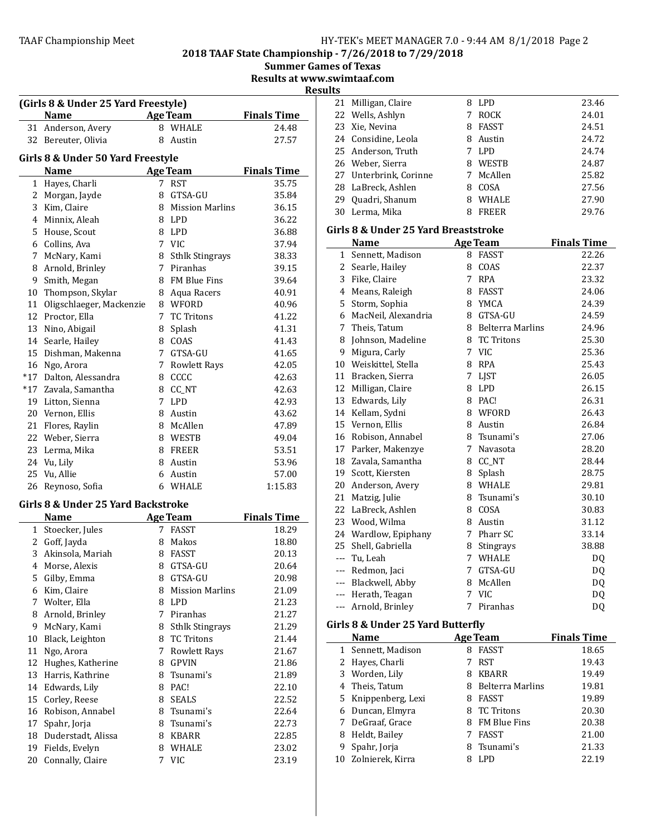2018 TAAF State Championship - 7/26/2018 to 7/29/2018

|  | <b>Summer Games of Texas</b> |
|--|------------------------------|
|--|------------------------------|

Results at www.swimtaaf.com

Result

|              | (Girls 8 & Under 25 Yard Freestyle)<br>Name |   | <b>Age Team</b>        | <b>Finals Time</b> |
|--------------|---------------------------------------------|---|------------------------|--------------------|
| 31           | Anderson, Avery                             |   | 8 WHALE                | 24.48              |
| 32           | Bereuter, Olivia                            | 8 | Austin                 | 27.57              |
|              |                                             |   |                        |                    |
|              | Girls 8 & Under 50 Yard Freestyle           |   |                        |                    |
|              | <b>Name</b>                                 |   | <b>Age Team</b>        | <b>Finals Time</b> |
| $\mathbf{1}$ | Hayes, Charli                               | 7 | <b>RST</b>             | 35.75              |
|              | 2 Morgan, Jayde                             | 8 | GTSA-GU                | 35.84              |
|              | 3 Kim, Claire                               |   | 8 Mission Marlins      | 36.15              |
|              | 4 Minnix, Aleah                             |   | 8 LPD                  | 36.22              |
| 5            | House, Scout                                |   | 8 LPD                  | 36.88              |
|              | 6 Collins, Ava                              |   | 7 VIC                  | 37.94              |
|              | 7 McNary, Kami                              |   | 8 Sthlk Stingrays      | 38.33              |
|              | 8 Arnold, Brinley                           |   | 7 Piranhas             | 39.15              |
| 9            | Smith, Megan                                |   | 8 FM Blue Fins         | 39.64              |
| 10           | Thompson, Skylar                            |   | 8 Aqua Racers          | 40.91              |
| 11           | Oligschlaeger, Mackenzie                    |   | 8 WFORD                | 40.96              |
|              | 12 Proctor, Ella                            |   | 7 TC Tritons           | 41.22              |
|              | 13 Nino, Abigail                            |   | 8 Splash               | 41.31              |
|              | 14 Searle, Hailey                           |   | 8 COAS                 | 41.43              |
|              | 15 Dishman, Makenna                         |   | 7 GTSA-GU              | 41.65              |
|              | 16 Ngo, Arora                               |   | 7 Rowlett Rays         | 42.05              |
|              | *17 Dalton, Alessandra                      |   | 8 CCCC                 | 42.63              |
|              | *17 Zavala, Samantha                        |   | 8 CC_NT                | 42.63              |
|              | 19 Litton, Sienna                           |   | 7 LPD                  | 42.93              |
|              | 20 Vernon, Ellis                            |   | 8 Austin               | 43.62              |
|              | 21 Flores, Raylin                           |   | 8 McAllen              | 47.89              |
|              | 22 Weber, Sierra                            |   | 8 WESTB                | 49.04              |
| 23           | Lerma, Mika                                 |   | 8 FREER                | 53.51              |
| 24           | Vu, Lily                                    | 8 | Austin                 | 53.96              |
| 25           | Vu, Allie                                   | 6 | Austin                 | 57.00              |
| 26           | Reynoso, Sofia                              |   | 6 WHALE                | 1:15.83            |
|              | Girls 8 & Under 25 Yard Backstroke          |   |                        |                    |
|              | <b>Name</b>                                 |   | <b>Age Team</b>        | <b>Finals Time</b> |
|              | 1 Stoecker, Jules                           | 7 | FASST                  | 18.29              |
|              | 2 Goff, Jayda                               |   | 8 Makos                | 18.80              |
|              | 3 Akinsola, Mariah                          |   | 8 FASST                | 20.13              |
|              | 4 Morse, Alexis                             | 8 | GTSA-GU                | 20.64              |
| 5            | Gilby, Emma                                 | 8 | GTSA-GU                | 20.98              |
| 6            | Kim, Claire                                 | 8 | <b>Mission Marlins</b> | 21.09              |
| 7            | Wolter, Ella                                | 8 | <b>LPD</b>             | 21.23              |
| 8            | Arnold, Brinley                             | 7 | Piranhas               | 21.27              |
| 9            | McNary, Kami                                | 8 | <b>Sthlk Stingrays</b> | 21.29              |
| 10           | Black, Leighton                             | 8 | <b>TC Tritons</b>      | 21.44              |
| 11           | Ngo, Arora                                  | 7 | <b>Rowlett Rays</b>    | 21.67              |
| 12           | Hughes, Katherine                           | 8 | GPVIN                  | 21.86              |
| 13           | Harris, Kathrine                            | 8 | Tsunami's              | 21.89              |
| 14           | Edwards, Lily                               |   | 8 PAC!                 | 22.10              |
| 15           | Corley, Reese                               |   | 8 SEALS                | 22.52              |
| 16           | Robison, Annabel                            | 8 | Tsunami's              | 22.64              |
| 17           | Spahr, Jorja                                | 8 | Tsunami's              | 22.73              |
| 18           | Duderstadt, Alissa                          |   | 8 KBARR                | 22.85              |
| 19           | Fields, Evelyn                              |   | 8 WHALE                | 23.02              |
| 20           | Connally, Claire                            |   | 7 VIC                  | 23.19              |
|              |                                             |   |                        |                    |

| τs |                        |   |              |       |
|----|------------------------|---|--------------|-------|
|    | 21 Milligan, Claire    | 8 | <b>LPD</b>   | 23.46 |
|    | 22 Wells, Ashlyn       | 7 | <b>ROCK</b>  | 24.01 |
|    | 23 Xie, Nevina         | 8 | <b>FASST</b> | 24.51 |
|    | 24 Considine, Leola    | 8 | Austin       | 24.72 |
|    | 25 Anderson, Truth     |   | <b>LPD</b>   | 24.74 |
|    | 26 Weber, Sierra       | 8 | WESTB        | 24.87 |
|    | 27 Unterbrink, Corinne | 7 | McAllen      | 25.82 |
|    | 28 LaBreck, Ashlen     | 8 | COSA         | 27.56 |
| 29 | Quadri, Shanum         | 8 | WHALE        | 27.90 |
|    | 30 Lerma, Mika         | 8 | <b>FREER</b> | 29.76 |

# Girls 8 & Under 25 Yard Breaststroke

|   | <b>Name</b>                       |                 | <b>Age Team</b>    | <b>Finals Time</b> |
|---|-----------------------------------|-----------------|--------------------|--------------------|
|   | 1 Sennett, Madison                |                 | 8 FASST            | 22.26              |
|   | 2 Searle, Hailey                  |                 | 8 COAS             | 22.37              |
|   | 3 Fike, Claire                    | $7^{\circ}$     | <b>RPA</b>         | 23.32              |
|   | 4 Means, Raleigh                  |                 | 8 FASST            | 24.06              |
| 5 | Storm, Sophia                     |                 | 8 YMCA             | 24.39              |
| 6 | MacNeil, Alexandria               |                 | 8 GTSA-GU          | 24.59              |
| 7 | Theis, Tatum                      |                 | 8 Belterra Marlins | 24.96              |
| 8 | Johnson, Madeline                 | 8               | <b>TC</b> Tritons  | 25.30              |
| 9 | Migura, Carly                     |                 | 7 VIC              | 25.36              |
|   | 10 Weiskittel, Stella             |                 | 8 RPA              | 25.43              |
|   | 11 Bracken, Sierra                |                 | 7 LJST             | 26.05              |
|   | 12 Milligan, Claire               |                 | 8 LPD              | 26.15              |
|   | 13 Edwards, Lily                  |                 | 8 PAC!             | 26.31              |
|   | 14 Kellam, Sydni                  |                 | 8 WFORD            | 26.43              |
|   | 15 Vernon, Ellis                  |                 | 8 Austin           | 26.84              |
|   | 16 Robison, Annabel               |                 | 8 Tsunami's        | 27.06              |
|   | 17 Parker, Makenzye               | $7\overline{ }$ | Navasota           | 28.20              |
|   | 18 Zavala, Samantha               |                 | 8 CC_NT            | 28.44              |
|   | 19 Scott, Kiersten                | 8               | Splash             | 28.75              |
|   | 20 Anderson, Avery                |                 | 8 WHALE            | 29.81              |
|   | 21 Matzig, Julie                  |                 | 8 Tsunami's        | 30.10              |
|   | 22 LaBreck, Ashlen                |                 | 8 COSA             | 30.83              |
|   | 23 Wood, Wilma                    |                 | 8 Austin           | 31.12              |
|   | 24 Wardlow, Epiphany              | 7               | Pharr SC           | 33.14              |
|   | 25 Shell, Gabriella               |                 | 8 Stingrays        | 38.88              |
|   | --- Tu, Leah                      |                 | 7 WHALE            | DQ                 |
|   | --- Redmon, Jaci                  | $7^{\circ}$     | GTSA-GU            | DQ                 |
|   | --- Blackwell, Abby               | 8               | McAllen            | DQ                 |
|   | --- Herath, Teagan                |                 | 7 VIC              | DQ                 |
|   | --- Arnold, Brinley               |                 | 7 Piranhas         | DQ                 |
|   | Girls 8 & Under 25 Yard Butterfly |                 |                    |                    |
|   | Name                              |                 | Age Team           | <b>Finals Time</b> |
|   | 1 Sennett, Madison                |                 | 8 FASST            | 18.65              |
| 2 | Hayes, Charli                     | 7               | <b>RST</b>         | 19.43              |
|   | 3 Worden, Lily                    |                 | 8 KBARR            | 19.49              |
|   | 4 Theis, Tatum                    |                 | 8 Belterra Marlins | 19.81              |
| 5 | Knippenberg, Lexi                 |                 | 8 FASST            | 19.89              |
|   | 6 Duncan, Elmyra                  | 8               | <b>TC Tritons</b>  | 20.30              |
| 7 | DeGraaf, Grace                    | 8               | FM Blue Fins       | 20.38              |
| 8 | Heldt, Bailey                     | 7               | <b>FASST</b>       | 21.00              |

9 Spahr, Jorja 8 Tsunami's 21.33 10 Zolnierek, Kirra **8 Alexander 8 Alexander 10 22.19**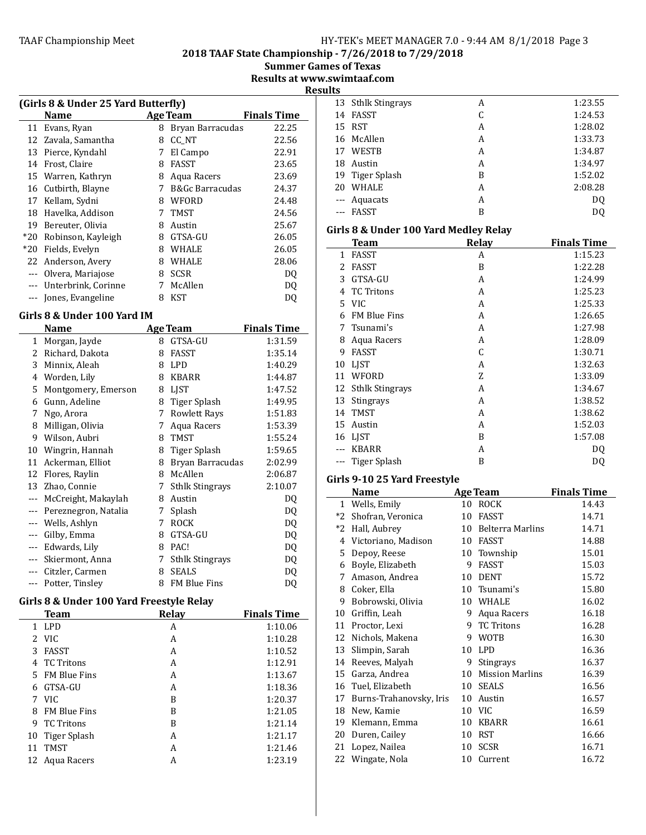2018 TAAF State Championship - 7/26/2018 to 7/29/2018

**Summer Games of Texas** 

Results at www.swimtaaf.com **Results** 

|       | (Girls 8 & Under 25 Yard Butterfly)                  |   |                  |       |  |  |  |
|-------|------------------------------------------------------|---|------------------|-------|--|--|--|
|       | <b>Finals Time</b><br><b>Age Team</b><br><b>Name</b> |   |                  |       |  |  |  |
| 11    | Evans, Ryan                                          | 8 | Bryan Barracudas | 22.25 |  |  |  |
| 12    | Zavala, Samantha                                     | 8 | CC NT            | 22.56 |  |  |  |
| 13    | Pierce, Kyndahl                                      | 7 | El Campo         | 22.91 |  |  |  |
| 14    | Frost, Claire                                        | 8 | FASST            | 23.65 |  |  |  |
| 15    | Warren, Kathryn                                      | 8 | Aqua Racers      | 23.69 |  |  |  |
| 16    | Cutbirth, Blayne                                     | 7 | B&Gc Barracudas  | 24.37 |  |  |  |
| 17    | Kellam, Sydni                                        | 8 | WFORD            | 24.48 |  |  |  |
| 18    | Havelka, Addison                                     | 7 | <b>TMST</b>      | 24.56 |  |  |  |
| 19    | Bereuter, Olivia                                     | 8 | Austin           | 25.67 |  |  |  |
| $*20$ | Robinson, Kayleigh                                   | 8 | GTSA-GU          | 26.05 |  |  |  |
| $*20$ | Fields, Evelyn                                       | 8 | WHALE            | 26.05 |  |  |  |
| 22    | Anderson, Avery                                      | 8 | WHALE            | 28.06 |  |  |  |
| $---$ | Olvera, Mariajose                                    | 8 | <b>SCSR</b>      | DQ    |  |  |  |
| $---$ | Unterbrink, Corinne                                  | 7 | McAllen          | DQ    |  |  |  |
|       | Jones, Evangeline                                    | 8 | KST              | DQ    |  |  |  |
|       |                                                      |   |                  |       |  |  |  |

# Girls 8 & Under 100 Yard IM

|       | Name                 |   | <b>Age Team</b>        | <b>Finals Time</b> |
|-------|----------------------|---|------------------------|--------------------|
| 1     | Morgan, Jayde        | 8 | GTSA-GU                | 1:31.59            |
| 2     | Richard, Dakota      | 8 | <b>FASST</b>           | 1:35.14            |
| 3     | Minnix, Aleah        | 8 | <b>LPD</b>             | 1:40.29            |
| 4     | Worden, Lily         | 8 | <b>KBARR</b>           | 1:44.87            |
| 5     | Montgomery, Emerson  | 8 | <b>LIST</b>            | 1:47.52            |
| 6     | Gunn, Adeline        | 8 | Tiger Splash           | 1:49.95            |
| 7     | Ngo, Arora           | 7 | Rowlett Rays           | 1:51.83            |
| 8     | Milligan, Olivia     | 7 | Aqua Racers            | 1:53.39            |
| 9     | Wilson, Aubri        | 8 | <b>TMST</b>            | 1:55.24            |
| 10    | Wingrin, Hannah      | 8 | Tiger Splash           | 1:59.65            |
| 11    | Ackerman, Elliot     | 8 | Bryan Barracudas       | 2:02.99            |
| 12    | Flores, Raylin       | 8 | McAllen                | 2:06.87            |
| 13    | Zhao, Connie         | 7 | <b>Sthlk Stingrays</b> | 2:10.07            |
| ---   | McCreight, Makaylah  | 8 | Austin                 | DQ                 |
| $---$ | Pereznegron, Natalia | 7 | Splash                 | DQ                 |
| ---   | Wells, Ashlyn        | 7 | <b>ROCK</b>            | DQ                 |
| $---$ | Gilby, Emma          | 8 | GTSA-GU                | DQ                 |
| $---$ | Edwards, Lily        | 8 | PAC!                   | DQ                 |
|       | Skiermont, Anna      | 7 | <b>Sthlk Stingrays</b> | DQ                 |
| $---$ | Citzler, Carmen      | 8 | <b>SEALS</b>           | DQ                 |
|       | Potter, Tinsley      | 8 | FM Blue Fins           | DQ                 |

# Girls 8 & Under 100 Yard Freestyle Relay

|    | <b>Team</b>         | Relay | <b>Finals Time</b> |
|----|---------------------|-------|--------------------|
| 1  | <b>LPD</b>          | A     | 1:10.06            |
|    | 2 VIC               | A     | 1:10.28            |
| 3  | <b>FASST</b>        | A     | 1:10.52            |
| 4  | TC Tritons          | A     | 1:12.91            |
| 5. | FM Blue Fins        | A     | 1:13.67            |
| 6  | GTSA-GU             | A     | 1:18.36            |
| 7  | - VIC               | B     | 1:20.37            |
| 8  | <b>FM Blue Fins</b> | B     | 1:21.05            |
| 9  | TC Tritons          | B     | 1:21.14            |
|    | 10 Tiger Splash     | A     | 1:21.17            |
| 11 | <b>TMST</b>         | A     | 1:21.46            |
| 12 | Agua Racers         | А     | 1:23.19            |

| --- |                    |   |         |
|-----|--------------------|---|---------|
|     | 13 Sthlk Stingrays | A | 1:23.55 |
| 14  | FASST              | C | 1:24.53 |
|     | 15 RST             | А | 1:28.02 |
|     | 16 McAllen         | А | 1:33.73 |
| 17  | WESTB              | A | 1:34.87 |
| 18  | Austin             | А | 1:34.97 |
|     | 19 Tiger Splash    | B | 1:52.02 |
| 20  | WHALE              | А | 2:08.28 |
|     | --- Aquacats       | А | DQ      |
|     | <b>FASST</b>       | B | DQ      |
|     |                    |   |         |

# Girls 8 & Under 100 Yard Medley Relay

|    | Team                | Relay | <b>Finals Time</b> |
|----|---------------------|-------|--------------------|
| 1  | FASST               | A     | 1:15.23            |
| 2  | <b>FASST</b>        | B     | 1:22.28            |
| 3  | GTSA-GU             | A     | 1:24.99            |
| 4  | <b>TC Tritons</b>   | A     | 1:25.23            |
| 5. | <b>VIC</b>          | A     | 1:25.33            |
| 6  | <b>FM Blue Fins</b> | A     | 1:26.65            |
| 7  | Tsunami's           | A     | 1:27.98            |
| 8  | Aqua Racers         | A     | 1:28.09            |
| 9  | FASST               | C     | 1:30.71            |
| 10 | <b>LIST</b>         | A     | 1:32.63            |
| 11 | WFORD               | 7.    | 1:33.09            |
|    | 12 Sthlk Stingrays  | A     | 1:34.67            |
| 13 | <b>Stingrays</b>    | A     | 1:38.52            |
| 14 | <b>TMST</b>         | A     | 1:38.62            |
| 15 | Austin              | A     | 1:52.03            |
|    | 16 LJST             | B     | 1:57.08            |
|    | <b>KBARR</b>        | A     | DQ                 |
|    | Tiger Splash        | B     | DQ                 |

# Girls 9-10 25 Yard Freestyle

|      | Name                    |    | <b>Age Team</b>        | <b>Finals Time</b> |
|------|-------------------------|----|------------------------|--------------------|
| 1    | Wells, Emily            | 10 | <b>ROCK</b>            | 14.43              |
| $*2$ | Shofran, Veronica       | 10 | FASST                  | 14.71              |
| $*2$ | Hall, Aubrey            | 10 | Belterra Marlins       | 14.71              |
| 4    | Victoriano, Madison     | 10 | <b>FASST</b>           | 14.88              |
| 5    | Depoy, Reese            | 10 | Township               | 15.01              |
| 6    | Boyle, Elizabeth        | 9  | <b>FASST</b>           | 15.03              |
| 7    | Amason, Andrea          | 10 | <b>DENT</b>            | 15.72              |
| 8    | Coker, Ella             | 10 | Tsunami's              | 15.80              |
| 9    | Bobrowski, Olivia       | 10 | <b>WHALE</b>           | 16.02              |
| 10   | Griffin, Leah           | 9  | Aqua Racers            | 16.18              |
| 11   | Proctor, Lexi           | 9  | <b>TC Tritons</b>      | 16.28              |
| 12   | Nichols, Makena         | 9  | <b>WOTB</b>            | 16.30              |
| 13   | Slimpin, Sarah          | 10 | LPD                    | 16.36              |
| 14   | Reeves, Malyah          | 9  | <b>Stingrays</b>       | 16.37              |
| 15   | Garza, Andrea           | 10 | <b>Mission Marlins</b> | 16.39              |
| 16   | Tuel, Elizabeth         | 10 | <b>SEALS</b>           | 16.56              |
| 17   | Burns-Trahanovsky, Iris | 10 | Austin                 | 16.57              |
| 18   | New, Kamie              | 10 | <b>VIC</b>             | 16.59              |
| 19   | Klemann, Emma           | 10 | <b>KBARR</b>           | 16.61              |
| 20   | Duren, Cailey           | 10 | <b>RST</b>             | 16.66              |
| 21   | Lopez, Nailea           | 10 | <b>SCSR</b>            | 16.71              |
| 22   | Wingate, Nola           | 10 | Current                | 16.72              |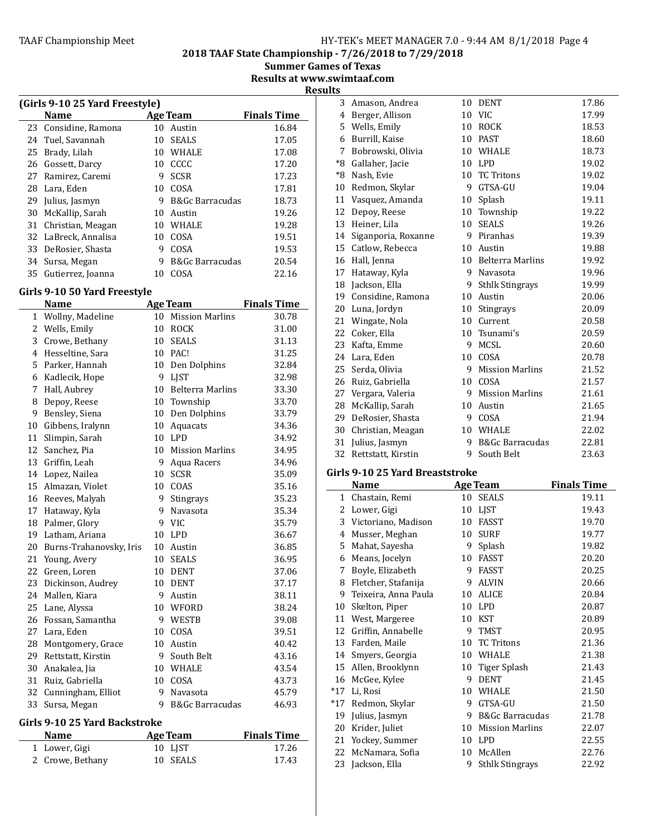# TAAF Championship Meet example the HY-TEK's MEET MANAGER 7.0 - 9:44 AM 8/1/2018 Page 4

2018 TAAF State Championship - 7/26/2018 to 7/29/2018

**Summer Games of Texas** Results at www.swimtaaf.com

**Results** 

|                                |                      |    |                            | х                  |  |
|--------------------------------|----------------------|----|----------------------------|--------------------|--|
| (Girls 9-10 25 Yard Freestyle) |                      |    |                            |                    |  |
|                                | <b>Name</b>          |    | <b>Age Team</b>            | <b>Finals Time</b> |  |
|                                | 23 Considine, Ramona | 10 | Austin                     | 16.84              |  |
|                                | 24 Tuel, Savannah    | 10 | <b>SEALS</b>               | 17.05              |  |
| 25                             | Brady, Lilah         | 10 | WHALE                      | 17.08              |  |
| 26                             | Gossett, Darcy       | 10 | CCCC                       | 17.20              |  |
|                                | 27 Ramirez, Caremi   | 9  | <b>SCSR</b>                | 17.23              |  |
|                                | 28 Lara, Eden        | 10 | COSA                       | 17.81              |  |
| 29                             | Julius, Jasmyn       | 9  | <b>B&amp;Gc Barracudas</b> | 18.73              |  |
| 30                             | McKallip, Sarah      | 10 | Austin                     | 19.26              |  |
| 31                             | Christian, Meagan    | 10 | WHALE                      | 19.28              |  |
|                                | 32 LaBreck, Annalisa | 10 | COSA                       | 19.51              |  |
|                                | 33 DeRosier, Shasta  | 9  | COSA                       | 19.53              |  |
|                                | 34 Sursa, Megan      | 9  | <b>B&amp;Gc Barracudas</b> | 20.54              |  |
| 35                             | Gutierrez, Joanna    | 10 | COSA                       | 22.16              |  |

# Girls 9-10 50 Yard Freestyle

|              | <b>Name</b>             |    | <b>Age Team</b>            | <b>Finals Time</b> |
|--------------|-------------------------|----|----------------------------|--------------------|
| $\mathbf{1}$ | Wollny, Madeline        |    | 10 Mission Marlins         | 30.78              |
| 2            | Wells, Emily            | 10 | <b>ROCK</b>                | 31.00              |
| 3            | Crowe, Bethany          | 10 | <b>SEALS</b>               | 31.13              |
|              | 4 Hesseltine, Sara      |    | 10 PAC!                    | 31.25              |
|              | 5 Parker, Hannah        |    | 10 Den Dolphins            | 32.84              |
| 6            | Kadlecik, Hope          | 9  | <b>LIST</b>                | 32.98              |
| 7            | Hall, Aubrey            | 10 | <b>Belterra Marlins</b>    | 33.30              |
| 8            | Depoy, Reese            |    | 10 Township                | 33.70              |
| 9            | Bensley, Siena          |    | 10 Den Dolphins            | 33.79              |
| 10           | Gibbens, Iralynn        | 10 | Aquacats                   | 34.36              |
| 11           | Slimpin, Sarah          | 10 | <b>LPD</b>                 | 34.92              |
| 12           | Sanchez, Pia            | 10 | <b>Mission Marlins</b>     | 34.95              |
|              | 13 Griffin, Leah        | 9  | Aqua Racers                | 34.96              |
|              | 14 Lopez, Nailea        |    | 10 SCSR                    | 35.09              |
|              | 15 Almazan, Violet      | 10 | COAS                       | 35.16              |
| 16           | Reeves, Malyah          | 9  | Stingrays                  | 35.23              |
| 17           | Hataway, Kyla           | 9  | Navasota                   | 35.34              |
| 18           | Palmer, Glory           | 9  | <b>VIC</b>                 | 35.79              |
| 19           | Latham, Ariana          | 10 | <b>LPD</b>                 | 36.67              |
| 20           | Burns-Trahanovsky, Iris | 10 | Austin                     | 36.85              |
| 21           | Young, Avery            | 10 | <b>SEALS</b>               | 36.95              |
| 22           | Green, Loren            | 10 | <b>DENT</b>                | 37.06              |
| 23           | Dickinson, Audrey       | 10 | <b>DENT</b>                | 37.17              |
| 24           | Mallen, Kiara           | 9  | Austin                     | 38.11              |
| 25           | Lane, Alyssa            | 10 | WFORD                      | 38.24              |
| 26           | Fossan, Samantha        | 9  | <b>WESTB</b>               | 39.08              |
| 27           | Lara, Eden              | 10 | COSA                       | 39.51              |
| 28           | Montgomery, Grace       | 10 | Austin                     | 40.42              |
| 29           | Rettstatt, Kirstin      | 9  | South Belt                 | 43.16              |
| 30           | Anakalea, Jia           | 10 | WHALE                      | 43.54              |
| 31           | Ruiz, Gabriella         | 10 | COSA                       | 43.73              |
| 32           | Cunningham, Elliot      | 9  | Navasota                   | 45.79              |
| 33           | Sursa, Megan            | 9  | <b>B&amp;Gc Barracudas</b> | 46.93              |

#### Girls 9-10 25 Yard Backstroke

| <b>Name</b>      | Age Team | <b>Finals Time</b> |
|------------------|----------|--------------------|
| 1 Lower, Gigi    | 10 LIST  | 17.26              |
| 2 Crowe, Bethany | 10 SEALS | 17.43              |

| 3    | Amason, Andrea      | 10              | DENT                       | 17.86 |
|------|---------------------|-----------------|----------------------------|-------|
| 4    | Berger, Allison     | 10              | <b>VIC</b>                 | 17.99 |
| 5    | Wells, Emily        | 10              | <b>ROCK</b>                | 18.53 |
| 6    | Burrill, Kaise      | 10              | <b>PAST</b>                | 18.60 |
| 7    | Bobrowski, Olivia   |                 | 10 WHALE                   | 18.73 |
| *8   | Gallaher, Jacie     | 10              | LPD                        | 19.02 |
| $*8$ | Nash, Evie          | 10              | <b>TC Tritons</b>          | 19.02 |
| 10   | Redmon, Skylar      | 9               | GTSA-GU                    | 19.04 |
| 11   | Vasquez, Amanda     | 10              | Splash                     | 19.11 |
| 12   | Depoy, Reese        | $10\,$          | Township                   | 19.22 |
| 13   | Heiner, Lila        | 10              | <b>SEALS</b>               | 19.26 |
| 14   | Siganporia, Roxanne |                 | 9 Piranhas                 | 19.39 |
| 15   | Catlow, Rebecca     | 10              | Austin                     | 19.88 |
| 16   | Hall, Jenna         | 10 <sup>1</sup> | <b>Belterra Marlins</b>    | 19.92 |
| 17   | Hataway, Kyla       | 9               | Navasota                   | 19.96 |
|      | 18 Jackson, Ella    | 9               | <b>Sthlk Stingrays</b>     | 19.99 |
| 19   | Considine, Ramona   | 10              | Austin                     | 20.06 |
|      | 20 Luna, Jordyn     | 10              | Stingrays                  | 20.09 |
| 21   | Wingate, Nola       | 10              | Current                    | 20.58 |
| 22   | Coker, Ella         |                 | 10 Tsunami's               | 20.59 |
| 23   | Kafta, Emme         | 9               | <b>MCSL</b>                | 20.60 |
|      | 24 Lara, Eden       | 10              | COSA                       | 20.78 |
| 25   | Serda, Olivia       | 9               | <b>Mission Marlins</b>     | 21.52 |
| 26   | Ruiz, Gabriella     | 10              | COSA                       | 21.57 |
| 27   | Vergara, Valeria    | 9               | <b>Mission Marlins</b>     | 21.61 |
|      | 28 McKallip, Sarah  | 10              | Austin                     | 21.65 |
| 29   | DeRosier, Shasta    | 9               | COSA                       | 21.94 |
| 30   | Christian, Meagan   | 10              | WHALE                      | 22.02 |
| 31   | Julius, Jasmyn      | 9               | <b>B&amp;Gc Barracudas</b> | 22.81 |
| 32   | Rettstatt, Kirstin  | 9               | South Belt                 | 23.63 |

# Girls 9-10 25 Yard Breaststroke

|       | Name                 |    | <b>Age Team</b>        | <b>Finals Time</b> |
|-------|----------------------|----|------------------------|--------------------|
| 1     | Chastain, Remi       | 10 | <b>SEALS</b>           | 19.11              |
| 2     | Lower, Gigi          | 10 | LJST                   | 19.43              |
| 3     | Victoriano, Madison  | 10 | FASST                  | 19.70              |
| 4     | Musser, Meghan       | 10 | <b>SURF</b>            | 19.77              |
| 5     | Mahat, Sayesha       | 9  | Splash                 | 19.82              |
| 6     | Means, Jocelyn       | 10 | <b>FASST</b>           | 20.20              |
| 7     | Boyle, Elizabeth     | 9  | <b>FASST</b>           | 20.25              |
| 8     | Fletcher, Stafanija  | 9  | <b>ALVIN</b>           | 20.66              |
| 9     | Teixeira, Anna Paula | 10 | <b>ALICE</b>           | 20.84              |
| 10    | Skelton, Piper       | 10 | <b>LPD</b>             | 20.87              |
| 11    | West, Margeree       | 10 | KST                    | 20.89              |
| 12    | Griffin, Annabelle   | 9  | <b>TMST</b>            | 20.95              |
| 13    | Farden, Maile        | 10 | <b>TC Tritons</b>      | 21.36              |
| 14    | Smyers, Georgia      | 10 | WHALE                  | 21.38              |
| 15    | Allen, Brooklynn     | 10 | Tiger Splash           | 21.43              |
| 16    | McGee, Kylee         | 9  | <b>DENT</b>            | 21.45              |
| $*17$ | Li, Rosi             | 10 | <b>WHALE</b>           | 21.50              |
| $*17$ | Redmon, Skylar       | 9  | GTSA-GU                | 21.50              |
| 19    | Julius, Jasmyn       | 9  | B&Gc Barracudas        | 21.78              |
| 20    | Krider, Juliet       | 10 | <b>Mission Marlins</b> | 22.07              |
| 21    | Yockey, Summer       | 10 | <b>LPD</b>             | 22.55              |
| 22    | McNamara, Sofia      | 10 | McAllen                | 22.76              |
| 23    | Jackson, Ella        | 9  | <b>Sthlk Stingrays</b> | 22.92              |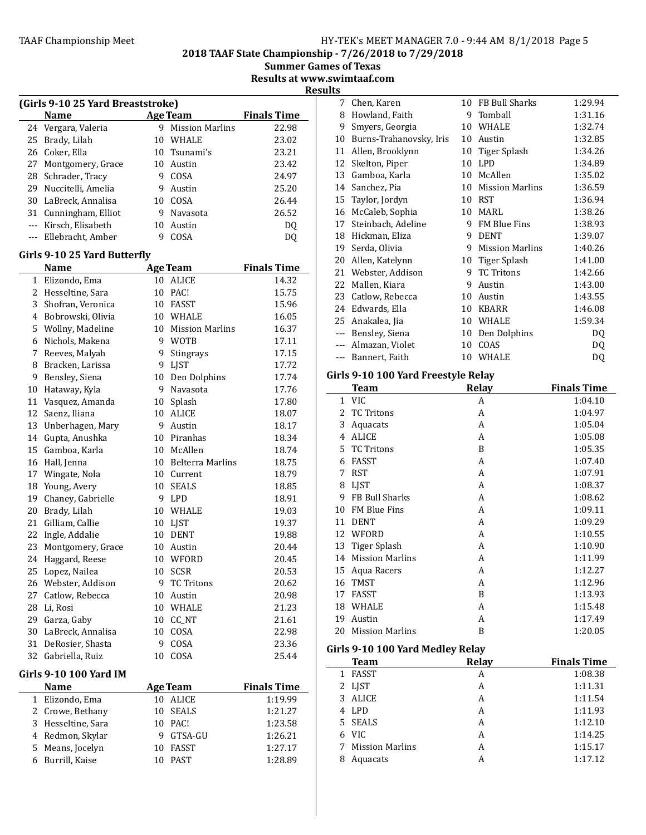2018 TAAF State Championship - 7/26/2018 to 7/29/2018

Summer Games of Texas

Results at www.swimtaaf.com **Results** 

|     | (Girls 9-10 25 Yard Breaststroke)    |    |                     |                    |
|-----|--------------------------------------|----|---------------------|--------------------|
|     | Name                                 |    | <b>Age Team</b>     | <b>Finals Time</b> |
| 24  | Vergara, Valeria                     |    | 9 Mission Marlins   | 22.98              |
| 25  | Brady, Lilah                         |    | 10 WHALE            | 23.02              |
|     | 26 Coker, Ella                       |    | 10 Tsunami's        | 23.21              |
| 27  | Montgomery, Grace                    |    | 10 Austin           | 23.42              |
| 28  | Schrader, Tracy                      |    | 9 COSA              | 24.97              |
| 29  | Nuccitelli, Amelia                   |    | 9 Austin            | 25.20              |
| 30  | LaBreck, Annalisa                    |    | 10 COSA             | 26.44              |
| 31  | Cunningham, Elliot                   |    | 9 Navasota          | 26.52              |
| --- | Kirsch, Elisabeth                    | 10 | Austin              | DQ                 |
|     | --- Ellebracht, Amber                | 9  | COSA                | DQ                 |
|     |                                      |    |                     |                    |
|     | Girls 9-10 25 Yard Butterfly<br>Name |    | <b>Age Team</b>     | <b>Finals Time</b> |
|     | 1 Elizondo, Ema                      |    | 10 ALICE            | 14.32              |
| 2   | Hesseltine, Sara                     | 10 | PAC!                | 15.75              |
| 3   | Shofran, Veronica                    |    | 10 FASST            | 15.96              |
| 4   | Bobrowski, Olivia                    |    | 10 WHALE            | 16.05              |
| 5   | Wollny, Madeline                     |    | 10 Mission Marlins  | 16.37              |
| 6   | Nichols, Makena                      |    | 9 WOTB              | 17.11              |
| 7   |                                      |    |                     | 17.15              |
|     | Reeves, Malyah                       |    | 9 Stingrays         |                    |
| 8   | Bracken, Larissa                     |    | 9 LJST              | 17.72              |
| 9   | Bensley, Siena                       |    | 10 Den Dolphins     | 17.74              |
| 10  | Hataway, Kyla                        | 9  | Navasota            | 17.76              |
| 11  | Vasquez, Amanda                      | 10 | Splash              | 17.80              |
| 12  | Saenz, Iliana                        | 10 | <b>ALICE</b>        | 18.07              |
| 13  | Unberhagen, Mary                     | 9  | Austin              | 18.17              |
| 14  | Gupta, Anushka                       |    | 10 Piranhas         | 18.34              |
| 15  | Gamboa, Karla                        |    | 10 McAllen          | 18.74              |
| 16  | Hall, Jenna                          |    | 10 Belterra Marlins | 18.75              |
| 17  | Wingate, Nola                        |    | 10 Current          | 18.79              |
| 18  | Young, Avery                         |    | 10 SEALS            | 18.85              |
| 19  | Chaney, Gabrielle                    |    | 9 LPD               | 18.91              |
| 20  | Brady, Lilah                         |    | 10 WHALE            | 19.03              |
| 21  | Gilliam, Callie                      |    | 10 LJST             | 19.37              |
| 22  | Ingle, Addalie                       | 10 | DENT                | 19.88              |
| 23  | Montgomery, Grace                    | 10 | Austin              | 20.44              |
| 24  | Haggard, Reese                       | 10 | WFORD               | 20.45              |
| 25  | Lopez, Nailea                        | 10 | <b>SCSR</b>         | 20.53              |
| 26  | Webster, Addison                     | 9  | <b>TC Tritons</b>   | 20.62              |
| 27  | Catlow, Rebecca                      | 10 | Austin              | 20.98              |
| 28  | Li, Rosi                             |    | 10 WHALE            | 21.23              |
| 29  | Garza, Gaby                          |    | 10 CC_NT            | 21.61              |
| 30  | LaBreck, Annalisa                    | 10 | COSA                | 22.98              |
| 31  | DeRosier, Shasta                     | 9  | COSA                | 23.36              |
|     | 32 Gabriella, Ruiz                   | 10 | COSA                | 25.44              |
|     | Girls 9-10 100 Yard IM               |    |                     |                    |
|     | Name                                 |    | <b>Age Team</b>     | <b>Finals Time</b> |
| 1   | Elizondo, Ema                        | 10 | ALICE               | 1:19.99            |
| 2   | Crowe, Bethany                       | 10 | <b>SEALS</b>        | 1:21.27            |
| 3   | Hesseltine, Sara                     | 10 | PAC!                | 1:23.58            |
| 4   | Redmon, Skylar                       | 9  | GTSA-GU             | 1:26.21            |
| 5   | Means, Jocelyn                       | 10 | FASST               | 1:27.17            |
| 6   | Burrill, Kaise                       | 10 | PAST                | 1:28.89            |
|     |                                      |    |                     |                    |

| 7     | Chen, Karen             | 10 | FB Bull Sharks         | 1:29.94 |
|-------|-------------------------|----|------------------------|---------|
| 8     | Howland, Faith          | 9  | Tomball                | 1:31.16 |
| 9     | Smyers, Georgia         | 10 | <b>WHALE</b>           | 1:32.74 |
| 10    | Burns-Trahanovsky, Iris | 10 | Austin                 | 1:32.85 |
| 11    | Allen, Brooklynn        | 10 | <b>Tiger Splash</b>    | 1:34.26 |
| 12    | Skelton, Piper          | 10 | <b>LPD</b>             | 1:34.89 |
| 13    | Gamboa, Karla           | 10 | McAllen                | 1:35.02 |
| 14    | Sanchez, Pia            | 10 | <b>Mission Marlins</b> | 1:36.59 |
| 15    | Taylor, Jordyn          | 10 | <b>RST</b>             | 1:36.94 |
| 16    | McCaleb, Sophia         | 10 | MARL                   | 1:38.26 |
| 17    | Steinbach, Adeline      | 9  | <b>FM Blue Fins</b>    | 1:38.93 |
| 18    | Hickman, Eliza          | 9  | <b>DENT</b>            | 1:39.07 |
| 19    | Serda, Olivia           | 9  | <b>Mission Marlins</b> | 1:40.26 |
| 20    | Allen, Katelynn         | 10 | Tiger Splash           | 1:41.00 |
| 21    | Webster, Addison        | 9  | <b>TC Tritons</b>      | 1:42.66 |
| 22    | Mallen, Kiara           | 9  | Austin                 | 1:43.00 |
| 23    | Catlow, Rebecca         | 10 | Austin                 | 1:43.55 |
| 24    | Edwards, Ella           | 10 | <b>KBARR</b>           | 1:46.08 |
| 25    | Anakalea, Jia           | 10 | <b>WHALE</b>           | 1:59.34 |
| $---$ | Bensley, Siena          | 10 | Den Dolphins           | DQ      |
|       | Almazan, Violet         | 10 | COAS                   | DQ      |
|       | Bannert, Faith          | 10 | WHALE                  | DQ      |
|       |                         |    |                        |         |

# Girls 9-10 100 Yard Freestyle Relay

|    | Team                   | Relay | <b>Finals Time</b> |
|----|------------------------|-------|--------------------|
| 1  | <b>VIC</b>             | A     | 1:04.10            |
| 2  | <b>TC Tritons</b>      | A     | 1:04.97            |
| 3  | Aquacats               | A     | 1:05.04            |
| 4  | <b>ALICE</b>           | A     | 1:05.08            |
| 5  | <b>TC Tritons</b>      | B     | 1:05.35            |
| 6  | <b>FASST</b>           | A     | 1:07.40            |
| 7  | <b>RST</b>             | A     | 1:07.91            |
| 8  | <b>LIST</b>            | A     | 1:08.37            |
| 9  | FB Bull Sharks         | A     | 1:08.62            |
| 10 | <b>FM Blue Fins</b>    | A     | 1:09.11            |
| 11 | <b>DENT</b>            | A     | 1:09.29            |
| 12 | WFORD                  | A     | 1:10.55            |
| 13 | Tiger Splash           | A     | 1:10.90            |
| 14 | <b>Mission Marlins</b> | A     | 1:11.99            |
| 15 | Aqua Racers            | A     | 1:12.27            |
| 16 | <b>TMST</b>            | A     | 1:12.96            |
| 17 | <b>FASST</b>           | B     | 1:13.93            |
| 18 | <b>WHALE</b>           | A     | 1:15.48            |
| 19 | Austin                 | A     | 1:17.49            |
| 20 | <b>Mission Marlins</b> | B     | 1:20.05            |

# Girls 9-10 100 Yard Medley Relay

|   | Team              | Relay | <b>Finals Time</b> |
|---|-------------------|-------|--------------------|
|   | 1 FASST           | A     | 1:08.38            |
|   | 2 LJST            | А     | 1:11.31            |
|   | 3 ALICE           | А     | 1:11.54            |
|   | 4 LPD             | А     | 1:11.93            |
|   | 5 SEALS           | А     | 1:12.10            |
|   | 6 VIC             | А     | 1:14.25            |
|   | 7 Mission Marlins | А     | 1:15.17            |
| 8 | Aquacats          | А     | 1:17.12            |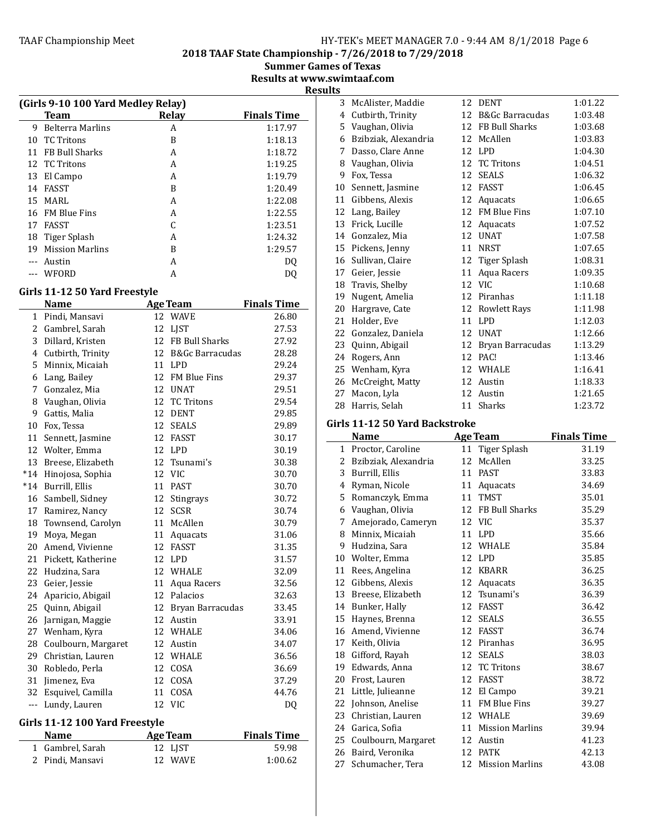2018 TAAF State Championship - 7/26/2018 to 7/29/2018

**Summer Games of Texas** 

Results at www.swimtaaf.com **Results** 

|    |                                    |       | N                  |
|----|------------------------------------|-------|--------------------|
|    | (Girls 9-10 100 Yard Medley Relay) |       |                    |
|    | <b>Team</b>                        | Relay | <b>Finals Time</b> |
| 9  | <b>Belterra Marlins</b>            | A     | 1:17.97            |
| 10 | <b>TC</b> Tritons                  | B     | 1:18.13            |
| 11 | <b>FB Bull Sharks</b>              | A     | 1:18.72            |
|    | 12 TC Tritons                      | A     | 1:19.25            |
| 13 | El Campo                           | A     | 1:19.79            |
| 14 | <b>FASST</b>                       | B     | 1:20.49            |
| 15 | MARI.                              | A     | 1:22.08            |
| 16 | <b>FM Blue Fins</b>                | A     | 1:22.55            |
| 17 | <b>FASST</b>                       |       | 1:23.51            |
| 18 | Tiger Splash                       | А     | 1:24.32            |
| 19 | <b>Mission Marlins</b>             | B     | 1:29.57            |
|    | Austin                             | A     | DO                 |
|    | WFORD                              | А     | DO                 |

# Girls 11-12 50 Yard Freestyle

|                | Name                  |    | <b>Age Team</b>     | <b>Finals Time</b> |
|----------------|-----------------------|----|---------------------|--------------------|
| $\mathbf{1}$   | Pindi, Mansavi        | 12 | <b>WAVE</b>         | 26.80              |
| $\overline{2}$ | Gambrel, Sarah        | 12 | <b>LIST</b>         | 27.53              |
| 3              | Dillard, Kristen      | 12 | FB Bull Sharks      | 27.92              |
|                | 4 Cutbirth, Trinity   | 12 | B&Gc Barracudas     | 28.28              |
|                | 5 Minnix, Micaiah     | 11 | <b>LPD</b>          | 29.24              |
| 6              | Lang, Bailey          | 12 | <b>FM Blue Fins</b> | 29.37              |
| 7              | Gonzalez, Mia         | 12 | <b>UNAT</b>         | 29.51              |
| 8              | Vaughan, Olivia       | 12 | <b>TC Tritons</b>   | 29.54              |
| 9              | Gattis, Malia         | 12 | <b>DENT</b>         | 29.85              |
| 10             | Fox, Tessa            | 12 | <b>SEALS</b>        | 29.89              |
| 11             | Sennett, Jasmine      | 12 | <b>FASST</b>        | 30.17              |
|                | 12 Wolter, Emma       | 12 | <b>LPD</b>          | 30.19              |
| 13             | Breese, Elizabeth     | 12 | Tsunami's           | 30.38              |
| $*14$          | Hinojosa, Sophia      | 12 | <b>VIC</b>          | 30.70              |
|                | *14 Burrill, Ellis    | 11 | <b>PAST</b>         | 30.70              |
|                | 16 Sambell, Sidney    | 12 | Stingrays           | 30.72              |
| 17             | Ramirez, Nancy        | 12 | <b>SCSR</b>         | 30.74              |
| 18             | Townsend, Carolyn     | 11 | McAllen             | 30.79              |
| 19             | Moya, Megan           | 11 | Aquacats            | 31.06              |
| 20             | Amend, Vivienne       | 12 | <b>FASST</b>        | 31.35              |
|                | 21 Pickett, Katherine | 12 | <b>LPD</b>          | 31.57              |
| 22             | Hudzina, Sara         | 12 | <b>WHALE</b>        | 32.09              |
|                | 23 Geier, Jessie      | 11 | Aqua Racers         | 32.56              |
| 24             | Aparicio, Abigail     | 12 | Palacios            | 32.63              |
| 25             | Quinn, Abigail        | 12 | Bryan Barracudas    | 33.45              |
| 26             | Jarnigan, Maggie      | 12 | Austin              | 33.91              |
| 27             | Wenham, Kyra          | 12 | <b>WHALE</b>        | 34.06              |
| 28             | Coulbourn, Margaret   | 12 | Austin              | 34.07              |
| 29             | Christian, Lauren     | 12 | <b>WHALE</b>        | 36.56              |
| 30             | Robledo, Perla        | 12 | COSA                | 36.69              |
| 31             | Jimenez, Eva          | 12 | COSA                | 37.29              |
| 32             | Esquivel, Camilla     | 11 | COSA                | 44.76              |
| ---            | Lundy, Lauren         | 12 | <b>VIC</b>          | DQ                 |

# Girls 11-12 100 Yard Freestyle

| <b>Name</b>      | Age Team | <b>Finals Time</b> |
|------------------|----------|--------------------|
| 1 Gambrel, Sarah | 12 LIST  | 59.98              |
| 2 Pindi, Mansavi | 12 WAVE  | 1:00.62            |

| 3  | McAlister, Maddie    | 12 | <b>DENT</b>                | 1:01.22 |
|----|----------------------|----|----------------------------|---------|
| 4  | Cutbirth, Trinity    | 12 | <b>B&amp;Gc Barracudas</b> | 1:03.48 |
| 5  | Vaughan, Olivia      | 12 | FB Bull Sharks             | 1:03.68 |
| 6  | Bzibziak, Alexandria | 12 | McAllen                    | 1:03.83 |
| 7  | Dasso, Clare Anne    | 12 | <b>LPD</b>                 | 1:04.30 |
| 8  | Vaughan, Olivia      | 12 | <b>TC Tritons</b>          | 1:04.51 |
| 9  | Fox, Tessa           | 12 | <b>SEALS</b>               | 1:06.32 |
| 10 | Sennett, Jasmine     | 12 | <b>FASST</b>               | 1:06.45 |
| 11 | Gibbens, Alexis      | 12 | Aquacats                   | 1:06.65 |
| 12 | Lang, Bailey         | 12 | <b>FM Blue Fins</b>        | 1:07.10 |
| 13 | Frick, Lucille       | 12 | Aquacats                   | 1:07.52 |
| 14 | Gonzalez, Mia        | 12 | <b>UNAT</b>                | 1:07.58 |
| 15 | Pickens, Jenny       | 11 | NRST                       | 1:07.65 |
| 16 | Sullivan, Claire     |    | 12 Tiger Splash            | 1:08.31 |
| 17 | Geier, Jessie        | 11 | Aqua Racers                | 1:09.35 |
| 18 | Travis, Shelby       |    | 12 VIC                     | 1:10.68 |
| 19 | Nugent, Amelia       | 12 | Piranhas                   | 1:11.18 |
| 20 | Hargrave, Cate       | 12 | Rowlett Rays               | 1:11.98 |
| 21 | Holder, Eve          | 11 | <b>LPD</b>                 | 1:12.03 |
| 22 | Gonzalez, Daniela    | 12 | <b>UNAT</b>                | 1:12.66 |
| 23 | Quinn, Abigail       | 12 | Bryan Barracudas           | 1:13.29 |
| 24 | Rogers, Ann          | 12 | PAC!                       | 1:13.46 |
|    | 25 Wenham, Kyra      | 12 | WHALE                      | 1:16.41 |
| 26 | McCreight, Matty     | 12 | Austin                     | 1:18.33 |
| 27 | Macon, Lyla          | 12 | Austin                     | 1:21.65 |
| 28 | Harris, Selah        | 11 | <b>Sharks</b>              | 1:23.72 |

# Girls 11-12 50 Yard Backstroke

|    | Name                 |    | <b>Age Team</b>        | <b>Finals Time</b> |
|----|----------------------|----|------------------------|--------------------|
| 1  | Proctor, Caroline    | 11 | Tiger Splash           | 31.19              |
| 2  | Bzibziak, Alexandria | 12 | McAllen                | 33.25              |
| 3  | Burrill, Ellis       | 11 | <b>PAST</b>            | 33.83              |
| 4  | Ryman, Nicole        | 11 | Aquacats               | 34.69              |
| 5  | Romanczyk, Emma      | 11 | <b>TMST</b>            | 35.01              |
| 6  | Vaughan, Olivia      | 12 | <b>FB Bull Sharks</b>  | 35.29              |
| 7  | Amejorado, Cameryn   | 12 | <b>VIC</b>             | 35.37              |
| 8  | Minnix, Micaiah      | 11 | <b>LPD</b>             | 35.66              |
| 9  | Hudzina, Sara        | 12 | <b>WHALE</b>           | 35.84              |
| 10 | Wolter, Emma         | 12 | <b>LPD</b>             | 35.85              |
| 11 | Rees, Angelina       | 12 | <b>KBARR</b>           | 36.25              |
| 12 | Gibbens, Alexis      | 12 | Aquacats               | 36.35              |
| 13 | Breese, Elizabeth    | 12 | Tsunami's              | 36.39              |
| 14 | Bunker, Hally        | 12 | <b>FASST</b>           | 36.42              |
| 15 | Haynes, Brenna       | 12 | <b>SEALS</b>           | 36.55              |
| 16 | Amend, Vivienne      | 12 | <b>FASST</b>           | 36.74              |
| 17 | Keith, Olivia        | 12 | Piranhas               | 36.95              |
| 18 | Gifford, Rayah       | 12 | <b>SEALS</b>           | 38.03              |
| 19 | Edwards, Anna        | 12 | <b>TC Tritons</b>      | 38.67              |
| 20 | Frost, Lauren        | 12 | <b>FASST</b>           | 38.72              |
| 21 | Little, Julieanne    | 12 | El Campo               | 39.21              |
| 22 | Johnson, Anelise     | 11 | FM Blue Fins           | 39.27              |
| 23 | Christian, Lauren    | 12 | WHALE                  | 39.69              |
| 24 | Garica, Sofia        | 11 | <b>Mission Marlins</b> | 39.94              |
| 25 | Coulbourn, Margaret  | 12 | Austin                 | 41.23              |
| 26 | Baird, Veronika      | 12 | <b>PATK</b>            | 42.13              |
| 27 | Schumacher, Tera     | 12 | <b>Mission Marlins</b> | 43.08              |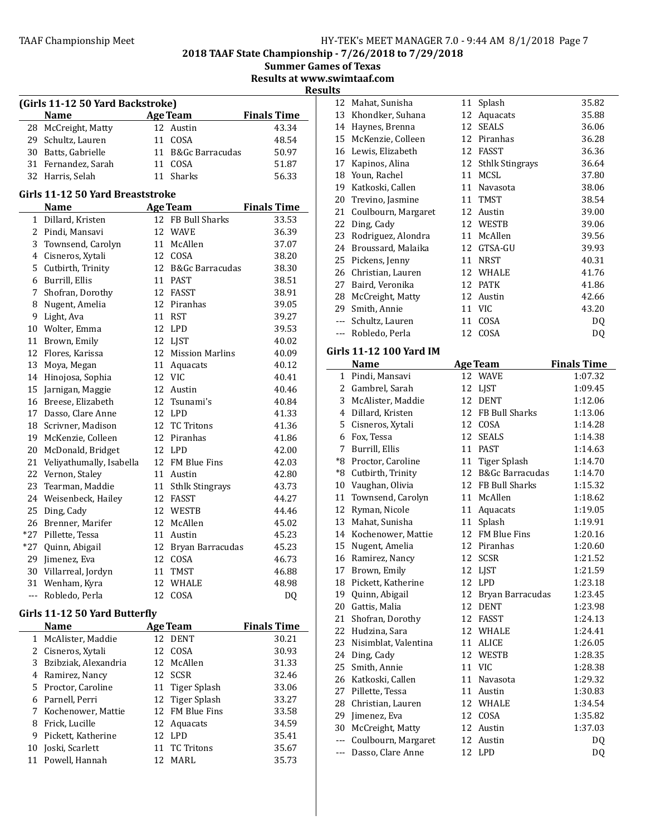2018 TAAF State Championship - 7/26/2018 to 7/29/2018

Summer Games of Texas

Results at www.swimtaaf.com

**Results** 

| (Girls 11-12 50 Yard Backstroke) |  |                    |                    |  |
|----------------------------------|--|--------------------|--------------------|--|
| <b>Name</b>                      |  | <b>Age Team</b>    | <b>Finals Time</b> |  |
| 28 McCreight, Matty              |  | 12 Austin          | 43.34              |  |
| 29 Schultz, Lauren               |  | 11 COSA            | 48.54              |  |
| 30 Batts, Gabrielle              |  | 11 B&Gc Barracudas | 50.97              |  |
| 31 Fernandez, Sarah              |  | COSA               | 51.87              |  |
| 32 Harris, Selah                 |  | Sharks             | 56.33              |  |

# Girls 11-12 50 Yard Breaststroke

|                | <b>Name</b>              |    | Age Team                   | <b>Finals Time</b> |
|----------------|--------------------------|----|----------------------------|--------------------|
| $\mathbf{1}$   | Dillard, Kristen         | 12 | <b>FB Bull Sharks</b>      | 33.53              |
| $\overline{2}$ | Pindi, Mansavi           | 12 | <b>WAVE</b>                | 36.39              |
|                | 3 Townsend, Carolyn      | 11 | McAllen                    | 37.07              |
|                | 4 Cisneros, Xytali       | 12 | COSA                       | 38.20              |
| 5              | Cutbirth, Trinity        | 12 | <b>B&amp;Gc Barracudas</b> | 38.30              |
| 6              | Burrill, Ellis           | 11 | <b>PAST</b>                | 38.51              |
| 7              | Shofran, Dorothy         | 12 | FASST                      | 38.91              |
| 8              | Nugent, Amelia           | 12 | Piranhas                   | 39.05              |
| 9              | Light, Ava               | 11 | <b>RST</b>                 | 39.27              |
|                | 10 Wolter, Emma          | 12 | <b>LPD</b>                 | 39.53              |
| 11             | Brown, Emily             | 12 | LJST                       | 40.02              |
| 12             | Flores, Karissa          | 12 | <b>Mission Marlins</b>     | 40.09              |
| 13             | Moya, Megan              | 11 | Aquacats                   | 40.12              |
| 14             | Hinojosa, Sophia         | 12 | VIC.                       | 40.41              |
| 15             | Jarnigan, Maggie         | 12 | Austin                     | 40.46              |
| 16             | Breese, Elizabeth        | 12 | Tsunami's                  | 40.84              |
| 17             | Dasso, Clare Anne        | 12 | <b>LPD</b>                 | 41.33              |
|                | 18 Scrivner, Madison     | 12 | <b>TC Tritons</b>          | 41.36              |
| 19             | McKenzie, Colleen        | 12 | Piranhas                   | 41.86              |
| 20             | McDonald, Bridget        | 12 | LPD                        | 42.00              |
| 21             | Veliyathumally, Isabella | 12 | <b>FM Blue Fins</b>        | 42.03              |
| 22             | Vernon, Staley           | 11 | Austin                     | 42.80              |
| 23             | Tearman, Maddie          | 11 | <b>Sthlk Stingrays</b>     | 43.73              |
|                | 24 Weisenbeck, Hailey    | 12 | <b>FASST</b>               | 44.27              |
| 25             | Ding, Cady               | 12 | <b>WESTB</b>               | 44.46              |
| 26             | Brenner, Marifer         | 12 | McAllen                    | 45.02              |
| $*27$          | Pillette, Tessa          | 11 | Austin                     | 45.23              |
| $*27$          | Quinn, Abigail           | 12 | Bryan Barracudas           | 45.23              |
| 29             | Jimenez, Eva             | 12 | COSA                       | 46.73              |
| 30             | Villarreal, Jordyn       | 11 | TMST                       | 46.88              |
| 31             | Wenham, Kyra             | 12 | <b>WHALE</b>               | 48.98              |
| ---            | Robledo, Perla           | 12 | COSA                       | DQ                 |

# Girls 11-12 50 Yard Butterfly

| Name                   |     | Age Team        | <b>Finals Time</b> |
|------------------------|-----|-----------------|--------------------|
| 1 McAlister, Maddie    |     | 12 DENT         | 30.21              |
| 2 Cisneros, Xytali     |     | 12 COSA         | 30.93              |
| 3 Bzibziak, Alexandria |     | 12 McAllen      | 31.33              |
| 4 Ramirez, Nancy       |     | 12 SCSR         | 32.46              |
| 5 Proctor, Caroline    |     | 11 Tiger Splash | 33.06              |
| 6 Parnell, Perri       |     | 12 Tiger Splash | 33.27              |
| 7 Kochenower, Mattie   |     | 12 FM Blue Fins | 33.58              |
| 8 Frick, Lucille       |     | 12 Aquacats     | 34.59              |
| 9 Pickett, Katherine   |     | 12 LPD          | 35.41              |
| 10 Joski, Scarlett     |     | 11 TC Tritons   | 35.67              |
| 11 Powell, Hannah      | 12. | MARL            | 35.73              |

| 12    | Mahat, Sunisha      | 11 | Splash                 | 35.82 |
|-------|---------------------|----|------------------------|-------|
| 13    | Khondker, Suhana    | 12 | Aquacats               | 35.88 |
| 14    | Haynes, Brenna      | 12 | <b>SEALS</b>           | 36.06 |
| 15    | McKenzie, Colleen   | 12 | Piranhas               | 36.28 |
| 16    | Lewis, Elizabeth    | 12 | FASST                  | 36.36 |
| 17    | Kapinos, Alina      | 12 | <b>Sthlk Stingrays</b> | 36.64 |
| 18    | Youn, Rachel        | 11 | MCSL                   | 37.80 |
| 19    | Katkoski, Callen    | 11 | Navasota               | 38.06 |
| 20    | Trevino, Jasmine    | 11 | TMST                   | 38.54 |
| 21    | Coulbourn, Margaret | 12 | Austin                 | 39.00 |
| 22    | Ding, Cady          | 12 | WESTB                  | 39.06 |
| 23    | Rodriguez, Alondra  | 11 | McAllen                | 39.56 |
| 24    | Broussard, Malaika  | 12 | GTSA-GU                | 39.93 |
| 25    | Pickens, Jenny      | 11 | <b>NRST</b>            | 40.31 |
| 26    | Christian, Lauren   | 12 | WHALE                  | 41.76 |
| 27    | Baird, Veronika     | 12 | <b>PATK</b>            | 41.86 |
| 28    | McCreight, Matty    | 12 | Austin                 | 42.66 |
| 29    | Smith, Annie        | 11 | VIC                    | 43.20 |
| $---$ | Schultz, Lauren     | 11 | COSA                   | DQ    |
| $---$ | Robledo, Perla      | 12 | COSA                   | DQ    |

# Girls 11-12 100 Yard IM

|                | <b>Name</b>           |    | <b>Age Team</b>            | <b>Finals Time</b> |
|----------------|-----------------------|----|----------------------------|--------------------|
| $\mathbf{1}$   | Pindi, Mansavi        |    | 12 WAVE                    | 1:07.32            |
| $\overline{2}$ | Gambrel, Sarah        | 12 | LJST                       | 1:09.45            |
| 3              | McAlister, Maddie     |    | 12 DENT                    | 1:12.06            |
| 4              | Dillard, Kristen      |    | 12 FB Bull Sharks          | 1:13.06            |
| 5              | Cisneros, Xytali      | 12 | COSA                       | 1:14.28            |
| 6              | Fox, Tessa            | 12 | <b>SEALS</b>               | 1:14.38            |
| 7              | Burrill, Ellis        | 11 | <b>PAST</b>                | 1:14.63            |
| $8*$           | Proctor, Caroline     | 11 | Tiger Splash               | 1:14.70            |
|                | *8 Cutbirth, Trinity  | 12 | <b>B&amp;Gc Barracudas</b> | 1:14.70            |
| 10             | Vaughan, Olivia       |    | 12 FB Bull Sharks          | 1:15.32            |
| 11             | Townsend, Carolyn     |    | 11 McAllen                 | 1:18.62            |
| 12             | Ryman, Nicole         | 11 | Aquacats                   | 1:19.05            |
| 13             | Mahat, Sunisha        | 11 | Splash                     | 1:19.91            |
| 14             | Kochenower, Mattie    |    | 12 FM Blue Fins            | 1:20.16            |
| 15             | Nugent, Amelia        |    | 12 Piranhas                | 1:20.60            |
| 16             | Ramirez, Nancy        | 12 | <b>SCSR</b>                | 1:21.52            |
| 17             | Brown, Emily          | 12 | <b>LIST</b>                | 1:21.59            |
|                | 18 Pickett, Katherine |    | 12 LPD                     | 1:23.18            |
|                | 19 Quinn, Abigail     |    | 12 Bryan Barracudas        | 1:23.45            |
| 20             | Gattis, Malia         | 12 | <b>DENT</b>                | 1:23.98            |
| 21             | Shofran, Dorothy      | 12 | <b>FASST</b>               | 1:24.13            |
| 22             | Hudzina, Sara         |    | 12 WHALE                   | 1:24.41            |
| 23             | Nisimblat, Valentina  | 11 | <b>ALICE</b>               | 1:26.05            |
|                | 24 Ding, Cady         | 12 | <b>WESTB</b>               | 1:28.35            |
|                | 25 Smith, Annie       |    | 11 VIC                     | 1:28.38            |
|                | 26 Katkoski, Callen   |    | 11 Navasota                | 1:29.32            |
| 27             | Pillette, Tessa       | 11 | Austin                     | 1:30.83            |
| 28             | Christian, Lauren     | 12 | WHALE                      | 1:34.54            |
| 29             | Jimenez, Eva          |    | 12 COSA                    | 1:35.82            |
| 30             | McCreight, Matty      |    | 12 Austin                  | 1:37.03            |
| $---$          | Coulbourn, Margaret   | 12 | Austin                     | DQ                 |
| ---            | Dasso, Clare Anne     |    | 12 LPD                     | DQ                 |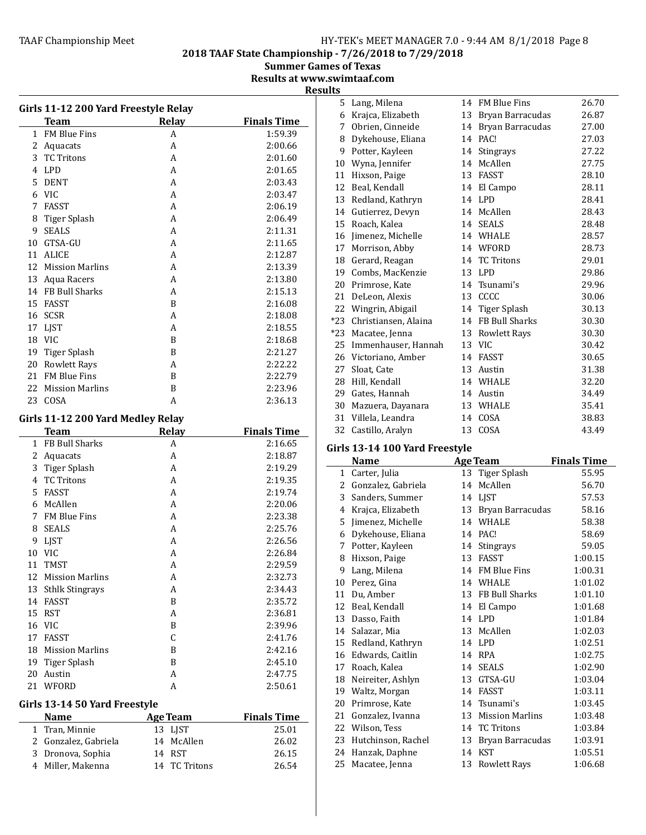2018 TAAF State Championship - 7/26/2018 to 7/29/2018

Summer Games of Texas

Results at www.swimtaaf.com

| U<br>н<br>œ<br>`<br>--<br>ı<br> |  |
|---------------------------------|--|
|                                 |  |

|              | Girls 11-12 200 Yard Freestyle Relay             |                 |                    |
|--------------|--------------------------------------------------|-----------------|--------------------|
|              | <b>Team</b>                                      | Relay           | <b>Finals Time</b> |
|              | 1 FM Blue Fins                                   | A               | 1:59.39            |
|              | 2 Aquacats                                       | A               | 2:00.66            |
|              | 3 TC Tritons                                     | A               | 2:01.60            |
|              | 4 LPD                                            | A               | 2:01.65            |
| 5            | DENT                                             | A               | 2:03.43            |
|              | 6 VIC                                            | A               | 2:03.47            |
| 7            | FASST                                            | A               | 2:06.19            |
| 8            | Tiger Splash                                     | A               | 2:06.49            |
| 9            | <b>SEALS</b>                                     | A               | 2:11.31            |
| 10           | GTSA-GU                                          | A               | 2:11.65            |
| 11           | ALICE                                            | A               | 2:12.87            |
|              | 12 Mission Marlins                               | A               | 2:13.39            |
|              | 13 Aqua Racers                                   | A               | 2:13.80            |
|              | 14 FB Bull Sharks                                | A               | 2:15.13            |
| 15           | <b>FASST</b>                                     | B               | 2:16.08            |
|              | 16 SCSR                                          | A               | 2:18.08            |
|              | 17 LJST                                          | A               | 2:18.55            |
| 18           | <b>VIC</b>                                       | B               | 2:18.68            |
| 19           | Tiger Splash                                     | B               | 2:21.27            |
|              | 20 Rowlett Rays                                  | A               | 2:22.22            |
|              | 21 FM Blue Fins                                  | B               | 2:22.79            |
| 22           | Mission Marlins                                  | B               | 2:23.96            |
| 23           | COSA                                             | A               | 2:36.13            |
|              |                                                  |                 |                    |
|              | Girls 11-12 200 Yard Medley Relay<br><b>Team</b> | Relay           | <b>Finals Time</b> |
| $\mathbf{1}$ | FB Bull Sharks                                   | A               | 2:16.65            |
| 2            | Aquacats                                         | A               | 2:18.87            |
|              | 3 Tiger Splash                                   | A               | 2:19.29            |
|              | 4 TC Tritons                                     | A               | 2:19.35            |
| 5            | FASST                                            | A               | 2:19.74            |
| 6            | McAllen                                          | A               | 2:20.06            |
| 7            | FM Blue Fins                                     | A               | 2:23.38            |
| 8            | SEALS                                            | A               | 2:25.76            |
| 9            | LJST                                             | A               | 2:26.56            |
| 10           | VIC                                              | A               | 2:26.84            |
| 11           | <b>TMST</b>                                      | A               | 2:29.59            |
| 12           | <b>Mission Marlins</b>                           | A               | 2:32.73            |
| 13           | <b>Sthlk Stingrays</b>                           | A               | 2:34.43            |
|              | 14 FASST                                         | B               | 2:35.72            |
| 15           | RST                                              | A               | 2:36.81            |
|              | 16 VIC                                           | B               | 2:39.96            |
|              | 17 FASST                                         | C               | 2:41.76            |
|              | 18 Mission Marlins                               | B               | 2:42.16            |
| 19           | Tiger Splash                                     | B               | 2:45.10            |
| 20           | Austin                                           | A               | 2:47.75            |
|              | 21 WFORD                                         | A               | 2:50.61            |
|              |                                                  |                 |                    |
|              | Girls 13-14 50 Yard Freestyle                    |                 |                    |
|              | <b>Name</b>                                      | <b>Age Team</b> | <b>Finals Time</b> |
| 1            | Tran, Minnie                                     | 13 LJST         | 25.01              |
| 2            | Gonzalez, Gabriela                               | 14<br>McAllen   | 26.02              |
| 3            | Dronova, Sophia                                  | 14 RST          | 26.15              |

Miller, Makenna 14 TC Tritons 26.54

| 5     | Lang, Milena         | 14 | <b>FM Blue Fins</b> | 26.70 |
|-------|----------------------|----|---------------------|-------|
| 6     | Krajca, Elizabeth    | 13 | Bryan Barracudas    | 26.87 |
| 7     | Obrien, Cinneide     | 14 | Bryan Barracudas    | 27.00 |
| 8     | Dykehouse, Eliana    | 14 | PAC!                | 27.03 |
| 9     | Potter, Kayleen      | 14 | <b>Stingrays</b>    | 27.22 |
| 10    | Wyna, Jennifer       | 14 | McAllen             | 27.75 |
| 11    | Hixson, Paige        | 13 | <b>FASST</b>        | 28.10 |
| 12    | Beal, Kendall        | 14 | El Campo            | 28.11 |
| 13    | Redland, Kathryn     | 14 | <b>LPD</b>          | 28.41 |
| 14    | Gutierrez, Devyn     | 14 | McAllen             | 28.43 |
| 15    | Roach, Kalea         | 14 | <b>SEALS</b>        | 28.48 |
| 16    | Jimenez, Michelle    | 14 | <b>WHALE</b>        | 28.57 |
| 17    | Morrison, Abby       |    | 14 WFORD            | 28.73 |
| 18    | Gerard, Reagan       |    | 14 TC Tritons       | 29.01 |
| 19    | Combs, MacKenzie     | 13 | <b>LPD</b>          | 29.86 |
| 20    | Primrose, Kate       | 14 | Tsunami's           | 29.96 |
| 21    | DeLeon, Alexis       | 13 | CCCC                | 30.06 |
|       | 22 Wingrin, Abigail  |    | 14 Tiger Splash     | 30.13 |
| $*23$ | Christiansen, Alaina | 14 | FB Bull Sharks      | 30.30 |
| $*23$ | Macatee, Jenna       | 13 | <b>Rowlett Rays</b> | 30.30 |
| 25    | Immenhauser, Hannah  | 13 | VIC                 | 30.42 |
| 26    | Victoriano, Amber    | 14 | <b>FASST</b>        | 30.65 |
| 27    | Sloat, Cate          | 13 | Austin              | 31.38 |
| 28    | Hill, Kendall        |    | 14 WHALE            | 32.20 |
| 29    | Gates, Hannah        | 14 | Austin              | 34.49 |
| 30    | Mazuera, Dayanara    | 13 | WHALE               | 35.41 |
| 31    | Villela, Leandra     | 14 | COSA                | 38.83 |
| 32    | Castillo, Aralyn     | 13 | COSA                | 43.49 |

# Girls 13-14 100 Yard Freestyle

|    | Name               |    | <b>Age Team</b>        | <b>Finals Time</b> |
|----|--------------------|----|------------------------|--------------------|
| 1  | Carter, Julia      | 13 | <b>Tiger Splash</b>    | 55.95              |
| 2  | Gonzalez, Gabriela | 14 | McAllen                | 56.70              |
| 3  | Sanders, Summer    | 14 | LJST                   | 57.53              |
| 4  | Krajca, Elizabeth  | 13 | Bryan Barracudas       | 58.16              |
| 5  | Jimenez, Michelle  | 14 | <b>WHALE</b>           | 58.38              |
| 6  | Dykehouse, Eliana  | 14 | PAC!                   | 58.69              |
| 7  | Potter, Kayleen    | 14 | Stingrays              | 59.05              |
| 8  | Hixson, Paige      | 13 | <b>FASST</b>           | 1:00.15            |
| 9  | Lang, Milena       | 14 | <b>FM Blue Fins</b>    | 1:00.31            |
| 10 | Perez, Gina        | 14 | <b>WHALE</b>           | 1:01.02            |
| 11 | Du, Amber          | 13 | FB Bull Sharks         | 1:01.10            |
| 12 | Beal, Kendall      | 14 | El Campo               | 1:01.68            |
| 13 | Dasso, Faith       | 14 | <b>LPD</b>             | 1:01.84            |
| 14 | Salazar, Mia       | 13 | McAllen                | 1:02.03            |
| 15 | Redland, Kathryn   | 14 | <b>LPD</b>             | 1:02.51            |
| 16 | Edwards, Caitlin   | 14 | <b>RPA</b>             | 1:02.75            |
| 17 | Roach, Kalea       | 14 | <b>SEALS</b>           | 1:02.90            |
| 18 | Neireiter, Ashlyn  | 13 | GTSA-GU                | 1:03.04            |
| 19 | Waltz, Morgan      | 14 | <b>FASST</b>           | 1:03.11            |
| 20 | Primrose, Kate     |    | 14 Tsunami's           | 1:03.45            |
| 21 | Gonzalez, Ivanna   | 13 | <b>Mission Marlins</b> | 1:03.48            |
| 22 | Wilson, Tess       | 14 | <b>TC Tritons</b>      | 1:03.84            |
| 23 | Hutchinson, Rachel | 13 | Bryan Barracudas       | 1:03.91            |
| 24 | Hanzak, Daphne     | 14 | <b>KST</b>             | 1:05.51            |
| 25 | Macatee, Jenna     | 13 | <b>Rowlett Rays</b>    | 1:06.68            |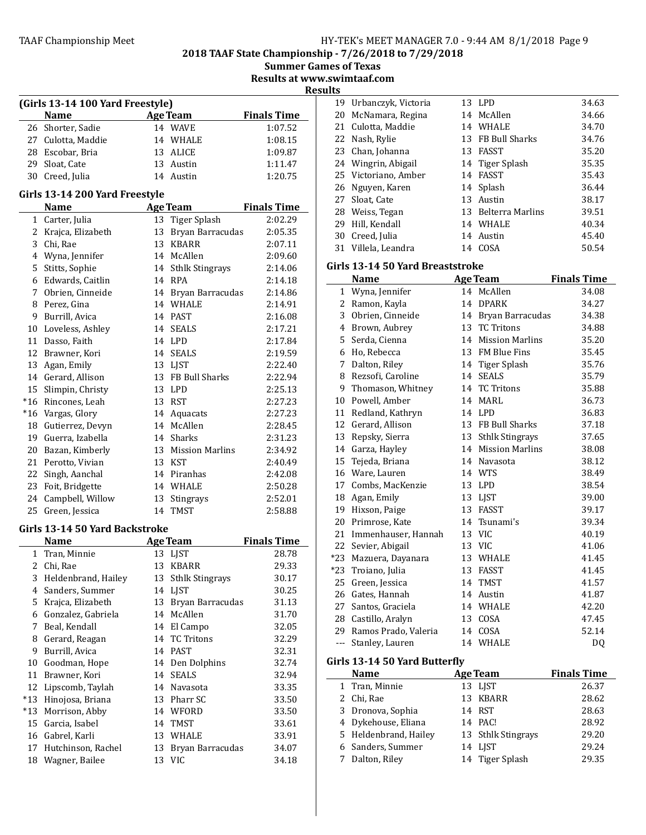#### TAAF Championship Meet The Hy-TEK's MEET MANAGER 7.0 - 9:44 AM 8/1/2018 Page 9

2018 TAAF State Championship - 7/26/2018 to 7/29/2018

**Summer Games of Texas** 

Results at www.swimtaaf.com

Results

|                | (Girls 13-14 100 Yard Freestyle) |    |                     |                    |  |
|----------------|----------------------------------|----|---------------------|--------------------|--|
|                | <b>Name</b>                      |    | <b>Age Team</b>     | <b>Finals Time</b> |  |
| 26             | Shorter, Sadie                   |    | 14 WAVE             | 1:07.52            |  |
|                | 27 Culotta, Maddie               |    | 14 WHALE            | 1:08.15            |  |
| 28             | Escobar, Bria                    |    | 13 ALICE            | 1:09.87            |  |
| 29             | Sloat, Cate                      |    | 13 Austin           | 1:11.47            |  |
|                | 30 Creed, Julia                  |    | 14 Austin           | 1:20.75            |  |
|                | Girls 13-14 200 Yard Freestyle   |    |                     |                    |  |
|                | <b>Name</b>                      |    | <b>Age Team</b>     | <b>Finals Time</b> |  |
|                | 1 Carter, Julia                  |    | 13 Tiger Splash     | 2:02.29            |  |
|                | 2 Krajca, Elizabeth              | 13 | Bryan Barracudas    | 2:05.35            |  |
| 3              | Chi, Rae                         | 13 | <b>KBARR</b>        | 2:07.11            |  |
| $\overline{4}$ | Wyna, Jennifer                   |    | 14 McAllen          | 2:09.60            |  |
| 5              | Stitts, Sophie                   |    | 14 Sthlk Stingrays  | 2:14.06            |  |
| 6              | Edwards, Caitlin                 |    | 14 RPA              | 2:14.18            |  |
| 7              | Obrien, Cinneide                 |    | 14 Bryan Barracudas | 2:14.86            |  |
| 8              | Perez, Gina                      |    | 14 WHALE            | 2:14.91            |  |
| 9              | Burrill, Avica                   |    | 14 PAST             | 2:16.08            |  |
| 10             | Loveless, Ashley                 |    | 14 SEALS            | 2:17.21            |  |
| 11             | Dasso, Faith                     |    | 14 LPD              | 2:17.84            |  |
| 12             | Brawner, Kori                    |    | 14 SEALS            | 2:19.59            |  |
| 13             | Agan, Emily                      |    | 13 LIST             | 2:22.40            |  |
| 14             | Gerard, Allison                  |    | 13 FB Bull Sharks   | 2:22.94            |  |
| 15             | Slimpin, Christy                 |    | 13 LPD              | 2:25.13            |  |
| $*16$          | Rincones, Leah                   |    | 13 RST              | 2:27.23            |  |
| $*16$          | Vargas, Glory                    |    | 14 Aquacats         | 2:27.23            |  |
| 18             | Gutierrez, Devyn                 |    | 14 McAllen          | 2:28.45            |  |
| 19             | Guerra, Izabella                 |    | 14 Sharks           | 2:31.23            |  |
| 20             | Bazan, Kimberly                  |    | 13 Mission Marlins  | 2:34.92            |  |
| 21             | Perotto, Vivian                  |    | 13 KST              | 2:40.49            |  |
| 22             | Singh, Aanchal                   |    | 14 Piranhas         | 2:42.08            |  |
| 23             | Foit, Bridgette                  |    | 14 WHALE            | 2:50.28            |  |
| 24             | Campbell, Willow                 | 13 | Stingrays           | 2:52.01            |  |
| 25             | Green, Jessica                   | 14 | <b>TMST</b>         | 2:58.88            |  |
|                | Girls 13-14 50 Yard Backstroke   |    |                     |                    |  |
|                | <b>Name</b>                      |    | <b>Age Team</b>     | <b>Finals Time</b> |  |
|                | 1 Tran, Minnie                   |    | 13 LJST             | 28.78              |  |
| 2              | Chi, Rae                         |    | 13 KBARR            | 29.33              |  |
| 3              | Heldenbrand, Hailey              |    | 13 Sthlk Stingrays  | 30.17              |  |
| $\overline{4}$ | Sanders, Summer                  |    | 14 LIST             | 30.25              |  |
| 5              | Krajca, Elizabeth                | 13 | Bryan Barracudas    | 31.13              |  |
| 6              | Gonzalez, Gabriela               | 14 | McAllen             | 31.70              |  |

7 Beal, Kendall 14 El Campo 32.05 8 Gerard, Reagan 14 TC Tritons 32.29 9 Burrill, Avica 14 PAST 32.31 10 Goodman, Hope 14 Den Dolphins 32.74 11 Brawner, Kori 14 SEALS 32.94 12 Lipscomb, Taylah 14 Navasota 33.35<br>
13 Hinojosa, Briana 13 Pharr SC 33.50 \*13 Hinojosa, Briana 13 Pharr SC 33.50 \*13 Morrison, Abby 14 WFORD 33.50 15 Garcia, Isabel 14 TMST 33.61 16 Gabrel, Karli 13 WHALE 33.91 17 Hutchinson, Rachel 13 Bryan Barracudas 34.07 18 Wagner, Bailee **13 VIC** 34.18

| 20 McNamara, Regina  | 14 McAllen          | 34.66 |
|----------------------|---------------------|-------|
| 21 Culotta, Maddie   | 14 WHALE            | 34.70 |
| 22 Nash, Rylie       | 13 FB Bull Sharks   | 34.76 |
| 23 Chan, Johanna     | 13 FASST            | 35.20 |
| 24 Wingrin, Abigail  | 14 Tiger Splash     | 35.35 |
| 25 Victoriano, Amber | 14 FASST            | 35.43 |
| 26 Nguyen, Karen     | 14 Splash           | 36.44 |
| 27 Sloat, Cate       | 13 Austin           | 38.17 |
| 28 Weiss, Tegan      | 13 Belterra Marlins | 39.51 |
| 29 Hill, Kendall     | 14 WHALE            | 40.34 |
| 30 Creed, Julia      | 14 Austin           | 45.40 |

31 Villela, Leandra 14 COSA 50.54

Urbanczyk, Victoria 13 LPD 34.63

#### Girls 13-14 50 Yard Breaststroke

|                | <b>Name</b>                   | <b>Age Team</b>     | <b>Finals Time</b> |
|----------------|-------------------------------|---------------------|--------------------|
| 1              | Wyna, Jennifer                | 14 McAllen          | 34.08              |
| $\overline{c}$ | Ramon, Kayla                  | 14 DPARK            | 34.27              |
| 3              | Obrien, Cinneide              | 14 Bryan Barracudas | 34.38              |
| 4              | Brown, Aubrey                 | 13 TC Tritons       | 34.88              |
| 5              | Serda, Cienna                 | 14 Mission Marlins  | 35.20              |
| 6              | Ho, Rebecca                   | 13 FM Blue Fins     | 35.45              |
| 7              | Dalton, Riley                 | 14 Tiger Splash     | 35.76              |
| 8              | Rezsofi, Caroline             | 14 SEALS            | 35.79              |
| 9              | Thomason, Whitney             | 14 TC Tritons       | 35.88              |
| 10             | Powell, Amber                 | 14 MARL             | 36.73              |
| 11             | Redland, Kathryn              | 14 LPD              | 36.83              |
| 12             | Gerard, Allison               | 13 FB Bull Sharks   | 37.18              |
| 13             | Repsky, Sierra                | 13 Sthlk Stingrays  | 37.65              |
| 14             | Garza, Hayley                 | 14 Mission Marlins  | 38.08              |
| 15             | Tejeda, Briana                | 14 Navasota         | 38.12              |
| 16             | Ware, Lauren                  | 14 WTS              | 38.49              |
| 17             | Combs, MacKenzie              | 13 LPD              | 38.54              |
| 18             | Agan, Emily                   | 13 LJST             | 39.00              |
| 19             | Hixson, Paige                 | 13 FASST            | 39.17              |
| 20             | Primrose, Kate                | 14 Tsunami's        | 39.34              |
| 21             | Immenhauser, Hannah           | 13 VIC              | 40.19              |
| 22             | Sevier, Abigail               | 13 VIC              | 41.06              |
| $*23$          | Mazuera, Dayanara             | 13 WHALE            | 41.45              |
| $*23$          | Troiano, Julia                | 13 FASST            | 41.45              |
| 25             | Green, Jessica                | 14 TMST             | 41.57              |
| 26             | Gates, Hannah                 | 14 Austin           | 41.87              |
|                | 27 Santos, Graciela           | 14 WHALE            | 42.20              |
|                | 28 Castillo, Aralyn           | 13 COSA             | 47.45              |
| 29             | Ramos Prado, Valeria          | 14 COSA             | 52.14              |
| $\overline{a}$ | Stanley, Lauren               | 14 WHALE            | D <sub>0</sub>     |
|                | Girls 13-14 50 Yard Butterfly |                     |                    |
|                | Name                          | <b>Age Team</b>     | <b>Finals Time</b> |
| $\mathbf{1}$   | Tran, Minnie                  | 13 LJST             | 26.37              |
| $\overline{2}$ | Chi, Rae                      | 13 KBARR            | 28.62              |
| 3              | Dronova, Sophia               | 14 RST              | 28.63              |
| 4              | Dykehouse, Eliana             | 14 PAC!             | 28.92              |
| 5              | Heldenbrand, Hailey           | 13 Sthlk Stingrays  | 29.20              |
| 6              | Sanders, Summer               | 14 LJST             | 29.24              |
| 7              | Dalton, Riley                 | 14 Tiger Splash     | 29.35              |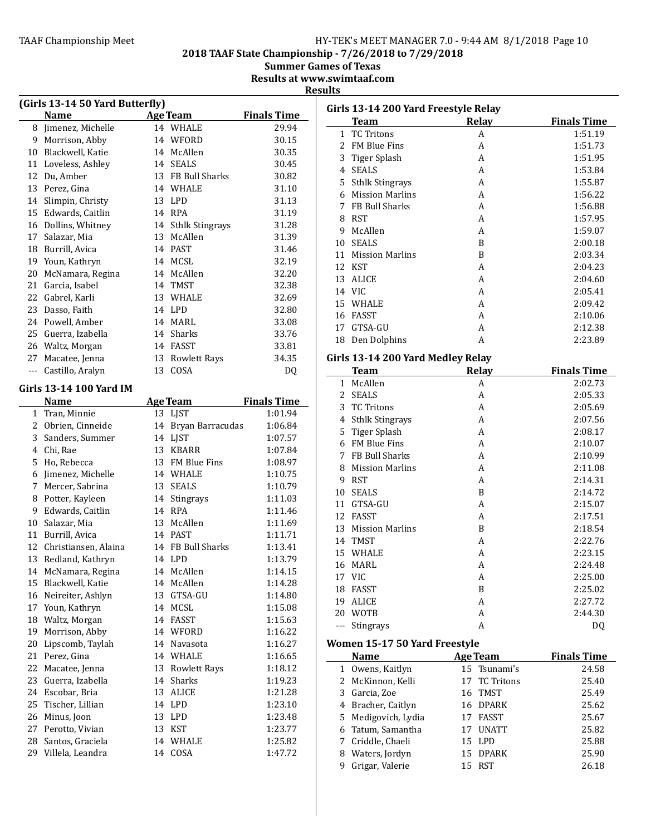# TAAF Championship Meet TAAF Championship Meet Factor MANAGER 7.0 - 9:44 AM 8/1/2018 Page 10

2018 TAAF State Championship - 7/26/2018 to 7/29/2018

**Summer Games of Texas** 

Results at www.swimtaaf.com

#### **Results**

|              | (Girls 13-14 50 Yard Butterfly) |    |                     |                    |
|--------------|---------------------------------|----|---------------------|--------------------|
|              | <b>Name</b>                     |    | <b>Age Team</b>     | <b>Finals Time</b> |
| 8            | Jimenez, Michelle               |    | 14 WHALE            | 29.94              |
| 9            | Morrison, Abby                  | 14 | WFORD               | 30.15              |
| 10           | Blackwell, Katie                |    | 14 McAllen          | 30.35              |
| 11           | Loveless, Ashley                |    | 14 SEALS            | 30.45              |
| 12           | Du, Amber                       |    | 13 FB Bull Sharks   | 30.82              |
| 13           | Perez, Gina                     |    | 14 WHALE            | 31.10              |
| 14           | Slimpin, Christy                |    | 13 LPD              | 31.13              |
| 15           | Edwards, Caitlin                |    | 14 RPA              | 31.19              |
| 16           | Dollins, Whitney                |    | 14 Sthlk Stingrays  | 31.28              |
| 17           | Salazar, Mia                    | 13 | McAllen             | 31.39              |
| 18           | Burrill, Avica                  | 14 | <b>PAST</b>         | 31.46              |
| 19           | Youn, Kathryn                   | 14 | MCSL                | 32.19              |
| 20           | McNamara, Regina                | 14 | McAllen             | 32.20              |
| 21           | Garcia, Isabel                  | 14 | <b>TMST</b>         | 32.38              |
| 22           | Gabrel, Karli                   | 13 | WHALE               | 32.69              |
| 23           | Dasso, Faith                    | 14 | LPD                 | 32.80              |
| 24           | Powell, Amber                   | 14 | MARL                | 33.08              |
| 25           | Guerra, Izabella                | 14 | <b>Sharks</b>       | 33.76              |
| 26           | Waltz, Morgan                   | 14 | FASST               | 33.81              |
| 27           | Macatee, Jenna                  | 13 | <b>Rowlett Rays</b> | 34.35              |
| ---          | Castillo, Aralyn                | 13 | COSA                | DQ                 |
|              | Girls 13-14 100 Yard IM         |    |                     |                    |
|              | <b>Name</b>                     |    | <b>Age Team</b>     | <b>Finals Time</b> |
| $\mathbf{1}$ | Tran, Minnie                    |    | 13 LIST             | 1:01.94            |
|              | 2 Obrien, Cinneide              | 14 | Bryan Barracudas    | 1:06.84            |
| 3            | Sanders, Summer                 |    | 14 LJST             | 1:07.57            |
| 4            | Chi, Rae                        |    | 13 KBARR            | 1:07.84            |
| 5            | Ho, Rebecca                     | 13 | FM Blue Fins        | 1:08.97            |
| 6            | Jimenez, Michelle               |    | 14 WHALE            | 1:10.75            |
| 7            | Mercer, Sabrina                 | 13 | <b>SEALS</b>        | 1:10.79            |
| 8            | Potter, Kayleen                 | 14 | Stingrays           | 1:11.03            |
| 9            | Edwards, Caitlin                | 14 | <b>RPA</b>          | 1:11.46            |
| 10           | Salazar, Mia                    | 13 | McAllen             | 1:11.69            |
| 11           | Burrill, Avica                  |    | 14 PAST             | 1:11.71            |
| 12           | Christiansen, Alaina            |    | 14 FB Bull Sharks   | 1:13.41            |
| 13           | Redland, Kathryn                |    | 14 LPD              | 1:13.79            |

14 McNamara, Regina 14 McAllen 1:14.15 15 Blackwell, Katie **14 McAllen** 1:14.28 16 Neireiter, Ashlyn 13 GTSA-GU 1:14.80 17 Youn, Kathryn 14 MCSL 1:15.08 18 Waltz, Morgan **14 FASST** 1:15.63 19 Morrison, Abby 14 WFORD 1:16.22 Lipscomb, Taylah 14 Navasota 1:16.27 Perez, Gina 14 WHALE 1:16.65 Macatee, Jenna 13 Rowlett Rays 1:18.12 23 Guerra, Izabella 14 Sharks 1:19.23 24 Escobar, Bria 13 ALICE 1:21.28 25 Tischer, Lillian 14 LPD 1:23.10 Minus, Joon 13 LPD 1:23.48 27 Perotto, Vivian 13 KST 1:23.77 Santos, Graciela 14 WHALE 1:25.82 Villela, Leandra 14 COSA 1:47.72

| Girls 13-14 200 Yard Freestyle Relay |                        |       |                    |  |  |  |
|--------------------------------------|------------------------|-------|--------------------|--|--|--|
|                                      | Team                   | Relay | <b>Finals Time</b> |  |  |  |
| 1                                    | <b>TC Tritons</b>      | A     | 1:51.19            |  |  |  |
| $\mathfrak{D}$                       | <b>FM Blue Fins</b>    | A     | 1:51.73            |  |  |  |
| 3                                    | Tiger Splash           | A     | 1:51.95            |  |  |  |
| 4                                    | <b>SEALS</b>           | A     | 1:53.84            |  |  |  |
| 5                                    | <b>Sthlk Stingrays</b> | A     | 1:55.87            |  |  |  |
| 6                                    | <b>Mission Marlins</b> | A     | 1:56.22            |  |  |  |
| 7                                    | <b>FB Bull Sharks</b>  | A     | 1:56.88            |  |  |  |
| 8                                    | <b>RST</b>             | A     | 1:57.95            |  |  |  |
| 9                                    | McAllen                | A     | 1:59.07            |  |  |  |
| 10                                   | <b>SEALS</b>           | B     | 2:00.18            |  |  |  |
| 11                                   | <b>Mission Marlins</b> | B     | 2:03.34            |  |  |  |
| 12                                   | KST                    | A     | 2:04.23            |  |  |  |
| 13                                   | ALICE                  | A     | 2:04.60            |  |  |  |
| 14                                   | VIC.                   | A     | 2:05.41            |  |  |  |
| 15                                   | WHALE                  | A     | 2:09.42            |  |  |  |
| 16                                   | <b>FASST</b>           | A     | 2:10.06            |  |  |  |
| 17                                   | GTSA-GU                | A     | 2:12.38            |  |  |  |
| 18                                   | Den Dolphins           | A     | 2:23.89            |  |  |  |

#### Girls 13-14 200 Yard Medley Relay

|     | <b>Team</b>                   |    | Relay             | <b>Finals Time</b> |
|-----|-------------------------------|----|-------------------|--------------------|
| 1   | McAllen                       |    | A                 | 2:02.73            |
| 2   | <b>SEALS</b>                  |    | A                 | 2:05.33            |
| 3   | <b>TC Tritons</b>             |    | A                 | 2:05.69            |
| 4   | <b>Sthlk Stingrays</b>        |    | A                 | 2:07.56            |
| 5   | Tiger Splash                  |    | A                 | 2:08.17            |
| 6   | FM Blue Fins                  |    | A                 | 2:10.07            |
| 7   | <b>FB Bull Sharks</b>         |    | A                 | 2:10.99            |
| 8   | <b>Mission Marlins</b>        |    | A                 | 2:11.08            |
| 9   | <b>RST</b>                    |    | A                 | 2:14.31            |
| 10  | <b>SEALS</b>                  |    | B                 | 2:14.72            |
| 11  | GTSA-GU                       |    | A                 | 2:15.07            |
| 12  | <b>FASST</b>                  |    | A                 | 2:17.51            |
| 13  | <b>Mission Marlins</b>        |    | B                 | 2:18.54            |
| 14  | <b>TMST</b>                   |    | A                 | 2:22.76            |
| 15  | <b>WHALE</b>                  |    | A                 | 2:23.15            |
| 16  | <b>MARL</b>                   |    | A                 | 2:24.48            |
| 17  | VIC                           |    | A                 | 2:25.00            |
| 18  | <b>FASST</b>                  |    | B                 | 2:25.02            |
| 19  | <b>ALICE</b>                  |    | A                 | 2:27.72            |
| 20  | <b>WOTB</b>                   |    | A                 | 2:44.30            |
| --- | <b>Stingrays</b>              |    | A                 | DQ                 |
|     | Women 15-17 50 Yard Freestyle |    |                   |                    |
|     | <b>Name</b>                   |    | <b>Age Team</b>   | <b>Finals Time</b> |
|     | 1 Owens, Kaitlyn              |    | 15 Tsunami's      | 24.58              |
| 2   | McKinnon, Kelli               | 17 | <b>TC Tritons</b> | 25.40              |
| 3   | Garcia, Zoe                   | 16 | <b>TMST</b>       | 25.49              |
| 4   | Bracher, Caitlyn              | 16 | <b>DPARK</b>      | 25.62              |
| 5   | Medigovich, Lydia             | 17 | <b>FASST</b>      | 25.67              |
| 6   | Tatum, Samantha               | 17 | <b>UNATT</b>      | 25.82              |
| 7   | Criddle, Chaeli               | 15 | <b>LPD</b>        | 25.88              |
| 8   | Waters, Jordyn                | 15 | <b>DPARK</b>      | 25.90              |
| 9   | Grigar, Valerie               | 15 | <b>RST</b>        | 26.18              |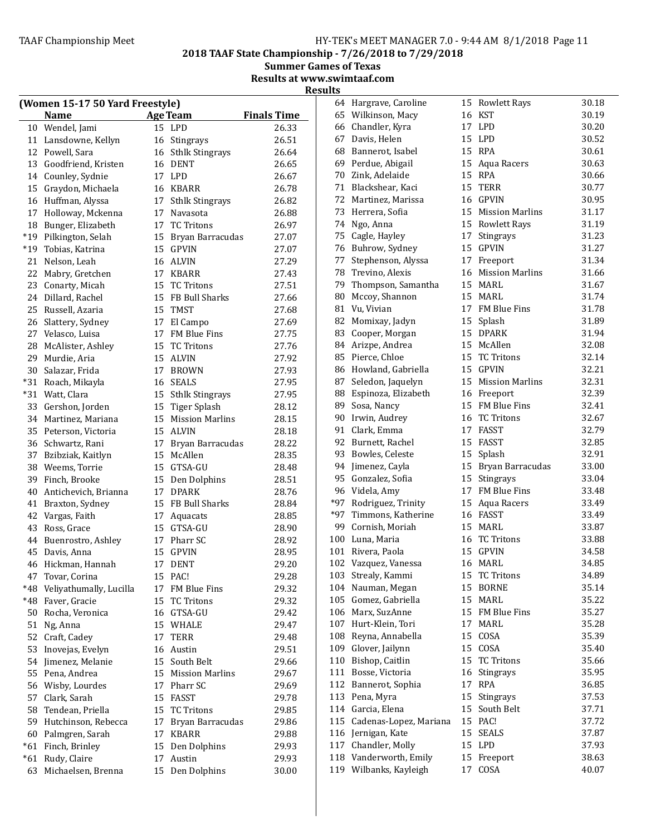2018 TAAF State Championship - 7/26/2018 to 7/29/2018

Summer Games of Texas Results at www.swimtaaf.com

| (Women 15-17 50 Yard Freestyle) |                         |    |                     |                    |                     |  |
|---------------------------------|-------------------------|----|---------------------|--------------------|---------------------|--|
|                                 | <b>Name</b>             |    | <b>Age Team</b>     | <b>Finals Time</b> | 6.                  |  |
|                                 | 10 Wendel, Jami         |    | 15 LPD              | 26.33              | 6 <sub>0</sub>      |  |
|                                 | 11 Lansdowne, Kellyn    |    | 16 Stingrays        | 26.51              | 6 <sup>2</sup>      |  |
|                                 | 12 Powell, Sara         |    | 16 Sthlk Stingrays  | 26.64              | 6                   |  |
|                                 | 13 Goodfriend, Kristen  |    | 16 DENT             | 26.65              | 6 <sup>0</sup>      |  |
|                                 | 14 Counley, Sydnie      |    | 17 LPD              | 26.67              | 7(                  |  |
|                                 | 15 Graydon, Michaela    |    | 16 KBARR            | 26.78              | 7 <sup>1</sup>      |  |
|                                 | 16 Huffman, Alyssa      |    | 17 Sthlk Stingrays  | 26.82              | 7                   |  |
|                                 | 17 Holloway, Mckenna    |    | 17 Navasota         | 26.88              | 7:                  |  |
|                                 | 18 Bunger, Elizabeth    |    | 17 TC Tritons       | 26.97              | 7.                  |  |
|                                 | *19 Pilkington, Selah   |    | 15 Bryan Barracudas | 27.07              | 7!                  |  |
|                                 | *19 Tobias, Katrina     |    | 15 GPVIN            | 27.07              | 7                   |  |
|                                 | 21 Nelson, Leah         |    | 16 ALVIN            | 27.29              | $7^{\circ}$         |  |
|                                 | 22 Mabry, Gretchen      |    | 17 KBARR            | 27.43              | 78                  |  |
|                                 | 23 Conarty, Micah       |    | 15 TC Tritons       | 27.51              | 7 <sup>0</sup>      |  |
|                                 | 24 Dillard, Rachel      |    | 15 FB Bull Sharks   | 27.66              | 8 <sup>0</sup>      |  |
|                                 | 25 Russell, Azaria      |    | 15 TMST             | 27.68              | $8^{\circ}$         |  |
|                                 | 26 Slattery, Sydney     |    | 17 El Campo         | 27.69              | 8                   |  |
|                                 | 27 Velasco, Luisa       |    | 17 FM Blue Fins     | 27.75              | 8                   |  |
|                                 | 28 McAlister, Ashley    |    | 15 TC Tritons       | 27.76              | 8 <sup>4</sup>      |  |
|                                 | 29 Murdie, Aria         |    |                     |                    | 8.                  |  |
|                                 | 30 Salazar, Frida       |    | 15 ALVIN            | 27.92              | 8                   |  |
|                                 |                         |    | 17 BROWN            | 27.93              | $8^{\circ}$         |  |
|                                 | *31 Roach, Mikayla      |    | 16 SEALS            | 27.95              |                     |  |
|                                 | *31 Watt, Clara         |    | 15 Sthlk Stingrays  | 27.95              | 8                   |  |
|                                 | 33 Gershon, Jorden      |    | 15 Tiger Splash     | 28.12              | 8 <sup>0</sup><br>9 |  |
|                                 | 34 Martinez, Mariana    |    | 15 Mission Marlins  | 28.15              |                     |  |
|                                 | 35 Peterson, Victoria   |    | 15 ALVIN            | 28.18              | 9 <sup>°</sup>      |  |
|                                 | 36 Schwartz, Rani       |    | 17 Bryan Barracudas | 28.22              | 9.                  |  |
|                                 | 37 Bzibziak, Kaitlyn    |    | 15 McAllen          | 28.35              | 9.                  |  |
|                                 | 38 Weems, Torrie        |    | 15 GTSA-GU          | 28.48              | 9                   |  |
|                                 | 39 Finch, Brooke        |    | 15 Den Dolphins     | 28.51              | 9.                  |  |
|                                 | 40 Antichevich, Brianna |    | 17 DPARK            | 28.76              | 9                   |  |
|                                 | 41 Braxton, Sydney      |    | 15 FB Bull Sharks   | 28.84              | $*9$                |  |
|                                 | 42 Vargas, Faith        |    | 17 Aquacats         | 28.85              | $*9$                |  |
|                                 | 43 Ross, Grace          |    | 15 GTSA-GU          | 28.90              | 9                   |  |
|                                 | 44 Buenrostro, Ashley   |    | 17 Pharr SC         | 28.92              | 10(                 |  |
|                                 | 45 Davis, Anna          |    | 15 GPVIN            | 28.95              | 10 <sub>1</sub>     |  |
|                                 | 46 Hickman, Hannah      |    | 17 DENT             | 29.20              | 10 <sub>2</sub>     |  |
| 47                              | Tovar, Corina           |    | 15 PAC!             | 29.28              | 10 <sup>°</sup>     |  |
| *48                             | Veliyathumally, Lucilla |    | 17 FM Blue Fins     | 29.32              | 10                  |  |
| *48                             | Faver, Gracie           | 15 | <b>TC Tritons</b>   | 29.32              | 10!                 |  |
| 50                              | Rocha, Veronica         |    | 16 GTSA-GU          | 29.42              | 10 <sub>0</sub>     |  |
| 51                              | Ng, Anna                |    | 15 WHALE            | 29.47              | 10.                 |  |
|                                 | 52 Craft, Cadey         |    | 17 TERR             | 29.48              | 108                 |  |
| 53                              | Inovejas, Evelyn        |    | 16 Austin           | 29.51              | 109                 |  |
| 54                              | Jimenez, Melanie        |    | 15 South Belt       | 29.66              | 11                  |  |
| 55                              | Pena, Andrea            |    | 15 Mission Marlins  | 29.67              | 11                  |  |
| 56                              | Wisby, Lourdes          |    | 17 Pharr SC         | 29.69              | 11                  |  |
| 57                              | Clark, Sarah            |    | 15 FASST            | 29.78              | 11:                 |  |
| 58                              | Tendean, Priella        | 15 | <b>TC Tritons</b>   | 29.85              | 11 <sub>4</sub>     |  |
|                                 | 59 Hutchinson, Rebecca  | 17 | Bryan Barracudas    | 29.86              | 11!                 |  |
|                                 | 60 Palmgren, Sarah      |    | 17 KBARR            | 29.88              | 11                  |  |
|                                 | *61 Finch, Brinley      |    | 15 Den Dolphins     | 29.93              | 11                  |  |
|                                 | *61 Rudy, Claire        |    | 17 Austin           | 29.93              | 118                 |  |
|                                 | 63 Michaelsen, Brenna   |    | 15 Den Dolphins     | 30.00              | 11 <sup>0</sup>     |  |
|                                 |                         |    |                     |                    |                     |  |

|       | 64 Hargrave, Caroline  | 15 | <b>Rowlett Rays</b>    | 30.18 |
|-------|------------------------|----|------------------------|-------|
|       | 65 Wilkinson, Macy     | 16 | <b>KST</b>             | 30.19 |
|       | 66 Chandler, Kyra      | 17 | <b>LPD</b>             | 30.20 |
| 67    | Davis, Helen           | 15 | LPD                    | 30.52 |
| 68    | Bannerot, Isabel       |    | 15 RPA                 | 30.61 |
| 69    | Perdue, Abigail        | 15 | Aqua Racers            | 30.63 |
| 70    | Zink, Adelaide         | 15 | <b>RPA</b>             | 30.66 |
| 71    | Blackshear, Kaci       | 15 | <b>TERR</b>            | 30.77 |
| 72    | Martinez, Marissa      | 16 | <b>GPVIN</b>           | 30.95 |
| 73    | Herrera, Sofia         | 15 | <b>Mission Marlins</b> | 31.17 |
| 74    | Ngo, Anna              | 15 | <b>Rowlett Rays</b>    | 31.19 |
| 75    | Cagle, Hayley          | 17 | Stingrays              | 31.23 |
|       | 76 Buhrow, Sydney      | 15 | <b>GPVIN</b>           | 31.27 |
| 77    | Stephenson, Alyssa     | 17 | Freeport               | 31.34 |
| 78    | Trevino, Alexis        | 16 | <b>Mission Marlins</b> | 31.66 |
| 79    | Thompson, Samantha     | 15 | MARL                   | 31.67 |
| 80    | Mccoy, Shannon         | 15 | MARL                   | 31.74 |
| 81    | Vu, Vivian             | 17 | <b>FM Blue Fins</b>    | 31.78 |
| 82    | Momixay, Jadyn         | 15 | Splash                 | 31.89 |
| 83    | Cooper, Morgan         | 15 | <b>DPARK</b>           | 31.94 |
| 84    | Arizpe, Andrea         | 15 | McAllen                | 32.08 |
| 85    | Pierce, Chloe          | 15 | <b>TC Tritons</b>      | 32.14 |
| 86    | Howland, Gabriella     | 15 | <b>GPVIN</b>           | 32.21 |
| 87    | Seledon, Jaquelyn      | 15 | <b>Mission Marlins</b> | 32.31 |
| 88    | Espinoza, Elizabeth    | 16 | Freeport               | 32.39 |
| 89    | Sosa, Nancy            | 15 | FM Blue Fins           | 32.41 |
| 90    | Irwin, Audrey          | 16 | <b>TC Tritons</b>      | 32.67 |
| 91    | Clark, Emma            | 17 | <b>FASST</b>           | 32.79 |
| 92    | Burnett, Rachel        | 15 | <b>FASST</b>           | 32.85 |
| 93    | Bowles, Celeste        | 15 | Splash                 | 32.91 |
| 94    | Jimenez, Cayla         | 15 | Bryan Barracudas       | 33.00 |
| 95    | Gonzalez, Sofia        | 15 | Stingrays              | 33.04 |
| 96    | Videla, Amy            | 17 | FM Blue Fins           | 33.48 |
| $*97$ | Rodriguez, Trinity     | 15 | Aqua Racers            | 33.49 |
| $*97$ | Timmons, Katherine     | 16 | <b>FASST</b>           | 33.49 |
|       | 99 Cornish, Moriah     | 15 | <b>MARL</b>            | 33.87 |
|       | 100 Luna, Maria        | 16 | <b>TC Tritons</b>      | 33.88 |
| 101   | Rivera, Paola          | 15 | <b>GPVIN</b>           | 34.58 |
| 102   | Vazquez, Vanessa       | 16 | <b>MARL</b>            | 34.85 |
| 103   | Strealy, Kammi         | 15 | <b>TC Tritons</b>      | 34.89 |
| 104   | Nauman, Megan          | 15 | <b>BORNE</b>           | 35.14 |
| 105   | Gomez, Gabriella       | 15 | MARL                   | 35.22 |
| 106   | Marx, SuzAnne          | 15 | FM Blue Fins           | 35.27 |
| 107   | Hurt-Klein, Tori       | 17 | <b>MARL</b>            | 35.28 |
| 108   | Reyna, Annabella       | 15 | COSA                   | 35.39 |
| 109   | Glover, Jailynn        | 15 | COSA                   | 35.40 |
| 110   | Bishop, Caitlin        | 15 | <b>TC Tritons</b>      | 35.66 |
| 111   | Bosse, Victoria        | 16 | Stingrays              | 35.95 |
| 112   | Bannerot, Sophia       | 17 | <b>RPA</b>             | 36.85 |
| 113   | Pena, Myra             | 15 | Stingrays              | 37.53 |
| 114   | Garcia, Elena          | 15 | South Belt             | 37.71 |
| 115   | Cadenas-Lopez, Mariana | 15 | PAC!                   | 37.72 |
| 116   | Jernigan, Kate         | 15 | <b>SEALS</b>           | 37.87 |
| 117   | Chandler, Molly        | 15 | LPD                    | 37.93 |
| 118   | Vanderworth, Emily     | 15 | Freeport               | 38.63 |
| 119   | Wilbanks, Kayleigh     | 17 | COSA                   | 40.07 |
|       |                        |    |                        |       |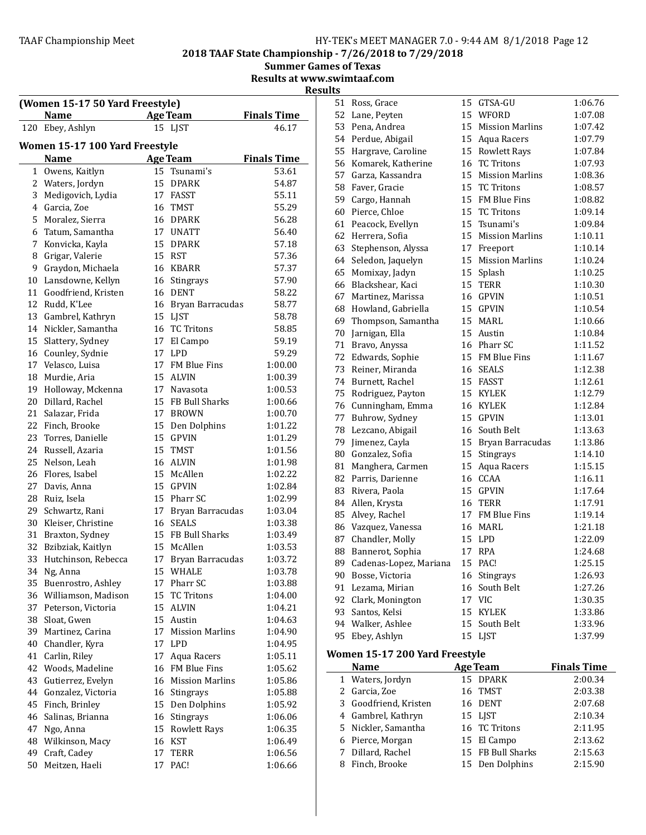2018 TAAF State Championship - 7/26/2018 to 7/29/2018

**Summer Games of Texas** 

Results at www.swimtaaf.com

**Results** 

|     | (Women 15-17 50 Yard Freestyle) |    |                     |                    |  |
|-----|---------------------------------|----|---------------------|--------------------|--|
|     | <b>Name</b>                     |    | <b>Age Team</b>     | Finals Time        |  |
| 120 | Ebey, Ashlyn                    |    | 15 LJST             | 46.17              |  |
|     | Women 15-17 100 Yard Freestyle  |    |                     |                    |  |
|     | <b>Name</b>                     |    | <b>Age Team</b>     | <b>Finals Time</b> |  |
|     | 1 Owens, Kaitlyn                |    | 15 Tsunami's        | 53.61              |  |
|     | 2 Waters, Jordyn                | 15 | <b>DPARK</b>        | 54.87              |  |
|     | 3 Medigovich, Lydia             |    | 17 FASST            | 55.11              |  |
|     | 4 Garcia, Zoe                   |    | 16 TMST             | 55.29              |  |
|     | 5 Moralez, Sierra               |    | 16 DPARK            | 56.28              |  |
| 6   | Tatum, Samantha                 |    | 17 UNATT            | 56.40              |  |
| 7   | Konvicka, Kayla                 |    | 15 DPARK            | 57.18              |  |
| 8   | Grigar, Valerie                 |    | 15 RST              | 57.36              |  |
| 9   | Graydon, Michaela               |    | 16 KBARR            | 57.37              |  |
| 10  | Lansdowne, Kellyn               |    | 16 Stingrays        | 57.90              |  |
| 11  | Goodfriend, Kristen             |    | 16 DENT             | 58.22              |  |
|     | 12 Rudd, K'Lee                  |    | 16 Bryan Barracudas | 58.77              |  |
|     | 13 Gambrel, Kathryn             |    | 15 LJST             | 58.78              |  |
|     | 14 Nickler, Samantha            |    | 16 TC Tritons       | 58.85              |  |
|     | 15 Slattery, Sydney             |    | 17 El Campo         | 59.19              |  |
|     | 16 Counley, Sydnie              |    | 17 LPD              | 59.29              |  |
|     | 17 Velasco, Luisa               |    | 17 FM Blue Fins     | 1:00.00            |  |
| 18  | Murdie, Aria                    | 15 | ALVIN               | 1:00.39            |  |
|     | 19 Holloway, Mckenna            |    | 17 Navasota         | 1:00.53            |  |
|     | 20 Dillard, Rachel              |    | 15 FB Bull Sharks   | 1:00.66            |  |
| 21  | Salazar, Frida                  |    | 17 BROWN            | 1:00.70            |  |
|     | 22 Finch, Brooke                |    | 15 Den Dolphins     | 1:01.22            |  |
|     | 23 Torres, Danielle             |    | 15 GPVIN            | 1:01.29            |  |
|     | 24 Russell, Azaria              |    | 15 TMST             | 1:01.56            |  |
|     | 25 Nelson, Leah                 |    | 16 ALVIN            | 1:01.98            |  |
|     | 26 Flores, Isabel               |    | 15 McAllen          | 1:02.22            |  |
|     | 27 Davis, Anna                  |    | 15 GPVIN            | 1:02.84            |  |
|     | 28 Ruiz, Isela                  |    | 15 Pharr SC         | 1:02.99            |  |
| 29  | Schwartz, Rani                  |    | 17 Bryan Barracudas | 1:03.04            |  |
| 30  | Kleiser, Christine              | 16 | <b>SEALS</b>        | 1:03.38            |  |
|     | 31 Braxton, Sydney              |    | 15 FB Bull Sharks   | 1:03.49            |  |
| 32  | Bzibziak, Kaitlyn               | 15 | McAllen             | 1:03.53            |  |
| 33  | Hutchinson, Rebecca             |    | 17 Bryan Barracudas | 1:03.72            |  |
| 34  | Ng, Anna                        |    | 15 WHALE            | 1:03.78            |  |
|     | 35 Buenrostro, Ashley           | 17 | Pharr SC            | 1:03.88            |  |
|     | 36 Williamson, Madison          |    | 15 TC Tritons       | 1:04.00            |  |
|     | 37 Peterson, Victoria           |    | 15 ALVIN            | 1:04.21            |  |
|     | 38 Sloat, Gwen                  |    | 15 Austin           | 1:04.63            |  |
| 39  | Martinez, Carina                |    | 17 Mission Marlins  | 1:04.90            |  |
| 40  | Chandler, Kyra                  |    | 17 LPD              | 1:04.95            |  |
| 41  | Carlin, Riley                   | 17 | Aqua Racers         | 1:05.11            |  |
| 42  | Woods, Madeline                 |    | 16 FM Blue Fins     | 1:05.62            |  |
| 43  | Gutierrez, Evelyn               |    | 16 Mission Marlins  | 1:05.86            |  |
| 44  | Gonzalez, Victoria              |    | 16 Stingrays        | 1:05.88            |  |
|     | 45 Finch, Brinley               |    | 15 Den Dolphins     | 1:05.92            |  |
| 46  | Salinas, Brianna                | 16 | Stingrays           | 1:06.06            |  |
| 47  | Ngo, Anna                       | 15 | Rowlett Rays        | 1:06.35            |  |
| 48  | Wilkinson, Macy                 |    | 16 KST              | 1:06.49            |  |
| 49  | Craft, Cadey                    | 17 | <b>TERR</b>         | 1:06.56            |  |
| 50  | Meitzen, Haeli                  | 17 | PAC!                | 1:06.66            |  |
|     |                                 |    |                     |                    |  |

| 51 | Ross, Grace                    | 15 | GTSA-GU                | 1:06.76            |
|----|--------------------------------|----|------------------------|--------------------|
| 52 | Lane, Peyten                   | 15 | WFORD                  | 1:07.08            |
| 53 | Pena, Andrea                   | 15 | <b>Mission Marlins</b> | 1:07.42            |
| 54 | Perdue, Abigail                | 15 | Aqua Racers            | 1:07.79            |
| 55 | Hargrave, Caroline             |    | 15 Rowlett Rays        | 1:07.84            |
| 56 | Komarek, Katherine             | 16 | <b>TC Tritons</b>      | 1:07.93            |
|    | 57 Garza, Kassandra            | 15 | <b>Mission Marlins</b> | 1:08.36            |
| 58 | Faver, Gracie                  | 15 | <b>TC Tritons</b>      | 1:08.57            |
| 59 | Cargo, Hannah                  | 15 | <b>FM Blue Fins</b>    | 1:08.82            |
| 60 | Pierce, Chloe                  | 15 | <b>TC Tritons</b>      | 1:09.14            |
| 61 | Peacock, Evellyn               | 15 | Tsunami's              | 1:09.84            |
| 62 | Herrera, Sofia                 | 15 | <b>Mission Marlins</b> | 1:10.11            |
| 63 | Stephenson, Alyssa             | 17 | Freeport               | 1:10.14            |
| 64 | Seledon, Jaquelyn              | 15 | <b>Mission Marlins</b> | 1:10.24            |
| 65 | Momixay, Jadyn                 | 15 | Splash                 | 1:10.25            |
| 66 | Blackshear, Kaci               | 15 | <b>TERR</b>            | 1:10.30            |
| 67 | Martinez, Marissa              | 16 | <b>GPVIN</b>           | 1:10.51            |
| 68 | Howland, Gabriella             | 15 | GPVIN                  | 1:10.54            |
| 69 | Thompson, Samantha             | 15 | MARL                   | 1:10.66            |
| 70 | Jarnigan, Ella                 | 15 | Austin                 | 1:10.84            |
| 71 | Bravo, Anyssa                  | 16 | Pharr SC               | 1:11.52            |
| 72 | Edwards, Sophie                | 15 | FM Blue Fins           | 1:11.67            |
| 73 | Reiner, Miranda                | 16 | <b>SEALS</b>           | 1:12.38            |
| 74 | Burnett, Rachel                | 15 | <b>FASST</b>           | 1:12.61            |
| 75 | Rodriguez, Payton              | 15 | <b>KYLEK</b>           | 1:12.79            |
| 76 | Cunningham, Emma               | 16 | <b>KYLEK</b>           | 1:12.84            |
| 77 | Buhrow, Sydney                 | 15 | <b>GPVIN</b>           | 1:13.01            |
| 78 | Lezcano, Abigail               | 16 | South Belt             | 1:13.63            |
| 79 | Jimenez, Cayla                 | 15 | Bryan Barracudas       | 1:13.86            |
| 80 | Gonzalez, Sofia                | 15 | Stingrays              | 1:14.10            |
| 81 | Manghera, Carmen               | 15 | Aqua Racers            | 1:15.15            |
| 82 | Parris, Darienne               | 16 | CCAA                   | 1:16.11            |
| 83 | Rivera, Paola                  | 15 | <b>GPVIN</b>           | 1:17.64            |
| 84 | Allen, Krysta                  | 16 | TERR                   | 1:17.91            |
| 85 | Alvey, Rachel                  | 17 | FM Blue Fins           | 1:19.14            |
| 86 | Vazquez, Vanessa               | 16 | <b>MARL</b>            | 1:21.18            |
| 87 | Chandler, Molly                | 15 | LPD                    | 1:22.09            |
| 88 | Bannerot, Sophia               | 17 | <b>RPA</b>             | 1:24.68            |
| 89 | Cadenas-Lopez, Mariana         | 15 | PAC!                   | 1:25.15            |
| 90 | Bosse, Victoria                |    | 16 Stingrays           | 1:26.93            |
| 91 | Lezama, Mirian                 | 16 | South Belt             | 1:27.26            |
|    | 92 Clark, Monington            | 17 | <b>VIC</b>             | 1:30.35            |
|    | 93 Santos, Kelsi               | 15 | <b>KYLEK</b>           | 1:33.86            |
|    | 94 Walker, Ashlee              | 15 | South Belt             | 1:33.96            |
| 95 | Ebey, Ashlyn                   | 15 | LJST                   | 1:37.99            |
|    |                                |    |                        |                    |
|    | Women 15-17 200 Yard Freestyle |    |                        |                    |
|    | Name                           |    | Age Team               | <b>Finals Time</b> |
| 1  | Waters, Jordyn                 | 15 | <b>DPARK</b>           | 2:00.34            |
| 2  | Garcia, Zoe                    | 16 | TMST                   | 2:03.38            |
| 3  | Goodfriend, Kristen            | 16 | <b>DENT</b>            | 2:07.68            |
|    | 4 Gambrel, Kathryn             |    | 15 LJST                | 2:10.34            |

5 Nickler, Samantha 16 TC Tritons 2:11.95 6 Pierce, Morgan 15 El Campo 2:13.62<br>
7 Dillard, Rachel 15 FB Bull Sharks 2:15.63

Finch, Brooke 15 Den Dolphins 2:15.90

15 FB Bull Sharks 2:15.63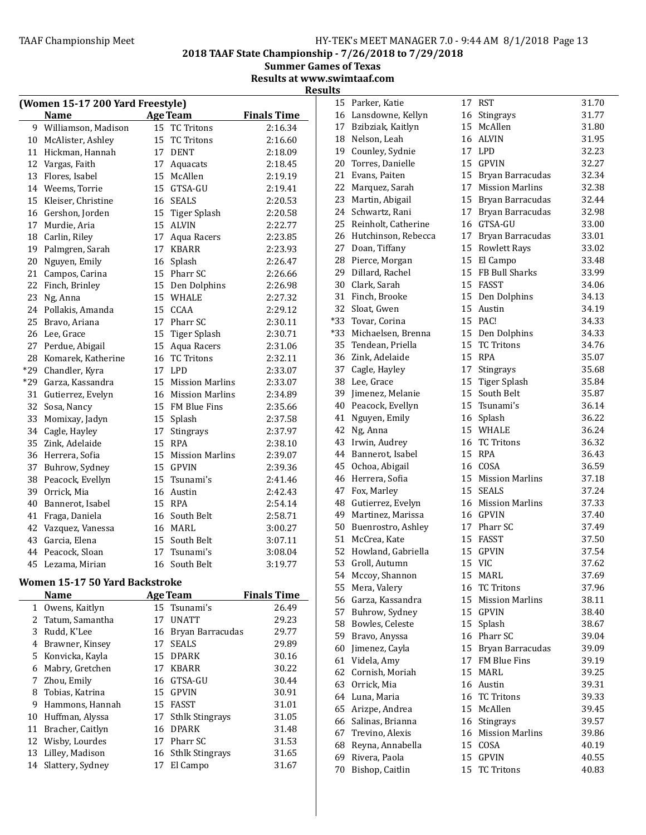2018 TAAF State Championship - 7/26/2018 to 7/29/2018

Summer Games of Texas Results at www.swimtaaf.com

Results

| (Women 15-17 200 Yard Freestyle) |                     |         |                        |                    |  |
|----------------------------------|---------------------|---------|------------------------|--------------------|--|
|                                  | <b>Name</b>         |         | <b>Age Team</b>        | <b>Finals Time</b> |  |
| 9                                | Williamson, Madison |         | 15 TC Tritons          | 2:16.34            |  |
| 10                               | McAlister, Ashley   |         | 15 TC Tritons          | 2:16.60            |  |
| 11                               | Hickman, Hannah     |         | 17 DENT                | 2:18.09            |  |
| 12                               | Vargas, Faith       | 17      | Aquacats               | 2:18.45            |  |
| 13                               | Flores, Isabel      | $15-15$ | McAllen                | 2:19.19            |  |
| 14                               | Weems, Torrie       |         | 15 GTSA-GU             | 2:19.41            |  |
| 15                               | Kleiser, Christine  |         | 16 SEALS               | 2:20.53            |  |
| 16                               | Gershon, Jorden     |         | 15 Tiger Splash        | 2:20.58            |  |
| 17                               | Murdie, Aria        |         | 15 ALVIN               | 2:22.77            |  |
| 18                               | Carlin, Riley       | 17      | Aqua Racers            | 2:23.85            |  |
| 19                               | Palmgren, Sarah     |         | 17 KBARR               | 2:23.93            |  |
| 20                               | Nguyen, Emily       | 16      | Splash                 | 2:26.47            |  |
| 21                               | Campos, Carina      | 15      | Pharr SC               | 2:26.66            |  |
| 22                               | Finch, Brinley      | 15      | Den Dolphins           | 2:26.98            |  |
| 23                               | Ng, Anna            |         | 15 WHALE               | 2:27.32            |  |
| 24                               | Pollakis, Amanda    |         | 15 CCAA                | 2:29.12            |  |
| 25                               | Bravo, Ariana       |         | 17 Pharr SC            | 2:30.11            |  |
| 26                               | Lee, Grace          |         | 15 Tiger Splash        | 2:30.71            |  |
| 27                               | Perdue, Abigail     | 15      | Aqua Racers            | 2:31.06            |  |
| 28                               | Komarek, Katherine  | 16      | <b>TC Tritons</b>      | 2:32.11            |  |
| *29                              | Chandler, Kyra      | 17      | LPD                    | 2:33.07            |  |
| $*29$                            | Garza, Kassandra    | 15      | <b>Mission Marlins</b> | 2:33.07            |  |
| 31                               | Gutierrez, Evelyn   |         | 16 Mission Marlins     | 2:34.89            |  |
| 32                               | Sosa, Nancy         |         | 15 FM Blue Fins        | 2:35.66            |  |
| 33                               | Momixay, Jadyn      | 15      | Splash                 | 2:37.58            |  |
| 34                               | Cagle, Hayley       | 17      | Stingrays              | 2:37.97            |  |
| 35                               | Zink, Adelaide      |         | 15 RPA                 | 2:38.10            |  |
| 36                               | Herrera, Sofia      |         | 15 Mission Marlins     | 2:39.07            |  |
| 37                               | Buhrow, Sydney      |         | 15 GPVIN               | 2:39.36            |  |
| 38                               | Peacock, Evellyn    |         | 15 Tsunami's           | 2:41.46            |  |
| 39                               | Orrick, Mia         |         | 16 Austin              | 2:42.43            |  |
| 40                               | Bannerot, Isabel    |         | 15 RPA                 | 2:54.14            |  |
| 41                               | Fraga, Daniela      |         | 16 South Belt          | 2:58.71            |  |
| 42                               | Vazquez, Vanessa    |         | 16 MARL                | 3:00.27            |  |
| 43                               | Garcia, Elena       |         | 15 South Belt          | 3:07.11            |  |
| 44                               | Peacock, Sloan      | 17      | Tsunami's              | 3:08.04            |  |
| 45                               | Lezama, Mirian      | 16      | South Belt             | 3:19.77            |  |
|                                  |                     |         |                        |                    |  |

# Women 15-17 50 Yard Backstroke

|    | <b>Name</b>         |    | <b>Age Team</b>        | <b>Finals Time</b> |
|----|---------------------|----|------------------------|--------------------|
| 1  | Owens, Kaitlyn      |    | 15 Tsunami's           | 26.49              |
|    | 2 Tatum, Samantha   | 17 | <b>UNATT</b>           | 29.23              |
| 3  | Rudd, K'Lee         | 16 | Bryan Barracudas       | 29.77              |
| 4  | Brawner, Kinsey     | 17 | <b>SEALS</b>           | 29.89              |
|    | 5 Konvicka, Kayla   | 15 | DPARK                  | 30.16              |
| 6  | Mabry, Gretchen     | 17 | KBARR                  | 30.22              |
| 7  | Zhou, Emily         | 16 | GTSA-GU                | 30.44              |
| 8  | Tobias, Katrina     | 15 | GPVIN                  | 30.91              |
| 9  | Hammons, Hannah     | 15 | FASST                  | 31.01              |
| 10 | Huffman, Alyssa     | 17 | <b>Sthlk Stingrays</b> | 31.05              |
| 11 | Bracher, Caitlyn    | 16 | <b>DPARK</b>           | 31.48              |
|    | 12 Wisby, Lourdes   | 17 | Pharr SC               | 31.53              |
| 13 | Lilley, Madison     |    | 16 Sthlk Stingrays     | 31.65              |
|    | 14 Slattery, Sydney | 17 | El Campo               | 31.67              |

|     | 15 Parker, Katie       | 17 | <b>RST</b>             | 31.70 |
|-----|------------------------|----|------------------------|-------|
|     | 16 Lansdowne, Kellyn   |    | 16 Stingrays           | 31.77 |
|     | 17 Bzibziak, Kaitlyn   | 15 | McAllen                | 31.80 |
|     | 18 Nelson, Leah        | 16 | <b>ALVIN</b>           | 31.95 |
| 19  | Counley, Sydnie        | 17 | <b>LPD</b>             | 32.23 |
| 20  | Torres, Danielle       |    | 15 GPVIN               | 32.27 |
| 21  | Evans, Paiten          | 15 | Bryan Barracudas       | 32.34 |
| 22  | Marquez, Sarah         | 17 | <b>Mission Marlins</b> | 32.38 |
| 23  | Martin, Abigail        | 15 | Bryan Barracudas       | 32.44 |
|     | 24 Schwartz, Rani      | 17 | Bryan Barracudas       | 32.98 |
| 25  | Reinholt, Catherine    |    | 16 GTSA-GU             | 33.00 |
|     | 26 Hutchinson, Rebecca | 17 | Bryan Barracudas       | 33.01 |
|     | 27 Doan, Tiffany       | 15 | <b>Rowlett Rays</b>    | 33.02 |
|     | 28 Pierce, Morgan      | 15 | El Campo               | 33.48 |
| 29  | Dillard, Rachel        | 15 | FB Bull Sharks         | 33.99 |
|     |                        | 15 | <b>FASST</b>           | 34.06 |
|     | 30 Clark, Sarah        |    |                        |       |
|     | 31 Finch, Brooke       | 15 | Den Dolphins           | 34.13 |
| 32  | Sloat, Gwen            | 15 | Austin                 | 34.19 |
| *33 | Tovar, Corina          | 15 | PAC!                   | 34.33 |
| *33 | Michaelsen, Brenna     | 15 | Den Dolphins           | 34.33 |
| 35  | Tendean, Priella       | 15 | <b>TC Tritons</b>      | 34.76 |
| 36  | Zink, Adelaide         | 15 | RPA                    | 35.07 |
|     | 37 Cagle, Hayley       | 17 | Stingrays              | 35.68 |
|     | 38 Lee, Grace          | 15 | <b>Tiger Splash</b>    | 35.84 |
|     | 39 Jimenez, Melanie    |    | 15 South Belt          | 35.87 |
|     | 40 Peacock, Evellyn    | 15 | Tsunami's              | 36.14 |
| 41  | Nguyen, Emily          | 16 | Splash                 | 36.22 |
| 42  | Ng, Anna               | 15 | WHALE                  | 36.24 |
| 43  | Irwin, Audrey          | 16 | <b>TC Tritons</b>      | 36.32 |
| 44  | Bannerot, Isabel       | 15 | <b>RPA</b>             | 36.43 |
| 45  | Ochoa, Abigail         |    | 16 COSA                | 36.59 |
| 46  | Herrera, Sofia         |    | 15 Mission Marlins     | 37.18 |
| 47  | Fox, Marley            |    | 15 SEALS               | 37.24 |
|     | 48 Gutierrez, Evelyn   |    | 16 Mission Marlins     | 37.33 |
|     | 49 Martinez, Marissa   |    | 16 GPVIN               | 37.40 |
|     | 50 Buenrostro, Ashley  |    | 17 Pharr SC            | 37.49 |
|     | 51 McCrea, Kate        | 15 | FASST                  | 37.50 |
|     | 52 Howland, Gabriella  |    | 15 GPVIN               | 37.54 |
| 53  | Groll, Autumn          | 15 | <b>VIC</b>             | 37.62 |
| 54  | Mccoy, Shannon         | 15 | MARL                   | 37.69 |
| 55  | Mera, Valery           | 16 | <b>TC Tritons</b>      | 37.96 |
| 56  | Garza, Kassandra       | 15 | <b>Mission Marlins</b> | 38.11 |
| 57  | Buhrow, Sydney         | 15 | <b>GPVIN</b>           | 38.40 |
| 58  | Bowles, Celeste        | 15 | Splash                 | 38.67 |
| 59  | Bravo, Anyssa          | 16 | Pharr SC               | 39.04 |
| 60  | Jimenez, Cayla         | 15 | Bryan Barracudas       | 39.09 |
| 61  | Videla, Amy            | 17 | FM Blue Fins           | 39.19 |
| 62  | Cornish, Moriah        | 15 | MARL                   | 39.25 |
| 63  | Orrick, Mia            | 16 | Austin                 | 39.31 |
| 64  | Luna, Maria            | 16 | <b>TC Tritons</b>      | 39.33 |
| 65  | Arizpe, Andrea         | 15 | McAllen                | 39.45 |
| 66  | Salinas, Brianna       | 16 | Stingrays              | 39.57 |
| 67  | Trevino, Alexis        | 16 | <b>Mission Marlins</b> | 39.86 |
| 68  | Reyna, Annabella       | 15 | COSA                   | 40.19 |
| 69  | Rivera, Paola          | 15 | <b>GPVIN</b>           | 40.55 |
| 70  | Bishop, Caitlin        | 15 | <b>TC Tritons</b>      | 40.83 |
|     |                        |    |                        |       |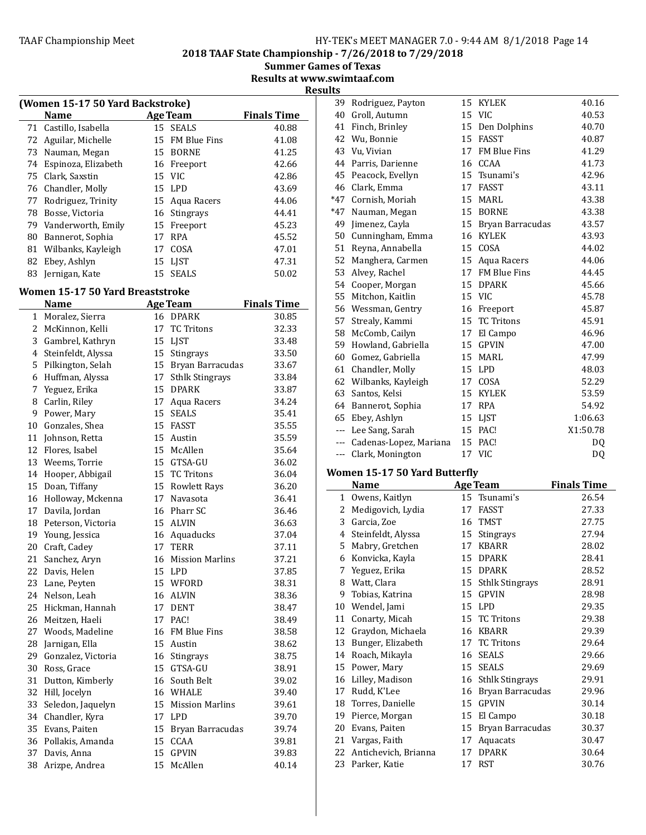2018 TAAF State Championship - 7/26/2018 to 7/29/2018

Summer Games of Texas Results at www.swimtaaf.com

**Results** 

| (Women 15-17 50 Yard Backstroke) |                       |    |                 |                    |  |
|----------------------------------|-----------------------|----|-----------------|--------------------|--|
|                                  | <b>Name</b>           |    | <b>Age Team</b> | <b>Finals Time</b> |  |
|                                  | 71 Castillo, Isabella |    | 15 SEALS        | 40.88              |  |
| 72                               | Aguilar, Michelle     |    | 15 FM Blue Fins | 41.08              |  |
| 73                               | Nauman, Megan         |    | 15 BORNE        | 41.25              |  |
| 74                               | Espinoza, Elizabeth   |    | 16 Freeport     | 42.66              |  |
| 75                               | Clark, Saxstin        |    | 15 VIC          | 42.86              |  |
| 76                               | Chandler, Molly       |    | 15 LPD          | 43.69              |  |
| 77                               | Rodriguez, Trinity    |    | 15 Aqua Racers  | 44.06              |  |
| 78                               | Bosse, Victoria       |    | 16 Stingrays    | 44.41              |  |
| 79                               | Vanderworth, Emily    |    | 15 Freeport     | 45.23              |  |
| 80                               | Bannerot, Sophia      | 17 | <b>RPA</b>      | 45.52              |  |
| 81                               | Wilbanks, Kayleigh    | 17 | COSA            | 47.01              |  |
| 82                               | Ebey, Ashlyn          |    | 15 LIST         | 47.31              |  |
| 83                               | Jernigan, Kate        | 15 | <b>SEALS</b>    | 50.02              |  |

# Women 15-17 50 Yard Breaststroke

|    | <b>Name</b>           |    | <b>Age Team</b>        | <b>Finals Time</b> |
|----|-----------------------|----|------------------------|--------------------|
|    | 1 Moralez, Sierra     |    | 16 DPARK               | 30.85              |
|    | 2 McKinnon, Kelli     | 17 | <b>TC Tritons</b>      | 32.33              |
| 3  | Gambrel, Kathryn      |    | 15 LJST                | 33.48              |
|    | 4 Steinfeldt, Alyssa  | 15 | Stingrays              | 33.50              |
| 5  | Pilkington, Selah     | 15 | Bryan Barracudas       | 33.67              |
| 6  | Huffman, Alyssa       | 17 | <b>Sthlk Stingrays</b> | 33.84              |
| 7  | Yeguez, Erika         |    | 15 DPARK               | 33.87              |
| 8  | Carlin, Riley         |    | 17 Aqua Racers         | 34.24              |
| 9  | Power, Mary           |    | 15 SEALS               | 35.41              |
|    | 10 Gonzales, Shea     |    | 15 FASST               | 35.55              |
|    | 11 Johnson, Retta     |    | 15 Austin              | 35.59              |
|    | 12 Flores, Isabel     |    | 15 McAllen             | 35.64              |
|    | 13 Weems, Torrie      |    | 15 GTSA-GU             | 36.02              |
|    | 14 Hooper, Abbigail   | 15 | <b>TC Tritons</b>      | 36.04              |
| 15 | Doan, Tiffany         |    | 15 Rowlett Rays        | 36.20              |
| 16 | Holloway, Mckenna     | 17 | Navasota               | 36.41              |
| 17 | Davila, Jordan        |    | 16 Pharr SC            | 36.46              |
|    | 18 Peterson, Victoria |    | 15 ALVIN               | 36.63              |
|    | 19 Young, Jessica     |    | 16 Aquaducks           | 37.04              |
| 20 | Craft, Cadey          |    | 17 TERR                | 37.11              |
| 21 | Sanchez, Aryn         | 16 | <b>Mission Marlins</b> | 37.21              |
|    | 22 Davis, Helen       |    | 15 LPD                 | 37.85              |
|    | 23 Lane, Peyten       |    | 15 WFORD               | 38.31              |
|    | 24 Nelson, Leah       |    | 16 ALVIN               | 38.36              |
| 25 | Hickman, Hannah       |    | 17 DENT                | 38.47              |
| 26 | Meitzen, Haeli        | 17 | PAC!                   | 38.49              |
| 27 | Woods, Madeline       |    | 16 FM Blue Fins        | 38.58              |
| 28 | Jarnigan, Ella        |    | 15 Austin              | 38.62              |
| 29 | Gonzalez, Victoria    |    | 16 Stingrays           | 38.75              |
| 30 | Ross, Grace           |    | 15 GTSA-GU             | 38.91              |
| 31 | Dutton, Kimberly      |    | 16 South Belt          | 39.02              |
|    | 32 Hill, Jocelyn      |    | 16 WHALE               | 39.40              |
| 33 | Seledon, Jaquelyn     |    | 15 Mission Marlins     | 39.61              |
| 34 | Chandler, Kyra        |    | 17 LPD                 | 39.70              |
| 35 | Evans, Paiten         | 15 | Bryan Barracudas       | 39.74              |
| 36 | Pollakis, Amanda      | 15 | CCAA                   | 39.81              |
| 37 | Davis, Anna           | 15 | <b>GPVIN</b>           | 39.83              |
| 38 | Arizpe, Andrea        | 15 | McAllen                | 40.14              |
|    |                       |    |                        |                    |

| 39    | Rodriguez, Payton             | 15 | <b>KYLEK</b>        | 40.16    |
|-------|-------------------------------|----|---------------------|----------|
| 40    | Groll, Autumn                 |    | 15 VIC              | 40.53    |
| 41    | Finch, Brinley                | 15 | Den Dolphins        | 40.70    |
| 42    | Wu, Bonnie                    |    | 15 FASST            | 40.87    |
| 43    | Vu, Vivian                    | 17 | <b>FM Blue Fins</b> | 41.29    |
| 44    | Parris, Darienne              | 16 | CCAA                | 41.73    |
| 45    | Peacock, Evellyn              | 15 | Tsunami's           | 42.96    |
| 46    | Clark, Emma                   | 17 | <b>FASST</b>        | 43.11    |
| $*47$ | Cornish, Moriah               | 15 | MARL                | 43.38    |
| $*47$ | Nauman, Megan                 | 15 | <b>BORNE</b>        | 43.38    |
| 49    | Jimenez, Cayla                | 15 | Bryan Barracudas    | 43.57    |
| 50    | Cunningham, Emma              | 16 | <b>KYLEK</b>        | 43.93    |
| 51    | Reyna, Annabella              | 15 | COSA                | 44.02    |
| 52    | Manghera, Carmen              | 15 | Aqua Racers         | 44.06    |
| 53    | Alvey, Rachel                 | 17 | <b>FM Blue Fins</b> | 44.45    |
| 54    | Cooper, Morgan                | 15 | <b>DPARK</b>        | 45.66    |
| 55    | Mitchon, Kaitlin              |    | 15 VIC              | 45.78    |
| 56    | Wessman, Gentry               | 16 | Freeport            | 45.87    |
| 57    | Strealy, Kammi                | 15 | <b>TC Tritons</b>   | 45.91    |
| 58    | McComb, Cailyn                | 17 | El Campo            | 46.96    |
| 59    | Howland, Gabriella            | 15 | <b>GPVIN</b>        | 47.00    |
| 60    | Gomez, Gabriella              | 15 | <b>MARL</b>         | 47.99    |
| 61    | Chandler, Molly               | 15 | <b>LPD</b>          | 48.03    |
|       | 62 Wilbanks, Kayleigh         | 17 | COSA                | 52.29    |
| 63    | Santos, Kelsi                 | 15 | <b>KYLEK</b>        | 53.59    |
| 64    | Bannerot, Sophia              | 17 | <b>RPA</b>          | 54.92    |
| 65    | Ebey, Ashlyn                  | 15 | LJST                | 1:06.63  |
| $---$ | Lee Sang, Sarah               | 15 | PAC!                | X1:50.78 |
| $---$ | Cadenas-Lopez, Mariana        |    | 15 PAC!             | DQ       |
| ---   | Clark, Monington              |    | 17 VIC              | DQ       |
|       | Women 15-17 50 Yard Butterfly |    |                     |          |
|       |                               |    |                     |          |

|    | Name                 |    | <b>Age Team</b>        | <b>Finals Time</b> |
|----|----------------------|----|------------------------|--------------------|
| 1  | Owens, Kaitlyn       | 15 | Tsunami's              | 26.54              |
| 2  | Medigovich, Lydia    | 17 | FASST                  | 27.33              |
| 3  | Garcia, Zoe          | 16 | TMST                   | 27.75              |
| 4  | Steinfeldt, Alyssa   | 15 | <b>Stingrays</b>       | 27.94              |
| 5  | Mabry, Gretchen      | 17 | <b>KBARR</b>           | 28.02              |
| 6  | Konvicka, Kayla      | 15 | <b>DPARK</b>           | 28.41              |
| 7  | Yeguez, Erika        | 15 | <b>DPARK</b>           | 28.52              |
| 8  | Watt, Clara          | 15 | <b>Sthlk Stingrays</b> | 28.91              |
| 9  | Tobias, Katrina      | 15 | <b>GPVIN</b>           | 28.98              |
| 10 | Wendel, Jami         | 15 | <b>LPD</b>             | 29.35              |
| 11 | Conarty, Micah       | 15 | <b>TC Tritons</b>      | 29.38              |
| 12 | Graydon, Michaela    | 16 | <b>KBARR</b>           | 29.39              |
| 13 | Bunger, Elizabeth    | 17 | <b>TC Tritons</b>      | 29.64              |
| 14 | Roach, Mikayla       | 16 | <b>SEALS</b>           | 29.66              |
| 15 | Power, Mary          | 15 | <b>SEALS</b>           | 29.69              |
| 16 | Lilley, Madison      | 16 | <b>Sthlk Stingrays</b> | 29.91              |
| 17 | Rudd, K'Lee          | 16 | Bryan Barracudas       | 29.96              |
| 18 | Torres, Danielle     | 15 | <b>GPVIN</b>           | 30.14              |
| 19 | Pierce, Morgan       | 15 | El Campo               | 30.18              |
| 20 | Evans, Paiten        | 15 | Bryan Barracudas       | 30.37              |
| 21 | Vargas, Faith        | 17 | Aquacats               | 30.47              |
| 22 | Antichevich, Brianna | 17 | <b>DPARK</b>           | 30.64              |
| 23 | Parker, Katie        | 17 | <b>RST</b>             | 30.76              |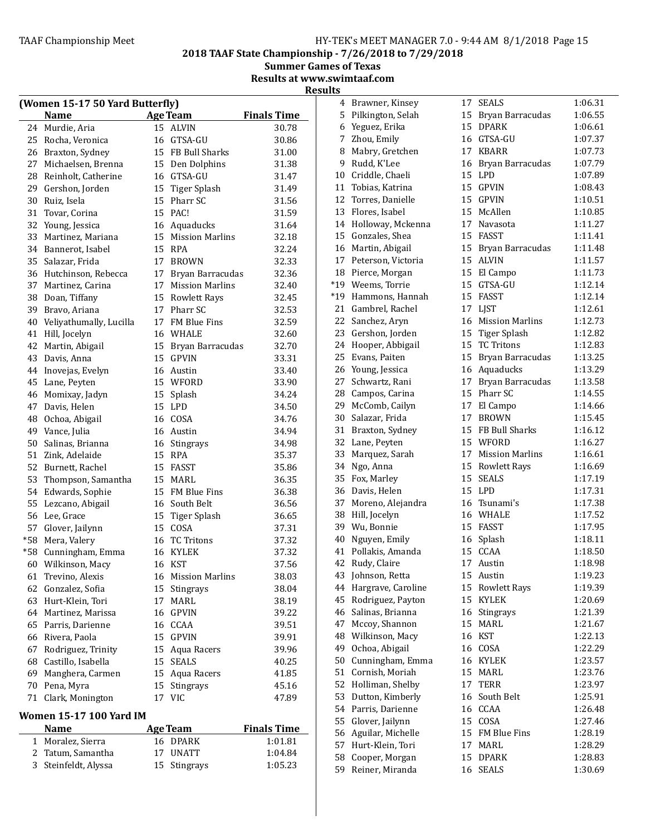# TAAF Championship Meet TAAF Championship Meet Factor MANAGER 7.0 - 9:44 AM 8/1/2018 Page 15

2018 TAAF State Championship - 7/26/2018 to 7/29/2018

Summer Games of Texas Results at www.swimtaaf.com

| (Women 15-17 50 Yard Butterfly) |                         |    |                        |                    |
|---------------------------------|-------------------------|----|------------------------|--------------------|
|                                 | <b>Name</b>             |    | Age Team               | <b>Finals Time</b> |
| 24                              | Murdie, Aria            | 15 | ALVIN                  | 30.78              |
| 25                              | Rocha, Veronica         |    | 16 GTSA-GU             | 30.86              |
|                                 | 26 Braxton, Sydney      |    | 15 FB Bull Sharks      | 31.00              |
| 27                              | Michaelsen, Brenna      |    | 15 Den Dolphins        | 31.38              |
| 28                              | Reinholt, Catherine     |    | 16 GTSA-GU             | 31.47              |
| 29                              | Gershon, Jorden         |    | 15 Tiger Splash        | 31.49              |
| 30                              | Ruiz, Isela             |    | 15 Pharr SC            | 31.56              |
| 31                              | Tovar, Corina           |    | 15 PAC!                | 31.59              |
| 32                              | Young, Jessica          |    | 16 Aquaducks           | 31.64              |
| 33                              | Martinez, Mariana       |    | 15 Mission Marlins     | 32.18              |
| 34                              | Bannerot, Isabel        |    | 15 RPA                 | 32.24              |
| 35                              | Salazar, Frida          | 17 | <b>BROWN</b>           | 32.33              |
| 36                              | Hutchinson, Rebecca     | 17 | Bryan Barracudas       | 32.36              |
| 37                              | Martinez, Carina        | 17 | <b>Mission Marlins</b> | 32.40              |
| 38                              | Doan, Tiffany           |    | 15 Rowlett Rays        | 32.45              |
| 39                              | Bravo, Ariana           |    | 17 Pharr SC            | 32.53              |
| 40                              | Veliyathumally, Lucilla |    | 17 FM Blue Fins        | 32.59              |
| 41                              | Hill, Jocelyn           |    | 16 WHALE               | 32.60              |
| 42                              | Martin, Abigail         |    | 15 Bryan Barracudas    | 32.70              |
| 43                              | Davis, Anna             |    | 15 GPVIN               | 33.31              |
| 44                              | Inovejas, Evelyn        |    | 16 Austin              | 33.40              |
| 45                              | Lane, Peyten            |    | 15 WFORD               | 33.90              |
| 46                              | Momixay, Jadyn          | 15 | Splash                 | 34.24              |
| 47                              | Davis, Helen            | 15 | <b>LPD</b>             | 34.50              |
| 48                              | Ochoa, Abigail          |    | 16 COSA                | 34.76              |
| 49                              | Vance, Julia            |    | 16 Austin              | 34.94              |
| 50                              | Salinas, Brianna        |    | 16 Stingrays           | 34.98              |
| 51                              | Zink, Adelaide          |    | 15 RPA                 | 35.37              |
| 52                              | Burnett, Rachel         |    | 15 FASST               | 35.86              |
| 53                              | Thompson, Samantha      |    | 15 MARL                | 36.35              |
| 54                              | Edwards, Sophie         |    | 15 FM Blue Fins        | 36.38              |
| 55                              | Lezcano, Abigail        |    | 16 South Belt          | 36.56              |
| 56                              | Lee, Grace              | 15 | <b>Tiger Splash</b>    | 36.65              |
| 57                              | Glover, Jailynn         |    | 15 COSA                | 37.31              |
| $*58$                           | Mera, Valery            |    | 16 TC Tritons          | 37.32              |
| $*58$                           | Cunningham, Emma        |    | 16 KYLEK               | 37.32              |
| 60                              | Wilkinson, Macy         | 16 | <b>KST</b>             | 37.56              |
| 61                              | Trevino, Alexis         |    | 16 Mission Marlins     | 38.03              |
| 62                              | Gonzalez, Sofia         |    | 15 Stingrays           | 38.04              |
| 63                              | Hurt-Klein, Tori        | 17 | MARL                   | 38.19              |
| 64                              | Martinez, Marissa       | 16 | GPVIN                  | 39.22              |
| 65                              | Parris, Darienne        |    | 16 CCAA                | 39.51              |
| 66                              | Rivera, Paola           |    | 15 GPVIN               | 39.91              |
| 67                              | Rodriguez, Trinity      | 15 | Aqua Racers            | 39.96              |
| 68                              | Castillo, Isabella      | 15 | <b>SEALS</b>           | 40.25              |
| 69                              | Manghera, Carmen        |    | 15 Aqua Racers         | 41.85              |
| 70                              | Pena, Myra              | 15 | Stingrays              | 45.16              |
| 71                              | Clark, Monington        | 17 | <b>VIC</b>             | 47.89              |
|                                 |                         |    |                        |                    |
|                                 | Women 15-17 100 Yard IM |    |                        |                    |

| <b>Name</b>          | Age Team     | <b>Finals Time</b> |
|----------------------|--------------|--------------------|
| 1 Moralez, Sierra    | 16 DPARK     | 1:01.81            |
| 2 Tatum, Samantha    | 17 UNATT     | 1:04.84            |
| 3 Steinfeldt, Alyssa | 15 Stingrays | 1:05.23            |

|    | 4 Brawner, Kinsey                   | 17       | SEALS                     | 1:06.31 |
|----|-------------------------------------|----------|---------------------------|---------|
| 5  | Pilkington, Selah                   | 15       | Bryan Barracudas          | 1:06.55 |
| 6  | Yeguez, Erika                       | 15       | <b>DPARK</b>              | 1:06.61 |
| 7  | Zhou, Emily                         | 16       | GTSA-GU                   | 1:07.37 |
| 8  | Mabry, Gretchen                     | 17       | <b>KBARR</b>              | 1:07.73 |
| 9  | Rudd, K'Lee                         | 16       | Bryan Barracudas          | 1:07.79 |
| 10 | Criddle, Chaeli                     |          | 15 LPD                    | 1:07.89 |
| 11 | Tobias, Katrina                     |          | 15 GPVIN                  | 1:08.43 |
| 12 | Torres, Danielle                    | 15       | <b>GPVIN</b>              | 1:10.51 |
|    | 13 Flores, Isabel                   |          | 15 McAllen                | 1:10.85 |
|    | 14 Holloway, Mckenna                |          | 17 Navasota               | 1:11.27 |
|    | 15 Gonzales, Shea                   | 15       | <b>FASST</b>              | 1:11.41 |
| 16 | Martin, Abigail                     | 15       | Bryan Barracudas          | 1:11.48 |
| 17 | Peterson, Victoria                  | 15       | <b>ALVIN</b>              | 1:11.57 |
|    | 18 Pierce, Morgan                   | 15       | El Campo                  | 1:11.73 |
|    | *19 Weems, Torrie                   | 15       | GTSA-GU                   | 1:12.14 |
|    | *19 Hammons, Hannah                 | 15       | <b>FASST</b>              | 1:12.14 |
| 21 | Gambrel, Rachel                     | 17       | LJST                      | 1:12.61 |
|    | 22 Sanchez, Aryn                    | 16       | <b>Mission Marlins</b>    | 1:12.73 |
|    | 23 Gershon, Jorden                  |          | 15 Tiger Splash           | 1:12.82 |
|    | 24 Hooper, Abbigail                 | 15       | <b>TC Tritons</b>         | 1:12.83 |
|    | 25 Evans, Paiten                    |          | 15 Bryan Barracudas       | 1:13.25 |
|    | 26 Young, Jessica                   |          | 16 Aquaducks              | 1:13.29 |
| 27 | Schwartz, Rani                      | 17       | Bryan Barracudas          | 1:13.58 |
| 28 | Campos, Carina                      | 15       | Pharr SC                  | 1:14.55 |
| 29 | McComb, Cailyn                      | 17       | El Campo                  | 1:14.66 |
| 30 | Salazar, Frida                      | 17       | <b>BROWN</b>              | 1:15.45 |
| 31 | Braxton, Sydney                     | 15       | FB Bull Sharks            | 1:16.12 |
|    | 32 Lane, Peyten                     |          | 15 WFORD                  | 1:16.27 |
| 33 | Marquez, Sarah                      | 17       | <b>Mission Marlins</b>    | 1:16.61 |
|    | 34 Ngo, Anna                        |          | 15 Rowlett Rays           | 1:16.69 |
|    | 35 Fox, Marley                      | 15       | <b>SEALS</b>              | 1:17.19 |
|    | 36 Davis, Helen                     |          | 15 LPD                    | 1:17.31 |
|    | 37 Moreno, Alejandra                |          | 16 Tsunami's              | 1:17.38 |
|    | 38 Hill, Jocelyn                    |          | 16 WHALE                  | 1:17.52 |
|    | 39 Wu, Bonnie                       | 15       | <b>FASST</b>              | 1:17.95 |
| 40 | Nguyen, Emily                       | 16       | Splash                    | 1:18.11 |
| 41 | Pollakis, Amanda                    | 15       | CCAA                      | 1:18.50 |
|    | 42 Rudy, Claire                     |          | 17 Austin                 | 1:18.98 |
| 43 | Johnson, Retta                      | 15       | Austin                    | 1:19.23 |
| 44 | Hargrave, Caroline                  | 15       | <b>Rowlett Rays</b>       | 1:19.39 |
| 45 | Rodriguez, Payton                   | 15       | <b>KYLEK</b>              | 1:20.69 |
| 46 | Salinas, Brianna                    | 16       | Stingrays                 | 1:21.39 |
| 47 | Mccoy, Shannon                      | 15       | MARL                      | 1:21.67 |
| 48 | Wilkinson, Macy                     | 16       | <b>KST</b>                | 1:22.13 |
|    |                                     |          |                           |         |
| 49 | Ochoa, Abigail                      | 16       | COSA                      | 1:22.29 |
| 50 | Cunningham, Emma<br>Cornish, Moriah | 16<br>15 | <b>KYLEK</b>              | 1:23.57 |
| 51 |                                     |          | MARL                      | 1:23.76 |
| 52 | Holliman, Shelby                    | 17       | <b>TERR</b><br>South Belt | 1:23.97 |
| 53 | Dutton, Kimberly                    | 16       |                           | 1:25.91 |
| 54 | Parris, Darienne                    | 16       | CCAA                      | 1:26.48 |
| 55 | Glover, Jailynn                     | 15       | COSA                      | 1:27.46 |
| 56 | Aguilar, Michelle                   | 15       | FM Blue Fins              | 1:28.19 |
| 57 | Hurt-Klein, Tori                    | 17       | MARL                      | 1:28.29 |
| 58 | Cooper, Morgan                      | 15       | <b>DPARK</b>              | 1:28.83 |
| 59 | Reiner, Miranda                     | 16       | <b>SEALS</b>              | 1:30.69 |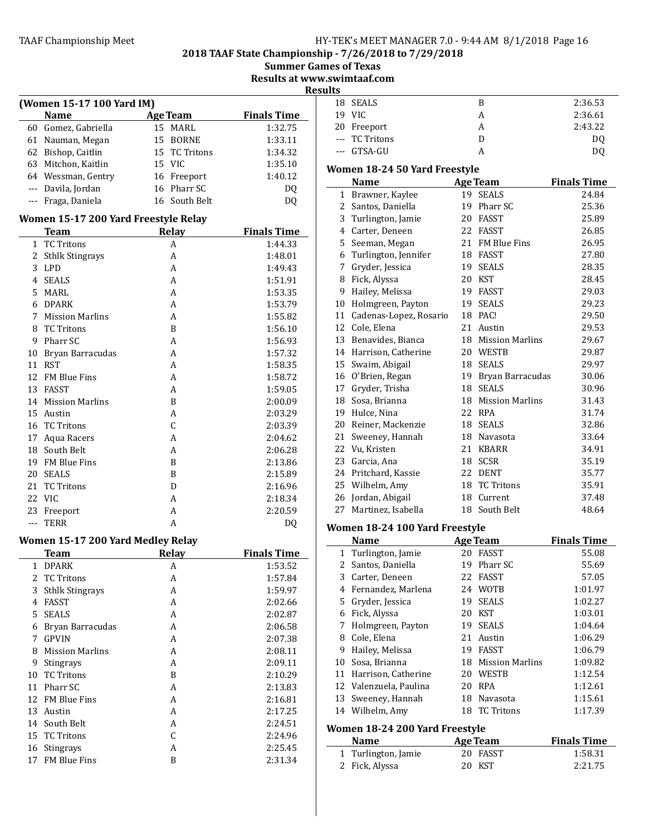2018 TAAF State Championship - 7/26/2018 to 7/29/2018

Summer Games of Texas

Results at www.swimtaaf.com

|                |                                          |                 | R                  |
|----------------|------------------------------------------|-----------------|--------------------|
|                | (Women 15-17 100 Yard IM)                |                 |                    |
|                | <b>Name</b>                              | <b>Age Team</b> | <b>Finals Time</b> |
|                | 60 Gomez, Gabriella                      | 15 MARL         | 1:32.75            |
|                | 61 Nauman, Megan                         | 15 BORNE        | 1:33.11            |
|                | 62 Bishop, Caitlin                       | 15 TC Tritons   | 1:34.32            |
|                | 63 Mitchon, Kaitlin                      | 15 VIC          | 1:35.10            |
|                | 64 Wessman, Gentry                       | 16 Freeport     | 1:40.12            |
|                | --- Davila, Jordan                       | 16 Pharr SC     | DQ                 |
|                | --- Fraga, Daniela                       | 16 South Belt   | DQ                 |
|                | Women 15-17 200 Yard Freestyle Relay     |                 |                    |
|                | <b>Team</b>                              | <b>Relay</b>    | <b>Finals Time</b> |
| 1              | <b>TC Tritons</b>                        | A               | 1:44.33            |
|                | 2 Sthlk Stingrays                        | A               | 1:48.01            |
| 3              | <b>LPD</b>                               | A               | 1:49.43            |
|                | 4 SEALS                                  | A               | 1:51.91            |
| 5              | MARL                                     | A               | 1:53.35            |
| 6              | <b>DPARK</b>                             | A               | 1:53.79            |
| 7              | <b>Mission Marlins</b>                   | A               | 1:55.82            |
| 8              | TC Tritons                               | B               | 1:56.10            |
| 9              | Pharr SC                                 | A               | 1:56.93            |
|                | 10 Bryan Barracudas                      | A               | 1:57.32            |
|                | 11 RST                                   | A               | 1:58.35            |
|                | 12 FM Blue Fins                          | A               | 1:58.72            |
|                | 13 FASST                                 | A               | 1:59.05            |
|                | 14 Mission Marlins                       | B               | 2:00.09            |
|                | 15 Austin                                | A               | 2:03.29            |
|                | 16 TC Tritons                            | $\mathsf{C}$    | 2:03.39            |
| 17             |                                          | A               | 2:04.62            |
| 18             | Aqua Racers<br>South Belt                |                 | 2:06.28            |
|                | 19 FM Blue Fins                          | A               |                    |
|                |                                          | B               | 2:13.86            |
| 20             | SEALS                                    | B               | 2:15.89            |
| 21             | <b>TC Tritons</b>                        | D               | 2:16.96            |
| 22             | - VIC                                    | A               | 2:18.34            |
| 23             | Freeport                                 | A               | 2:20.59            |
| $---$          | TERR                                     | A               | DQ                 |
|                | <b>Women 15-17 200 Yard Medley Relay</b> |                 |                    |
|                | <b>Team</b>                              | <b>Relay</b>    | <b>Finals Time</b> |
| 1              | <b>DPARK</b>                             | A               | 1:53.52            |
| $\overline{2}$ | <b>TC Tritons</b>                        | A               | 1:57.84            |
| 3              | <b>Sthlk Stingrays</b>                   | A               | 1:59.97            |
|                | 4 FASST                                  | A               | 2:02.66            |
| 5              | <b>SEALS</b>                             | A               | 2:02.87            |
| 6              | Bryan Barracudas                         | A               | 2:06.58            |
| 7              | <b>GPVIN</b>                             | A               | 2:07.38            |
| 8              | <b>Mission Marlins</b>                   | A               | 2:08.11            |
|                | 9 Stingrays                              | A               | 2:09.11            |
|                | 10 TC Tritons                            | B               | 2:10.29            |
|                | 11 Pharr SC                              | A               | 2:13.83            |
|                | 12 FM Blue Fins                          | A               | 2:16.81            |
|                | 13 Austin                                | A               | 2:17.25            |
|                | 14 South Belt                            | A               | 2:24.51            |
|                | 15 TC Tritons                            | C               | 2:24.96            |
|                | 16 Stingrays                             | A               | 2:25.45            |
|                | 17 FM Blue Fins                          | B               | 2:31.34            |

| esults |                |   |                |
|--------|----------------|---|----------------|
|        | 18 SEALS       | В | 2:36.53        |
|        | 19 VIC         | А | 2:36.61        |
|        | 20 Freeport    | А | 2:43.22        |
|        | --- TC Tritons |   | D <sub>0</sub> |
|        | --- GTSA-GU    |   | DC             |

# Women 18-24 50 Yard Freestyle

|    | Name                   |    | <b>Age Team</b>     | <b>Finals Time</b> |
|----|------------------------|----|---------------------|--------------------|
| 1  | Brawner, Kaylee        | 19 | <b>SEALS</b>        | 24.84              |
| 2  | Santos, Daniella       | 19 | Pharr SC            | 25.36              |
| 3  | Turlington, Jamie      | 20 | <b>FASST</b>        | 25.89              |
| 4  | Carter, Deneen         | 22 | <b>FASST</b>        | 26.85              |
| 5  | Seeman, Megan          | 21 | <b>FM Blue Fins</b> | 26.95              |
| 6  | Turlington, Jennifer   | 18 | FASST               | 27.80              |
| 7  | Gryder, Jessica        | 19 | <b>SEALS</b>        | 28.35              |
| 8  | Fick, Alyssa           | 20 | <b>KST</b>          | 28.45              |
| 9  | Hailey, Melissa        | 19 | FASST               | 29.03              |
| 10 | Holmgreen, Payton      | 19 | <b>SEALS</b>        | 29.23              |
| 11 | Cadenas-Lopez, Rosario | 18 | PAC!                | 29.50              |
| 12 | Cole, Elena            | 21 | Austin              | 29.53              |
| 13 | Benavides, Bianca      |    | 18 Mission Marlins  | 29.67              |
| 14 | Harrison, Catherine    |    | 20 WESTB            | 29.87              |
| 15 | Swaim, Abigail         | 18 | <b>SEALS</b>        | 29.97              |
| 16 | O'Brien, Regan         | 19 | Bryan Barracudas    | 30.06              |
| 17 | Gryder, Trisha         | 18 | <b>SEALS</b>        | 30.96              |
| 18 | Sosa, Brianna          | 18 | Mission Marlins     | 31.43              |
| 19 | Hulce, Nina            | 22 | <b>RPA</b>          | 31.74              |
| 20 | Reiner, Mackenzie      | 18 | <b>SEALS</b>        | 32.86              |
| 21 | Sweeney, Hannah        | 18 | Navasota            | 33.64              |
| 22 | Vu, Kristen            | 21 | <b>KBARR</b>        | 34.91              |
| 23 | Garcia, Ana            | 18 | <b>SCSR</b>         | 35.19              |
| 24 | Pritchard, Kassie      | 22 | <b>DENT</b>         | 35.77              |
| 25 | Wilhelm, Amy           | 18 | <b>TC Tritons</b>   | 35.91              |
| 26 | Jordan, Abigail        |    | 18 Current          | 37.48              |
| 27 | Martinez, Isabella     | 18 | South Belt          | 48.64              |

# Women 18-24 100 Yard Freestyle

|                                | <b>Name</b>         |    | <b>Age Team</b>        | <b>Finals Time</b> |
|--------------------------------|---------------------|----|------------------------|--------------------|
|                                | 1 Turlington, Jamie | 20 | FASST                  | 55.08              |
| 2                              | Santos, Daniella    | 19 | Pharr SC               | 55.69              |
| 3                              | Carter, Deneen      | 22 | <b>FASST</b>           | 57.05              |
| 4                              | Fernandez, Marlena  | 24 | <b>WOTB</b>            | 1:01.97            |
| 5.                             | Gryder, Jessica     | 19 | <b>SEALS</b>           | 1:02.27            |
| 6                              | Fick, Alyssa        | 20 | KST                    | 1:03.01            |
| 7                              | Holmgreen, Payton   | 19 | <b>SEALS</b>           | 1:04.64            |
| 8                              | Cole, Elena         | 21 | Austin                 | 1:06.29            |
| 9                              | Hailey, Melissa     | 19 | FASST                  | 1:06.79            |
| 10                             | Sosa, Brianna       | 18 | <b>Mission Marlins</b> | 1:09.82            |
| 11                             | Harrison, Catherine | 20 | WESTB                  | 1:12.54            |
| 12                             | Valenzuela, Paulina | 20 | <b>RPA</b>             | 1:12.61            |
| 13                             | Sweeney, Hannah     | 18 | Navasota               | 1:15.61            |
| 14                             | Wilhelm, Amy        | 18 | <b>TC Tritons</b>      | 1:17.39            |
| Women 18-24 200 Yard Freestyle |                     |    |                        |                    |
|                                | Name                |    | <b>Age Team</b>        | <b>Finals Time</b> |
| 1                              | Turlington, Jamie   | 20 | FASST                  | 1:58.31            |
| 2                              | Fick, Alyssa        | 20 | KST                    | 2:21.75            |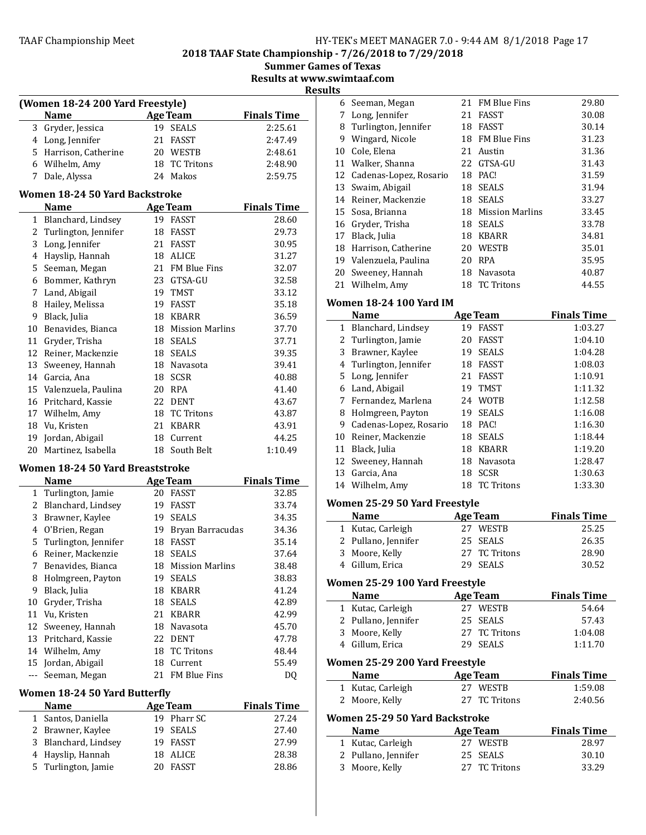2018 TAAF State Championship - 7/26/2018 to 7/29/2018

| <b>Summer Games of Texas</b> |  |  |
|------------------------------|--|--|
|                              |  |  |

Results at www.swimtaaf.com

Results

|                | (Women 18-24 200 Yard Freestyle) |                     |                    | nesuiu |
|----------------|----------------------------------|---------------------|--------------------|--------|
|                | Name                             | Age Team            | <b>Finals Time</b> |        |
|                | 3 Gryder, Jessica                | 19 SEALS            | 2:25.61            |        |
|                | 4 Long, Jennifer                 | 21 FASST            | 2:47.49            |        |
|                | 5 Harrison, Catherine            | 20 WESTB            | 2:48.61            |        |
|                | 6 Wilhelm, Amy                   | 18 TC Tritons       | 2:48.90            |        |
|                | 7 Dale, Alyssa                   | 24 Makos            | 2:59.75            |        |
|                |                                  |                     |                    |        |
|                | Women 18-24 50 Yard Backstroke   |                     |                    |        |
|                | <b>Name</b>                      | Age Team            | <b>Finals Time</b> |        |
|                | 1 Blanchard, Lindsey             | 19 FASST            | 28.60              |        |
|                | 2 Turlington, Jennifer           | 18 FASST            | 29.73              |        |
|                | 3 Long, Jennifer                 | 21 FASST            | 30.95              |        |
|                | 4 Hayslip, Hannah                | 18 ALICE            | 31.27              |        |
|                | 5 Seeman, Megan                  | 21 FM Blue Fins     | 32.07              |        |
|                | 6 Bommer, Kathryn                | 23 GTSA-GU          | 32.58              |        |
|                | 7 Land, Abigail                  | 19 TMST             | 33.12              |        |
|                | 8 Hailey, Melissa                | 19 FASST            | 35.18              | W      |
|                | 9 Black, Julia                   | 18 KBARR            | 36.59              |        |
|                | 10 Benavides, Bianca             | 18 Mission Marlins  | 37.70              |        |
|                | 11 Gryder, Trisha                | 18 SEALS            | 37.71              |        |
|                | 12 Reiner, Mackenzie             | 18 SEALS            | 39.35              |        |
|                | 13 Sweeney, Hannah               | 18 Navasota         | 39.41              |        |
|                | 14 Garcia, Ana                   | 18 SCSR             | 40.88              |        |
|                | 15 Valenzuela, Paulina           | 20 RPA              | 41.40              |        |
|                | 16 Pritchard, Kassie             | 22 DENT             | 43.67              |        |
|                | 17 Wilhelm, Amy                  | 18 TC Tritons       | 43.87              |        |
|                | 18 Vu, Kristen                   | 21 KBARR            | 43.91              |        |
|                | 19 Jordan, Abigail               | 18 Current          | 44.25              |        |
|                | 20 Martinez, Isabella            | 18 South Belt       | 1:10.49            |        |
|                | Women 18-24 50 Yard Breaststroke |                     |                    |        |
|                | <b>Name</b>                      | Age Team            | <b>Finals Time</b> |        |
|                | 1 Turlington, Jamie              | 20 FASST            | 32.85              |        |
|                | 2 Blanchard, Lindsey             | 19 FASST            | 33.74              | W      |
|                | 3 Brawner, Kaylee                | 19 SEALS            | 34.35              |        |
|                | 4 O'Brien, Regan                 | 19 Bryan Barracudas | 34.36              |        |
|                | 5 Turlington, Jennifer           | 18 FASST            | 35.14              |        |
|                | 6 Reiner, Mackenzie              | 18 SEALS            | 37.64              |        |
| 7 <sup>1</sup> | Benavides, Bianca                | 18 Mission Marlins  | 38.48              |        |
|                | 8 Holmgreen, Payton              | 19 SEALS            | 38.83              |        |
|                | 9 Black, Julia                   | 18 KBARR            | 41.24              | W      |
|                | 10 Gryder, Trisha                | 18 SEALS            | 42.89              |        |
|                | 11 Vu, Kristen                   | 21 KBARR            | 42.99              |        |
|                | 12 Sweeney, Hannah               | 18 Navasota         | 45.70              |        |
|                | 13 Pritchard, Kassie             | 22 DENT             | 47.78              |        |
|                | 14 Wilhelm, Amy                  | 18 TC Tritons       | 48.44              |        |
|                | 15 Jordan, Abigail               | 18 Current          | 55.49              | W      |
| $---$          | Seeman, Megan                    | 21 FM Blue Fins     |                    |        |
|                |                                  |                     | DQ                 |        |
|                | Women 18-24 50 Yard Butterfly    |                     |                    |        |
|                | Name                             | <b>Age Team</b>     | <b>Finals Time</b> |        |

| <b>Name</b>          | Age Team    | <b>Finals Time</b> |
|----------------------|-------------|--------------------|
| 1 Santos, Daniella   | 19 Pharr SC | 27.24              |
| 2 Brawner, Kaylee    | 19 SEALS    | 27.40              |
| 3 Blanchard, Lindsey | 19 FASST    | 27.99              |
| 4 Hayslip, Hannah    | 18 ALICE    | 28.38              |
| 5 Turlington, Jamie  | 20 FASST    | 28.86              |
|                      |             |                    |

| ט  |                        |    |                        |       |
|----|------------------------|----|------------------------|-------|
|    | 6 Seeman, Megan        | 21 | <b>FM Blue Fins</b>    | 29.80 |
| 7  | Long, Jennifer         | 21 | FASST                  | 30.08 |
| 8  | Turlington, Jennifer   | 18 | <b>FASST</b>           | 30.14 |
| 9  | Wingard, Nicole        | 18 | <b>FM Blue Fins</b>    | 31.23 |
| 10 | Cole, Elena            | 21 | Austin                 | 31.36 |
| 11 | Walker, Shanna         | 22 | GTSA-GU                | 31.43 |
| 12 | Cadenas-Lopez, Rosario | 18 | PAC!                   | 31.59 |
| 13 | Swaim, Abigail         | 18 | <b>SEALS</b>           | 31.94 |
| 14 | Reiner, Mackenzie      | 18 | <b>SEALS</b>           | 33.27 |
| 15 | Sosa, Brianna          | 18 | <b>Mission Marlins</b> | 33.45 |
| 16 | Gryder, Trisha         | 18 | <b>SEALS</b>           | 33.78 |
| 17 | Black, Julia           | 18 | <b>KBARR</b>           | 34.81 |
| 18 | Harrison, Catherine    | 20 | WESTB                  | 35.01 |
| 19 | Valenzuela, Paulina    | 20 | RPA                    | 35.95 |
| 20 | Sweeney, Hannah        | 18 | Navasota               | 40.87 |
| 21 | Wilhelm, Amy           | 18 | TC Tritons             | 44.55 |
|    |                        |    |                        |       |

÷,

# **The UT 18-24 100 Yard IM**

|    | <b>Name</b>            |    | <b>Age Team</b>   | <b>Finals Time</b> |
|----|------------------------|----|-------------------|--------------------|
|    | 1 Blanchard, Lindsey   | 19 | <b>FASST</b>      | 1:03.27            |
|    | 2 Turlington, Jamie    | 20 | FASST             | 1:04.10            |
| 3  | Brawner, Kaylee        | 19 | <b>SEALS</b>      | 1:04.28            |
|    | 4 Turlington, Jennifer | 18 | FASST             | 1:08.03            |
| 5  | Long, Jennifer         | 21 | <b>FASST</b>      | 1:10.91            |
| 6  | Land, Abigail          | 19 | <b>TMST</b>       | 1:11.32            |
| 7  | Fernandez, Marlena     |    | 24 WOTB           | 1:12.58            |
| 8  | Holmgreen, Payton      | 19 | <b>SEALS</b>      | 1:16.08            |
| 9  | Cadenas-Lopez, Rosario | 18 | PAC!              | 1:16.30            |
| 10 | Reiner, Mackenzie      | 18 | <b>SEALS</b>      | 1:18.44            |
| 11 | Black, Julia           | 18 | <b>KBARR</b>      | 1:19.20            |
|    | 12 Sweeney, Hannah     | 18 | Navasota          | 1:28.47            |
| 13 | Garcia, Ana            | 18 | <b>SCSR</b>       | 1:30.63            |
|    | 14 Wilhelm, Amy        | 18 | <b>TC Tritons</b> | 1:33.30            |

# **Tomen 25-29 50 Yard Freestyle**

| <b>Name</b>         | Age Team      | <b>Finals Time</b> |
|---------------------|---------------|--------------------|
| 1 Kutac, Carleigh   | 27 WESTB      | 25.25              |
| 2 Pullano, Jennifer | 25 SEALS      | 26.35              |
| 3 Moore, Kelly      | 27 TC Tritons | 28.90              |
| 4 Gillum, Erica     | 29 SEALS      | 30.52              |

# **Tomen 25-29 100 Yard Freestyle**

|   | <b>Name</b>                    |    | <b>Age Team</b>   | <b>Finals Time</b> |  |  |
|---|--------------------------------|----|-------------------|--------------------|--|--|
|   | 1 Kutac, Carleigh              |    | 27 WESTB          | 54.64              |  |  |
|   | 2 Pullano, Jennifer            |    | 25 SEALS          | 57.43              |  |  |
| 3 | Moore, Kelly                   |    | 27 TC Tritons     | 1:04.08            |  |  |
|   | 4 Gillum, Erica                | 29 | <b>SEALS</b>      | 1:11.70            |  |  |
|   | Women 25-29 200 Yard Freestyle |    |                   |                    |  |  |
|   | <b>Name</b>                    |    | Age Team          | <b>Finals Time</b> |  |  |
|   | 1 Kutac, Carleigh              |    | 27 WESTB          | 1:59.08            |  |  |
|   | 2 Moore, Kelly                 |    | 27 TC Tritons     | 2:40.56            |  |  |
|   | Women 25-29 50 Yard Backstroke |    |                   |                    |  |  |
|   | Name                           |    | <b>Age Team</b>   | <b>Finals Time</b> |  |  |
|   | 1 Kutac, Carleigh              |    | 27 WESTB          | 28.97              |  |  |
|   | 2 Pullano, Jennifer            |    | 25 SEALS          | 30.10              |  |  |
| 3 | Moore, Kelly                   | 27 | <b>TC Tritons</b> | 33.29              |  |  |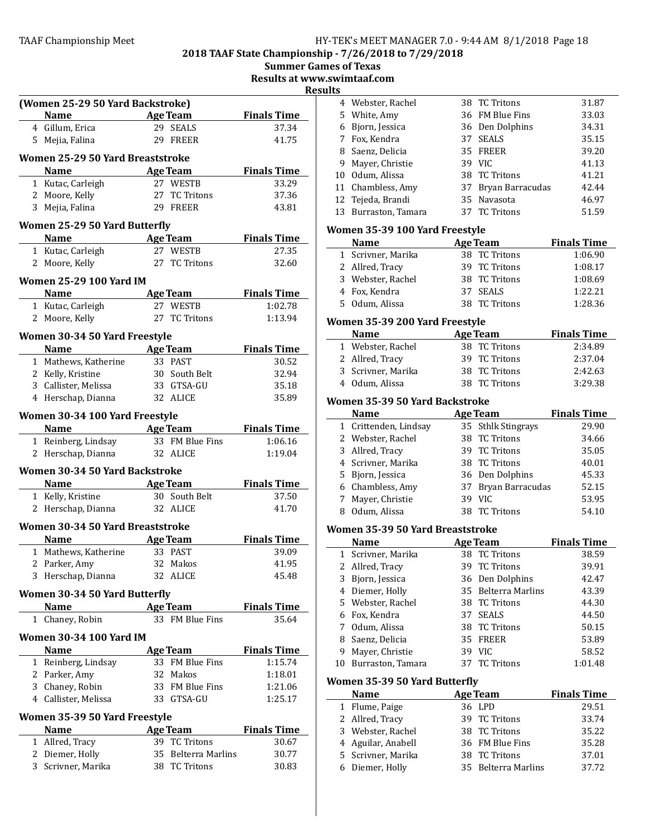2018 TAAF State Championship - 7/26/2018 to 7/29/2018

Results at www.swimtaaf.com

**Results** 

|           |                                              |    |                                  | ĸe                 |
|-----------|----------------------------------------------|----|----------------------------------|--------------------|
|           | (Women 25-29 50 Yard Backstroke)             |    |                                  |                    |
|           | <b>Name</b>                                  |    | <b>Age Team</b>                  | <b>Finals Time</b> |
|           | 4 Gillum, Erica                              |    | 29 SEALS                         | 37.34              |
|           | 5 Mejia, Falina                              |    | 29 FREER                         | 41.75              |
|           | Women 25-29 50 Yard Breaststroke             |    |                                  |                    |
|           | <b>Name</b>                                  |    | <b>Age Team</b>                  | <b>Finals Time</b> |
|           | 1 Kutac, Carleigh                            |    | 27 WESTB                         | 33.29              |
|           | 2 Moore, Kelly                               |    | 27 TC Tritons                    | 37.36              |
|           | 3 Mejia, Falina                              |    | 29 FREER                         | 43.81              |
|           |                                              |    |                                  |                    |
|           | <b>Women 25-29 50 Yard Butterfly</b>         |    |                                  |                    |
|           | <b>Name</b>                                  |    | <b>Age Team</b>                  | <b>Finals Time</b> |
|           | 1 Kutac, Carleigh                            |    | 27 WESTB                         | 27.35              |
|           | 2 Moore, Kelly                               |    | 27 TC Tritons                    | 32.60              |
|           | <b>Women 25-29 100 Yard IM</b>               |    |                                  |                    |
|           | <b>Name</b>                                  |    | <b>Age Team</b>                  | <b>Finals Time</b> |
|           | 1 Kutac, Carleigh                            |    | 27 WESTB                         | 1:02.78            |
|           | 2 Moore, Kelly                               |    | 27 TC Tritons                    | 1:13.94            |
|           |                                              |    |                                  |                    |
|           | Women 30-34 50 Yard Freestyle<br><b>Name</b> |    | Age Team                         | <b>Finals Time</b> |
|           | 1 Mathews, Katherine                         |    | 33 PAST                          | 30.52              |
|           | 2 Kelly, Kristine                            |    | 30 South Belt                    | 32.94              |
|           | 3 Callister, Melissa                         |    | 33 GTSA-GU                       | 35.18              |
|           | 4 Herschap, Dianna                           |    | 32 ALICE                         | 35.89              |
|           |                                              |    |                                  |                    |
|           | Women 30-34 100 Yard Freestyle               |    |                                  |                    |
|           | Name                                         |    | Age Team                         | <b>Finals Time</b> |
|           | 1 Reinberg, Lindsay                          |    | 33 FM Blue Fins                  | 1:06.16            |
|           | 2 Herschap, Dianna                           |    | 32 ALICE                         | 1:19.04            |
|           | <b>Women 30-34 50 Yard Backstroke</b>        |    |                                  |                    |
|           | <b>Name</b>                                  |    | <b>Age Team</b>                  | <b>Finals Time</b> |
|           | 1 Kelly, Kristine                            |    | 30 South Belt                    | 37.50              |
| 2         | Herschap, Dianna                             |    | 32 ALICE                         | 41.70              |
|           |                                              |    |                                  |                    |
|           | Women 30-34 50 Yard Breaststroke             |    |                                  |                    |
|           | Name                                         |    | <b>Age Team</b>                  | <b>Finals Time</b> |
|           | 1 Mathews, Katherine                         |    | 33 PAST                          | 39.09              |
|           | 2 Parker, Amy                                |    | 32 Makos                         | 41.95              |
|           | 3 Herschap, Dianna                           |    | 32 ALICE                         | 45.48              |
|           | <b>Women 30-34 50 Yard Butterfly</b>         |    |                                  |                    |
|           | <b>Name</b>                                  |    | <b>Age Team</b>                  | <b>Finals Time</b> |
| $1 \quad$ | Chaney, Robin                                |    | 33 FM Blue Fins                  | 35.64              |
|           | <b>Women 30-34 100 Yard IM</b>               |    |                                  |                    |
|           | <b>Name</b>                                  |    | <u>Age Team</u>                  | <b>Finals Time</b> |
|           | 1 Reinberg, Lindsay                          |    | 33 FM Blue Fins                  | 1:15.74            |
|           | 2 Parker, Amy                                | 32 | Makos                            | 1:18.01            |
|           | 3 Chaney, Robin                              | 33 | FM Blue Fins                     | 1:21.06            |
|           | 4 Callister, Melissa                         | 33 | GTSA-GU                          | 1:25.17            |
|           |                                              |    |                                  |                    |
|           | Women 35-39 50 Yard Freestyle                |    |                                  |                    |
|           | Name                                         |    | <b>Age Team</b><br>39 TC Tritons | <b>Finals Time</b> |
|           | 1 Allred, Tracy<br>2 Diemer, Holly           | 35 | Belterra Marlins                 | 30.67              |
|           | 3 Scrivner, Marika                           | 38 | <b>TC Tritons</b>                | 30.77<br>30.83     |
|           |                                              |    |                                  |                    |

| LS. |                      |    |                  |       |
|-----|----------------------|----|------------------|-------|
|     | 4 Webster, Rachel    |    | 38 TC Tritons    | 31.87 |
|     | 5 White, Amy         |    | 36 FM Blue Fins  | 33.03 |
|     | 6 Bjorn, Jessica     |    | 36 Den Dolphins  | 34.31 |
|     | 7 Fox, Kendra        |    | 37 SEALS         | 35.15 |
|     | 8 Saenz, Delicia     |    | 35 FREER         | 39.20 |
| 9   | Mayer, Christie      |    | 39 VIC           | 41.13 |
|     | 10 Odum, Alissa      |    | 38 TC Tritons    | 41.21 |
|     | 11 Chambless, Amy    | 37 | Bryan Barracudas | 42.44 |
|     | 12 Tejeda, Brandi    |    | 35 Navasota      | 46.97 |
|     | 13 Burraston, Tamara |    | 37 TC Tritons    | 51.59 |

# Women 35-39 100 Yard Freestyle

| <b>Name</b>        | Age Team      | <b>Finals Time</b> |
|--------------------|---------------|--------------------|
| 1 Scrivner, Marika | 38 TC Tritons | 1:06.90            |
| 2 Allred, Tracy    | 39 TC Tritons | 1:08.17            |
| 3 Webster, Rachel  | 38 TC Tritons | 1:08.69            |
| 4 Fox, Kendra      | 37 SEALS      | 1:22.21            |
| 5 Odum, Alissa     | 38 TC Tritons | 1:28.36            |

# Women 35-39 200 Yard Freestyle

| <b>Name</b>        | Age Team      | <b>Finals Time</b> |
|--------------------|---------------|--------------------|
| 1 Webster, Rachel  | 38 TC Tritons | 2:34.89            |
| 2 Allred, Tracy    | 39 TC Tritons | 2:37.04            |
| 3 Scrivner, Marika | 38 TC Tritons | 2:42.63            |
| 4 Odum, Alissa     | 38 TC Tritons | 3:29.38            |

# Women 35-39 50 Yard Backstroke

|   | <b>Name</b>           | <b>Age Team</b>     | <b>Finals Time</b> |
|---|-----------------------|---------------------|--------------------|
|   | 1 Crittenden, Lindsay | 35 Sthlk Stingrays  | 29.90              |
|   | 2 Webster, Rachel     | 38 TC Tritons       | 34.66              |
|   | 3 Allred, Tracy       | 39 TC Tritons       | 35.05              |
|   | 4 Scrivner, Marika    | 38 TC Tritons       | 40.01              |
|   | 5 Bjorn, Jessica      | 36 Den Dolphins     | 45.33              |
|   | 6 Chambless, Amy      | 37 Bryan Barracudas | 52.15              |
|   | 7 Mayer, Christie     | 39 VIC              | 53.95              |
| 8 | Odum, Alissa          | 38 TC Tritons       | 54.10              |

# Women 35-39 50 Yard Breaststroke

|   | <b>Name</b>          |    | Age Team            | <b>Finals Time</b> |  |  |
|---|----------------------|----|---------------------|--------------------|--|--|
|   | 1 Scrivner, Marika   |    | 38 TC Tritons       | 38.59              |  |  |
|   | 2 Allred, Tracy      |    | 39 TC Tritons       | 39.91              |  |  |
|   | 3 Bjorn, Jessica     |    | 36 Den Dolphins     | 42.47              |  |  |
|   | 4 Diemer, Holly      |    | 35 Belterra Marlins | 43.39              |  |  |
|   | 5 Webster, Rachel    |    | 38 TC Tritons       | 44.30              |  |  |
|   | 6 Fox, Kendra        |    | 37 SEALS            | 44.50              |  |  |
|   | 7 Odum, Alissa       |    | 38 TC Tritons       | 50.15              |  |  |
| 8 | Saenz, Delicia       |    | 35 FREER            | 53.89              |  |  |
| 9 | Mayer, Christie      | 39 | VIC.                | 58.52              |  |  |
|   | 10 Burraston, Tamara |    | 37 TC Tritons       | 1:01.48            |  |  |
|   |                      |    |                     |                    |  |  |

# Women 35-39 50 Yard Butterfly

| <b>Name</b>        |  | <b>Age Team</b>     | <b>Finals Time</b> |
|--------------------|--|---------------------|--------------------|
| 1 Flume, Paige     |  | 36 LPD              | 29.51              |
| 2 Allred, Tracy    |  | 39 TC Tritons       | 33.74              |
| 3 Webster, Rachel  |  | 38 TC Tritons       | 35.22              |
| 4 Aguilar, Anabell |  | 36 FM Blue Fins     | 35.28              |
| 5 Scrivner, Marika |  | 38 TC Tritons       | 37.01              |
| 6 Diemer, Holly    |  | 35 Belterra Marlins | 37.72              |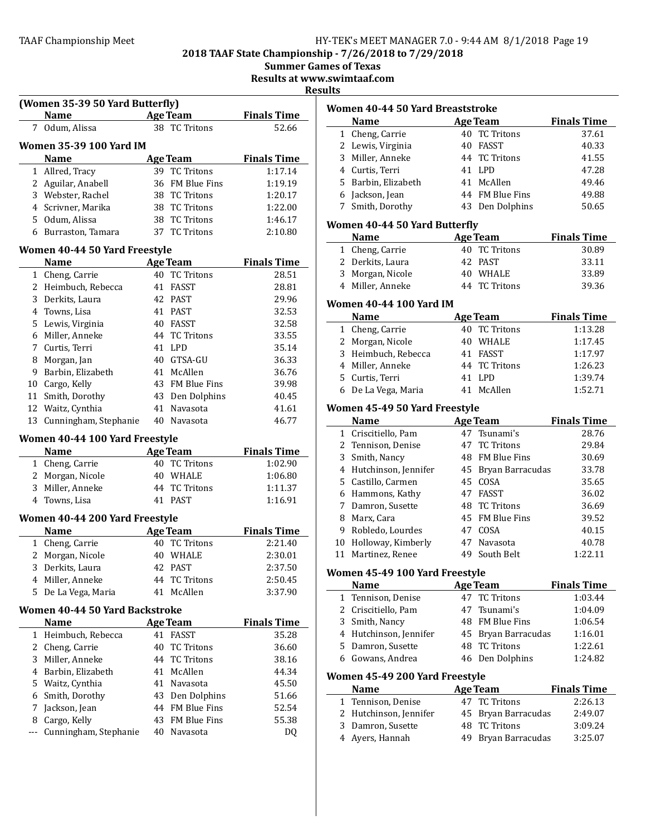2018 TAAF State Championship - 7/26/2018 to 7/29/2018

Summer Games of Texas

Results at www.swimtaaf.com

 $\mathbf{r}$ 

|   | <b>Example 2</b> Age Team<br>Name                         |    |                                    | <b>Finals Time</b>                       |
|---|-----------------------------------------------------------|----|------------------------------------|------------------------------------------|
| 7 | Odum, Alissa                                              |    | 38 TC Tritons                      | 52.66                                    |
|   | Women 35-39 100 Yard IM                                   |    |                                    |                                          |
|   | <b>Name</b>                                               |    | Age Team                           | <b>Finals Time</b>                       |
|   | 1 Allred, Tracy                                           |    | 39 TC Tritons                      | 1:17.14                                  |
|   | 2 Aguilar, Anabell                                        |    | 36 FM Blue Fins                    | 1:19.19                                  |
|   | 3 Webster, Rachel                                         |    | 38 TC Tritons                      | 1:20.17                                  |
|   | 4 Scrivner, Marika                                        |    | 38 TC Tritons                      | 1:22.00                                  |
|   | 5 Odum, Alissa                                            |    | 38 TC Tritons                      | 1:46.17                                  |
|   | 6 Burraston, Tamara                                       |    | 37 TC Tritons                      | 2:10.80                                  |
|   | Women 40-44 50 Yard Freestyle                             |    |                                    |                                          |
|   | <b>Name</b>                                               |    | Age Team                           | <b>Finals Time</b>                       |
|   | 1 Cheng, Carrie                                           |    | 40 TC Tritons                      | 28.51                                    |
|   | 2 Heimbuch, Rebecca                                       |    | 41 FASST                           | 28.81                                    |
|   | 3 Derkits, Laura                                          |    | 42 PAST                            | 29.96                                    |
|   | 4 Towns, Lisa                                             |    | 41 PAST                            | 32.53                                    |
|   | 5 Lewis, Virginia                                         |    | 40 FASST                           | 32.58                                    |
|   | 6 Miller, Anneke                                          |    | 44 TC Tritons                      | 33.55                                    |
|   | 7 Curtis, Terri                                           |    | 41 LPD                             | 35.14                                    |
|   | 8 Morgan, Jan                                             |    | 40 GTSA-GU                         | 36.33                                    |
|   | 9 Barbin, Elizabeth                                       |    | 41 McAllen                         | 36.76                                    |
|   | 10 Cargo, Kelly                                           |    | 43 FM Blue Fins                    | 39.98                                    |
|   | 11 Smith, Dorothy                                         |    | 43 Den Dolphins                    | 40.45                                    |
|   | 12 Waitz, Cynthia                                         |    | 41 Navasota                        | 41.61                                    |
|   | 13 Cunningham, Stephanie                                  |    | 40 Navasota                        | 46.77                                    |
|   |                                                           |    |                                    |                                          |
|   |                                                           |    |                                    |                                          |
|   | Women 40-44 100 Yard Freestyle<br>Name                    |    | Age Team                           |                                          |
|   | 1 Cheng, Carrie                                           |    | 40 TC Tritons                      | 1:02.90                                  |
|   | 2 Morgan, Nicole                                          |    | 40 WHALE                           | 1:06.80                                  |
|   | 3 Miller, Anneke                                          |    | 44 TC Tritons                      | 1:11.37                                  |
|   | 4 Towns, Lisa                                             |    | 41 PAST                            | 1:16.91                                  |
|   |                                                           |    |                                    |                                          |
|   | Women 40-44 200 Yard Freestyle<br>Name<br><b>Age Team</b> |    |                                    |                                          |
|   | 1 Cheng, Carrie                                           |    | 40 TC Tritons                      | 2:21.40                                  |
|   | 2 Morgan, Nicole                                          |    | 40 WHALE                           | 2:30.01                                  |
|   | 3 Derkits, Laura                                          |    | 42 PAST                            | 2:37.50                                  |
|   |                                                           | 44 |                                    |                                          |
|   | 4 Miller, Anneke<br>5 De La Vega, Maria                   |    | <b>TC Tritons</b><br>41 McAllen    | 2:50.45<br>3:37.90                       |
|   |                                                           |    |                                    | <b>Finals Time</b><br><b>Finals Time</b> |
|   | Women 40-44 50 Yard Backstroke                            |    |                                    |                                          |
|   | Name                                                      |    | <b>Age Team</b><br>41 FASST        | <b>Finals Time</b><br>35.28              |
|   | 1 Heimbuch, Rebecca                                       | 40 |                                    |                                          |
|   | 2 Cheng, Carrie                                           |    | <b>TC Tritons</b>                  | 36.60                                    |
|   | 3 Miller, Anneke                                          | 44 | <b>TC Tritons</b>                  | 38.16                                    |
|   | 4 Barbin, Elizabeth                                       | 41 | McAllen                            | 44.34                                    |
|   | 5 Waitz, Cynthia                                          | 41 | Navasota                           | 45.50                                    |
|   | 6 Smith, Dorothy                                          |    | 43 Den Dolphins                    | 51.66                                    |
|   | 7 Jackson, Jean<br>8 Cargo, Kelly                         |    | 44 FM Blue Fins<br>43 FM Blue Fins | 52.54<br>55.38                           |

| 11 LJ                            |                                              |    |                     |                    |  |
|----------------------------------|----------------------------------------------|----|---------------------|--------------------|--|
| Women 40-44 50 Yard Breaststroke |                                              |    |                     |                    |  |
|                                  | <b>Name</b>                                  |    | <b>Age Team</b>     | <b>Finals Time</b> |  |
| $\mathbf{1}$                     | Cheng, Carrie                                |    | 40 TC Tritons       | 37.61              |  |
| 2                                | Lewis, Virginia                              |    | 40 FASST            | 40.33              |  |
| 3                                | Miller, Anneke                               |    | 44 TC Tritons       | 41.55              |  |
| 4                                | Curtis, Terri                                |    | 41 LPD              | 47.28              |  |
|                                  | 5 Barbin, Elizabeth                          |    | 41 McAllen          | 49.46              |  |
|                                  |                                              |    |                     |                    |  |
| 6                                | Jackson, Jean                                |    | 44 FM Blue Fins     | 49.88              |  |
| 7                                | Smith, Dorothy                               |    | 43 Den Dolphins     | 50.65              |  |
|                                  | <b>Women 40-44 50 Yard Butterfly</b>         |    |                     |                    |  |
|                                  | <b>Name</b>                                  |    | <b>Age Team</b>     | <b>Finals Time</b> |  |
| $\mathbf{1}$                     | Cheng, Carrie                                |    | 40 TC Tritons       | 30.89              |  |
|                                  | 2 Derkits, Laura                             |    | 42 PAST             | 33.11              |  |
|                                  | 3 Morgan, Nicole                             |    | 40 WHALE            | 33.89              |  |
|                                  | 4 Miller, Anneke                             |    | 44 TC Tritons       | 39.36              |  |
|                                  |                                              |    |                     |                    |  |
|                                  | Women 40-44 100 Yard IM<br>Name              |    | <b>Age Team</b>     | <b>Finals Time</b> |  |
|                                  |                                              |    |                     | 1:13.28            |  |
|                                  | 1 Cheng, Carrie                              |    | 40 TC Tritons       |                    |  |
| 2                                | Morgan, Nicole                               |    | 40 WHALE            | 1:17.45            |  |
| 3                                | Heimbuch, Rebecca                            |    | 41 FASST            | 1:17.97            |  |
|                                  | 4 Miller, Anneke                             | 44 | <b>TC Tritons</b>   | 1:26.23            |  |
| 5                                | Curtis, Terri                                | 41 | <b>LPD</b>          | 1:39.74            |  |
| 6                                | De La Vega, Maria                            | 41 | McAllen             | 1:52.71            |  |
|                                  |                                              |    |                     |                    |  |
|                                  | Women 45-49 50 Yard Freestyle<br><b>Name</b> |    | <b>Age Team</b>     | <b>Finals Time</b> |  |
|                                  |                                              |    |                     |                    |  |
|                                  | 1 Criscitiello, Pam                          |    | 47 Tsunami's        | 28.76              |  |
|                                  | 2 Tennison, Denise                           | 47 | <b>TC Tritons</b>   | 29.84              |  |
| 3                                | Smith, Nancy                                 |    | 48 FM Blue Fins     | 30.69              |  |
| 4                                | Hutchinson, Jennifer                         |    | 45 Bryan Barracudas | 33.78              |  |
| 5                                | Castillo, Carmen                             |    | 45 COSA             | 35.65              |  |
|                                  | 6 Hammons, Kathy                             |    | 47 FASST            | 36.02              |  |
| 7                                | Damron, Susette                              |    | 48 TC Tritons       | 36.69              |  |
| 8                                | Marx, Cara                                   |    | 45 FM Blue Fins     | 39.52              |  |
| 9                                | Robledo, Lourdes                             |    | 47 COSA             | 40.15              |  |
| 10                               | Holloway, Kimberly                           | 47 | Navasota            | 40.78              |  |
|                                  |                                              |    |                     |                    |  |
| 11                               | Martinez, Renee                              | 49 | South Belt          | 1:22.11            |  |
|                                  | Women 45-49 100 Yard Freestyle               |    |                     |                    |  |
|                                  | <b>Name</b>                                  |    | <b>Age Team</b>     | <b>Finals Time</b> |  |
| $\mathbf{1}$                     | Tennison, Denise                             | 47 | <b>TC Tritons</b>   | 1:03.44            |  |
| 2                                | Criscitiello, Pam                            | 47 | Tsunami's           | 1:04.09            |  |
| 3                                | Smith, Nancy                                 |    | 48 FM Blue Fins     | 1:06.54            |  |
| 4                                | Hutchinson, Jennifer                         |    | 45 Bryan Barracudas | 1:16.01            |  |
| 5.                               | Damron, Susette                              | 48 | <b>TC Tritons</b>   | 1:22.61            |  |
|                                  | 6 Gowans, Andrea                             | 46 | Den Dolphins        | 1:24.82            |  |
|                                  |                                              |    |                     |                    |  |
|                                  | Women 45-49 200 Yard Freestyle               |    |                     |                    |  |
|                                  | <b>Name</b>                                  |    | <u>Age Team</u>     | <b>Finals Time</b> |  |
| 1                                | Tennison, Denise                             | 47 | <b>TC Tritons</b>   | 2:26.13            |  |
| 2                                | Hutchinson, Jennifer                         | 45 | Bryan Barracudas    | 2:49.07            |  |
| 3                                | Damron, Susette                              | 48 | <b>TC Tritons</b>   | 3:09.24            |  |
| 4                                | Ayers, Hannah                                | 49 | Bryan Barracudas    | 3:25.07            |  |
|                                  |                                              |    |                     |                    |  |
|                                  |                                              |    |                     |                    |  |
|                                  |                                              |    |                     |                    |  |
|                                  |                                              |    |                     |                    |  |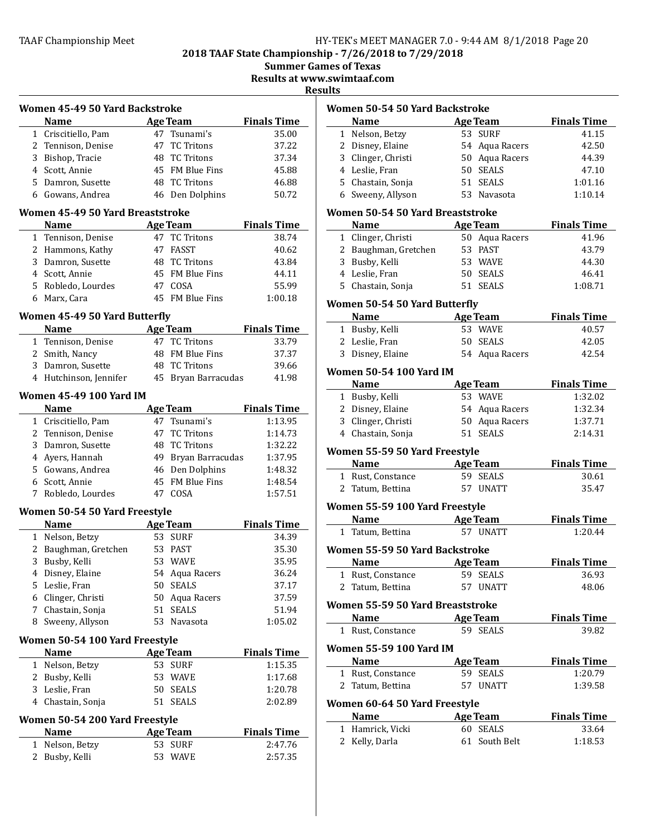2018 TAAF State Championship - 7/26/2018 to 7/29/2018

Summer Games of Texas

Results at www.swimtaaf.com

**Results** 

|                         | Women 45-49 50 Yard Backstroke               |    |                            |                             |  |  |
|-------------------------|----------------------------------------------|----|----------------------------|-----------------------------|--|--|
|                         | <b>Name</b>                                  |    | <b>Age Team</b>            | <b>Finals Time</b>          |  |  |
|                         | 1 Criscitiello, Pam                          |    | 47 Tsunami's               | 35.00                       |  |  |
|                         | 2 Tennison, Denise                           |    | 47 TC Tritons              | 37.22                       |  |  |
|                         | 3 Bishop, Tracie                             |    | 48 TC Tritons              | 37.34                       |  |  |
|                         | 4 Scott, Annie                               |    | 45 FM Blue Fins            | 45.88                       |  |  |
|                         | 5 Damron, Susette                            |    | 48 TC Tritons              | 46.88                       |  |  |
|                         | 6 Gowans, Andrea                             |    | 46 Den Dolphins            | 50.72                       |  |  |
|                         | Women 45-49 50 Yard Breaststroke             |    |                            |                             |  |  |
|                         | <b>Name</b>                                  |    | <b>Age Team</b>            | <b>Finals Time</b>          |  |  |
| $\mathbf{1}$            | Tennison, Denise                             |    | 47 TC Tritons              | 38.74                       |  |  |
|                         | 2 Hammons, Kathy                             |    | 47 FASST                   | 40.62                       |  |  |
|                         | 3 Damron, Susette                            |    | 48 TC Tritons              | 43.84                       |  |  |
|                         | 4 Scott, Annie                               |    | 45 FM Blue Fins            | 44.11                       |  |  |
|                         | 5 Robledo, Lourdes                           |    | 47 COSA                    | 55.99                       |  |  |
|                         | 6 Marx, Cara                                 |    | 45 FM Blue Fins            | 1:00.18                     |  |  |
|                         | Women 45-49 50 Yard Butterfly                |    |                            |                             |  |  |
|                         | <b>Name</b>                                  |    | <b>Age Team</b>            | <b>Finals Time</b>          |  |  |
|                         | 1 Tennison, Denise                           |    | 47 TC Tritons              | 33.79                       |  |  |
|                         | 2 Smith, Nancy                               |    | 48 FM Blue Fins            | 37.37                       |  |  |
|                         | 3 Damron, Susette                            |    | 48 TC Tritons              | 39.66                       |  |  |
|                         | 4 Hutchinson, Jennifer                       |    | 45 Bryan Barracudas        | 41.98                       |  |  |
|                         |                                              |    |                            |                             |  |  |
| Women 45-49 100 Yard IM |                                              |    |                            |                             |  |  |
|                         | <b>Name</b>                                  |    | <b>Age Team</b>            | <b>Finals Time</b>          |  |  |
|                         | 1 Criscitiello, Pam                          |    | 47 Tsunami's               | 1:13.95                     |  |  |
|                         | 2 Tennison, Denise                           |    | 47 TC Tritons              | 1:14.73                     |  |  |
|                         | 3 Damron, Susette                            |    | 48 TC Tritons              | 1:32.22                     |  |  |
|                         | 4 Ayers, Hannah                              |    | 49 Bryan Barracudas        | 1:37.95                     |  |  |
|                         | 5 Gowans, Andrea                             |    | 46 Den Dolphins            | 1:48.32                     |  |  |
|                         |                                              |    |                            |                             |  |  |
|                         | 6 Scott, Annie                               |    | 45 FM Blue Fins            | 1:48.54                     |  |  |
|                         | 7 Robledo, Lourdes                           |    | 47 COSA                    | 1:57.51                     |  |  |
|                         |                                              |    |                            |                             |  |  |
|                         | Women 50-54 50 Yard Freestyle<br><b>Name</b> |    |                            |                             |  |  |
|                         |                                              |    | <b>Age Team</b><br>53 SURF | <b>Finals Time</b><br>34.39 |  |  |
| $\overline{2}$          | 1 Nelson, Betzy                              |    | 53 PAST                    | 35.30                       |  |  |
| 3                       | Baughman, Gretchen                           |    | 53 WAVE                    | 35.95                       |  |  |
|                         | Busby, Kelli                                 |    |                            |                             |  |  |
| 4<br>5.                 | Disney, Elaine                               | 50 | 54 Aqua Racers             | 36.24                       |  |  |
|                         | Leslie, Fran                                 |    | <b>SEALS</b>               | 37.17                       |  |  |
|                         | 6 Clinger, Christi                           | 50 | Aqua Racers                | 37.59                       |  |  |
| 7                       | Chastain, Sonja                              | 51 | <b>SEALS</b>               | 51.94                       |  |  |
|                         | 8 Sweeny, Allyson                            |    | 53 Navasota                | 1:05.02                     |  |  |
|                         | Women 50-54 100 Yard Freestyle               |    |                            |                             |  |  |
|                         | <b>Name</b>                                  |    | <b>Age Team</b>            | <b>Finals Time</b>          |  |  |
| $\mathbf{1}$            | Nelson, Betzy                                |    | 53 SURF                    | 1:15.35                     |  |  |
| 2                       | Busby, Kelli                                 |    | 53 WAVE                    | 1:17.68                     |  |  |
| 3                       | Leslie, Fran                                 |    | 50 SEALS                   | 1:20.78                     |  |  |
|                         | 4 Chastain, Sonja                            | 51 | SEALS                      | 2:02.89                     |  |  |
|                         | Women 50-54 200 Yard Freestyle               |    |                            |                             |  |  |
|                         | Name                                         |    | <b>Age Team</b>            | <b>Finals Time</b>          |  |  |
| $\mathbf{1}$            | Nelson, Betzy                                |    | 53 SURF                    | 2:47.76                     |  |  |

|   | Women 50-54 50 Yard Backstroke           |    |                 |                    |
|---|------------------------------------------|----|-----------------|--------------------|
|   | Name                                     |    | <b>Age Team</b> | <b>Finals Time</b> |
|   | 1 Nelson, Betzy                          |    | 53 SURF         | 41.15              |
|   | 2 Disney, Elaine                         |    | 54 Aqua Racers  | 42.50              |
|   | 3 Clinger, Christi                       |    | 50 Aqua Racers  | 44.39              |
|   | 4 Leslie, Fran                           |    | 50 SEALS        | 47.10              |
|   | 5 Chastain, Sonja                        |    | 51 SEALS        | 1:01.16            |
|   | 6 Sweeny, Allyson                        |    | 53 Navasota     | 1:10.14            |
|   | Women 50-54 50 Yard Breaststroke         |    |                 |                    |
|   | Name Age Team                            |    |                 | <b>Finals Time</b> |
|   | 1 Clinger, Christi                       |    | 50 Aqua Racers  | 41.96              |
|   | 2 Baughman, Gretchen 53 PAST             |    |                 | 43.79              |
|   | 3 Busby, Kelli                           |    | 53 WAVE         | 44.30              |
|   | 4 Leslie, Fran                           |    | 50 SEALS        | 46.41              |
|   | 5 Chastain, Sonja                        |    | 51 SEALS        | 1:08.71            |
|   | <b>Women 50-54 50 Yard Butterfly</b>     |    |                 |                    |
|   | <b>Name</b><br><b>Example 2 Age Team</b> |    |                 | <b>Finals Time</b> |
|   | 1 Busby, Kelli                           |    | 53 WAVE         | 40.57              |
|   | 2 Leslie, Fran                           |    | 50 SEALS        | 42.05              |
|   | 3 Disney, Elaine                         |    | 54 Aqua Racers  | 42.54              |
|   | <b>Women 50-54 100 Yard IM</b>           |    |                 |                    |
|   | Name                                     |    | Age Team        | <b>Finals Time</b> |
|   | 1 Busby, Kelli                           |    | 53 WAVE         | 1:32.02            |
|   | 2 Disney, Elaine                         |    | 54 Aqua Racers  | 1:32.34            |
|   | 3 Clinger, Christi                       |    | 50 Aqua Racers  | 1:37.71            |
|   | 4 Chastain, Sonja                        |    | 51 SEALS        | 2:14.31            |
|   | Women 55-59 50 Yard Freestyle            |    |                 |                    |
|   | Name Age Team                            |    |                 | <b>Finals Time</b> |
|   | 1 Rust, Constance                        |    | 59 SEALS        | 30.61              |
|   | 2 Tatum, Bettina                         |    | 57 UNATT        | 35.47              |
|   | Women 55-59 100 Yard Freestyle           |    |                 |                    |
|   | <b>Name</b><br><b>Example 2</b> Age Team |    |                 | <b>Finals Time</b> |
|   | 1 Tatum, Bettina                         |    | 57 UNATT        | 1:20.44            |
|   | Women 55-59 50 Yard Backstroke           |    |                 |                    |
|   | Name Age Team                            |    |                 | <b>Finals Time</b> |
|   | 1 Rust, Constance                        |    | 59 SEALS        | 36.93              |
| 2 | Tatum, Bettina                           |    | 57 UNATT        | 48.06              |
|   | Women 55-59 50 Yard Breaststroke         |    |                 |                    |
|   | <b>Name</b>                              |    | <b>Age Team</b> | <b>Finals Time</b> |
|   | 1 Rust, Constance                        |    | 59 SEALS        | 39.82              |
|   | <b>Women 55-59 100 Yard IM</b>           |    |                 |                    |
|   | <b>Name</b>                              |    | <b>Age Team</b> | <b>Finals Time</b> |
|   | 1 Rust, Constance                        |    | 59 SEALS        | 1:20.79            |
|   | 2 Tatum, Bettina                         |    | 57 UNATT        | 1:39.58            |
|   | Women 60-64 50 Yard Freestyle            |    |                 |                    |
|   | <b>Name</b>                              |    | <b>Age Team</b> | <b>Finals Time</b> |
|   | 1 Hamrick, Vicki                         |    | 60 SEALS        | 33.64              |
|   | 2 Kelly, Darla                           | 61 | South Belt      | 1:18.53            |
|   |                                          |    |                 |                    |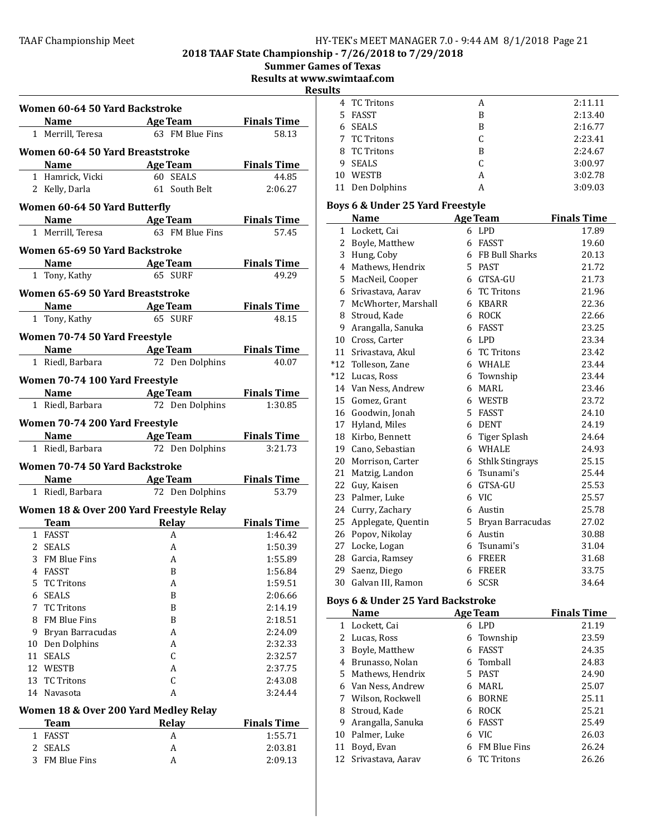2018 TAAF State Championship - 7/26/2018 to 7/29/2018

Summer Games of Texas

Results at www.swimtaaf.com

esults

|    |                                       |                                                          | Re                 |
|----|---------------------------------------|----------------------------------------------------------|--------------------|
|    | Women 60-64 50 Yard Backstroke        |                                                          |                    |
|    |                                       | <b>Name Age Team</b> Finals Time                         |                    |
|    |                                       | 1 Merrill, Teresa 63 FM Blue Fins                        | 58.13              |
|    | Women 60-64 50 Yard Breaststroke      |                                                          |                    |
|    |                                       | Name Age Team Finals Time                                |                    |
|    | 1 Hamrick, Vicki                      | 60 SEALS                                                 | 44.85              |
|    | 2 Kelly, Darla                        | 61 South Belt                                            | 2:06.27            |
|    | Women 60-64 50 Yard Butterfly         |                                                          |                    |
|    |                                       | <b>Name Age Team</b> Finals Time                         |                    |
|    | 1 Merrill, Teresa                     | 63 FM Blue Fins                                          | 57.45              |
|    | Women 65-69 50 Yard Backstroke        |                                                          |                    |
|    |                                       |                                                          |                    |
|    | 1 Tony, Kathy                         | Name Age Team Finals Time<br>65 SURF                     | 49.29              |
|    |                                       |                                                          |                    |
|    | Women 65-69 50 Yard Breaststroke      |                                                          |                    |
|    | <b>Name Age Team</b>                  |                                                          | <b>Finals Time</b> |
|    | 1 Tony, Kathy                         | 65 SURF                                                  | 48.15              |
|    | Women 70-74 50 Yard Freestyle         |                                                          |                    |
|    |                                       | <b>Name Age Team Finals Time</b>                         |                    |
|    | 1 Riedl, Barbara                      | 72 Den Dolphins                                          | 40.07              |
|    | Women 70-74 100 Yard Freestyle        |                                                          |                    |
|    |                                       | <b>Example 2 Sepanding Series Age Team 5 Finals Time</b> |                    |
|    | 1 Riedl, Barbara                      | 72 Den Dolphins                                          | 1:30.85            |
|    |                                       |                                                          |                    |
|    | Women 70-74 200 Yard Freestyle        |                                                          |                    |
|    |                                       | Name Age Team Finals Time                                |                    |
|    |                                       | 1 Riedl, Barbara 72 Den Dolphins                         | 3:21.73            |
|    | Women 70-74 50 Yard Backstroke        |                                                          |                    |
|    |                                       | <b>Name Age Team</b>                                     | <b>Finals Time</b> |
|    | 1 Riedl, Barbara                      | 72 Den Dolphins                                          | 53.79              |
|    |                                       | Women 18 & Over 200 Yard Freestyle Relay                 |                    |
|    |                                       | <b>Team</b> Relay                                        | <b>Finals Time</b> |
|    | 1 FASST                               | A                                                        | 1:46.42            |
|    | 2 SEALS                               | A                                                        | 1:50.39            |
|    | 3 FM Blue Fins                        | A                                                        | 1:55.89            |
|    | 4 FASST                               | B                                                        | 1:56.84            |
|    | 5 TC Tritons                          | A                                                        | 1:59.51            |
|    | 6 SEALS                               | B                                                        | 2:06.66            |
|    | 7 TC Tritons                          | B                                                        | 2:14.19            |
|    | 8 FM Blue Fins                        | B                                                        | 2:18.51            |
|    | 9 Bryan Barracudas                    | A                                                        | 2:24.09            |
|    | 10 Den Dolphins<br>11 SEALS           | A<br>$\mathsf C$                                         | 2:32.33            |
|    | 12 WESTB                              | A                                                        | 2:32.57<br>2:37.75 |
| 13 | <b>TC Tritons</b>                     | $\mathsf C$                                              | 2:43.08            |
|    | 14 Navasota                           | A                                                        | 3:24.44            |
|    |                                       |                                                          |                    |
|    | Women 18 & Over 200 Yard Medley Relay |                                                          |                    |
|    | <b>Team</b>                           | <b>Relay</b><br>A                                        | <b>Finals Time</b> |
|    | 1 FASST<br>2 SEALS                    | A                                                        | 1:55.71<br>2:03.81 |
|    | 3 FM Blue Fins                        | A                                                        | 2:09.13            |
|    |                                       |                                                          |                    |

|    | 4 TC Tritons    | А | 2:11.11 |
|----|-----------------|---|---------|
|    | 5 FASST         | B | 2:13.40 |
|    | 6 SEALS         | B | 2:16.77 |
|    | 7 TC Tritons    | C | 2:23.41 |
|    | 8 TC Tritons    | B | 2:24.67 |
| 9  | SEALS           | C | 3:00.97 |
| 10 | <b>WESTB</b>    | A | 3:02.78 |
|    | 11 Den Dolphins | А | 3:09.03 |
|    |                 |   |         |

# Boys 6 & Under 25 Yard Freestyle

|       | <b>Name</b>         |   | <b>Age Team</b>    | <b>Finals Time</b> |
|-------|---------------------|---|--------------------|--------------------|
| 1     | Lockett, Cai        |   | 6 LPD              | 17.89              |
| 2     | Boyle, Matthew      | 6 | <b>FASST</b>       | 19.60              |
| 3     | Hung, Coby          |   | 6 FB Bull Sharks   | 20.13              |
| 4     | Mathews, Hendrix    |   | 5 PAST             | 21.72              |
| 5     | MacNeil, Cooper     |   | 6 GTSA-GU          | 21.73              |
| 6     | Srivastava, Aarav   | 6 | <b>TC Tritons</b>  | 21.96              |
| 7     | McWhorter, Marshall | 6 | <b>KBARR</b>       | 22.36              |
| 8     | Stroud, Kade        | 6 | <b>ROCK</b>        | 22.66              |
| 9     | Arangalla, Sanuka   | 6 | FASST              | 23.25              |
| 10    | Cross, Carter       | 6 | LPD                | 23.34              |
| 11    | Srivastava, Akul    | 6 | <b>TC Tritons</b>  | 23.42              |
| $*12$ | Tolleson, Zane      | 6 | <b>WHALE</b>       | 23.44              |
|       | *12 Lucas, Ross     | 6 | Township           | 23.44              |
|       | 14 Van Ness, Andrew | 6 | <b>MARL</b>        | 23.46              |
| 15    | Gomez, Grant        | 6 | <b>WESTB</b>       | 23.72              |
| 16    | Goodwin, Jonah      | 5 | FASST              | 24.10              |
| 17    | Hyland, Miles       | 6 | <b>DENT</b>        | 24.19              |
| 18    | Kirbo, Bennett      | 6 | Tiger Splash       | 24.64              |
| 19    | Cano, Sebastian     | 6 | <b>WHALE</b>       | 24.93              |
| 20    | Morrison, Carter    |   | 6 Sthlk Stingrays  | 25.15              |
| 21    | Matzig, Landon      | 6 | Tsunami's          | 25.44              |
| 22    | Guy, Kaisen         | 6 | GTSA-GU            | 25.53              |
| 23    | Palmer, Luke        |   | 6 VIC              | 25.57              |
| 24    | Curry, Zachary      |   | 6 Austin           | 25.78              |
| 25    | Applegate, Quentin  |   | 5 Bryan Barracudas | 27.02              |
| 26    | Popov, Nikolay      | 6 | Austin             | 30.88              |
| 27    | Locke, Logan        | 6 | Tsunami's          | 31.04              |
| 28    | Garcia, Ramsey      |   | 6 FREER            | 31.68              |
| 29    | Saenz, Diego        | 6 | <b>FREER</b>       | 33.75              |
| 30    | Galvan III, Ramon   | 6 | <b>SCSR</b>        | 34.64              |

# Boys 6 & Under 25 Yard Backstroke

|    | <b>Name</b>          |    | <b>Age Team</b>     | <b>Finals Time</b> |
|----|----------------------|----|---------------------|--------------------|
|    | 1 Lockett, Cai       | 6  | <b>LPD</b>          | 21.19              |
|    | 2 Lucas, Ross        |    | 6 Township          | 23.59              |
| 3  | Boyle, Matthew       | 6  | <b>FASST</b>        | 24.35              |
| 4  | - Brunasso. Nolan    |    | 6 Tomball           | 24.83              |
|    | 5 Mathews, Hendrix   | 5. | <b>PAST</b>         | 24.90              |
|    | 6 Van Ness, Andrew   | 6  | MARL                | 25.07              |
|    | Wilson, Rockwell     | 6  | <b>BORNE</b>        | 25.11              |
| 8  | Stroud, Kade         | 6  | <b>ROCK</b>         | 25.21              |
| 9  | Arangalla, Sanuka    | 6  | <b>FASST</b>        | 25.49              |
|    | 10 Palmer, Luke      | 6  | VIC                 | 26.03              |
| 11 | Boyd, Evan           | 6  | <b>FM Blue Fins</b> | 26.24              |
|    | 12 Srivastava, Aarav | 6  | <b>TC</b> Tritons   | 26.26              |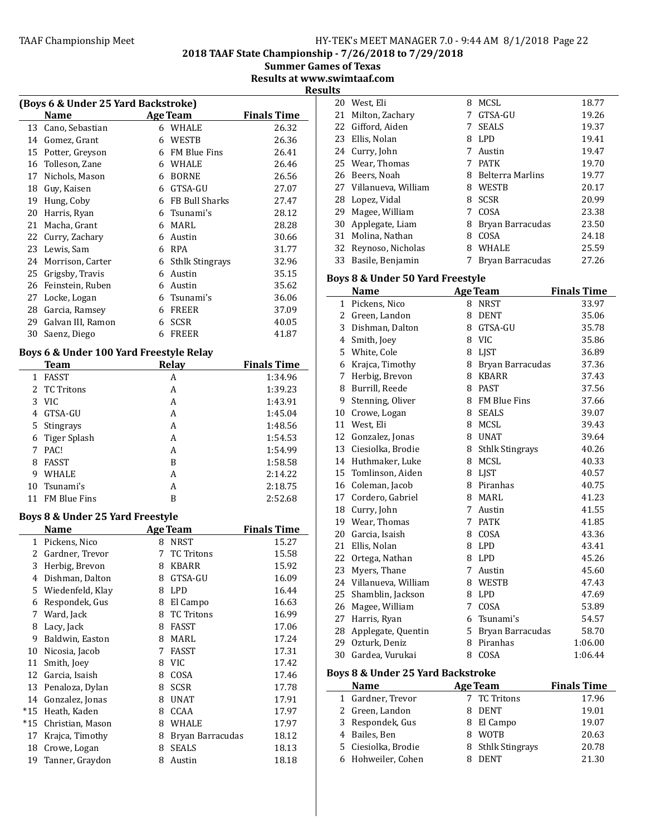2018 TAAF State Championship - 7/26/2018 to 7/29/2018

Summer Games of Texas Results at www.swimtaaf.com

**Results** 

|    |                                                   |   |                        | ĸ                  |  |
|----|---------------------------------------------------|---|------------------------|--------------------|--|
|    | (Boys 6 & Under 25 Yard Backstroke)               |   |                        |                    |  |
|    | <b>Name</b>                                       |   | <b>Age Team</b>        | <b>Finals Time</b> |  |
| 13 | Cano, Sebastian                                   | 6 | WHALE                  | 26.32              |  |
| 14 | Gomez, Grant                                      | 6 | <b>WESTB</b>           | 26.36              |  |
| 15 | Potter, Greyson                                   | 6 | <b>FM Blue Fins</b>    | 26.41              |  |
| 16 | Tolleson, Zane                                    | 6 | WHALE                  | 26.46              |  |
| 17 | Nichols, Mason                                    | 6 | <b>BORNE</b>           | 26.56              |  |
| 18 | Guy, Kaisen                                       | 6 | GTSA-GU                | 27.07              |  |
| 19 | Hung, Coby                                        | 6 | FB Bull Sharks         | 27.47              |  |
| 20 | Harris, Ryan                                      | 6 | Tsunami's              | 28.12              |  |
| 21 | Macha, Grant                                      | 6 | MARL                   | 28.28              |  |
| 22 | Curry, Zachary                                    | 6 | Austin                 | 30.66              |  |
| 23 | Lewis, Sam                                        | 6 | <b>RPA</b>             | 31.77              |  |
| 24 | Morrison, Carter                                  | 6 | <b>Sthlk Stingrays</b> | 32.96              |  |
| 25 | Grigsby, Travis                                   | 6 | Austin                 | 35.15              |  |
| 26 | Feinstein, Ruben                                  | 6 | Austin                 | 35.62              |  |
| 27 | Locke, Logan                                      | 6 | Tsunami's              | 36.06              |  |
| 28 | Garcia, Ramsey                                    | 6 | <b>FREER</b>           | 37.09              |  |
| 29 | Galvan III, Ramon                                 | 6 | <b>SCSR</b>            | 40.05              |  |
| 30 | Saenz, Diego                                      | 6 | <b>FREER</b>           | 41.87              |  |
|    | Darra C. 0. Hrs Jans 4.00 Vand Presidential Dalar |   |                        |                    |  |

# Boys 6 & Under 100 Yard Freestyle Relay

|   | <b>Team</b>         | Relay | <b>Finals Time</b> |
|---|---------------------|-------|--------------------|
| 1 | <b>FASST</b>        | А     | 1:34.96            |
|   | 2 TC Tritons        | A     | 1:39.23            |
|   | 3 VIC               | А     | 1:43.91            |
| 4 | GTSA-GU             | А     | 1:45.04            |
|   | 5 Stingrays         | A     | 1:48.56            |
|   | 6 Tiger Splash      | A     | 1:54.53            |
| 7 | PAC!                | A     | 1:54.99            |
| 8 | <b>FASST</b>        | B     | 1:58.58            |
| 9 | <b>WHALE</b>        | А     | 2:14.22            |
|   | 10 Tsunami's        | А     | 2:18.75            |
|   | <b>FM Blue Fins</b> | В     | 2:52.68            |

# Boys 8 & Under 25 Yard Freestyle

|       | Name             |   | <b>Age Team</b>   | <b>Finals Time</b> |
|-------|------------------|---|-------------------|--------------------|
| 1     | Pickens, Nico    | 8 | <b>NRST</b>       | 15.27              |
| 2.    | Gardner, Trevor  | 7 | <b>TC Tritons</b> | 15.58              |
| 3     | Herbig, Brevon   | 8 | <b>KBARR</b>      | 15.92              |
| 4     | Dishman, Dalton  | 8 | GTSA-GU           | 16.09              |
| 5     | Wiedenfeld, Klay | 8 | <b>LPD</b>        | 16.44              |
| 6     | Respondek, Gus   | 8 | El Campo          | 16.63              |
| 7     | Ward, Jack       | 8 | <b>TC Tritons</b> | 16.99              |
| 8     | Lacy, Jack       | 8 | <b>FASST</b>      | 17.06              |
| 9     | Baldwin, Easton  | 8 | MARL              | 17.24              |
| 10    | Nicosia, Jacob   | 7 | FASST             | 17.31              |
| 11    | Smith, Joey      | 8 | <b>VIC</b>        | 17.42              |
| 12    | Garcia, Isaish   | 8 | COSA              | 17.46              |
| 13    | Penaloza, Dylan  | 8 | <b>SCSR</b>       | 17.78              |
| 14    | Gonzalez, Jonas  | 8 | <b>UNAT</b>       | 17.91              |
| $*15$ | Heath, Kaden     | 8 | <b>CCAA</b>       | 17.97              |
| $*15$ | Christian, Mason | 8 | WHALE             | 17.97              |
| 17    | Krajca, Timothy  | 8 | Bryan Barracudas  | 18.12              |
| 18    | Crowe, Logan     | 8 | <b>SEALS</b>      | 18.13              |
| 19    | Tanner, Graydon  | 8 | Austin            | 18.18              |

|                                              | 20 West, Eli                     | 8 | MCSL                   | 18.77              |
|----------------------------------------------|----------------------------------|---|------------------------|--------------------|
| 21                                           | Milton, Zachary                  |   | 7 GTSA-GU              | 19.26              |
|                                              | 22 Gifford, Aiden                | 7 | <b>SEALS</b>           | 19.37              |
|                                              | 23 Ellis, Nolan                  |   | 8 LPD                  | 19.41              |
|                                              | 24 Curry, John                   | 7 | Austin                 | 19.47              |
|                                              | 25 Wear, Thomas                  | 7 | <b>PATK</b>            | 19.70              |
|                                              | 26 Beers, Noah                   |   | 8 Belterra Marlins     | 19.77              |
|                                              | 27 Villanueva, William           |   | 8 WESTB                | 20.17              |
|                                              | 28 Lopez, Vidal                  |   | 8 SCSR                 | 20.99              |
|                                              | 29 Magee, William                | 7 | COSA                   | 23.38              |
| 30                                           | Applegate, Liam                  | 8 | Bryan Barracudas       | 23.50              |
|                                              | 31 Molina, Nathan                | 8 | COSA                   | 24.18              |
|                                              | 32 Reynoso, Nicholas             |   | 8 WHALE                | 25.59              |
|                                              | 33 Basile, Benjamin              | 7 | Bryan Barracudas       | 27.26              |
|                                              |                                  |   |                        |                    |
|                                              | Boys 8 & Under 50 Yard Freestyle |   |                        |                    |
|                                              | Name                             |   | <b>Age Team</b>        | <b>Finals Time</b> |
|                                              | 1 Pickens, Nico                  |   | 8 NRST                 | 33.97              |
|                                              | 2 Green, Landon                  | 8 | DENT                   | 35.06              |
|                                              | 3 Dishman, Dalton                |   | 8 GTSA-GU              | 35.78              |
|                                              | 4 Smith, Joey                    | 8 | <b>VIC</b>             | 35.86              |
|                                              | 5 White, Cole                    | 8 | <b>LIST</b>            | 36.89              |
|                                              | 6 Krajca, Timothy                | 8 | Bryan Barracudas       | 37.36              |
| 7                                            | Herbig, Brevon                   | 8 | KBARR                  | 37.43              |
| 8                                            | Burrill, Reede                   |   | 8 PAST                 | 37.56              |
|                                              | 9 Stenning, Oliver               |   | 8 FM Blue Fins         | 37.66              |
|                                              | 10 Crowe, Logan                  | 8 | SEALS                  | 39.07              |
|                                              | 11 West, Eli                     |   | 8 MCSL                 | 39.43              |
|                                              | 12 Gonzalez, Jonas               |   | 8 UNAT                 | 39.64              |
|                                              | 13 Ciesiolka, Brodie             | 8 | <b>Sthlk Stingrays</b> | 40.26              |
|                                              | 14 Huthmaker, Luke               | 8 | MCSL                   | 40.33              |
| 15                                           | Tomlinson, Aiden                 | 8 | LJST                   | 40.57              |
| 16                                           | Coleman, Jacob                   | 8 | Piranhas               | 40.75              |
| 17                                           | Cordero, Gabriel                 | 8 | MARL                   | 41.23              |
|                                              | 18 Curry, John                   | 7 | Austin                 | 41.55              |
|                                              | 19 Wear, Thomas                  | 7 | PATK                   | 41.85              |
|                                              | 20 Garcia, Isaish                | 8 | COSA                   | 43.36              |
|                                              | 21 Ellis, Nolan                  | 8 | LPD                    | 43.41              |
|                                              | 22 Ortega, Nathan                | 8 | LPD                    | 45.26              |
|                                              | 23 Myers, Thane                  |   | 7 Austin               | 45.60              |
|                                              | 24 Villanueva, William           |   | 8 WESTB                | 47.43              |
| 25                                           | Shamblin, Jackson                | 8 | LPD                    | 47.69              |
|                                              | 26 Magee, William                | 7 | COSA                   | 53.89              |
| 27                                           | Harris, Ryan                     | 6 | Tsunami's              | 54.57              |
| 28                                           | Applegate, Quentin               |   | 5 Bryan Barracudas     | 58.70              |
| 29                                           | Ozturk, Deniz                    | 8 | Piranhas               | 1:06.00            |
|                                              | 30 Gardea, Vurukai               | 8 | COSA                   | 1:06.44            |
| <b>Boys 8 &amp; Under 25 Yard Backstroke</b> |                                  |   |                        |                    |
|                                              | <b>Name</b>                      |   | <b>Age Team</b>        | <b>Finals Time</b> |
|                                              | 1 Gardner, Trevor                |   | 7 TC Tritons           | 1796               |

| Name                | Age Team          | <b>Finals Time</b> |
|---------------------|-------------------|--------------------|
| 1 Gardner, Trevor   | 7 TC Tritons      | 17.96              |
| 2 Green, Landon     | DENT              | 19.01              |
| 3 Respondek, Gus    | 8 El Campo        | 19.07              |
| 4 Bailes, Ben       | <b>WOTB</b>       | 20.63              |
| 5 Ciesiolka, Brodie | 8 Sthlk Stingrays | 20.78              |
| 6 Hohweiler, Cohen  | <b>DENT</b>       | 21.30              |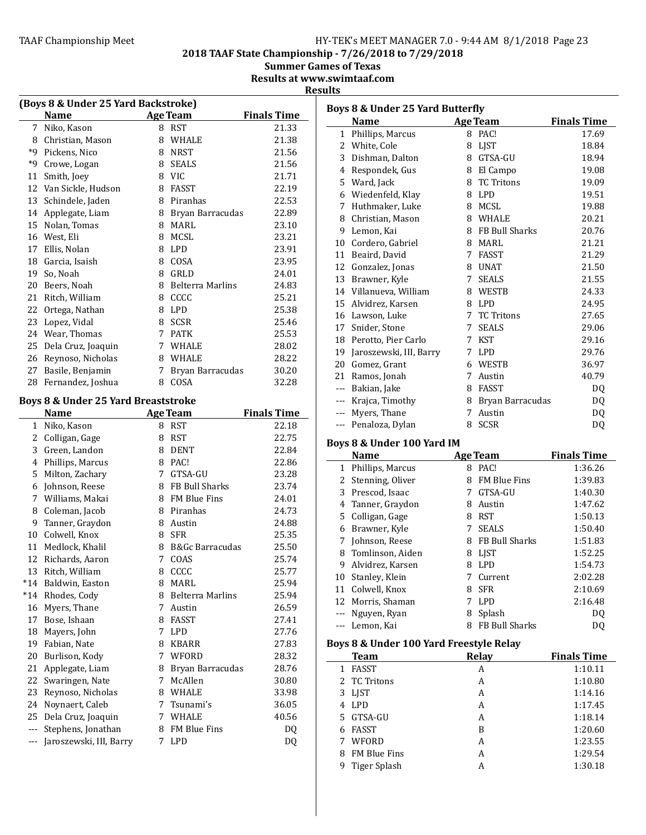2018 TAAF State Championship - 7/26/2018 to 7/29/2018

Summer Games of Texas

Results at www.swimtaaf.com

# **Results**

| (Boys 8 & Under 25 Yard Backstroke) |                                     |   |                    |                    |
|-------------------------------------|-------------------------------------|---|--------------------|--------------------|
|                                     | Name                                |   | <b>Age Team</b>    | <b>Finals Time</b> |
| 7                                   | Niko, Kason                         |   | 8 RST              | 21.33              |
|                                     | 8 Christian, Mason                  |   | 8 WHALE            | 21.38              |
|                                     | *9 Pickens, Nico                    |   | 8 NRST             | 21.56              |
| *9                                  | Crowe, Logan                        |   | 8 SEALS            | 21.56              |
| 11                                  | Smith, Joey                         |   | 8 VIC              | 21.71              |
|                                     | 12 Van Sickle, Hudson               |   | 8 FASST            | 22.19              |
|                                     | 13 Schindele, Jaden                 |   | 8 Piranhas         | 22.53              |
|                                     | 14 Applegate, Liam                  |   | 8 Bryan Barracudas | 22.89              |
| 15                                  | Nolan, Tomas                        |   | 8 MARL             | 23.10              |
|                                     | 16 West, Eli                        |   | 8 MCSL             | 23.21              |
|                                     | 17 Ellis, Nolan                     |   | 8 LPD              | 23.91              |
|                                     | 18 Garcia, Isaish                   |   | 8 COSA             | 23.95              |
| 19                                  | So, Noah                            |   | 8 GRLD             | 24.01              |
| 20                                  | Beers, Noah                         |   | 8 Belterra Marlins | 24.83              |
|                                     | 21 Ritch, William                   |   | 8 CCCC             | 25.21              |
| 22                                  | Ortega, Nathan                      |   | 8 LPD              | 25.38              |
|                                     | 23 Lopez, Vidal                     |   | 8 SCSR             | 25.46              |
|                                     | 24 Wear, Thomas                     |   | 7 PATK             | 25.53              |
| 25                                  | Dela Cruz, Joaquin                  |   | 7 WHALE            | 28.02              |
|                                     | 26 Reynoso, Nicholas                |   | 8 WHALE            | 28.22              |
| 27                                  | Basile, Benjamin                    |   | 7 Bryan Barracudas | 30.20              |
| 28                                  | Fernandez, Joshua                   |   | 8 COSA             | 32.28              |
|                                     |                                     |   |                    |                    |
|                                     | Boys 8 & Under 25 Yard Breaststroke |   |                    |                    |
|                                     | <b>Name</b>                         |   | <b>Age Team</b>    | <b>Finals Time</b> |
|                                     | 1 Niko, Kason                       |   | 8 RST              | 22.18              |
|                                     | 2 Colligan, Gage                    |   | 8 RST              | 22.75              |
|                                     | 3 Green, Landon                     |   | 8 DENT             | 22.84              |
|                                     | 4 Phillips, Marcus                  |   | 8 PAC!             | 22.86              |
| 5.                                  | Milton, Zachary                     |   | 7 GTSA-GU          | 23.28              |
| 6                                   | Johnson, Reese                      |   | 8 FB Bull Sharks   | 23.74              |
|                                     | 7 Williams, Makai                   |   | 8 FM Blue Fins     | 24.01              |
|                                     | 8 Coleman, Jacob                    |   | 8 Piranhas         | 24.73              |
|                                     | 9 Tanner, Graydon                   |   | 8 Austin           | 24.88              |
|                                     | 10 Colwell, Knox                    |   | 8 SFR              | 25.35              |
|                                     | 11 Medlock, Khalil                  |   | 8 B&Gc Barracudas  | 25.50              |
| 12                                  | Richards, Aaron                     | 7 | COAS               | 25.74              |
| 13                                  | Ritch, William                      | 8 | CCCC               | 25.77              |
| $*14$                               | Baldwin, Easton                     | 8 | MARL               | 25.94              |
| $*14$                               | Rhodes, Cody                        |   | 8 Belterra Marlins | 25.94              |
| 16                                  | Myers, Thane                        | 7 | Austin             | 26.59              |
| 17                                  | Bose, Ishaan                        |   | 8 FASST            | 27.41              |
| 18                                  | Mayers, John                        | 7 | <b>LPD</b>         | 27.76              |
| 19                                  | Fabian, Nate                        | 8 | KBARR              | 27.83              |
| 20                                  | Burlison, Kody                      |   | 7 WFORD            | 28.32              |
| 21                                  | Applegate, Liam                     | 8 | Bryan Barracudas   | 28.76              |
| 22                                  | Swaringen, Nate                     | 7 | McAllen            | 30.80              |
| 23                                  | Reynoso, Nicholas                   |   | 8 WHALE            | 33.98              |
| 24                                  | Noynaert, Caleb                     | 7 | Tsunami's          | 36.05              |
| 25                                  | Dela Cruz, Joaquin                  | 7 | WHALE              | 40.56              |
| $---$                               | Stephens, Jonathan                  |   | 8 FM Blue Fins     | DQ                 |
| $\qquad \qquad -$                   | Jaroszewski, III, Barry             | 7 | <b>LPD</b>         | DQ                 |

|       | Boys 8 & Under 25 Yard Butterfly |   |                   |                    |  |  |
|-------|----------------------------------|---|-------------------|--------------------|--|--|
|       | <b>Name</b>                      |   | <b>Age Team</b>   | <b>Finals Time</b> |  |  |
| 1     | Phillips, Marcus                 |   | 8 PAC!            | 17.69              |  |  |
| 2     | White, Cole                      |   | 8 LJST            | 18.84              |  |  |
| 3     | Dishman, Dalton                  | 8 | GTSA-GU           | 18.94              |  |  |
| 4     | Respondek, Gus                   |   | 8 El Campo        | 19.08              |  |  |
|       | 5 Ward, Jack                     | 8 | <b>TC Tritons</b> | 19.09              |  |  |
| 6     | Wiedenfeld, Klay                 |   | 8 LPD             | 19.51              |  |  |
| 7     | Huthmaker, Luke                  |   | 8 MCSL            | 19.88              |  |  |
|       | 8 Christian, Mason               |   | 8 WHALE           | 20.21              |  |  |
|       | 9 Lemon, Kai                     |   | 8 FB Bull Sharks  | 20.76              |  |  |
| 10    | Cordero, Gabriel                 | 8 | <b>MARL</b>       | 21.21              |  |  |
|       | 11 Beaird, David                 |   | 7 FASST           | 21.29              |  |  |
|       | 12 Gonzalez, Jonas               |   | 8 UNAT            | 21.50              |  |  |
| 13    | Brawner, Kyle                    | 7 | <b>SEALS</b>      | 21.55              |  |  |
| 14    | Villanueva, William              |   | 8 WESTB           | 24.33              |  |  |
| 15    | Alvidrez, Karsen                 |   | 8 LPD             | 24.95              |  |  |
|       | 16 Lawson, Luke                  | 7 | <b>TC Tritons</b> | 27.65              |  |  |
| 17    | Snider, Stone                    | 7 | <b>SEALS</b>      | 29.06              |  |  |
|       | 18 Perotto, Pier Carlo           | 7 | <b>KST</b>        | 29.16              |  |  |
| 19    | Jaroszewski, III, Barry          |   | 7 LPD             | 29.76              |  |  |
| 20    | Gomez, Grant                     | 6 | <b>WESTB</b>      | 36.97              |  |  |
|       | 21 Ramos, Jonah                  | 7 | Austin            | 40.79              |  |  |
|       | --- Bakian, Jake                 |   | 8 FASST           | D <sub>0</sub>     |  |  |
| $---$ | Krajca, Timothy                  | 8 | Bryan Barracudas  | DQ                 |  |  |
| $---$ | Myers, Thane                     | 7 | Austin            | DQ                 |  |  |
| $---$ | Penaloza, Dylan                  | 8 | <b>SCSR</b>       | DQ                 |  |  |
|       | Boys 8 & Under 100 Yard IM       |   |                   |                    |  |  |

|    | <b>Name</b>      |   | <b>Age Team</b>       | <b>Finals Time</b> |
|----|------------------|---|-----------------------|--------------------|
| 1  | Phillips, Marcus | 8 | PAC!                  | 1:36.26            |
| 2  | Stenning, Oliver | 8 | <b>FM Blue Fins</b>   | 1:39.83            |
| 3  | Prescod, Isaac   |   | GTSA-GU               | 1:40.30            |
| 4  | Tanner, Graydon  | 8 | Austin                | 1:47.62            |
|    | 5 Colligan, Gage | 8 | <b>RST</b>            | 1:50.13            |
| 6  | Brawner, Kyle    |   | <b>SEALS</b>          | 1:50.40            |
| 7  | Johnson, Reese   | 8 | <b>FB Bull Sharks</b> | 1:51.83            |
| 8  | Tomlinson, Aiden | 8 | LIST                  | 1:52.25            |
| 9  | Alvidrez, Karsen | 8 | <b>LPD</b>            | 1:54.73            |
| 10 | Stanley, Klein   |   | Current               | 2:02.28            |
| 11 | Colwell, Knox    | 8 | <b>SFR</b>            | 2:10.69            |
| 12 | Morris, Shaman   |   | <b>LPD</b>            | 2:16.48            |
|    | --- Nguyen, Ryan | 8 | Splash                | DO.                |
|    | Lemon, Kai       | 8 | <b>FB Bull Sharks</b> | DΟ                 |
|    |                  |   |                       |                    |

# Boys 8 & Under 100 Yard Freestyle Relay

| Team                | <b>Relay</b> | <b>Finals Time</b> |
|---------------------|--------------|--------------------|
| <b>FASST</b><br>1   | A            | 1:10.11            |
| 2 TC Tritons        | А            | 1:10.80            |
| 3 LJST              | A            | 1:14.16            |
| 4 LPD               | А            | 1:17.45            |
| 5 GTSA-GU           | А            | 1:18.14            |
| <b>FASST</b><br>6   | B            | 1:20.60            |
| WFORD               | А            | 1:23.55            |
| <b>FM Blue Fins</b> | А            | 1:29.54            |
| Tiger Splash<br>9   | А            | 1:30.18            |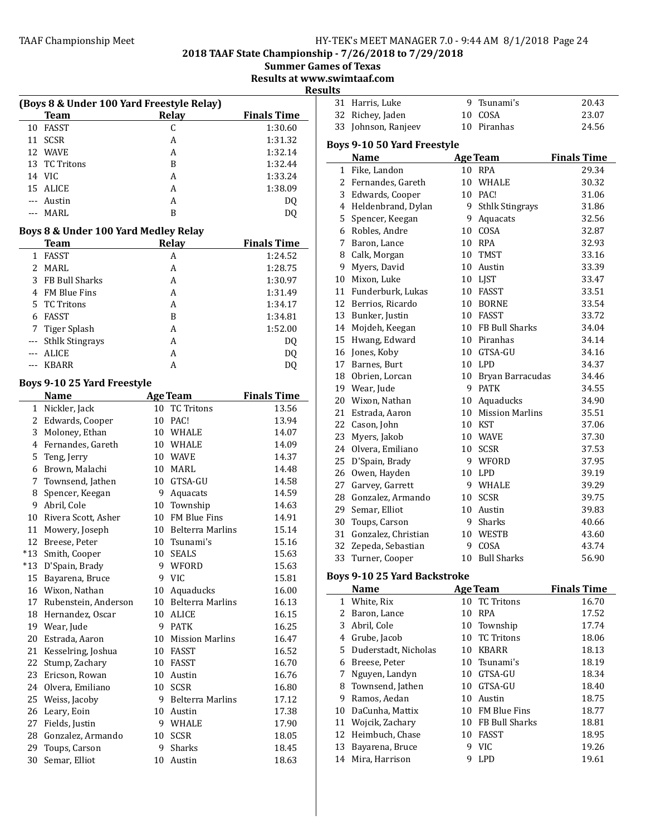2018 TAAF State Championship - 7/26/2018 to 7/29/2018

**Summer Games of Texas** 

Results at www.swimtaaf.com

| Result |  |
|--------|--|
|        |  |

|                   | (Boys 8 & Under 100 Yard Freestyle Relay) |                    |  |  |  |  |
|-------------------|-------------------------------------------|--------------------|--|--|--|--|
| <b>Team</b>       | Relay                                     | <b>Finals Time</b> |  |  |  |  |
| 10 FASST          |                                           | 1:30.60            |  |  |  |  |
| <b>SCSR</b><br>11 | А                                         | 1:31.32            |  |  |  |  |
| 12 WAVE           | А                                         | 1:32.14            |  |  |  |  |
| 13 TC Tritons     | B                                         | 1:32.44            |  |  |  |  |
| 14 VIC            | А                                         | 1:33.24            |  |  |  |  |
| 15 ALICE          | A                                         | 1:38.09            |  |  |  |  |
| --- Austin        | А                                         | DQ                 |  |  |  |  |
| --- MARL          | B                                         | DO                 |  |  |  |  |

# Boys 8 & Under 100 Yard Medley Relay

|    | <b>Team</b>         | Relay | <b>Finals Time</b> |
|----|---------------------|-------|--------------------|
| 1. | <b>FASST</b>        | A     | 1:24.52            |
|    | MARL                | A     | 1:28.75            |
|    | 3 FB Bull Sharks    | А     | 1:30.97            |
|    | 4 FM Blue Fins      | A     | 1:31.49            |
|    | 5 TC Tritons        | A     | 1:34.17            |
| 6. | <b>FASST</b>        | B     | 1:34.81            |
|    | 7 Tiger Splash      | А     | 1:52.00            |
|    | --- Sthlk Stingrays | А     | DQ                 |
|    | ALICE               | А     | DQ                 |
|    | <b>KBARR</b>        | А     | D0                 |

# Boys 9-10 25 Yard Freestyle

|       | <b>Name</b>          | <b>Age Team</b> |                         | <b>Finals Time</b> |
|-------|----------------------|-----------------|-------------------------|--------------------|
| 1     | Nickler, Jack        |                 | 10 TC Tritons           | 13.56              |
| 2     | Edwards, Cooper      | 10              | PAC!                    | 13.94              |
| 3     | Moloney, Ethan       | 10              | <b>WHALE</b>            | 14.07              |
| 4     | Fernandes, Gareth    |                 | 10 WHALE                | 14.09              |
| 5     | Teng, Jerry          |                 | 10 WAVE                 | 14.37              |
| 6     | Brown, Malachi       | 10              | <b>MARL</b>             | 14.48              |
| 7     | Townsend, Jathen     | 10              | GTSA-GU                 | 14.58              |
| 8     | Spencer, Keegan      | 9               | Aquacats                | 14.59              |
| 9     | Abril, Cole          | 10              | Township                | 14.63              |
| 10    | Rivera Scott, Asher  | 10              | FM Blue Fins            | 14.91              |
| 11    | Mowery, Joseph       |                 | 10 Belterra Marlins     | 15.14              |
| 12    | Breese, Peter        | 10              | Tsunami's               | 15.16              |
| $*13$ | Smith, Cooper        | 10              | <b>SEALS</b>            | 15.63              |
| $*13$ | D'Spain, Brady       |                 | 9 WFORD                 | 15.63              |
| 15    | Bayarena, Bruce      |                 | 9 VIC                   | 15.81              |
|       | 16 Wixon, Nathan     | 10              | Aquaducks               | 16.00              |
| 17    | Rubenstein, Anderson | 10              | <b>Belterra Marlins</b> | 16.13              |
| 18    | Hernandez, Oscar     | 10              | <b>ALICE</b>            | 16.15              |
|       | 19 Wear, Jude        | 9               | <b>PATK</b>             | 16.25              |
| 20    | Estrada, Aaron       | 10              | <b>Mission Marlins</b>  | 16.47              |
| 21    | Kesselring, Joshua   | 10              | <b>FASST</b>            | 16.52              |
| 22    | Stump, Zachary       | 10              | FASST                   | 16.70              |
| 23    | Ericson, Rowan       | 10              | Austin                  | 16.76              |
| 24    | Olvera, Emiliano     | 10              | <b>SCSR</b>             | 16.80              |
| 25    | Weiss, Jacoby        | 9               | <b>Belterra Marlins</b> | 17.12              |
|       | 26 Leary, Eoin       | 10              | Austin                  | 17.38              |
| 27    | Fields, Justin       | 9               | WHALE                   | 17.90              |
| 28    | Gonzalez, Armando    | 10              | <b>SCSR</b>             | 18.05              |
| 29    | Toups, Carson        | 9               | <b>Sharks</b>           | 18.45              |
| 30    | Semar, Elliot        | 10              | Austin                  | 18.63              |

| ts |                     |             |       |
|----|---------------------|-------------|-------|
|    | 31 Harris, Luke     | 9 Tsunami's | 20.43 |
|    | 32 Richey, Jaden    | 10 COSA     | 23.07 |
|    | 33 Johnson, Ranjeev | 10 Piranhas | 24.56 |
|    |                     |             |       |

# Boys 9-10 50 Yard Freestyle

|    | <u>Name</u>                         |    | <b>Age Team</b>        | <b>Finals Time</b> |
|----|-------------------------------------|----|------------------------|--------------------|
|    | 1 Fike, Landon                      |    | 10 RPA                 | 29.34              |
|    | 2 Fernandes, Gareth                 |    | 10 WHALE               | 30.32              |
|    | 3 Edwards, Cooper                   |    | 10 PAC!                | 31.06              |
|    | 4 Heldenbrand, Dylan                | 9. | <b>Sthlk Stingrays</b> | 31.86              |
|    | 5 Spencer, Keegan                   | 9  | Aquacats               | 32.56              |
|    | 6 Robles, Andre                     |    | 10 COSA                | 32.87              |
|    | 7 Baron, Lance                      |    | 10 RPA                 | 32.93              |
|    | 8 Calk, Morgan                      |    | 10 TMST                | 33.16              |
|    | 9 Myers, David                      |    | 10 Austin              | 33.39              |
|    | 10 Mixon, Luke                      |    | 10 LJST                | 33.47              |
|    | 11 Funderburk, Lukas                |    | 10 FASST               | 33.51              |
|    | 12 Berrios, Ricardo                 |    | 10 BORNE               | 33.54              |
|    | 13 Bunker, Justin                   |    | 10 FASST               | 33.72              |
|    | 14 Mojdeh, Keegan                   |    | 10 FB Bull Sharks      | 34.04              |
|    | 15 Hwang, Edward                    |    | 10 Piranhas            | 34.14              |
|    | 16 Jones, Koby                      |    | 10 GTSA-GU             | 34.16              |
|    | 17 Barnes, Burt                     |    | 10 LPD                 | 34.37              |
|    | 18 Obrien, Lorcan                   |    | 10 Bryan Barracudas    | 34.46              |
|    | 19 Wear, Jude                       |    | 9 PATK                 | 34.55              |
|    | 20 Wixon, Nathan                    |    | 10 Aquaducks           | 34.90              |
|    | 21 Estrada, Aaron                   |    | 10 Mission Marlins     | 35.51              |
|    | 22 Cason, John                      |    | 10 KST                 | 37.06              |
|    | 23 Myers, Jakob                     |    | 10 WAVE                | 37.30              |
|    | 24 Olvera, Emiliano                 |    | 10 SCSR                | 37.53              |
|    | 25 D'Spain, Brady                   |    | 9 WFORD                | 37.95              |
|    | 26 Owen, Hayden                     |    | 10 LPD                 | 39.19              |
|    | 27 Garvey, Garrett                  |    | 9 WHALE                | 39.29              |
|    | 28 Gonzalez, Armando                | 10 | <b>SCSR</b>            | 39.75              |
|    | 29 Semar, Elliot                    |    | 10 Austin              | 39.83              |
|    | 30 Toups, Carson                    |    | 9 Sharks               | 40.66              |
|    | 31 Gonzalez, Christian              |    | 10 WESTB               | 43.60              |
|    | 32 Zepeda, Sebastian                | 9  | COSA                   | 43.74              |
|    | 33 Turner, Cooper                   |    | 10 Bull Sharks         | 56.90              |
|    | <b>Boys 9-10 25 Yard Backstroke</b> |    |                        |                    |
|    | <b>Name</b>                         |    | <b>Age Team</b>        | <b>Finals Time</b> |
|    | 1 White, Rix                        |    | 10 TC Tritons          | 16.70              |
|    | 2 Baron, Lance                      |    | 10 RPA                 | 17.52              |
| 3  | Abril, Cole                         | 10 | Township               | 17.74              |
| 4  | Grube, Jacob                        | 10 | <b>TC Tritons</b>      | 18.06              |
| 5  | Duderstadt, Nicholas                | 10 | <b>KBARR</b>           | 18.13              |
| 6  | Breese, Peter                       | 10 | Tsunami's              | 18.19              |
| 7  | Nguyen, Landyn                      | 10 | GTSA-GU                | 18.34              |
| 8  | Townsend, Jathen                    | 10 | GTSA-GU                | 18.40              |
| 9  | Ramos, Aedan                        | 10 | Austin                 | 18.75              |
| 10 | DaCunha, Mattix                     |    | 10 FM Blue Fins        | 18.77              |
|    | 11 Wojcik, Zachary                  | 10 | FB Bull Sharks         | 18.81              |
|    | 12 Heimbuch, Chase                  |    | 10 FASST               | 18.95              |
| 13 | Bayarena, Bruce                     |    | 9 VIC                  | 19.26              |
|    | 14 Mira, Harrison                   |    | 9 LPD                  | 19.61              |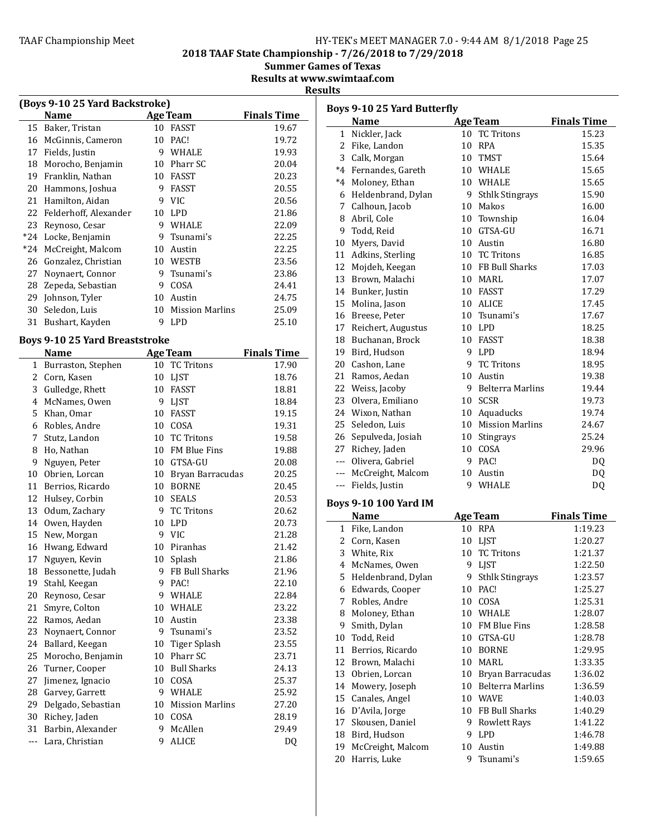2018 TAAF State Championship - 7/26/2018 to 7/29/2018

Summer Games of Texas

Results at www.swimtaaf.com

# **Results**

| (Boys 9-10 25 Yard Backstroke) |                       |    |                        |                    |  |
|--------------------------------|-----------------------|----|------------------------|--------------------|--|
|                                | Name                  |    | <b>Age Team</b>        | <b>Finals Time</b> |  |
| 15                             | Baker, Tristan        | 10 | <b>FASST</b>           | 19.67              |  |
| 16                             | McGinnis, Cameron     | 10 | PAC!                   | 19.72              |  |
| 17                             | Fields, Justin        | 9  | <b>WHALE</b>           | 19.93              |  |
| 18                             | Morocho, Benjamin     | 10 | Pharr SC               | 20.04              |  |
| 19                             | Franklin, Nathan      | 10 | <b>FASST</b>           | 20.23              |  |
| 20                             | Hammons, Joshua       | 9  | FASST                  | 20.55              |  |
| 21                             | Hamilton, Aidan       | 9  | VIC.                   | 20.56              |  |
| 22                             | Felderhoff, Alexander | 10 | <b>LPD</b>             | 21.86              |  |
| 23                             | Reynoso, Cesar        | 9  | WHALE                  | 22.09              |  |
| $*24$                          | Locke, Benjamin       | 9  | Tsunami's              | 22.25              |  |
| $*24$                          | McCreight, Malcom     | 10 | Austin                 | 22.25              |  |
| 26                             | Gonzalez, Christian   | 10 | WESTB                  | 23.56              |  |
| 27                             | Noynaert, Connor      | 9  | Tsunami's              | 23.86              |  |
| 28                             | Zepeda, Sebastian     | 9  | COSA                   | 24.41              |  |
| 29                             | Johnson, Tyler        | 10 | Austin                 | 24.75              |  |
| 30                             | Seledon, Luis         | 10 | <b>Mission Marlins</b> | 25.09              |  |
| 31                             | Bushart, Kayden       | 9  | LPD                    | 25.10              |  |

# Boys 9-10 25 Yard Breaststroke

|              | <b>Name</b>        |    | Age Team               | <b>Finals Time</b> |
|--------------|--------------------|----|------------------------|--------------------|
| $\mathbf{1}$ | Burraston, Stephen | 10 | <b>TC Tritons</b>      | 17.90              |
| 2            | Corn, Kasen        | 10 | <b>LJST</b>            | 18.76              |
| 3            | Gulledge, Rhett    | 10 | <b>FASST</b>           | 18.81              |
| 4            | McNames, Owen      | 9  | LJST                   | 18.84              |
| 5            | Khan, Omar         | 10 | <b>FASST</b>           | 19.15              |
| 6            | Robles, Andre      | 10 | COSA                   | 19.31              |
| 7            | Stutz, Landon      | 10 | <b>TC Tritons</b>      | 19.58              |
| 8            | Ho, Nathan         | 10 | <b>FM Blue Fins</b>    | 19.88              |
| 9            | Nguyen, Peter      | 10 | GTSA-GU                | 20.08              |
| 10           | Obrien, Lorcan     | 10 | Bryan Barracudas       | 20.25              |
| 11           | Berrios, Ricardo   | 10 | <b>BORNE</b>           | 20.45              |
| 12           | Hulsey, Corbin     | 10 | <b>SEALS</b>           | 20.53              |
| 13           | Odum, Zachary      | 9  | <b>TC Tritons</b>      | 20.62              |
| 14           | Owen, Hayden       | 10 | <b>LPD</b>             | 20.73              |
|              | 15 New, Morgan     | 9  | <b>VIC</b>             | 21.28              |
| 16           | Hwang, Edward      | 10 | Piranhas               | 21.42              |
| 17           | Nguyen, Kevin      | 10 | Splash                 | 21.86              |
| 18           | Bessonette, Judah  | 9  | FB Bull Sharks         | 21.96              |
| 19           | Stahl, Keegan      | 9  | PAC!                   | 22.10              |
| 20           | Reynoso, Cesar     | 9  | <b>WHALE</b>           | 22.84              |
| 21           | Smyre, Colton      | 10 | <b>WHALE</b>           | 23.22              |
| 22           | Ramos, Aedan       | 10 | Austin                 | 23.38              |
| 23           | Noynaert, Connor   | 9  | Tsunami's              | 23.52              |
| 24           | Ballard, Keegan    | 10 | Tiger Splash           | 23.55              |
| 25           | Morocho, Benjamin  | 10 | Pharr SC               | 23.71              |
| 26           | Turner, Cooper     | 10 | <b>Bull Sharks</b>     | 24.13              |
| 27           | Jimenez, Ignacio   | 10 | COSA                   | 25.37              |
| 28           | Garvey, Garrett    | 9  | <b>WHALE</b>           | 25.92              |
| 29           | Delgado, Sebastian | 10 | <b>Mission Marlins</b> | 27.20              |
| 30           | Richey, Jaden      | 10 | COSA                   | 28.19              |
| 31           | Barbin, Alexander  | 9  | McAllen                | 29.49              |
| $---$        | Lara, Christian    | 9  | <b>ALICE</b>           | DQ                 |

| <b>Boys 9-10 25 Yard Butterfly</b> |                              |                 |                         |                    |  |
|------------------------------------|------------------------------|-----------------|-------------------------|--------------------|--|
|                                    | <b>Name</b>                  |                 | <b>Age Team</b>         | <b>Finals Time</b> |  |
|                                    | 1 Nickler, Jack              | 10              | <b>TC Tritons</b>       | 15.23              |  |
|                                    | 2 Fike, Landon               | 10              | RPA                     | 15.35              |  |
|                                    | 3 Calk, Morgan               |                 | 10 TMST                 | 15.64              |  |
|                                    | *4 Fernandes, Gareth         |                 | 10 WHALE                | 15.65              |  |
|                                    | *4 Moloney, Ethan            |                 | 10 WHALE                | 15.65              |  |
|                                    | 6 Heldenbrand, Dylan         | 9.              | <b>Sthlk Stingrays</b>  | 15.90              |  |
|                                    | 7 Calhoun, Jacob             | 10              | Makos                   | 16.00              |  |
|                                    | 8 Abril, Cole                | 10              | Township                | 16.04              |  |
|                                    | 9 Todd, Reid                 | 10              | GTSA-GU                 | 16.71              |  |
|                                    | 10 Myers, David              |                 | 10 Austin               | 16.80              |  |
|                                    | 11 Adkins, Sterling          |                 | 10 TC Tritons           | 16.85              |  |
|                                    | 12 Mojdeh, Keegan            |                 | 10 FB Bull Sharks       | 17.03              |  |
|                                    | 13 Brown, Malachi            |                 | 10 MARL                 | 17.07              |  |
|                                    | 14 Bunker, Justin            |                 | 10 FASST                | 17.29              |  |
|                                    | 15 Molina, Jason             |                 | 10 ALICE                | 17.45              |  |
|                                    | 16 Breese, Peter             |                 | 10 Tsunami's            | 17.67              |  |
|                                    | 17 Reichert, Augustus        |                 | 10 LPD                  | 18.25              |  |
|                                    | 18 Buchanan, Brock           | 10              | <b>FASST</b>            | 18.38              |  |
|                                    | 19 Bird, Hudson              | 9.              | <b>LPD</b>              | 18.94              |  |
|                                    | 20 Cashon, Lane              | 9.              | <b>TC Tritons</b>       | 18.95              |  |
|                                    | 21 Ramos, Aedan              | 10              | Austin                  | 19.38              |  |
|                                    | 22 Weiss, Jacoby             | 9               | <b>Belterra Marlins</b> | 19.44              |  |
|                                    | 23 Olvera, Emiliano          | 10              | <b>SCSR</b>             | 19.73              |  |
|                                    | 24 Wixon, Nathan             |                 | 10 Aquaducks            | 19.74              |  |
|                                    | 25 Seledon, Luis             | 10              | <b>Mission Marlins</b>  | 24.67              |  |
|                                    | 26 Sepulveda, Josiah         | 10              | Stingrays               | 25.24              |  |
|                                    | 27 Richey, Jaden             |                 | 10 COSA                 | 29.96              |  |
|                                    | --- Olivera, Gabriel         |                 | 9 PAC!                  | DQ                 |  |
|                                    | --- McCreight, Malcom        |                 | 10 Austin               | DQ                 |  |
|                                    | --- Fields, Justin           |                 | 9 WHALE                 | DQ                 |  |
|                                    | <b>Boys 9-10 100 Yard IM</b> |                 |                         |                    |  |
|                                    | <b>Name</b>                  |                 | <b>Age Team</b>         | <b>Finals Time</b> |  |
|                                    | 1 Fike, Landon               |                 | 10 RPA                  | 1:19.23            |  |
|                                    | 2 Corn, Kasen                | 10              | LJST                    | 1:20.27            |  |
|                                    | 3 White, Rix                 | 10              | <b>TC Tritons</b>       | 1:21.37            |  |
|                                    | 4 McNames, Owen              |                 | 9 LJST                  | 1:22.50            |  |
|                                    | 5 Heldenbrand, Dylan         |                 | 9 Sthlk Stingrays       | 1:23.57            |  |
|                                    | 6 Edwards, Cooper            | 10              | PAC!                    | 1:25.27            |  |
|                                    | 7 Robles, Andre              | 10              | COSA                    | 1:25.31            |  |
|                                    | 8 Moloney, Ethan             |                 | 10 WHALE                | 1:28.07            |  |
| 9                                  | Smith, Dylan                 | 10              | FM Blue Fins            | 1:28.58            |  |
| 10                                 | Todd, Reid                   | 10              | GTSA-GU                 | 1:28.78            |  |
|                                    | 11 Berrios, Ricardo          | 10 <sup>°</sup> | <b>BORNE</b>            | 1:29.95            |  |
|                                    | 12 Brown, Malachi            | 10              | MARL                    | 1:33.35            |  |
| 13                                 | Obrien, Lorcan               | 10              | Bryan Barracudas        | 1:36.02            |  |
| 14                                 | Mowery, Joseph               | 10              | <b>Belterra Marlins</b> | 1:36.59            |  |
| 15                                 | Canales, Angel               | 10              | <b>WAVE</b>             | 1:40.03            |  |
|                                    | 16 D'Avila, Jorge            | 10              | FB Bull Sharks          | 1:40.29            |  |
| 17                                 | Skousen, Daniel              | 9               | <b>Rowlett Rays</b>     | 1:41.22            |  |
|                                    | 18 Bird, Hudson              | 9               | LPD                     | 1:46.78            |  |
| 19                                 | McCreight, Malcom            | 10              | Austin                  | 1:49.88            |  |
| 20                                 | Harris, Luke                 | 9               | Tsunami's               | 1:59.65            |  |
|                                    |                              |                 |                         |                    |  |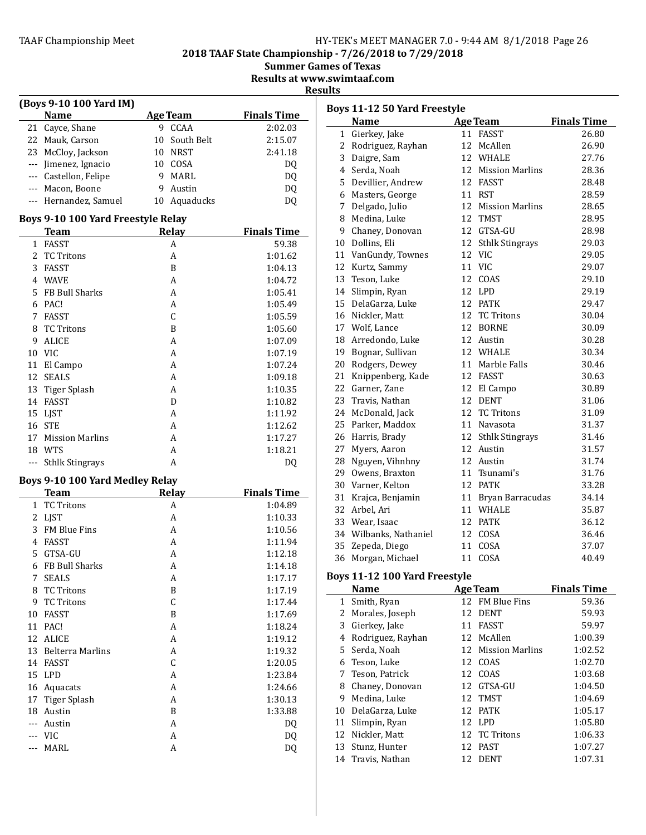# TAAF Championship Meet TAAF Championship Meet Factor MANAGER 7.0 - 9:44 AM 8/1/2018 Page 26

2018 TAAF State Championship - 7/26/2018 to 7/29/2018

Summer Games of Texas

Results at www.swimtaaf.com

**Results** 

| (Boys 9-10 100 Yard IM) |                                                |               |                    |  |  |
|-------------------------|------------------------------------------------|---------------|--------------------|--|--|
|                         | <b>Name</b>                                    | Age Team      | <b>Finals Time</b> |  |  |
|                         | 21 Cayce, Shane                                | 9 CCAA        | 2:02.03            |  |  |
|                         | 22 Mauk, Carson                                | 10 South Belt | 2:15.07            |  |  |
|                         | 23 McCloy, Jackson                             | 10 NRST       | 2:41.18            |  |  |
|                         | --- Jimenez, Ignacio                           | 10 COSA       | DQ                 |  |  |
|                         | --- Castellon, Felipe                          | 9 MARL        | DQ                 |  |  |
|                         | --- Macon, Boone                               | 9<br>Austin   | DQ                 |  |  |
|                         | --- Hernandez, Samuel                          | 10 Aquaducks  | DQ                 |  |  |
|                         | Boys 9-10 100 Yard Freestyle Relay             |               |                    |  |  |
|                         | Team Relay                                     |               | <b>Finals Time</b> |  |  |
| 1                       | <b>FASST</b>                                   | A             | 59.38              |  |  |
|                         | 2 TC Tritons                                   | A             | 1:01.62            |  |  |
| 3                       | FASST                                          | B             | 1:04.13            |  |  |
| 4                       | WAVE                                           | A             | 1:04.72            |  |  |
| 5.                      | FB Bull Sharks                                 | A             | 1:05.41            |  |  |
| 6                       | PAC!                                           | A             | 1:05.49            |  |  |
| 7                       | <b>FASST</b>                                   | C             | 1:05.59            |  |  |
| 8                       | <b>TC Tritons</b>                              | B             | 1:05.60            |  |  |
| 9                       | ALICE                                          | A             | 1:07.09            |  |  |
|                         | 10 VIC                                         | A             | 1:07.19            |  |  |
| 11                      | El Campo                                       | A             | 1:07.24            |  |  |
|                         | 12 SEALS                                       | A             | 1:09.18            |  |  |
|                         | 13 Tiger Splash                                | A             | 1:10.35            |  |  |
|                         | 14 FASST                                       | D             | 1:10.82            |  |  |
|                         | 15 LJST                                        | A             | 1:11.92            |  |  |
|                         | 16 STE                                         | A             | 1:12.62            |  |  |
| 17                      | <b>Mission Marlins</b>                         | A             | 1:17.27            |  |  |
|                         | 18 WTS                                         | A             | 1:18.21            |  |  |
| $---$                   | <b>Sthlk Stingrays</b>                         | A             | DQ                 |  |  |
|                         |                                                |               |                    |  |  |
|                         | Boys 9-10 100 Yard Medley Relay<br><b>Team</b> | <b>Relay</b>  | <b>Finals Time</b> |  |  |
| $\mathbf{1}$            | TC Tritons                                     | A             | 1:04.89            |  |  |
| 2                       | LJST                                           | A             | 1:10.33            |  |  |
| 3                       | FM Blue Fins                                   | A             | 1:10.56            |  |  |
| 4                       | FASST                                          | A             | 1:11.94            |  |  |
| 5                       | GTSA-GU                                        | A             | 1:12.18            |  |  |
| 6                       | FB Bull Sharks                                 | A             | 1:14.18            |  |  |
| 7                       | <b>SEALS</b>                                   | A             | 1:17.17            |  |  |
| 8                       | <b>TC Tritons</b>                              | B             | 1:17.19            |  |  |
| 9                       | <b>TC Tritons</b>                              | C             | 1:17.44            |  |  |
| 10                      | <b>FASST</b>                                   | B             | 1:17.69            |  |  |
| 11                      | PAC!                                           | A             | 1:18.24            |  |  |
| 12                      | <b>ALICE</b>                                   | A             | 1:19.12            |  |  |
| 13                      | <b>Belterra Marlins</b>                        | A             | 1:19.32            |  |  |
| 14                      | <b>FASST</b>                                   | C             | 1:20.05            |  |  |
| 15                      | <b>LPD</b>                                     | A             | 1:23.84            |  |  |
| 16                      | Aquacats                                       | A             | 1:24.66            |  |  |
| 17                      | <b>Tiger Splash</b>                            | A             | 1:30.13            |  |  |
| 18                      | Austin                                         | B             | 1:33.88            |  |  |
| ---                     | Austin                                         | A             | DQ                 |  |  |
| ---                     | <b>VIC</b>                                     | A             | DQ                 |  |  |
|                         |                                                |               |                    |  |  |
| ---                     | MARL                                           | A             | DQ                 |  |  |

|    | Boys 11-12 50 Yard Freestyle   |    |                        |                    |  |  |
|----|--------------------------------|----|------------------------|--------------------|--|--|
|    | <b>Name</b><br><b>Age Team</b> |    |                        | <b>Finals Time</b> |  |  |
| 1  | Gierkey, Jake                  |    | 11 FASST               | 26.80              |  |  |
|    | 2 Rodriguez, Rayhan            |    | 12 McAllen             | 26.90              |  |  |
|    | 3 Daigre, Sam                  |    | 12 WHALE               | 27.76              |  |  |
|    | 4 Serda, Noah                  |    | 12 Mission Marlins     | 28.36              |  |  |
|    | 5 Devillier, Andrew            |    | 12 FASST               | 28.48              |  |  |
|    | 6 Masters, George              |    | 11 RST                 | 28.59              |  |  |
| 7  | Delgado, Julio                 | 12 | <b>Mission Marlins</b> | 28.65              |  |  |
|    | 8 Medina, Luke                 | 12 | <b>TMST</b>            | 28.95              |  |  |
|    | 9 Chaney, Donovan              |    | 12 GTSA-GU             | 28.98              |  |  |
|    | 10 Dollins, Eli                |    | 12 Sthlk Stingrays     | 29.03              |  |  |
|    | 11 VanGundy, Townes            |    | 12 VIC                 | 29.05              |  |  |
|    | 12 Kurtz, Sammy                |    | 11 VIC                 | 29.07              |  |  |
| 13 | Teson, Luke                    |    | 12 COAS                | 29.10              |  |  |
|    | 14 Slimpin, Ryan               |    | 12 LPD                 | 29.19              |  |  |
|    | 15 DelaGarza, Luke             |    | 12 PATK                | 29.47              |  |  |
|    | 16 Nickler, Matt               |    | 12 TC Tritons          | 30.04              |  |  |
|    | 17 Wolf, Lance                 |    | 12 BORNE               | 30.09              |  |  |
| 18 | Arredondo, Luke                |    | 12 Austin              | 30.28              |  |  |
| 19 | Bognar, Sullivan               |    | 12 WHALE               | 30.34              |  |  |
| 20 | Rodgers, Dewey                 |    | 11 Marble Falls        | 30.46              |  |  |
| 21 | Knippenberg, Kade              |    | 12 FASST               | 30.63              |  |  |
| 22 | Garner, Zane                   |    | 12 El Campo            | 30.89              |  |  |
| 23 | Travis, Nathan                 |    | 12 DENT                | 31.06              |  |  |
|    | 24 McDonald, Jack              |    | 12 TC Tritons          | 31.09              |  |  |
| 25 | Parker, Maddox                 |    | 11 Navasota            | 31.37              |  |  |
|    | 26 Harris, Brady               |    | 12 Sthlk Stingrays     | 31.46              |  |  |
| 27 | Myers, Aaron                   |    | 12 Austin              | 31.57              |  |  |
| 28 | Nguyen, Vihnhny                |    | 12 Austin              | 31.74              |  |  |
| 29 | Owens, Braxton                 |    | 11 Tsunami's           | 31.76              |  |  |
| 30 | Varner, Kelton                 |    | 12 PATK                | 33.28              |  |  |
| 31 | Krajca, Benjamin               |    | 11 Bryan Barracudas    | 34.14              |  |  |
| 32 | Arbel, Ari                     |    | 11 WHALE               | 35.87              |  |  |
|    | 33 Wear, Isaac                 |    | 12 PATK                | 36.12              |  |  |
|    | 34 Wilbanks, Nathaniel         |    | 12 COSA                | 36.46              |  |  |
| 35 | Zepeda, Diego                  | 11 | COSA                   | 37.07              |  |  |
| 36 | Morgan, Michael                | 11 | COSA                   | 40.49              |  |  |
|    | Boys 11-12 100 Yard Freestyle  |    |                        |                    |  |  |
|    | Name                           |    | <b>Age Team</b>        | <b>Finals Time</b> |  |  |
| 1  | Smith, Ryan                    |    | 12 FM Blue Fins        | 59.36              |  |  |
| 2  | Morales, Joseph                |    | 12 DENT                | 59.93              |  |  |
| 3  | Gierkey, Jake                  | 11 | FASST                  | 59.97              |  |  |
| 4  | Rodriguez, Rayhan              | 12 | McAllen                | 1:00.39            |  |  |
| 5  | Serda, Noah                    | 12 | <b>Mission Marlins</b> | 1:02.52            |  |  |
| 6  | Teson, Luke                    | 12 | COAS                   | 1:02.70            |  |  |
| 7  | Teson, Patrick                 | 12 | COAS                   | 1:03.68            |  |  |
| 8  | Chaney, Donovan                | 12 | GTSA-GU                | 1:04.50            |  |  |
| 9  | Medina, Luke                   | 12 | TMST                   | 1:04.69            |  |  |
| 10 | DelaGarza, Luke                | 12 | PATK                   | 1:05.17            |  |  |
| 11 | Slimpin, Ryan                  |    | 12 LPD                 | 1:05.80            |  |  |
| 12 | Nickler, Matt                  |    | 12 TC Tritons          | 1:06.33            |  |  |
| 13 | Stunz, Hunter                  | 12 | <b>PAST</b>            | 1:07.27            |  |  |

Travis, Nathan 12 DENT 1:07.31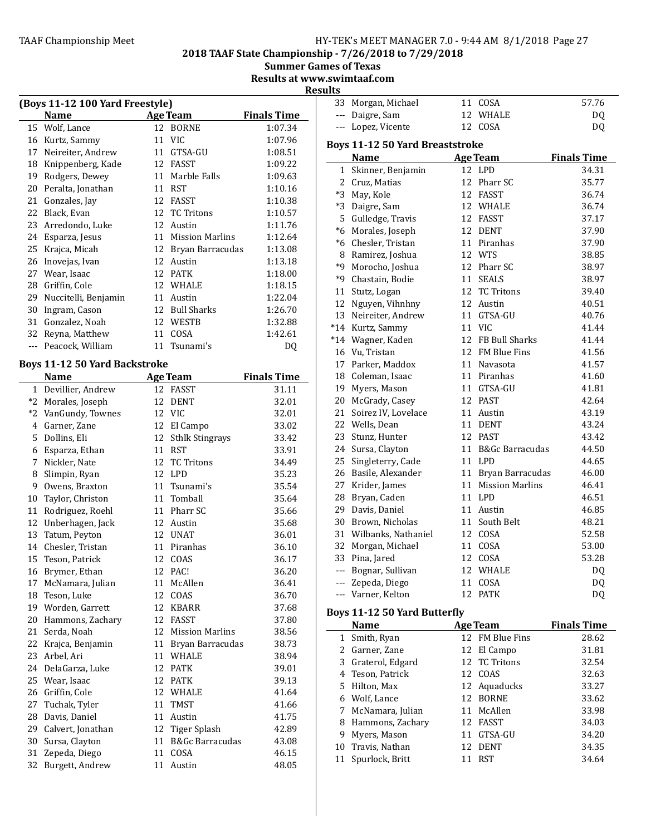2018 TAAF State Championship - 7/26/2018 to 7/29/2018

**Summer Games of Texas** 

Results at www.swimtaaf.com

**Results** 

|              | (Boys 11-12 100 Yard Freestyle)      |    |                            |                    |
|--------------|--------------------------------------|----|----------------------------|--------------------|
|              | Name                                 |    | <b>Age Team</b>            | <b>Finals Time</b> |
| 15           | Wolf, Lance                          |    | 12 BORNE                   | 1:07.34            |
|              | 16 Kurtz, Sammy                      |    | 11 VIC                     | 1:07.96            |
| 17           | Neireiter, Andrew                    |    | 11 GTSA-GU                 | 1:08.51            |
| 18           | Knippenberg, Kade                    |    | 12 FASST                   | 1:09.22            |
| 19           | Rodgers, Dewey                       |    | 11 Marble Falls            | 1:09.63            |
| 20           | Peralta, Jonathan                    |    | 11 RST                     | 1:10.16            |
| 21           | Gonzales, Jay                        | 12 | FASST                      | 1:10.38            |
| 22           | Black, Evan                          | 12 | <b>TC Tritons</b>          | 1:10.57            |
| 23           | Arredondo, Luke                      |    | 12 Austin                  | 1:11.76            |
| 24           | Esparza, Jesus                       |    | 11 Mission Marlins         | 1:12.64            |
| 25           | Krajca, Micah                        |    | 12 Bryan Barracudas        | 1:13.08            |
| 26           | Inovejas, Ivan                       |    | 12 Austin                  | 1:13.18            |
| 27           | Wear, Isaac                          |    | 12 PATK                    | 1:18.00            |
| 28           | Griffin, Cole                        |    | 12 WHALE                   | 1:18.15            |
| 29           | Nuccitelli, Benjamin                 |    | 11 Austin                  | 1:22.04            |
| 30           | Ingram, Cason                        |    | 12 Bull Sharks             | 1:26.70            |
| 31           | Gonzalez, Noah                       |    | 12 WESTB                   | 1:32.88            |
| 32           | Reyna, Matthew                       | 11 | COSA                       | 1:42.61            |
| ---          | Peacock, William                     | 11 | Tsunami's                  | D <sub>0</sub>     |
|              |                                      |    |                            |                    |
|              | <b>Boys 11-12 50 Yard Backstroke</b> |    |                            |                    |
|              | <b>Name</b>                          |    | <b>Age Team</b>            | <b>Finals Time</b> |
| $\mathbf{1}$ | Devillier, Andrew                    |    | 12 FASST                   | 31.11              |
| *2           | Morales, Joseph                      | 12 | DENT                       | 32.01              |
|              | *2 VanGundy, Townes                  |    | 12 VIC                     | 32.01              |
| 4            | Garner, Zane                         |    | 12 El Campo                | 33.02              |
| 5            | Dollins, Eli                         | 12 | <b>Sthlk Stingrays</b>     | 33.42              |
| 6            | Esparza, Ethan                       |    | 11 RST                     | 33.91              |
| 7            | Nickler, Nate                        |    | 12 TC Tritons              | 34.49              |
| 8            | Slimpin, Ryan                        |    | 12 LPD                     | 35.23              |
| 9            | Owens, Braxton                       | 11 | Tsunami's                  | 35.54              |
| 10           | Taylor, Christon                     | 11 | Tomball                    | 35.64              |
| 11           | Rodriguez, Roehl                     |    | 11 Pharr SC                | 35.66              |
| 12           | Unberhagen, Jack                     |    | 12 Austin                  | 35.68              |
| 13           | Tatum, Peyton                        |    | 12 UNAT                    | 36.01              |
| 14           | Chesler, Tristan                     | 11 | Piranhas                   | 36.10              |
| 15           | Teson, Patrick                       | 12 | COAS                       | 36.17              |
|              | 16 Brymer, Ethan                     | 12 | PAC!                       | 36.20              |
| 17           | McNamara, Julian                     | 11 | McAllen                    | 36.41              |
| 18           | Teson, Luke                          | 12 | COAS                       | 36.70              |
| 19           | Worden, Garrett                      | 12 | KBARR                      | 37.68              |
| 20           | Hammons, Zachary                     | 12 | <b>FASST</b>               | 37.80              |
| 21           | Serda, Noah                          | 12 | <b>Mission Marlins</b>     |                    |
| 22           |                                      | 11 |                            | 38.56              |
|              | Krajca, Benjamin                     |    | Bryan Barracudas           | 38.73              |
| 23           | Arbel, Ari                           | 11 | WHALE                      | 38.94              |
| 24           | DelaGarza, Luke                      | 12 | PATK                       | 39.01              |
| 25           | Wear, Isaac                          | 12 | PATK                       | 39.13              |
| 26           | Griffin, Cole                        |    | 12 WHALE                   | 41.64              |
| 27           | Tuchak, Tyler                        | 11 | TMST                       | 41.66              |
| 28           | Davis, Daniel                        | 11 | Austin                     | 41.75              |
| 29           | Calvert, Jonathan                    | 12 | <b>Tiger Splash</b>        | 42.89              |
| 30           | Sursa, Clayton                       | 11 | <b>B&amp;Gc Barracudas</b> | 43.08              |
| 31           | Zepeda, Diego                        | 11 | COSA                       | 46.15              |
| 32           | Burgett, Andrew                      | 11 | Austin                     | 48.05              |

| ديا |                    |          |               |
|-----|--------------------|----------|---------------|
|     | 33 Morgan, Michael | 11 COSA  | 57.76         |
|     | --- Daigre, Sam    | 12 WHALE | <sub>DO</sub> |
|     | --- Lopez, Vicente | 12 COSA  | DO.           |
|     |                    |          |               |

# Boys 11-12 50 Yard Breaststroke<br>Name Age Team

|                       | <b>Name</b>                         |    | <b>Age Team</b>     | <b>Finals Time</b> |
|-----------------------|-------------------------------------|----|---------------------|--------------------|
| $\mathbf{1}$          | Skinner, Benjamin                   |    | 12 LPD              | 34.31              |
|                       | 2 Cruz, Matias                      |    | 12 Pharr SC         | 35.77              |
|                       | *3 May, Kole                        |    | 12 FASST            | 36.74              |
|                       | *3 Daigre, Sam                      |    | 12 WHALE            | 36.74              |
|                       | 5 Gulledge, Travis                  |    | 12 FASST            | 37.17              |
|                       | *6 Morales, Joseph                  |    | 12 DENT             | 37.90              |
|                       | *6 Chesler, Tristan                 |    | 11 Piranhas         | 37.90              |
|                       | 8 Ramirez, Joshua                   |    | 12 WTS              | 38.85              |
| *9                    | Morocho, Joshua                     |    | 12 Pharr SC         | 38.97              |
|                       | *9 Chastain, Bodie                  |    | 11 SEALS            | 38.97              |
|                       | 11 Stutz, Logan                     |    | 12 TC Tritons       | 39.40              |
| 12                    | Nguyen, Vihnhny                     |    | 12 Austin           | 40.51              |
| 13                    | Neireiter, Andrew                   |    | 11 GTSA-GU          | 40.76              |
|                       | *14 Kurtz, Sammy                    |    | 11 VIC              | 41.44              |
|                       | *14 Wagner, Kaden                   |    | 12 FB Bull Sharks   | 41.44              |
|                       | 16 Vu, Tristan                      |    | 12 FM Blue Fins     | 41.56              |
|                       | 17 Parker, Maddox                   |    | 11 Navasota         | 41.57              |
|                       | 18 Coleman, Isaac                   |    | 11 Piranhas         | 41.60              |
|                       | 19 Myers, Mason                     |    | 11 GTSA-GU          | 41.81              |
|                       | 20 McGrady, Casey                   |    | 12 PAST             | 42.64              |
| 21                    | Soirez IV, Lovelace                 |    | 11 Austin           | 43.19              |
|                       | 22 Wells, Dean                      |    | 11 DENT             | 43.24              |
|                       | 23 Stunz, Hunter                    |    | 12 PAST             | 43.42              |
|                       | 24 Sursa, Clayton                   |    | 11 B&Gc Barracudas  | 44.50              |
| 25                    | Singleterry, Cade                   |    | 11 LPD              | 44.65              |
|                       | 26 Basile, Alexander                |    | 11 Bryan Barracudas | 46.00              |
|                       | 27 Krider, James                    |    | 11 Mission Marlins  | 46.41              |
|                       | 28 Bryan, Caden                     |    | 11 LPD              | 46.51              |
|                       | 29 Davis, Daniel                    |    | 11 Austin           | 46.85              |
|                       | 30 Brown, Nicholas                  |    | 11 South Belt       | 48.21              |
|                       | 31 Wilbanks, Nathaniel              |    | 12 COSA             | 52.58              |
|                       | 32 Morgan, Michael                  |    | 11 COSA             | 53.00              |
|                       | 33 Pina, Jared                      |    | 12 COSA             | 53.28              |
|                       | --- Bognar, Sullivan                |    | 12 WHALE            | DQ                 |
|                       | --- Zepeda, Diego                   |    | 11 COSA             | DQ                 |
|                       | --- Varner, Kelton                  | 12 | <b>PATK</b>         | DQ                 |
|                       | <b>Boys 11-12 50 Yard Butterfly</b> |    |                     |                    |
|                       | <b>Name</b>                         |    | <b>Age Team</b>     | <b>Finals Time</b> |
|                       | 1 Smith, Ryan                       |    | 12 FM Blue Fins     | 28.62              |
| $\mathbf{2}^{\prime}$ | Garner, Zane                        | 12 | El Campo            | 31.81              |
| 3                     | Graterol, Edgard                    | 12 | <b>TC Tritons</b>   | 32.54              |
|                       | 4 Teson, Patrick                    | 12 | COAS                | 32.63              |
| 5                     | Hilton, Max                         | 12 | Aquaducks           | 33.27              |
| 6                     | Wolf, Lance                         | 12 | <b>BORNE</b>        | 33.62              |
| 7                     | McNamara, Julian                    | 11 | McAllen             | 33.98              |
| 8                     | Hammons, Zachary                    | 12 | <b>FASST</b>        | 34.03              |
| 9                     | Myers, Mason                        | 11 | GTSA-GU             | 34.20              |
| 10                    | Travis, Nathan                      | 12 | DENT                | 34.35              |

11 Spurlock, Britt 11 RST 34.64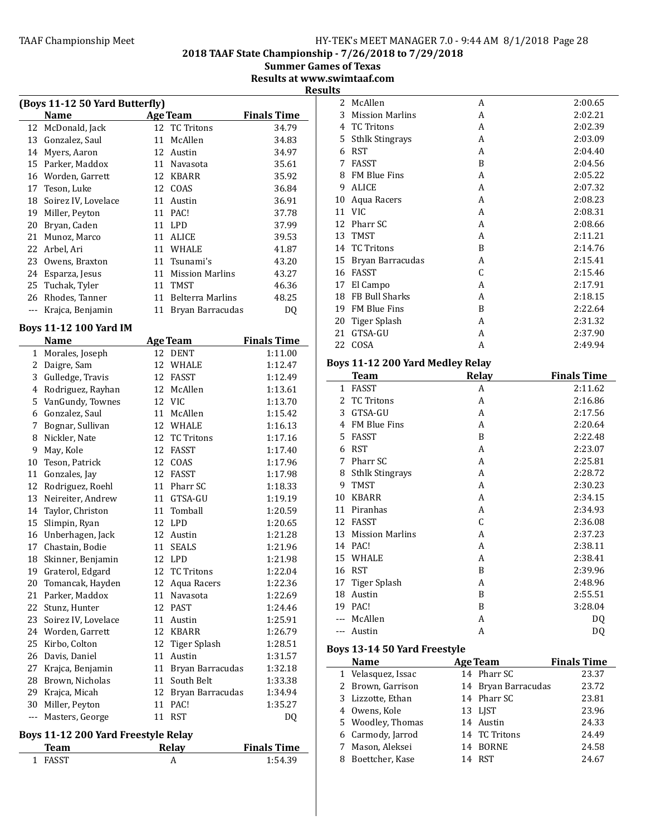2018 TAAF State Championship - 7/26/2018 to 7/29/2018

**Summer Games of Texas** Results at www.swimtaaf.com

**Results** 

| (Boys 11-12 50 Yard Butterfly) |                     |    |                         |                    |  |  |
|--------------------------------|---------------------|----|-------------------------|--------------------|--|--|
|                                | <b>Name</b>         |    | <b>Age Team</b>         | <b>Finals Time</b> |  |  |
| 12                             | McDonald, Jack      |    | 12 TC Tritons           | 34.79              |  |  |
| 13                             | Gonzalez, Saul      | 11 | McAllen                 | 34.83              |  |  |
| 14                             | Myers, Aaron        |    | 12 Austin               | 34.97              |  |  |
| 15                             | Parker, Maddox      |    | 11 Navasota             | 35.61              |  |  |
|                                | 16 Worden, Garrett  |    | 12 KBARR                | 35.92              |  |  |
| 17                             | Teson, Luke         |    | 12 COAS                 | 36.84              |  |  |
| 18                             | Soirez IV, Lovelace | 11 | Austin                  | 36.91              |  |  |
| 19                             | Miller, Peyton      |    | 11 PAC!                 | 37.78              |  |  |
| 20                             | Bryan, Caden        |    | 11 LPD                  | 37.99              |  |  |
| 21                             | Munoz, Marco        | 11 | ALICE                   | 39.53              |  |  |
| 22                             | Arbel, Ari          | 11 | <b>WHALE</b>            | 41.87              |  |  |
| 23                             | Owens, Braxton      | 11 | Tsunami's               | 43.20              |  |  |
| 24                             | Esparza, Jesus      | 11 | <b>Mission Marlins</b>  | 43.27              |  |  |
| 25                             | Tuchak, Tyler       | 11 | TMST                    | 46.36              |  |  |
| 26                             | Rhodes, Tanner      | 11 | <b>Belterra Marlins</b> | 48.25              |  |  |
|                                | Krajca, Benjamin    | 11 | Bryan Barracudas        | DQ                 |  |  |
|                                |                     |    |                         |                    |  |  |

# Boys 11-12 100 Yard IM

|              | <b>Name</b>         |    | <b>Age Team</b>     | <b>Finals Time</b> |
|--------------|---------------------|----|---------------------|--------------------|
| $\mathbf{1}$ | Morales, Joseph     | 12 | <b>DENT</b>         | 1:11.00            |
| 2            | Daigre, Sam         | 12 | <b>WHALE</b>        | 1:12.47            |
| 3            | Gulledge, Travis    | 12 | FASST               | 1:12.49            |
| 4            | Rodriguez, Rayhan   | 12 | McAllen             | 1:13.61            |
| 5            | VanGundy, Townes    | 12 | <b>VIC</b>          | 1:13.70            |
| 6            | Gonzalez, Saul      | 11 | McAllen             | 1:15.42            |
| 7            | Bognar, Sullivan    | 12 | WHALE               | 1:16.13            |
| 8            | Nickler, Nate       | 12 | <b>TC Tritons</b>   | 1:17.16            |
| 9            | May, Kole           | 12 | FASST               | 1:17.40            |
| 10           | Teson, Patrick      | 12 | COAS                | 1:17.96            |
| 11           | Gonzales, Jay       | 12 | <b>FASST</b>        | 1:17.98            |
| 12           | Rodriguez, Roehl    |    | 11 Pharr SC         | 1:18.33            |
| 13           | Neireiter, Andrew   | 11 | GTSA-GU             | 1:19.19            |
| 14           | Taylor, Christon    | 11 | Tomball             | 1:20.59            |
| 15           | Slimpin, Ryan       |    | 12 LPD              | 1:20.65            |
| 16           | Unberhagen, Jack    | 12 | Austin              | 1:21.28            |
| 17           | Chastain, Bodie     | 11 | <b>SEALS</b>        | 1:21.96            |
| 18           | Skinner, Benjamin   |    | 12 LPD              | 1:21.98            |
| 19           | Graterol, Edgard    | 12 | <b>TC Tritons</b>   | 1:22.04            |
| 20           | Tomancak, Hayden    | 12 | Aqua Racers         | 1:22.36            |
| 21           | Parker, Maddox      | 11 | Navasota            | 1:22.69            |
| 22           | Stunz, Hunter       | 12 | <b>PAST</b>         | 1:24.46            |
| 23           | Soirez IV, Lovelace | 11 | Austin              | 1:25.91            |
| 24           | Worden, Garrett     |    | 12 KBARR            | 1:26.79            |
| 25           | Kirbo, Colton       | 12 | <b>Tiger Splash</b> | 1:28.51            |
| 26           | Davis, Daniel       | 11 | Austin              | 1:31.57            |
| 27           | Krajca, Benjamin    | 11 | Bryan Barracudas    | 1:32.18            |
| 28           | Brown, Nicholas     | 11 | South Belt          | 1:33.38            |
| 29           | Krajca, Micah       | 12 | Bryan Barracudas    | 1:34.94            |
| 30           | Miller, Peyton      | 11 | PAC!                | 1:35.27            |
| ---          | Masters, George     |    | 11 RST              | DQ                 |

# Boys 11-12 200 Yard Freestyle Relay

| <b>Relav</b> | <b>Finals Time</b> |
|--------------|--------------------|
|              | 1:54.39            |
|              |                    |

| 1 L.S |                        |   |         |
|-------|------------------------|---|---------|
|       | 2 McAllen              | A | 2:00.65 |
| 3     | <b>Mission Marlins</b> | A | 2:02.21 |
| 4     | <b>TC Tritons</b>      | A | 2:02.39 |
| 5     | <b>Sthlk Stingrays</b> | A | 2:03.09 |
| 6     | <b>RST</b>             | A | 2:04.40 |
| 7     | FASST                  | B | 2:04.56 |
| 8     | <b>FM Blue Fins</b>    | A | 2:05.22 |
| 9     | <b>ALICE</b>           | A | 2:07.32 |
| 10    | Aqua Racers            | A | 2:08.23 |
| 11    | VIC.                   | A | 2:08.31 |
| 12    | Pharr SC               | A | 2:08.66 |
| 13    | <b>TMST</b>            | A | 2:11.21 |
| 14    | <b>TC Tritons</b>      | B | 2:14.76 |
| 15    | Bryan Barracudas       | A | 2:15.41 |
| 16    | <b>FASST</b>           | C | 2:15.46 |
| 17    | El Campo               | A | 2:17.91 |
| 18    | <b>FB Bull Sharks</b>  | A | 2:18.15 |
| 19    | FM Blue Fins           | B | 2:22.64 |
| 20    | Tiger Splash           | A | 2:31.32 |
| 21    | GTSA-GU                | A | 2:37.90 |
| 22    | COSA                   | A | 2:49.94 |

# Boys 11-12 200 Yard Medley Relay

|    | <b>Team</b>            | Relay | <b>Finals Time</b> |
|----|------------------------|-------|--------------------|
| 1  | <b>FASST</b>           | A     | 2:11.62            |
| 2  | <b>TC Tritons</b>      | A     | 2:16.86            |
| 3  | GTSA-GU                | A     | 2:17.56            |
| 4  | <b>FM Blue Fins</b>    | A     | 2:20.64            |
| 5  | FASST                  | B     | 2:22.48            |
| 6  | <b>RST</b>             | A     | 2:23.07            |
| 7  | Pharr SC               | A     | 2:25.81            |
| 8  | <b>Sthlk Stingrays</b> | A     | 2:28.72            |
| 9  | TMST                   | A     | 2:30.23            |
| 10 | <b>KBARR</b>           | A     | 2:34.15            |
| 11 | Piranhas               | A     | 2:34.93            |
| 12 | <b>FASST</b>           | C     | 2:36.08            |
| 13 | <b>Mission Marlins</b> | A     | 2:37.23            |
| 14 | PAC!                   | A     | 2:38.11            |
| 15 | WHALE                  | A     | 2:38.41            |
| 16 | <b>RST</b>             | B     | 2:39.96            |
| 17 | Tiger Splash           | A     | 2:48.96            |
| 18 | Austin                 | B     | 2:55.51            |
| 19 | PAC!                   | B     | 3:28.04            |
|    | McAllen                | A     | DQ                 |
|    | Austin                 | A     | DQ                 |

# Boys 13-14 50 Yard Freestyle

| <b>Name</b>        | <b>Age Team</b>     | <b>Finals Time</b> |
|--------------------|---------------------|--------------------|
| 1 Velasquez, Issac | 14 Pharr SC         | 23.37              |
| 2 Brown, Garrison  | 14 Bryan Barracudas | 23.72              |
| 3 Lizzotte, Ethan  | 14 Pharr SC         | 23.81              |
| 4 Owens, Kole      | 13 LJST             | 23.96              |
| 5 Woodley, Thomas  | 14 Austin           | 24.33              |
| 6 Carmody, Jarrod  | 14 TC Tritons       | 24.49              |
| 7 Mason, Aleksei   | 14 BORNE            | 24.58              |
| Boettcher, Kase    | 14 RST              | 24.67              |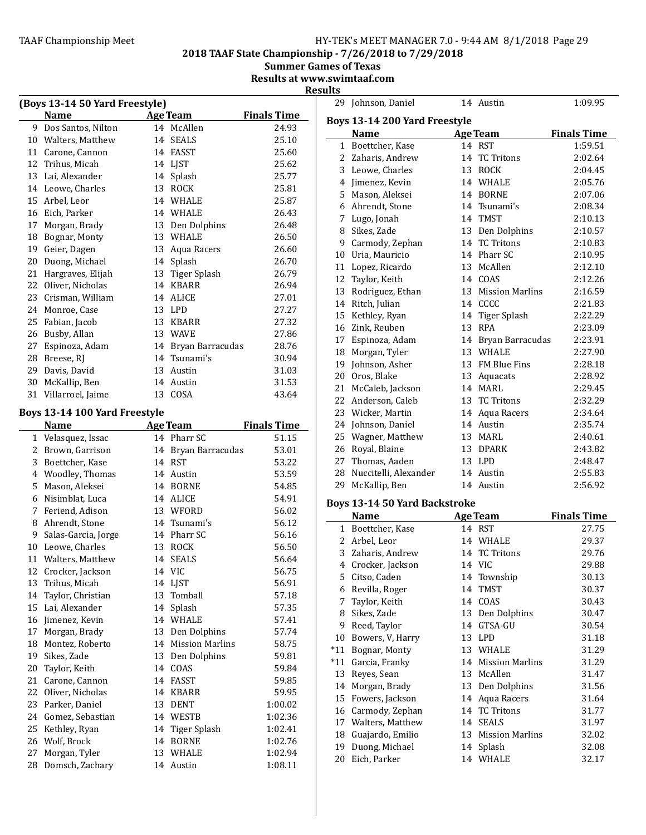**Finals Time** 

**Finals Time**  $1:59.51$  $2:02.64$  $2:04.45$ 2:05.76  $2:07.06$ 2:08.34  $2:10.13$ 

# 2018 TAAF State Championship - 7/26/2018 to 7/29/2018

**Summer Games of Texas** 

Results at www.swimtaaf.com Results

|    | (Boys 13-14 50 Yard Freestyle) |    |                        |                    |    | 29 Johnson, Daniel                   | 14 Austin                        | 1:09.95            |
|----|--------------------------------|----|------------------------|--------------------|----|--------------------------------------|----------------------------------|--------------------|
|    | <b>Name</b>                    |    | <b>Age Team</b>        | <b>Finals Time</b> |    | Boys 13-14 200 Yard Freestyle        |                                  |                    |
|    | 9 Dos Santos, Nilton           |    | 14 McAllen             | 24.93              |    | <b>Name</b>                          | <b>Age Team</b>                  | <b>Finals Time</b> |
|    | 10 Walters, Matthew            |    | 14 SEALS               | 25.10              |    | 1 Boettcher, Kase                    | 14 RST                           | 1:59.51            |
|    | 11 Carone, Cannon              |    | 14 FASST               | 25.60              |    | 2 Zaharis, Andrew                    | 14 TC Tritons                    | 2:02.64            |
|    | 12 Trihus, Micah               |    | 14 LJST                | 25.62              |    | 3 Leowe, Charles                     | 13 ROCK                          | 2:04.45            |
|    | 13 Lai, Alexander              |    | 14 Splash              | 25.77              |    | 4 Jimenez, Kevin                     | 14 WHALE                         | 2:05.76            |
|    | 14 Leowe, Charles              |    | 13 ROCK                | 25.81              |    | 5 Mason, Aleksei                     | 14 BORNE                         | 2:07.06            |
| 15 | Arbel, Leor                    |    | 14 WHALE               | 25.87              |    |                                      | 14 Tsunami's                     |                    |
|    | 16 Eich, Parker                |    | 14 WHALE               | 26.43              |    | 6 Ahrendt, Stone                     | 14 TMST                          | 2:08.34            |
| 17 | Morgan, Brady                  | 13 | Den Dolphins           | 26.48              |    | 7 Lugo, Jonah                        |                                  | 2:10.13            |
|    | 18 Bognar, Monty               |    | 13 WHALE               | 26.50              |    | 8 Sikes, Zade                        | 13 Den Dolphins<br>14 TC Tritons | 2:10.57            |
| 19 | Geier, Dagen                   | 13 | Aqua Racers            | 26.60              | 9  | Carmody, Zephan                      | 14 Pharr SC                      | 2:10.83            |
|    | 20 Duong, Michael              |    | 14 Splash              | 26.70              |    | 10 Uria, Mauricio                    |                                  | 2:10.95            |
|    | 21 Hargraves, Elijah           | 13 | Tiger Splash           | 26.79              | 11 | Lopez, Ricardo                       | 13 McAllen                       | 2:12.10            |
|    | 22 Oliver, Nicholas            |    | 14 KBARR               | 26.94              | 12 | Taylor, Keith                        | 14 COAS                          | 2:12.26            |
| 23 | Crisman, William               |    | 14 ALICE               | 27.01              | 13 | Rodriguez, Ethan                     | 13 Mission Marlins               | 2:16.59            |
|    | 24 Monroe, Case                |    | 13 LPD                 | 27.27              |    | 14 Ritch, Julian                     | 14 CCCC                          | 2:21.83            |
|    | 25 Fabian, Jacob               |    | 13 KBARR               | 27.32              | 15 | Kethley, Ryan                        | 14 Tiger Splash                  | 2:22.29            |
|    | 26 Busby, Allan                |    | 13 WAVE                | 27.86              | 16 | Zink, Reuben                         | 13 RPA                           | 2:23.09            |
| 27 | Espinoza, Adam                 |    | 14 Bryan Barracudas    | 28.76              | 17 | Espinoza, Adam                       | 14 Bryan Barracudas              | 2:23.91            |
|    | 28 Breese, RJ                  | 14 | Tsunami's              | 30.94              | 18 | Morgan, Tyler                        | 13 WHALE                         | 2:27.90            |
|    | 29 Davis, David                |    | 13 Austin              | 31.03              | 19 | Johnson, Asher                       | 13 FM Blue Fins                  | 2:28.18            |
|    | 30 McKallip, Ben               |    | 14 Austin              | 31.53              |    | 20 Oros, Blake                       | 13 Aquacats                      | 2:28.92            |
|    | 31 Villarroel, Jaime           |    | 13 COSA                | 43.64              |    | 21 McCaleb, Jackson                  | 14 MARL                          | 2:29.45            |
|    |                                |    |                        |                    |    | 22 Anderson, Caleb                   | 13 TC Tritons                    | 2:32.29            |
|    | Boys 13-14 100 Yard Freestyle  |    |                        |                    | 23 | Wicker, Martin                       | 14 Aqua Racers                   | 2:34.64            |
|    | <b>Name</b>                    |    | <b>Age Team</b>        | <b>Finals Time</b> |    | 24 Johnson, Daniel                   | 14 Austin                        | 2:35.74            |
|    | 1 Velasquez, Issac             |    | 14 Pharr SC            | 51.15              |    | 25 Wagner, Matthew                   | 13 MARL                          | 2:40.61            |
|    | 2 Brown, Garrison              |    | 14 Bryan Barracudas    | 53.01              |    | 26 Royal, Blaine                     | 13 DPARK                         | 2:43.82            |
| 3  | Boettcher, Kase                |    | 14 RST                 | 53.22              |    | 27 Thomas, Aaden                     | 13 LPD                           | 2:48.47            |
|    | 4 Woodley, Thomas              |    | 14 Austin              | 53.59              |    | 28 Nuccitelli, Alexander             | 14 Austin                        | 2:55.83            |
|    | 5 Mason, Aleksei               |    | 14 BORNE               | 54.85              |    | 29 McKallip, Ben                     | 14 Austin                        | 2:56.92            |
|    | 6 Nisimblat, Luca              |    | 14 ALICE               | 54.91              |    |                                      |                                  |                    |
|    | 7 Feriend, Adison              |    | 13 WFORD               | 56.02              |    | <b>Boys 13-14 50 Yard Backstroke</b> |                                  |                    |
|    | 8 Ahrendt, Stone               |    | 14 Tsunami's           | 56.12              |    | <b>Name</b>                          | <b>Age Team</b>                  | <b>Finals Time</b> |
| 9  | Salas-Garcia, Jorge            |    | 14 Pharr SC            | 56.16              |    | 1 Boettcher, Kase                    | 14 RST                           | 27.75              |
|    | 10 Leowe, Charles              |    | 13 ROCK                | 56.50              |    | 2 Arbel, Leor                        | 14 WHALE                         | 29.37              |
|    | 11 Walters, Matthew            |    | 14 SEALS               | 56.64              |    | 3 Zaharis, Andrew                    | 14 TC Tritons                    | 29.76              |
|    | 12 Crocker, Jackson            |    | 14 VIC                 | 56.75              |    | 4 Crocker, Jackson                   | 14 VIC                           | 29.88              |
|    | 13 Trihus, Micah               |    | 14 LJST                | 56.91              |    | 5 Citso, Caden                       | 14 Township                      | 30.13              |
| 14 | Taylor, Christian              |    | 13 Tomball             | 57.18              |    | 6 Revilla, Roger                     | 14 TMST                          | 30.37              |
|    | 15 Lai, Alexander              |    | 14 Splash              | 57.35              |    | 7 Taylor, Keith                      | 14 COAS                          | 30.43              |
| 16 | Jimenez, Kevin                 |    | 14 WHALE               | 57.41              |    | 8 Sikes, Zade                        | 13 Den Dolphins                  | 30.47              |
| 17 | Morgan, Brady                  | 13 | Den Dolphins           | 57.74              |    | 9 Reed, Taylor                       | 14 GTSA-GU                       | 30.54              |
| 18 | Montez, Roberto                | 14 | <b>Mission Marlins</b> | 58.75              |    | 10 Bowers, V, Harry                  | 13 LPD                           | 31.18              |
|    |                                |    |                        |                    |    | *11 Bognar, Monty                    | 13 WHALE                         | 31.29              |
| 19 | Sikes, Zade                    | 13 | Den Dolphins           | 59.81              |    | *11 Garcia, Franky                   | 14 Mission Marlins               | 31.29              |
| 20 | Taylor, Keith                  |    | 14 COAS                | 59.84              |    | 13 Reyes, Sean                       | 13 McAllen                       | 31.47              |
| 21 | Carone, Cannon                 |    | 14 FASST               | 59.85              |    | 14 Morgan, Brady                     | 13 Den Dolphins                  | 31.56              |
|    | 22 Oliver, Nicholas            |    | 14 KBARR               | 59.95              |    | 15 Fowers, Jackson                   | 14 Aqua Racers                   | 31.64              |
|    | 23 Parker, Daniel              |    | 13 DENT                | 1:00.02            |    | 16 Carmody, Zephan                   | 14 TC Tritons                    | 31.77              |
|    | 24 Gomez, Sebastian            |    | 14 WESTB               | 1:02.36            |    | 17 Walters, Matthew                  | 14 SEALS                         | 31.97              |
| 25 | Kethley, Ryan                  |    | 14 Tiger Splash        | 1:02.41            | 18 | Guajardo, Emilio                     | 13 Mission Marlins               | 32.02              |
|    | 26 Wolf, Brock                 |    | 14 BORNE               | 1:02.76            | 19 | Duong, Michael                       | 14 Splash                        | 32.08              |
| 27 | Morgan, Tyler                  | 13 | WHALE                  | 1:02.94            |    | 20 Eich, Parker                      | 14 WHALE                         | 32.17              |
|    | 28 Domsch, Zachary             |    | 14 Austin              | 1:08.11            |    |                                      |                                  |                    |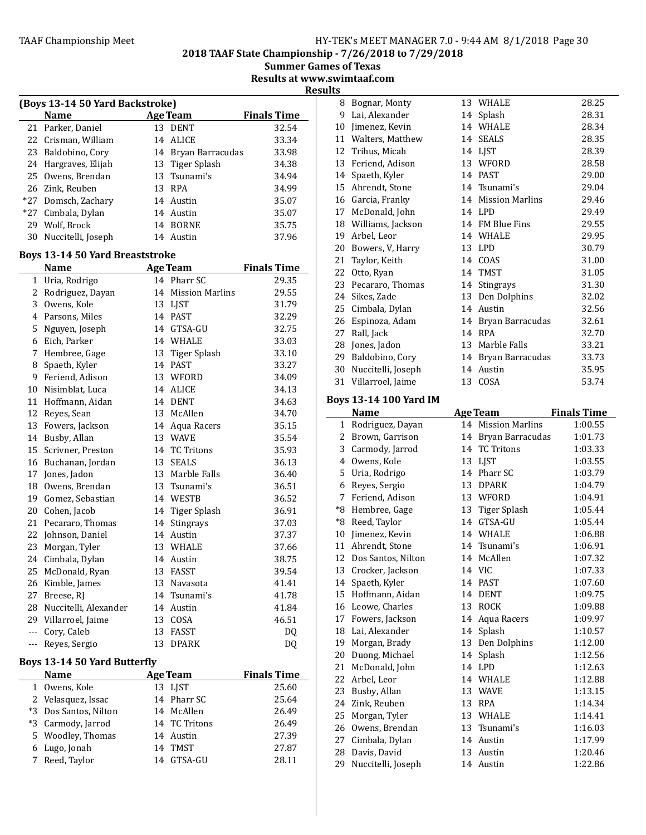8 Bognar, Monty 13 WHALE 28.25

2018 TAAF State Championship - 7/26/2018 to 7/29/2018

**Summer Games of Texas** Results at www.swimtaaf.com

**Results** 

| (Boys 13-14 50 Yard Backstroke) |                                        |    |                    |                    |  |  |
|---------------------------------|----------------------------------------|----|--------------------|--------------------|--|--|
|                                 | Name                                   |    | <b>Age Team</b>    | <b>Finals Time</b> |  |  |
| 21                              | Parker, Daniel                         |    | 13 DENT            | 32.54              |  |  |
| 22                              | Crisman, William                       | 14 | ALICE              | 33.34              |  |  |
| 23                              | Baldobino, Cory                        | 14 | Bryan Barracudas   | 33.98              |  |  |
| 24                              | Hargraves, Elijah                      | 13 | Tiger Splash       | 34.38              |  |  |
| 25                              | Owens, Brendan                         |    | 13 Tsunami's       | 34.94              |  |  |
| 26                              | Zink, Reuben                           |    | 13 RPA             | 34.99              |  |  |
| $*27$                           | Domsch, Zachary                        |    | 14 Austin          | 35.07              |  |  |
| $*27$                           | Cimbala, Dylan                         |    | 14 Austin          | 35.07              |  |  |
| 29                              | Wolf, Brock                            |    | 14 BORNE           | 35.75              |  |  |
| 30                              | Nuccitelli, Joseph                     |    | 14 Austin          | 37.96              |  |  |
|                                 | <b>Boys 13-14 50 Yard Breaststroke</b> |    |                    |                    |  |  |
|                                 | <b>Name</b>                            |    | Age Team           | <b>Finals Time</b> |  |  |
| 1                               | Uria, Rodrigo                          |    | 14 Pharr SC        | 29.35              |  |  |
| 2                               | Rodriguez, Dayan                       |    | 14 Mission Marlins | 29.55              |  |  |
| 3                               | Owens, Kole                            |    | 13 LIST            | 31.79              |  |  |
| 4                               | Parsons, Miles                         |    | 14 PAST            | 32.29              |  |  |
|                                 | $F$ Nguyon Locanh                      |    | 14 $CTCA$ $CII$    | つつ ワビ              |  |  |

| 2              | Rodriguez, Dayan             | 14 | <b>Mission Marlins</b> | 29.55              |
|----------------|------------------------------|----|------------------------|--------------------|
| 3              | Owens, Kole                  |    | 13 LJST                | 31.79              |
| 4              | Parsons, Miles               |    | 14 PAST                | 32.29              |
| 5              | Nguyen, Joseph               |    | 14 GTSA-GU             | 32.75              |
| 6              | Eich, Parker                 |    | 14 WHALE               | 33.03              |
| 7              | Hembree, Gage                |    | 13 Tiger Splash        | 33.10              |
| 8              | Spaeth, Kyler                | 14 | <b>PAST</b>            | 33.27              |
| 9              | Feriend, Adison              |    | 13 WFORD               | 34.09              |
| 10             | Nisimblat, Luca              | 14 | <b>ALICE</b>           | 34.13              |
| 11             | Hoffmann, Aidan              |    | 14 DENT                | 34.63              |
| 12             | Reyes, Sean                  |    | 13 McAllen             | 34.70              |
| 13             | Fowers, Jackson              | 14 | Aqua Racers            | 35.15              |
| 14             | Busby, Allan                 | 13 | <b>WAVE</b>            | 35.54              |
| 15             | Scrivner, Preston            |    | 14 TC Tritons          | 35.93              |
| 16             | Buchanan, Jordan             |    | 13 SEALS               | 36.13              |
| 17             | Jones, Jadon                 |    | 13 Marble Falls        | 36.40              |
| 18             | Owens, Brendan               |    | 13 Tsunami's           | 36.51              |
| 19             | Gomez, Sebastian             |    | 14 WESTB               | 36.52              |
| 20             | Cohen, Jacob                 |    | 14 Tiger Splash        | 36.91              |
| 21             | Pecararo, Thomas             | 14 | Stingrays              | 37.03              |
| 22             | Johnson, Daniel              |    | 14 Austin              | 37.37              |
| 23             | Morgan, Tyler                |    | 13 WHALE               | 37.66              |
| 24             | Cimbala, Dylan               | 14 | Austin                 | 38.75              |
| 25             | McDonald, Ryan               |    | 13 FASST               | 39.54              |
| 26             | Kimble, James                | 13 | Navasota               | 41.41              |
| 27             | Breese, RJ                   | 14 | Tsunami's              | 41.78              |
| 28             | Nuccitelli, Alexander        | 14 | Austin                 | 41.84              |
| 29             | Villarroel, Jaime            | 13 | COSA                   | 46.51              |
| $\overline{a}$ | Cory, Caleb                  | 13 | FASST                  | DQ                 |
|                | --- Reyes, Sergio            | 13 | <b>DPARK</b>           | DQ                 |
|                | Boys 13-14 50 Yard Butterfly |    |                        |                    |
|                | <b>Name</b>                  |    | <b>Age Team</b>        | <b>Finals Time</b> |
|                | 1 Owens, Kole                |    | 13 LJST                | 25.60              |
|                | 2 Velasquez, Issac           |    | 14 Pharr SC            | 25.64              |
| $*3$           | Dos Santos, Nilton           |    | 14 McAllen             | 26.49              |
| $*3$           | Carmody, Jarrod              | 14 | <b>TC Tritons</b>      | 26.49              |

5 Woodley, Thomas 14 Austin 27.39<br>6 Lugo, Jonah 14 TMST 27.87 Lugo, Jonah 14 TMST 27.87 Reed, Taylor 14 GTSA-GU 28.11

| 9      | Lai, Alexander         |    | 14 Splash              | 28.31              |
|--------|------------------------|----|------------------------|--------------------|
| 10     | Jimenez, Kevin         | 14 | WHALE                  | 28.34              |
| 11     | Walters, Matthew       | 14 | <b>SEALS</b>           | 28.35              |
| 12     | Trihus, Micah          |    | 14 LJST                | 28.39              |
| 13     | Feriend, Adison        | 13 | WFORD                  | 28.58              |
| 14     | Spaeth, Kyler          | 14 | <b>PAST</b>            | 29.00              |
| 15     | Ahrendt, Stone         | 14 | Tsunami's              | 29.04              |
| 16     | Garcia, Franky         | 14 | <b>Mission Marlins</b> | 29.46              |
| 17     | McDonald, John         |    | 14 LPD                 | 29.49              |
| 18     | Williams, Jackson      |    | 14 FM Blue Fins        | 29.55              |
| 19     | Arbel, Leor            |    | 14 WHALE               | 29.95              |
| $20\,$ | Bowers, V, Harry       |    | 13 LPD                 | 30.79              |
| 21     | Taylor, Keith          |    | 14 COAS                | 31.00              |
| 22     | Otto, Ryan             | 14 | <b>TMST</b>            | 31.05              |
| 23     | Pecararo, Thomas       | 14 | Stingrays              | 31.30              |
| 24     | Sikes, Zade            | 13 | Den Dolphins           | 32.02              |
| 25     | Cimbala, Dylan         | 14 | Austin                 | 32.56              |
| 26     | Espinoza, Adam         | 14 | Bryan Barracudas       | 32.61              |
| 27     | Rall, Jack             | 14 | <b>RPA</b>             | 32.70              |
| 28     | Jones, Jadon           | 13 | Marble Falls           | 33.21              |
| 29     | Baldobino, Cory        | 14 | Bryan Barracudas       | 33.73              |
| 30     | Nuccitelli, Joseph     | 14 | Austin                 | 35.95              |
| 31     | Villarroel, Jaime      |    | 13 COSA                | 53.74              |
|        |                        |    |                        |                    |
|        | Boys 13-14 100 Yard IM |    |                        |                    |
|        | <b>Name</b>            |    | <b>Age Team</b>        | <b>Finals Time</b> |
|        | 1 Rodriguez, Dayan     |    | 14 Mission Marlins     | 1:00.55            |
|        |                        |    |                        |                    |
|        | 2 Brown, Garrison      |    | 14 Bryan Barracudas    | 1:01.73            |
| 3      | Carmody, Jarrod        | 14 | <b>TC Tritons</b>      | 1:03.33            |
| 4      | Owens, Kole            | 13 | LJST                   | 1:03.55            |
| 5      | Uria, Rodrigo          | 14 | Pharr SC               | 1:03.79            |
| 6      | Reyes, Sergio          | 13 | <b>DPARK</b>           | 1:04.79            |
| 7      | Feriend, Adison        |    | 13 WFORD               | 1:04.91            |
| *8     | Hembree, Gage          | 13 | Tiger Splash           | 1:05.44            |
| $^*8$  | Reed, Taylor           | 14 | GTSA-GU                | 1:05.44            |
| 10     | Jimenez, Kevin         |    | 14 WHALE               | 1:06.88            |
| 11     | Ahrendt, Stone         |    | 14 Tsunami's           | 1:06.91            |
|        | 12 Dos Santos, Nilton  |    | 14 McAllen             | 1:07.32            |
|        | 13 Crocker, Jackson    |    | 14 VIC                 | 1:07.33            |
|        | 14 Spaeth, Kyler       |    | 14 PAST                | 1:07.60            |
|        | 15 Hoffmann, Aidan     |    | 14 DENT                | 1:09.75            |
| 16     | Leowe, Charles         | 13 | ROCK                   | 1:09.88            |
| 17     | Fowers, Jackson        | 14 | Aqua Racers            | 1:09.97            |
| 18     | Lai, Alexander         | 14 | Splash                 | 1:10.57            |
| 19     | Morgan, Brady          | 13 | Den Dolphins           | 1:12.00            |
| 20     | Duong, Michael         | 14 | Splash                 | 1:12.56            |
| 21     | McDonald, John         | 14 | LPD                    | 1:12.63            |
| 22     | Arbel, Leor            | 14 | WHALE                  | 1:12.88            |
| 23     | Busby, Allan           | 13 | <b>WAVE</b>            | 1:13.15            |
| 24     | Zink, Reuben           | 13 | <b>RPA</b>             | 1:14.34            |
| 25     | Morgan, Tyler          | 13 | WHALE                  | 1:14.41            |
| 26     | Owens, Brendan         | 13 | Tsunami's              | 1:16.03            |
| 27     | Cimbala, Dylan         | 14 | Austin                 | 1:17.99            |
| 28     | Davis, David           | 13 | Austin                 | 1:20.46            |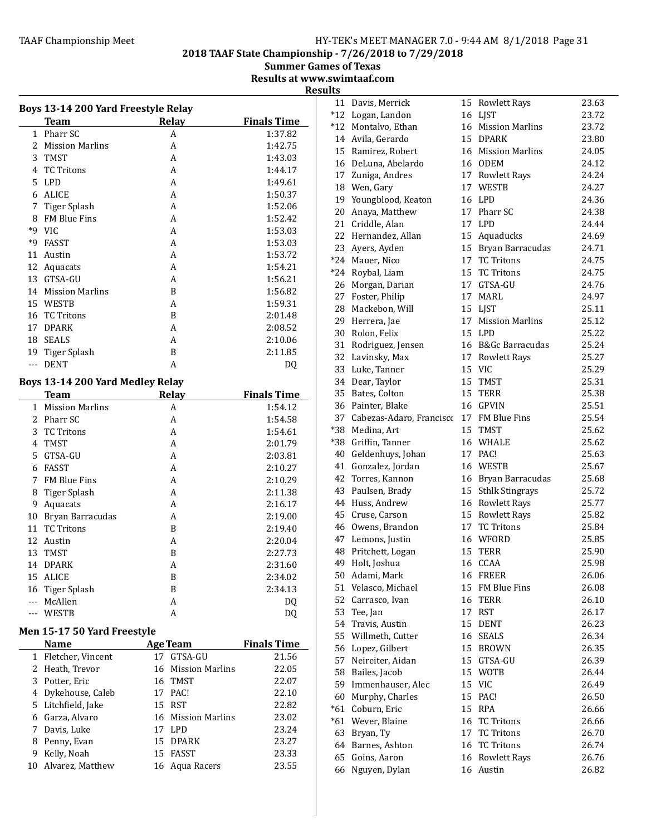2018 TAAF State Championship - 7/26/2018 to 7/29/2018

Summer Games of Texas

Results at www.swimtaaf.com

|              | Boys 13-14 200 Yard Freestyle Relay<br><b>Team</b> | Relay                        | <b>Finals Time</b> |
|--------------|----------------------------------------------------|------------------------------|--------------------|
| $\mathbf{1}$ | Pharr SC                                           | A                            | 1:37.82            |
| 2            | <b>Mission Marlins</b>                             | A                            | 1:42.75            |
| 3            | TMST                                               | A                            | 1:43.03            |
| 4            | <b>TC Tritons</b>                                  | A                            | 1:44.17            |
| 5            | LPD                                                | A                            | 1:49.61            |
| 6            | <b>ALICE</b>                                       | A                            | 1:50.37            |
| 7            | <b>Tiger Splash</b>                                | A                            | 1:52.06            |
| 8            | FM Blue Fins                                       | A                            | 1:52.42            |
| $*9$         |                                                    |                              |                    |
|              | <b>VIC</b>                                         | A                            | 1:53.03            |
| *9           | FASST                                              | A                            | 1:53.03            |
| 11           | Austin                                             | A                            | 1:53.72            |
| 12           | Aquacats                                           | A                            | 1:54.21            |
|              | 13 GTSA-GU                                         | A                            | 1:56.21            |
|              | 14 Mission Marlins                                 | B                            | 1:56.82            |
|              | 15 WESTB                                           | A                            | 1:59.31            |
| 16           | <b>TC Tritons</b>                                  | B                            | 2:01.48            |
| 17           | <b>DPARK</b>                                       | A                            | 2:08.52            |
|              | 18 SEALS                                           | A                            | 2:10.06            |
|              | 19 Tiger Splash                                    | B                            | 2:11.85            |
| ---          | <b>DENT</b>                                        | A                            | DQ                 |
|              | Boys 13-14 200 Yard Medley Relay                   |                              |                    |
|              | <b>Team</b>                                        | <b>Relay</b>                 | <b>Finals Time</b> |
|              | 1 Mission Marlins                                  | A                            | 1:54.12            |
|              | 2 Pharr SC                                         | A                            | 1:54.58            |
| 3            | <b>TC Tritons</b>                                  | A                            | 1:54.61            |
|              |                                                    |                              |                    |
| 4<br>5       | TMST                                               | A                            | 2:01.79            |
|              | GTSA-GU                                            | A                            | 2:03.81            |
| 6            | FASST                                              | A                            | 2:10.27            |
| 7            | FM Blue Fins                                       | A                            | 2:10.29            |
| 8            | Tiger Splash                                       | A                            | 2:11.38            |
| 9            | Aquacats                                           | A                            | 2:16.17            |
|              | 10 Bryan Barracudas                                | A                            | 2:19.00            |
| 11           | <b>TC Tritons</b>                                  | B                            | 2:19.40            |
| 12           | Austin                                             | A                            | 2:20.04            |
| 13           | <b>TMST</b>                                        | B                            | 2:27.73            |
|              | 14 DPARK                                           | A                            | 2:31.60            |
| 15           | ALICE                                              | В                            | 2:34.02            |
| 16           | Tiger Splash                                       | B                            | 2:34.13            |
| ---          | McAllen                                            | A                            | DQ                 |
| ---          | WESTB                                              | A                            | DQ                 |
|              | <b>Men 15-17 50 Yard Freestyle</b>                 |                              |                    |
|              | Name                                               | <u>Age Team</u>              | <b>Finals Time</b> |
| $\mathbf{1}$ | Fletcher, Vincent                                  | 17 GTSA-GU                   | 21.56              |
| 2            | Heath, Trevor                                      | 16<br><b>Mission Marlins</b> | 22.05              |
| 3            | Potter, Eric                                       | 16 TMST                      | 22.07              |
| 4            | Dykehouse, Caleb                                   | 17<br>PAC!                   | 22.10              |
|              | 5 Litchfield, Jake                                 | 15<br>RST                    | 22.82              |
|              |                                                    |                              |                    |
|              | 6 Garza, Alvaro                                    | 16 Mission Marlins           | 23.02              |
| 7            | Davis, Luke                                        | 17<br>LPD                    | 23.24              |
| 8            | Penny, Evan                                        | 15<br>DPARK                  | 23.27              |
| 9            | Kelly, Noah                                        | 15<br>FASST                  | 23.33              |
|              | 10 Alvarez, Matthew                                | 16 Aqua Racers               | 23.55              |
|              |                                                    |                              |                    |

|       | 11 Davis, Merrick        | 15 | Rowlett Rays        | 23.63 |
|-------|--------------------------|----|---------------------|-------|
|       | *12 Logan, Landon        | 16 | LJST                | 23.72 |
|       | *12 Montalvo, Ethan      |    | 16 Mission Marlins  | 23.72 |
|       | 14 Avila, Gerardo        |    | 15 DPARK            | 23.80 |
|       | 15 Ramirez, Robert       |    | 16 Mission Marlins  | 24.05 |
|       | 16 DeLuna, Abelardo      |    | 16 ODEM             | 24.12 |
|       | 17 Zuniga, Andres        |    | 17 Rowlett Rays     | 24.24 |
|       | 18 Wen, Gary             | 17 | <b>WESTB</b>        | 24.27 |
|       | 19 Youngblood, Keaton    |    | 16 LPD              | 24.36 |
|       | 20 Anaya, Matthew        | 17 | Pharr SC            | 24.38 |
| 21    | Criddle, Alan            | 17 | <b>LPD</b>          | 24.44 |
|       | 22 Hernandez, Allan      |    | 15 Aquaducks        | 24.69 |
|       | 23 Ayers, Ayden          | 15 | Bryan Barracudas    | 24.71 |
|       | *24 Mauer, Nico          | 17 | <b>TC Tritons</b>   | 24.75 |
|       | *24 Roybal, Liam         |    | 15 TC Tritons       | 24.75 |
|       | 26 Morgan, Darian        | 17 | GTSA-GU             | 24.76 |
|       | 27 Foster, Philip        | 17 | MARL                | 24.97 |
|       | 28 Mackebon, Will        |    | 15 LJST             | 25.11 |
|       | 29 Herrera, Jae          |    | 17 Mission Marlins  | 25.12 |
|       | 30 Rolon, Felix          |    | 15 LPD              | 25.22 |
|       | 31 Rodriguez, Jensen     |    | 16 B&Gc Barracudas  | 25.24 |
|       | 32 Lavinsky, Max         |    | 17 Rowlett Rays     | 25.27 |
|       | 33 Luke, Tanner          |    | 15 VIC              | 25.29 |
|       | 34 Dear, Taylor          |    | 15 TMST             | 25.31 |
|       | 35 Bates, Colton         |    | 15 TERR             | 25.38 |
|       | 36 Painter, Blake        |    | 16 GPVIN            | 25.51 |
| 37    | Cabezas-Adaro, Francisco |    | 17 FM Blue Fins     | 25.54 |
|       | *38 Medina, Art          |    | 15 TMST             | 25.62 |
|       | *38 Griffin, Tanner      |    | 16 WHALE            | 25.62 |
|       | 40 Geldenhuys, Johan     |    | 17 PAC!             | 25.63 |
| 41    | Gonzalez, Jordan         |    | 16 WESTB            | 25.67 |
|       | 42 Torres, Kannon        |    | 16 Bryan Barracudas | 25.68 |
|       | 43 Paulsen, Brady        |    | 15 Sthlk Stingrays  | 25.72 |
|       | 44 Huss, Andrew          |    | 16 Rowlett Rays     | 25.77 |
|       | 45 Cruse, Carson         |    | 15 Rowlett Rays     | 25.82 |
|       | 46 Owens, Brandon        |    | 17 TC Tritons       | 25.84 |
|       | 47 Lemons, Justin        |    | 16 WFORD            | 25.85 |
|       | 48 Pritchett, Logan      | 15 | <b>TERR</b>         | 25.90 |
| 49    | Holt, Joshua             | 16 | CCAA                | 25.98 |
|       | 50 Adami, Mark           |    | 16 FREER            | 26.06 |
| 51    | Velasco, Michael         |    | 15 FM Blue Fins     | 26.08 |
|       | 52 Carrasco, Ivan        |    | 16 TERR             | 26.10 |
|       | 53 Tee, Jan              |    | 17 RST              | 26.17 |
| 54    | Travis, Austin           | 15 | DENT                | 26.23 |
|       | 55 Willmeth, Cutter      | 16 | <b>SEALS</b>        | 26.34 |
| 56    | Lopez, Gilbert           |    | 15 BROWN            | 26.35 |
| 57    | Neireiter, Aidan         | 15 | GTSA-GU             | 26.39 |
| 58    | Bailes, Jacob            | 15 | <b>WOTB</b>         | 26.44 |
| 59    | Immenhauser, Alec        |    | 15 VIC              | 26.49 |
| 60    | Murphy, Charles          | 15 | PAC!                | 26.50 |
| *61   | Coburn, Eric             | 15 | <b>RPA</b>          | 26.66 |
| $*61$ | Wever, Blaine            | 16 | TC Tritons          | 26.66 |
|       | 63 Bryan, Ty             |    | 17 TC Tritons       | 26.70 |
|       | 64 Barnes, Ashton        | 16 | TC Tritons          | 26.74 |
| 65    | Goins, Aaron             |    | 16 Rowlett Rays     | 26.76 |
| 66    | Nguyen, Dylan            |    | 16 Austin           | 26.82 |
|       |                          |    |                     |       |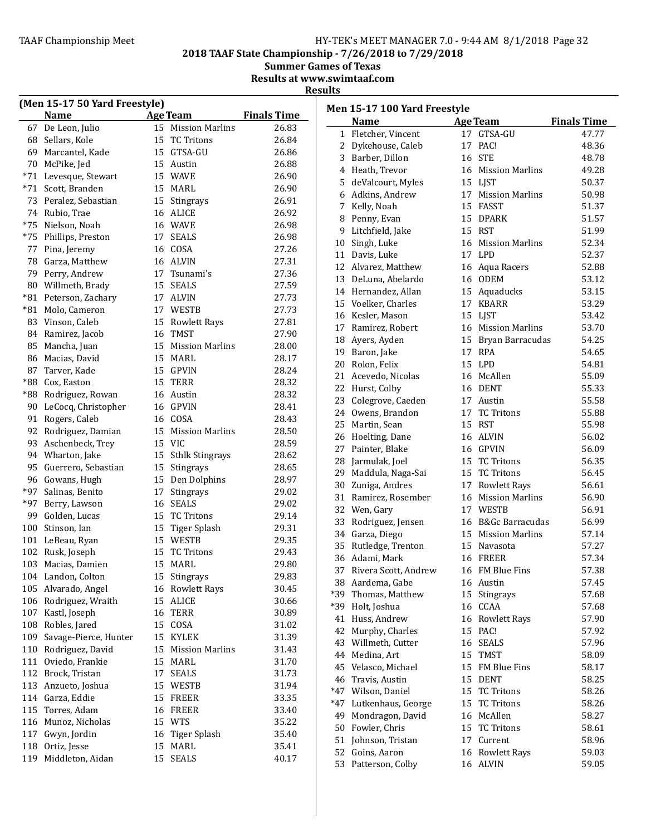# TAAF Championship Meet example the HY-TEK's MEET MANAGER 7.0 - 9:44 AM 8/1/2018 Page 32

2018 TAAF State Championship - 7/26/2018 to 7/29/2018

Summer Games of Texas

Results at www.swimtaaf.com

|     | (Men 15-17 50 Yard Freestyle) |    |                    |                    |       | Men 15-17 100 Yard Freestyle     |    |                        |                    |
|-----|-------------------------------|----|--------------------|--------------------|-------|----------------------------------|----|------------------------|--------------------|
|     | <b>Name</b>                   |    | <b>Age Team</b>    | <b>Finals Time</b> |       | <b>Name</b>                      |    | <b>Age Team</b>        | <b>Finals Time</b> |
| 67  | De Leon, Julio                |    | 15 Mission Marlins | 26.83              |       | 1 Fletcher, Vincent              |    | 17 GTSA-GU             | 47.77              |
| 68  | Sellars, Kole                 |    | 15 TC Tritons      | 26.84              |       | 2 Dykehouse, Caleb               |    | 17 PAC!                | 48.36              |
| 69  | Marcantel, Kade               |    | 15 GTSA-GU         | 26.86              |       |                                  |    | 16 STE                 | 48.78              |
| 70  | McPike, Jed                   |    | 15 Austin          | 26.88              | 3     | Barber, Dillon                   |    |                        |                    |
|     | *71 Levesque, Stewart         |    | 15 WAVE            | 26.90              | 4     | Heath, Trevor                    |    | 16 Mission Marlins     | 49.28              |
| *71 | Scott, Branden                |    | 15 MARL            | 26.90              | 5     | deValcourt, Myles                |    | 15 LJST                | 50.37              |
|     | 73 Peralez, Sebastian         |    | 15 Stingrays       | 26.91              | 6     | Adkins, Andrew                   |    | 17 Mission Marlins     | 50.98              |
|     | 74 Rubio, Trae                |    | 16 ALICE           | 26.92              | 7     | Kelly, Noah                      |    | 15 FASST               | 51.37              |
|     | *75 Nielson, Noah             |    | 16 WAVE            | 26.98              | 8     | Penny, Evan                      |    | 15 DPARK               | 51.57              |
|     | *75 Phillips, Preston         | 17 | SEALS              | 26.98              | 9     | Litchfield, Jake                 |    | 15 RST                 | 51.99              |
|     | 77 Pina, Jeremy               |    | 16 COSA            | 27.26              | 10    | Singh, Luke                      |    | 16 Mission Marlins     | 52.34              |
|     | 78 Garza, Matthew             |    | 16 ALVIN           | 27.31              | 11    | Davis, Luke                      |    | 17 LPD                 | 52.37              |
| 79  | Perry, Andrew                 |    | 17 Tsunami's       | 27.36              |       | 12 Alvarez, Matthew              |    | 16 Aqua Racers         | 52.88              |
| 80  | Willmeth, Brady               |    | 15 SEALS           | 27.59              | 13    | DeLuna, Abelardo                 |    | 16 ODEM                | 53.12              |
|     | *81 Peterson, Zachary         |    | 17 ALVIN           | 27.73              |       | 14 Hernandez, Allan              |    | 15 Aquaducks           | 53.15              |
|     | *81 Molo, Cameron             |    | 17 WESTB           | 27.73              | 15    | Voelker, Charles                 |    | 17 KBARR               | 53.29              |
|     | 83 Vinson, Caleb              |    | 15 Rowlett Rays    | 27.81              |       | 16 Kesler, Mason                 |    | 15 LIST                | 53.42              |
|     | 84 Ramirez, Jacob             | 16 | <b>TMST</b>        | 27.90              | 17    | Ramirez, Robert                  |    | 16 Mission Marlins     | 53.70              |
| 85  | Mancha, Juan                  | 15 | Mission Marlins    | 28.00              | 18    | Ayers, Ayden                     |    | 15 Bryan Barracudas    | 54.25              |
|     | 86 Macias, David              |    | 15 MARL            | 28.17              | 19    | Baron, Jake                      |    | 17 RPA                 | 54.65              |
|     | 87 Tarver, Kade               |    | 15 GPVIN           | 28.24              | 20    | Rolon, Felix                     |    | 15 LPD                 | 54.81              |
|     | *88 Cox, Easton               |    | 15 TERR            | 28.32              |       | 21 Acevedo, Nicolas              |    | 16 McAllen             | 55.09              |
|     | *88 Rodriguez, Rowan          |    | 16 Austin          | 28.32              | 22    | Hurst, Colby                     |    | 16 DENT                | 55.33              |
|     |                               |    | 16 GPVIN           | 28.41              | 23    | Colegrove, Caeden                |    | 17 Austin              | 55.58              |
| 90  | LeCocq, Christopher           |    |                    |                    |       | 24 Owens, Brandon                | 17 | <b>TC Tritons</b>      | 55.88              |
|     | 91 Rogers, Caleb              |    | 16 COSA            | 28.43              | 25    | Martin, Sean                     |    | 15 RST                 | 55.98              |
|     | 92 Rodriguez, Damian          | 15 | Mission Marlins    | 28.50              |       | 26 Hoelting, Dane                |    | 16 ALVIN               | 56.02              |
|     | 93 Aschenbeck, Trey           |    | 15 VIC             | 28.59              | 27    | Painter, Blake                   |    | 16 GPVIN               | 56.09              |
|     | 94 Wharton, Jake              |    | 15 Sthlk Stingrays | 28.62              | 28    | Jarmulak, Joel                   |    | 15 TC Tritons          | 56.35              |
|     | 95 Guerrero, Sebastian        | 15 | Stingrays          | 28.65              | 29    | Maddula, Naga-Sai                |    | 15 TC Tritons          | 56.45              |
|     | 96 Gowans, Hugh               | 15 | Den Dolphins       | 28.97              | 30    | Zuniga, Andres                   |    | 17 Rowlett Rays        | 56.61              |
|     | *97 Salinas, Benito           | 17 | Stingrays          | 29.02              | 31    | Ramirez, Rosember                | 16 | <b>Mission Marlins</b> | 56.90              |
|     | *97 Berry, Lawson             |    | 16 SEALS           | 29.02              | 32    | Wen, Gary                        |    | 17 WESTB               | 56.91              |
| 99  | Golden, Lucas                 | 15 | TC Tritons         | 29.14              | 33    | Rodriguez, Jensen                | 16 | B&Gc Barracudas        | 56.99              |
| 100 | Stinson, Ian                  |    | 15 Tiger Splash    | 29.31              | 34    | Garza, Diego                     | 15 | <b>Mission Marlins</b> | 57.14              |
|     | 101 LeBeau, Ryan              |    | 15 WESTB           | 29.35              | 35    | Rutledge, Trenton                |    | 15 Navasota            | 57.27              |
|     | 102 Rusk, Joseph              | 15 | <b>TC Tritons</b>  | 29.43              |       | 36 Adami, Mark                   |    | 16 FREER               | 57.34              |
|     | 103 Macias, Damien            |    | 15 MARL            | 29.80              |       | 37 Rivera Scott, Andrew          |    | 16 FM Blue Fins        | 57.38              |
|     | 104 Landon, Colton            |    | 15 Stingrays       | 29.83              |       | 38 Aardema, Gabe                 |    | 16 Austin              | 57.45              |
|     | 105 Alvarado, Angel           |    | 16 Rowlett Rays    | 30.45              | *39   | Thomas, Matthew                  |    | 15 Stingrays           | 57.68              |
|     | 106 Rodriguez, Wraith         |    | 15 ALICE           | 30.66              | *39   | Holt, Joshua                     |    | 16 CCAA                | 57.68              |
|     | 107 Kastl, Joseph             |    | 16 TERR            | 30.89              | 41    | Huss, Andrew                     |    | 16 Rowlett Rays        | 57.90              |
|     | 108 Robles, Jared             |    | 15 COSA            | 31.02              | 42    | Murphy, Charles                  |    | 15 PAC!                | 57.92              |
|     | 109 Savage-Pierce, Hunter     |    | 15 KYLEK           | 31.39              | 43    | Willmeth, Cutter                 |    | 16 SEALS               | 57.96              |
|     | 110 Rodriguez, David          |    | 15 Mission Marlins | 31.43              |       | 44 Medina, Art                   |    | 15 TMST                | 58.09              |
|     | 111 Oviedo, Frankie           |    | 15 MARL            | 31.70              | 45    | Velasco, Michael                 |    | 15 FM Blue Fins        | 58.17              |
|     | 112 Brock, Tristan            |    | 17 SEALS           | 31.73              |       |                                  |    | 15 DENT                |                    |
|     | 113 Anzueto, Joshua           |    | 15 WESTB           | 31.94              | 46    | Travis, Austin<br>Wilson, Daniel |    |                        | 58.25              |
|     | 114 Garza, Eddie              |    | 15 FREER           | 33.35              | $*47$ |                                  |    | 15 TC Tritons          | 58.26              |
|     | 115 Torres, Adam              |    | 16 FREER           | 33.40              | $*47$ | Lutkenhaus, George               |    | 15 TC Tritons          | 58.26              |
|     | 116 Munoz, Nicholas           |    | 15 WTS             | 35.22              | 49    | Mondragon, David                 |    | 16 McAllen             | 58.27              |
|     | 117 Gwyn, Jordin              |    | 16 Tiger Splash    | 35.40              | 50    | Fowler, Chris                    |    | 15 TC Tritons          | 58.61              |
|     | 118 Ortiz, Jesse              |    | 15 MARL            | 35.41              | 51    | Johnson, Tristan                 |    | 17 Current             | 58.96              |
|     | 119 Middleton, Aidan          |    | 15 SEALS           | 40.17              | 52    | Goins, Aaron                     |    | 16 Rowlett Rays        | 59.03              |
|     |                               |    |                    |                    |       | 53 Patterson, Colby              |    | 16 ALVIN               | 59.05              |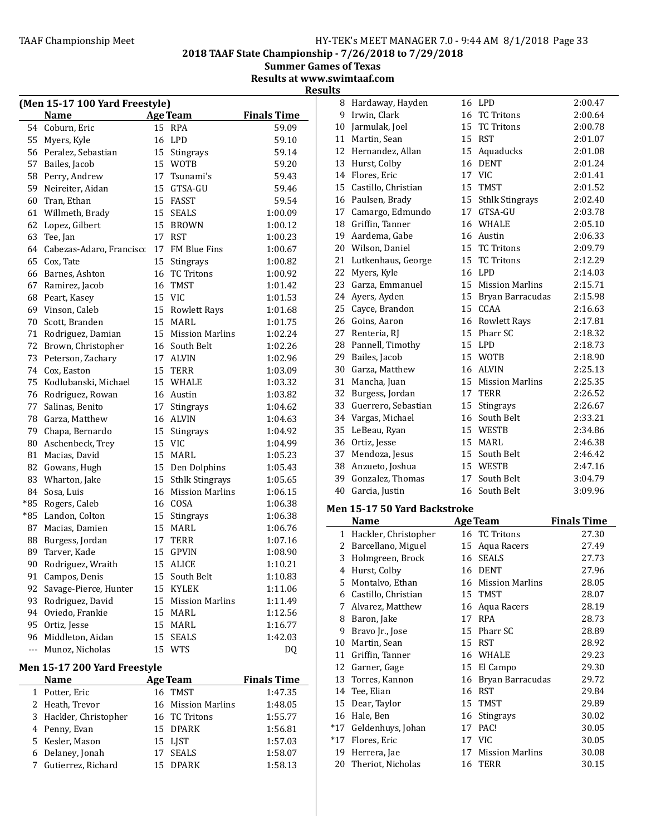8 Hardaway, Hayden 16 LPD 2:00.47

2018 TAAF State Championship - 7/26/2018 to 7/29/2018

Summer Games of Texas Results at www.swimtaaf.com

|          | (Men 15-17 100 Yard Freestyle)      |          |                                        |                    |
|----------|-------------------------------------|----------|----------------------------------------|--------------------|
|          | <b>Name</b>                         |          | <b>Age Team</b>                        | <b>Finals Time</b> |
| 54       | Coburn, Eric                        | 15       | <b>RPA</b>                             | 59.09              |
|          | 55 Myers, Kyle                      | 16       | LPD                                    | 59.10              |
|          | 56 Peralez, Sebastian               |          | 15 Stingrays                           | 59.14              |
| 57       | Bailes, Jacob                       |          | 15 WOTB                                | 59.20              |
| 58       | Perry, Andrew                       |          | 17 Tsunami's                           | 59.43              |
| 59       | Neireiter, Aidan                    |          | 15 GTSA-GU                             | 59.46              |
|          | 60 Tran, Ethan                      |          | 15 FASST                               | 59.54              |
|          | 61 Willmeth, Brady                  | 15       | <b>SEALS</b>                           | 1:00.09            |
| 62       | Lopez, Gilbert                      | 15       | <b>BROWN</b>                           | 1:00.12            |
| 63       | Tee, Jan                            | 17       | RST                                    | 1:00.23            |
|          | 64 Cabezas-Adaro, Francisco         |          | 17 FM Blue Fins                        | 1:00.67            |
|          | 65 Cox, Tate                        |          | 15 Stingrays                           | 1:00.82            |
| 66       | Barnes, Ashton                      | 16       | <b>TC Tritons</b>                      | 1:00.92            |
|          | 67 Ramirez, Jacob                   | 16       | TMST                                   | 1:01.42            |
| 68       | Peart, Kasey                        |          | 15 VIC                                 | 1:01.53            |
| 69       | Vinson, Caleb                       |          | 15 Rowlett Rays                        | 1:01.68            |
| 70       | Scott, Branden                      | 15       | MARL                                   | 1:01.75            |
|          | 71 Rodriguez, Damian                |          | 15 Mission Marlins                     | 1:02.24            |
| 72       | Brown, Christopher                  |          | 16 South Belt                          | 1:02.26            |
| 73       | Peterson, Zachary                   |          | 17 ALVIN                               | 1:02.96            |
|          | 74 Cox, Easton                      | 15       | <b>TERR</b>                            | 1:03.09            |
|          | 75 Kodlubanski, Michael             | 15       | WHALE                                  | 1:03.32            |
|          | 76 Rodriguez, Rowan                 |          | 16 Austin                              | 1:03.82            |
|          | 77 Salinas, Benito                  |          | 17 Stingrays                           | 1:04.62            |
|          | 78 Garza, Matthew                   | 16       | ALVIN                                  | 1:04.63            |
|          | 79 Chapa, Bernardo                  | 15       | Stingrays                              | 1:04.92            |
| 80       | Aschenbeck, Trey                    | 15       | <b>VIC</b>                             | 1:04.99            |
| 81       | Macias, David                       |          | 15 MARL                                | 1:05.23            |
|          | 82 Gowans, Hugh                     |          | 15 Den Dolphins                        | 1:05.43            |
| 83       | Wharton, Jake                       | 15       | <b>Sthlk Stingrays</b>                 | 1:05.65            |
| 84       | Sosa, Luis                          |          | 16 Mission Marlins                     | 1:06.15            |
| *85      | Rogers, Caleb                       |          | 16 COSA                                | 1:06.38            |
| $*85$    | Landon, Colton                      | 15       | Stingrays                              | 1:06.38            |
|          | 87 Macias, Damien                   |          | 15 MARL                                | 1:06.76            |
| 88       | Burgess, Jordan                     |          | 17 TERR                                | 1:07.16            |
| 89<br>90 | Tarver, Kade                        | 15<br>15 | GPVIN                                  | 1:08.90<br>1:10.21 |
|          | Rodriguez, Wraith                   |          | <b>ALICE</b>                           |                    |
|          | 91 Campos, Denis                    | 15       | South Belt                             | 1:10.83            |
| 92<br>93 | Savage-Pierce, Hunter               | 15<br>15 | <b>KYLEK</b><br><b>Mission Marlins</b> | 1:11.06            |
| 94       | Rodriguez, David<br>Oviedo, Frankie | 15       | MARL                                   | 1:11.49<br>1:12.56 |
|          | 95 Ortiz, Jesse                     | 15       |                                        |                    |
|          | 96 Middleton, Aidan                 | 15       | MARL<br><b>SEALS</b>                   | 1:16.77<br>1:42.03 |
| $---$    | Munoz, Nicholas                     | 15       | <b>WTS</b>                             | DQ                 |
|          |                                     |          |                                        |                    |
|          | Men 15-17 200 Yard Freestyle        |          |                                        |                    |

| <b>Name</b>            | <b>Age Team</b>    | <b>Finals Time</b> |
|------------------------|--------------------|--------------------|
| 1 Potter, Eric         | 16 TMST            | 1:47.35            |
| 2 Heath, Trevor        | 16 Mission Marlins | 1:48.05            |
| 3 Hackler, Christopher | 16 TC Tritons      | 1:55.77            |
| 4 Penny, Evan          | 15 DPARK           | 1:56.81            |
| 5 Kesler, Mason        | 15 LIST            | 1:57.03            |
| 6 Delaney, Jonah       | 17 SEALS           | 1:58.07            |
| 7 Gutierrez, Richard   | 15 DPARK           | 1:58.13            |

| 9            | Irwin, Clark                        | 16 | <b>TC Tritons</b>      | 2:00.64            |
|--------------|-------------------------------------|----|------------------------|--------------------|
| 10           | Jarmulak, Joel                      | 15 | <b>TC Tritons</b>      | 2:00.78            |
| 11           | Martin, Sean                        |    | 15 RST                 | 2:01.07            |
| 12           | Hernandez, Allan                    | 15 | Aquaducks              | 2:01.08            |
| 13           | Hurst, Colby                        | 16 | <b>DENT</b>            | 2:01.24            |
| 14           | Flores, Eric                        |    | 17 VIC                 | 2:01.41            |
| 15           | Castillo, Christian                 |    | 15 TMST                | 2:01.52            |
|              | 16 Paulsen, Brady                   |    | 15 Sthlk Stingrays     | 2:02.40            |
| 17           | Camargo, Edmundo                    |    | 17 GTSA-GU             | 2:03.78            |
| 18           | Griffin, Tanner                     |    | 16 WHALE               | 2:05.10            |
| 19           | Aardema, Gabe                       |    | 16 Austin              | 2:06.33            |
| 20           | Wilson, Daniel                      |    | 15 TC Tritons          | 2:09.79            |
| 21           | Lutkenhaus, George                  | 15 | <b>TC Tritons</b>      | 2:12.29            |
| 22           | Myers, Kyle                         |    | 16 LPD                 | 2:14.03            |
| 23           | Garza, Emmanuel                     |    | 15 Mission Marlins     | 2:15.71            |
| 24           | Ayers, Ayden                        |    | 15 Bryan Barracudas    | 2:15.98            |
| 25           | Cayce, Brandon                      |    | 15 CCAA                | 2:16.63            |
| 26           | Goins, Aaron                        |    | 16 Rowlett Rays        | 2:17.81            |
| 27           | Renteria, RJ                        |    | 15 Pharr SC            | 2:18.32            |
| 28           | Pannell, Timothy                    |    | 15 LPD                 | 2:18.73            |
| 29           | Bailes, Jacob                       |    | 15 WOTB                | 2:18.90            |
| 30           | Garza, Matthew                      |    | 16 ALVIN               | 2:25.13            |
| 31           | Mancha, Juan                        | 15 | <b>Mission Marlins</b> | 2:25.35            |
| 32           | Burgess, Jordan                     | 17 | <b>TERR</b>            | 2:26.52            |
| 33           | Guerrero, Sebastian                 |    | 15 Stingrays           | 2:26.67            |
|              | 34 Vargas, Michael                  |    | 16 South Belt          | 2:33.21            |
| 35           | LeBeau, Ryan                        |    | 15 WESTB               | 2:34.86            |
| 36           | Ortiz, Jesse                        |    | 15 MARL                | 2:46.38            |
| 37           | Mendoza, Jesus                      |    | 15 South Belt          | 2:46.42            |
| 38           | Anzueto, Joshua                     |    | 15 WESTB               | 2:47.16            |
| 39           | Gonzalez, Thomas                    | 17 | South Belt             | 3:04.79            |
| 40           | Garcia, Justin                      | 16 | South Belt             | 3:09.96            |
|              | <b>Men 15-17 50 Yard Backstroke</b> |    |                        |                    |
|              | <b>Name</b>                         |    | <b>Age Team</b>        | <b>Finals Time</b> |
| $\mathbf{1}$ | Hackler, Christopher                | 16 | <b>TC Tritons</b>      | 27.30              |

|       | Name                 |    | age ream               | rinais Time |
|-------|----------------------|----|------------------------|-------------|
| 1     | Hackler, Christopher |    | 16 TC Tritons          | 27.30       |
| 2     | Barcellano, Miguel   | 15 | Aqua Racers            | 27.49       |
| 3     | Holmgreen, Brock     | 16 | <b>SEALS</b>           | 27.73       |
| 4     | Hurst, Colby         | 16 | <b>DENT</b>            | 27.96       |
| 5     | Montalvo, Ethan      | 16 | <b>Mission Marlins</b> | 28.05       |
| 6     | Castillo, Christian  | 15 | TMST                   | 28.07       |
| 7     | Alvarez, Matthew     | 16 | Aqua Racers            | 28.19       |
| 8     | Baron, Jake          | 17 | <b>RPA</b>             | 28.73       |
| 9     | Bravo Jr., Jose      | 15 | Pharr SC               | 28.89       |
| 10    | Martin, Sean         | 15 | <b>RST</b>             | 28.92       |
| 11    | Griffin, Tanner      | 16 | WHALE                  | 29.23       |
| 12    | Garner, Gage         | 15 | El Campo               | 29.30       |
| 13    | Torres, Kannon       | 16 | Bryan Barracudas       | 29.72       |
| 14    | Tee, Elian           | 16 | <b>RST</b>             | 29.84       |
| 15    | Dear, Taylor         | 15 | <b>TMST</b>            | 29.89       |
| 16    | Hale, Ben            | 16 | <b>Stingrays</b>       | 30.02       |
| $*17$ | Geldenhuys, Johan    | 17 | PAC!                   | 30.05       |
| $*17$ | Flores, Eric         | 17 | <b>VIC</b>             | 30.05       |
| 19    | Herrera, Jae         | 17 | <b>Mission Marlins</b> | 30.08       |
| 20    | Theriot, Nicholas    |    | 16 TERR                | 30.15       |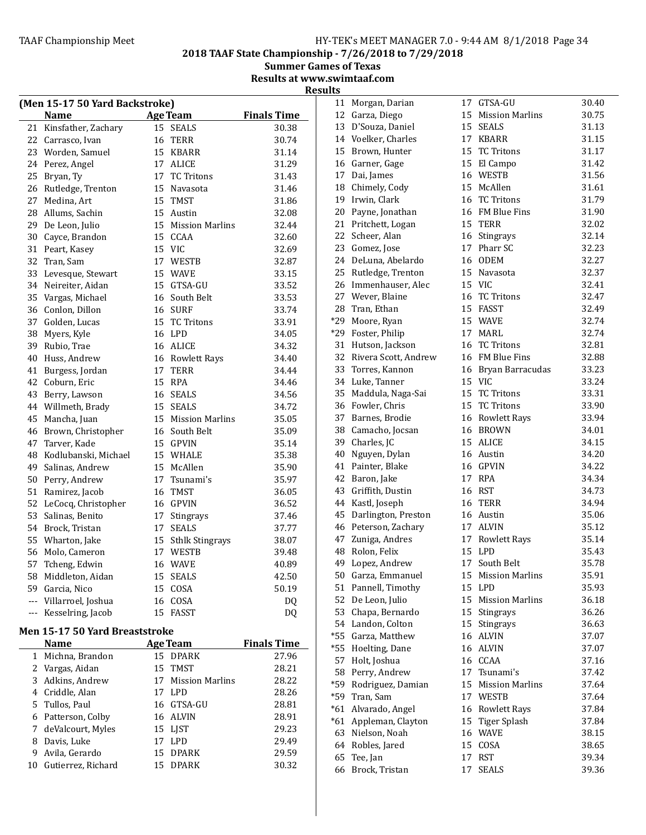2018 TAAF State Championship - 7/26/2018 to 7/29/2018

Summer Games of Texas Results at www.swimtaaf.com

**Results** 

|                | (Men 15-17 50 Yard Backstroke) |    |                        |                    |
|----------------|--------------------------------|----|------------------------|--------------------|
|                | Name                           |    | <b>Age Team</b>        | <b>Finals Time</b> |
| 21             | Kinsfather, Zachary            |    | 15 SEALS               | 30.38              |
| 22             | Carrasco, Ivan                 | 16 | <b>TERR</b>            | 30.74              |
| 23             | Worden, Samuel                 | 15 | <b>KBARR</b>           | 31.14              |
| 24             | Perez, Angel                   | 17 | <b>ALICE</b>           | 31.29              |
| 25             | Bryan, Ty                      |    | 17 TC Tritons          | 31.43              |
| 26             | Rutledge, Trenton              | 15 | Navasota               | 31.46              |
| 27             | Medina, Art                    |    | 15 TMST                | 31.86              |
| 28             | Allums, Sachin                 |    | 15 Austin              | 32.08              |
| 29             | De Leon, Julio                 |    | 15 Mission Marlins     | 32.44              |
| 30             | Cayce, Brandon                 |    | 15 CCAA                | 32.60              |
| 31             | Peart, Kasey                   |    | 15 VIC                 | 32.69              |
| 32             | Tran, Sam                      |    | 17 WESTB               | 32.87              |
| 33             | Levesque, Stewart              |    | 15 WAVE                | 33.15              |
| 34             | Neireiter, Aidan               |    | 15 GTSA-GU             | 33.52              |
| 35             | Vargas, Michael                |    | 16 South Belt          | 33.53              |
| 36             | Conlon, Dillon                 |    | 16 SURF                | 33.74              |
| 37             | Golden, Lucas                  |    | 15 TC Tritons          | 33.91              |
| 38             | Myers, Kyle                    |    | 16 LPD                 | 34.05              |
| 39             | Rubio, Trae                    |    | 16 ALICE               | 34.32              |
| 40             | Huss, Andrew                   |    | 16 Rowlett Rays        | 34.40              |
| 41             | Burgess, Jordan                |    | 17 TERR                | 34.44              |
| 42             | Coburn, Eric                   | 15 | <b>RPA</b>             | 34.46              |
| 43             | Berry, Lawson                  |    | 16 SEALS               | 34.56              |
| 44             | Willmeth, Brady                |    | 15 SEALS               | 34.72              |
| 45             | Mancha, Juan                   |    | 15 Mission Marlins     | 35.05              |
| 46             | Brown, Christopher             |    | 16 South Belt          | 35.09              |
| 47             | Tarver, Kade                   |    | 15 GPVIN               | 35.14              |
| 48             | Kodlubanski, Michael           |    | 15 WHALE               | 35.38              |
| 49             | Salinas, Andrew                |    | 15 McAllen             | 35.90              |
| 50             | Perry, Andrew                  |    | 17 Tsunami's           | 35.97              |
| 51             | Ramirez, Jacob                 | 16 | <b>TMST</b>            | 36.05              |
| 52             | LeCocq, Christopher            |    | 16 GPVIN               | 36.52              |
| 53             | Salinas, Benito                | 17 | <b>Stingrays</b>       | 37.46              |
| 54             | Brock, Tristan                 | 17 | <b>SEALS</b>           | 37.77              |
| 55             | Wharton, Jake                  | 15 | <b>Sthlk Stingrays</b> | 38.07              |
| 56             | Molo, Cameron                  | 17 | WESTB                  | 39.48              |
| 57             | Tcheng, Edwin                  |    | 16 WAVE                | 40.89              |
| 58             | Middleton, Aidan               |    | 15 SEALS               | 42.50              |
| 59             | Garcia, Nico                   | 15 | COSA                   | 50.19              |
| $\overline{a}$ | Villarroel, Joshua             | 16 | COSA                   | DQ                 |
| $---$          | Kesselring, Jacob              | 15 | <b>FASST</b>           | <b>DQ</b>          |

# Men 15-17 50 Yard Breaststroke

|    | Name                | Age Team           | <b>Finals Time</b> |
|----|---------------------|--------------------|--------------------|
|    | 1 Michna, Brandon   | 15 DPARK           | 27.96              |
|    | 2 Vargas, Aidan     | 15 TMST            | 28.21              |
|    | 3 Adkins, Andrew    | 17 Mission Marlins | 28.22              |
|    | 4 Criddle, Alan     | 17 LPD             | 28.26              |
|    | 5 Tullos, Paul      | 16 GTSA-GU         | 28.81              |
|    | 6 Patterson, Colby  | 16 ALVIN           | 28.91              |
|    | 7 deValcourt, Myles | 15 LJST            | 29.23              |
| 8  | Davis, Luke         | 17 LPD             | 29.49              |
| 9  | Avila, Gerardo      | 15 DPARK           | 29.59              |
| 10 | Gutierrez, Richard  | 15 DPARK           | 30.32              |

| 11    | Morgan, Darian       | 17 | GTSA-GU                | 30.40 |
|-------|----------------------|----|------------------------|-------|
|       | 12 Garza, Diego      | 15 | <b>Mission Marlins</b> | 30.75 |
|       | 13 D'Souza, Daniel   |    | 15 SEALS               | 31.13 |
|       | 14 Voelker, Charles  |    | 17 KBARR               | 31.15 |
|       | 15 Brown, Hunter     | 15 | <b>TC Tritons</b>      | 31.17 |
|       | 16 Garner, Gage      | 15 | El Campo               | 31.42 |
|       |                      |    | 16 WESTB               |       |
|       | 17 Dai, James        |    |                        | 31.56 |
|       | 18 Chimely, Cody     |    | 15 McAllen             | 31.61 |
|       | 19 Irwin, Clark      | 16 | <b>TC Tritons</b>      | 31.79 |
| 20    | Payne, Jonathan      | 16 | FM Blue Fins           | 31.90 |
| 21    | Pritchett, Logan     | 15 | <b>TERR</b>            | 32.02 |
| 22    | Scheer, Alan         | 16 | Stingrays              | 32.14 |
| 23    | Gomez, Jose          | 17 | Pharr SC               | 32.23 |
|       | 24 DeLuna, Abelardo  |    | 16 ODEM                | 32.27 |
|       | 25 Rutledge, Trenton |    | 15 Navasota            | 32.37 |
|       | 26 Immenhauser, Alec |    | 15 VIC                 | 32.41 |
|       | 27 Wever, Blaine     | 16 | <b>TC Tritons</b>      | 32.47 |
| 28    | Tran, Ethan          | 15 | FASST                  | 32.49 |
|       | *29 Moore, Ryan      |    | 15 WAVE                | 32.74 |
|       | *29 Foster, Philip   | 17 | MARL                   | 32.74 |
| 31    | Hutson, Jackson      | 16 | <b>TC Tritons</b>      | 32.81 |
| 32    | Rivera Scott, Andrew |    | 16 FM Blue Fins        | 32.88 |
| 33    | Torres, Kannon       | 16 | Bryan Barracudas       | 33.23 |
|       | 34 Luke, Tanner      |    | 15 VIC                 | 33.24 |
|       | 35 Maddula, Naga-Sai |    | 15 TC Tritons          | 33.31 |
|       | 36 Fowler, Chris     |    | 15 TC Tritons          | 33.90 |
|       | 37 Barnes, Brodie    |    | 16 Rowlett Rays        | 33.94 |
|       | 38 Camacho, Jocsan   | 16 | <b>BROWN</b>           | 34.01 |
|       | 39 Charles, JC       |    | 15 ALICE               | 34.15 |
|       | 40 Nguyen, Dylan     |    | 16 Austin              | 34.20 |
|       | 41 Painter, Blake    |    | 16 GPVIN               | 34.22 |
|       | 42 Baron, Jake       |    | 17 RPA                 | 34.34 |
| 43    | Griffith, Dustin     | 16 | RST                    | 34.73 |
|       | 44 Kastl, Joseph     |    | 16 TERR                | 34.94 |
| 45    | Darlington, Preston  |    | 16 Austin              | 35.06 |
|       | 46 Peterson, Zachary | 17 | <b>ALVIN</b>           | 35.12 |
| 47    | Zuniga, Andres       | 17 | <b>Rowlett Rays</b>    | 35.14 |
|       | 48 Rolon, Felix      | 15 | <b>LPD</b>             | 35.43 |
| 49    | Lopez, Andrew        | 17 | South Belt             | 35.78 |
|       | 50 Garza, Emmanuel   | 15 | <b>Mission Marlins</b> | 35.91 |
|       | 51 Pannell, Timothy  | 15 | <b>LPD</b>             | 35.93 |
|       | 52 De Leon, Julio    | 15 | <b>Mission Marlins</b> | 36.18 |
|       |                      |    |                        |       |
| 53    | Chapa, Bernardo      | 15 | Stingrays              | 36.26 |
|       | 54 Landon, Colton    | 15 | Stingrays              | 36.63 |
| $*55$ | Garza, Matthew       | 16 | <b>ALVIN</b>           | 37.07 |
| *55   | Hoelting, Dane       | 16 | ALVIN                  | 37.07 |
| 57    | Holt, Joshua         | 16 | CCAA                   | 37.16 |
| 58    | Perry, Andrew        | 17 | Tsunami's              | 37.42 |
| *59   | Rodriguez, Damian    | 15 | <b>Mission Marlins</b> | 37.64 |
| *59   | Tran, Sam            |    | 17 WESTB               | 37.64 |
| $*61$ | Alvarado, Angel      | 16 | <b>Rowlett Rays</b>    | 37.84 |
| $*61$ | Appleman, Clayton    | 15 | Tiger Splash           | 37.84 |
| 63    | Nielson, Noah        | 16 | <b>WAVE</b>            | 38.15 |
|       | 64 Robles, Jared     | 15 | COSA                   | 38.65 |
| 65    | Tee, Jan             | 17 | <b>RST</b>             | 39.34 |
| 66    | Brock, Tristan       | 17 | <b>SEALS</b>           | 39.36 |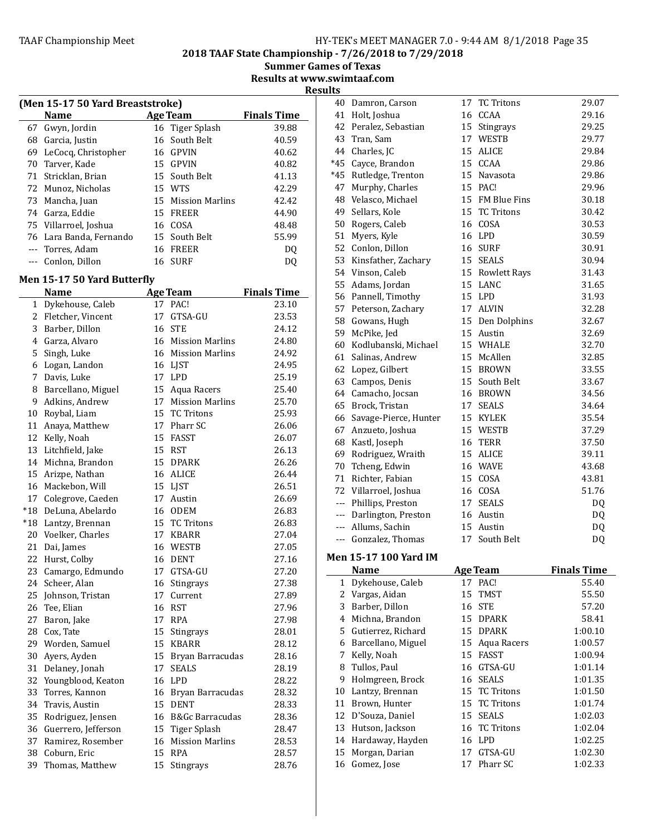2018 TAAF State Championship - 7/26/2018 to 7/29/2018

**Summer Games of Texas** Results at www.swimtaaf.com

**Results** 

|    | (Men 15-17 50 Yard Breaststroke) |    |                    |                    |
|----|----------------------------------|----|--------------------|--------------------|
|    | <b>Name</b>                      |    | <b>Age Team</b>    | <b>Finals Time</b> |
| 67 | Gwyn, Jordin                     |    | 16 Tiger Splash    | 39.88              |
| 68 | Garcia, Justin                   |    | 16 South Belt      | 40.59              |
| 69 | LeCocq, Christopher              |    | 16 GPVIN           | 40.62              |
| 70 | Tarver, Kade                     |    | 15 GPVIN           | 40.82              |
| 71 | Stricklan, Brian                 |    | 15 South Belt      | 41.13              |
|    | 72 Munoz, Nicholas               |    | 15 WTS             | 42.29              |
| 73 | Mancha, Juan                     |    | 15 Mission Marlins | 42.42              |
|    | 74 Garza, Eddie                  | 15 | FREER              | 44.90              |
|    | 75 Villarroel, Joshua            |    | 16 COSA            | 48.48              |
|    | 76 Lara Banda, Fernando          |    | 15 South Belt      | 55.99              |
|    | Torres, Adam                     |    | 16 FREER           | DO                 |
|    | Conlon, Dillon                   | 16 | <b>SURF</b>        | DΟ                 |
|    |                                  |    |                    |                    |

# Men 15-17 50 Yard Butterfly

|              | Name                   |    | <b>Age Team</b>        | <b>Finals Time</b> |
|--------------|------------------------|----|------------------------|--------------------|
| $\mathbf{1}$ | Dykehouse, Caleb       | 17 | PAC!                   | 23.10              |
|              | 2 Fletcher, Vincent    | 17 | GTSA-GU                | 23.53              |
| 3            | Barber, Dillon         | 16 | <b>STE</b>             | 24.12              |
|              | 4 Garza, Alvaro        | 16 | <b>Mission Marlins</b> | 24.80              |
| 5            | Singh, Luke            | 16 | <b>Mission Marlins</b> | 24.92              |
|              | 6 Logan, Landon        |    | 16 LIST                | 24.95              |
| 7            | Davis, Luke            | 17 | <b>LPD</b>             | 25.19              |
| 8            | Barcellano, Miguel     | 15 | Aqua Racers            | 25.40              |
| 9            | Adkins, Andrew         | 17 | <b>Mission Marlins</b> | 25.70              |
|              | 10 Roybal, Liam        | 15 | <b>TC Tritons</b>      | 25.93              |
| 11           | Anaya, Matthew         | 17 | Pharr SC               | 26.06              |
|              | 12 Kelly, Noah         | 15 | <b>FASST</b>           | 26.07              |
|              | 13 Litchfield, Jake    | 15 | RST                    | 26.13              |
|              | 14 Michna, Brandon     | 15 | DPARK                  | 26.26              |
|              | 15 Arizpe, Nathan      | 16 | ALICE                  | 26.44              |
|              | 16 Mackebon, Will      | 15 | <b>LJST</b>            | 26.51              |
|              | 17 Colegrove, Caeden   | 17 | Austin                 | 26.69              |
|              | *18 DeLuna, Abelardo   | 16 | ODEM                   | 26.83              |
|              | *18 Lantzy, Brennan    | 15 | <b>TC Tritons</b>      | 26.83              |
|              | 20 Voelker, Charles    | 17 | KBARR                  | 27.04              |
|              | 21 Dai, James          | 16 | WESTB                  | 27.05              |
|              | 22 Hurst, Colby        | 16 | DENT                   | 27.16              |
|              | 23 Camargo, Edmundo    | 17 | GTSA-GU                | 27.20              |
| 24           | Scheer, Alan           | 16 | <b>Stingrays</b>       | 27.38              |
| 25           | Johnson, Tristan       | 17 | Current                | 27.89              |
| 26           | Tee, Elian             | 16 | <b>RST</b>             | 27.96              |
| 27           | Baron, Jake            | 17 | <b>RPA</b>             | 27.98              |
|              | 28 Cox, Tate           | 15 | Stingrays              | 28.01              |
|              | 29 Worden, Samuel      | 15 | <b>KBARR</b>           | 28.12              |
| 30           | Ayers, Ayden           | 15 | Bryan Barracudas       | 28.16              |
| 31           | Delaney, Jonah         | 17 | <b>SEALS</b>           | 28.19              |
| 32           | Youngblood, Keaton     | 16 | <b>LPD</b>             | 28.22              |
| 33           | Torres, Kannon         | 16 | Bryan Barracudas       | 28.32              |
|              | 34 Travis, Austin      | 15 | <b>DENT</b>            | 28.33              |
|              | 35 Rodriguez, Jensen   | 16 | B&Gc Barracudas        | 28.36              |
|              | 36 Guerrero, Jefferson | 15 | <b>Tiger Splash</b>    | 28.47              |
|              | 37 Ramirez, Rosember   | 16 | <b>Mission Marlins</b> | 28.53              |
|              | 38 Coburn, Eric        | 15 | <b>RPA</b>             | 28.57              |
| 39           | Thomas, Matthew        | 15 | Stingrays              | 28.76              |

| 40       | Damron, Carson                      | 17       | <b>TC Tritons</b>             | 29.07                       |
|----------|-------------------------------------|----------|-------------------------------|-----------------------------|
|          | 41 Holt, Joshua                     | 16       | CCAA                          | 29.16                       |
| 42       | Peralez, Sebastian                  | 15       | Stingrays                     | 29.25                       |
|          | 43 Tran, Sam                        | 17       | WESTB                         | 29.77                       |
|          | 44 Charles, JC                      | 15       | <b>ALICE</b>                  | 29.84                       |
|          | *45 Cayce, Brandon                  | 15       | CCAA                          | 29.86                       |
|          | *45 Rutledge, Trenton               | 15       | Navasota                      | 29.86                       |
| 47       | Murphy, Charles                     | 15       | PAC!                          | 29.96                       |
| 48       | Velasco, Michael                    | 15       | FM Blue Fins                  | 30.18                       |
| 49       | Sellars, Kole                       | 15       | <b>TC Tritons</b>             | 30.42                       |
| 50       | Rogers, Caleb                       |          | 16 COSA                       | 30.53                       |
| 51       | Myers, Kyle                         | 16       | LPD                           | 30.59                       |
|          | 52 Conlon, Dillon                   | 16       | SURF                          | 30.91                       |
|          | 53 Kinsfather, Zachary              | 15       | SEALS                         | 30.94                       |
|          | 54 Vinson, Caleb                    | 15       | <b>Rowlett Rays</b>           | 31.43                       |
|          | 55 Adams, Jordan                    | 15       | LANC                          | 31.65                       |
|          | 56 Pannell, Timothy                 | 15       | <b>LPD</b>                    | 31.93                       |
|          | 57 Peterson, Zachary                | 17       | <b>ALVIN</b>                  | 32.28                       |
|          | 58 Gowans, Hugh                     | 15       | Den Dolphins                  | 32.67                       |
|          | 59 McPike, Jed                      | 15       | Austin                        | 32.69                       |
|          | 60 Kodlubanski, Michael             |          | 15 WHALE                      | 32.70                       |
|          | 61 Salinas, Andrew                  | 15       | McAllen                       |                             |
|          |                                     |          |                               | 32.85                       |
|          | 62 Lopez, Gilbert                   | 15       | <b>BROWN</b><br>15 South Belt | 33.55                       |
|          | 63 Campos, Denis                    |          |                               | 33.67                       |
|          | 64 Camacho, Jocsan                  | 16       | <b>BROWN</b>                  | 34.56                       |
|          | 65 Brock, Tristan                   | 17       | <b>SEALS</b>                  | 34.64                       |
|          | 66 Savage-Pierce, Hunter            | 15       | KYLEK                         | 35.54                       |
| 67       | Anzueto, Joshua                     | 15       | WESTB                         | 37.29                       |
| 68       | Kastl, Joseph                       | 16       | <b>TERR</b>                   | 37.50                       |
|          | 69 Rodriguez, Wraith                | 15       | ALICE                         | 39.11                       |
|          | 70 Tcheng, Edwin                    | 16       | WAVE                          | 43.68                       |
|          |                                     |          |                               |                             |
|          | 71 Richter, Fabian                  | 15       | COSA                          | 43.81                       |
|          | 72 Villarroel, Joshua               | 16       | COSA                          | 51.76                       |
|          | --- Phillips, Preston               | 17       | <b>SEALS</b>                  | DQ                          |
|          | --- Darlington, Preston             | 16       | Austin                        | DQ                          |
|          | --- Allums, Sachin                  |          | 15 Austin                     | DQ                          |
|          | --- Gonzalez, Thomas                | 17       | South Belt                    | DQ                          |
|          | <b>Men 15-17 100 Yard IM</b>        |          |                               |                             |
|          | Name                                |          |                               |                             |
| 1        |                                     | 17       | Age Team<br>PAC!              | <b>Finals Time</b><br>55.40 |
| 2        | Dykehouse, Caleb                    | 15       | <b>TMST</b>                   | 55.50                       |
| 3        | Vargas, Aidan                       | 16       |                               |                             |
| 4        | Barber, Dillon                      | 15       | <b>STE</b><br>DPARK           | 57.20                       |
| 5        | Michna, Brandon                     | 15       |                               | 58.41                       |
|          | Gutierrez, Richard                  |          | <b>DPARK</b>                  | 1:00.10                     |
| 6<br>7   | Barcellano, Miguel                  | 15<br>15 | Aqua Racers                   | 1:00.57<br>1:00.94          |
|          | Kelly, Noah                         |          | FASST                         |                             |
| 8        | Tullos, Paul                        | 16       | GTSA-GU                       | 1:01.14                     |
| 9        | Holmgreen, Brock                    | 16       | <b>SEALS</b>                  | 1:01.35                     |
| 10       | Lantzy, Brennan                     | 15       | <b>TC Tritons</b>             | 1:01.50                     |
| 11       | Brown, Hunter                       | 15       | <b>TC Tritons</b>             | 1:01.74                     |
| 12       | D'Souza, Daniel                     | 15       | <b>SEALS</b>                  | 1:02.03                     |
| 13<br>14 | Hutson, Jackson<br>Hardaway, Hayden | 16<br>16 | <b>TC Tritons</b><br>LPD      | 1:02.04<br>1:02.25          |

15 Morgan, Darian 17 GTSA-GU 1:02.30 Gomez, Jose 17 Pharr SC 1:02.33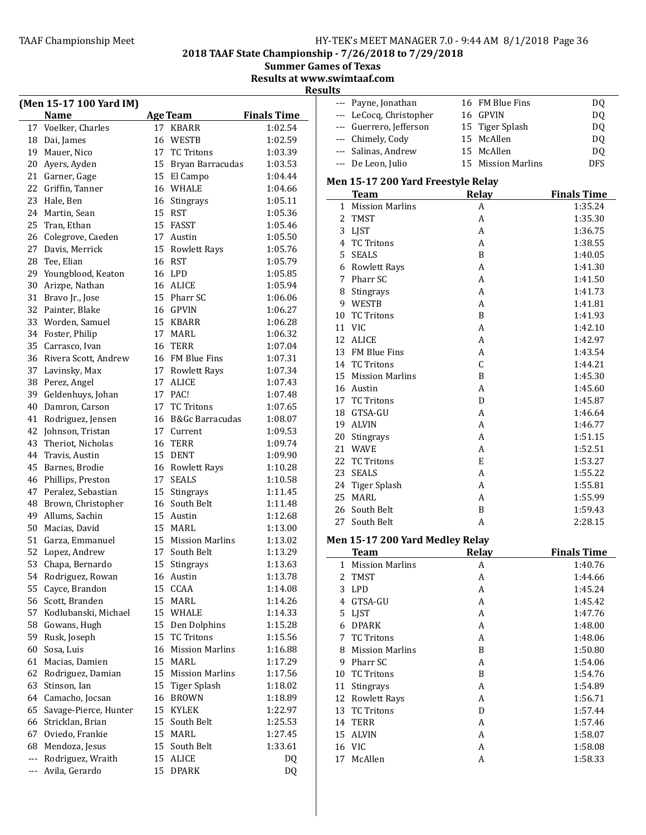2018 TAAF State Championship - 7/26/2018 to 7/29/2018

Summer Games of Texas

Results at www.swimtaaf.com

| <b>Finals Time</b><br><b>Name</b><br><b>Age Team</b><br>$---$<br>17 Voelker, Charles<br>17 KBARR<br>1:02.54<br>$---$<br>16 WESTB<br>1:02.59<br>Dai, James<br>$---$<br>18<br>17 TC Tritons<br>Mauer, Nico<br>1:03.39<br>19<br>$---$<br>15 Bryan Barracudas<br>Ayers, Ayden<br>1:03.53<br>20<br>21 Garner, Gage<br>15 El Campo<br>1:04.44<br>Griffin, Tanner<br>WHALE<br>22<br>1:04.66<br>16 | LeCocq, Christopher<br>16 GPVIN<br>Guerrero, Jefferson<br>Tiger Splash<br>15<br>15 McAllen<br>15 McAllen<br>15 Mission Marlins<br>Relay |
|--------------------------------------------------------------------------------------------------------------------------------------------------------------------------------------------------------------------------------------------------------------------------------------------------------------------------------------------------------------------------------------------|-----------------------------------------------------------------------------------------------------------------------------------------|
|                                                                                                                                                                                                                                                                                                                                                                                            |                                                                                                                                         |
| Chimely, Cody<br>--- De Leon, Julio                                                                                                                                                                                                                                                                                                                                                        |                                                                                                                                         |
| Salinas, Andrew                                                                                                                                                                                                                                                                                                                                                                            |                                                                                                                                         |
|                                                                                                                                                                                                                                                                                                                                                                                            |                                                                                                                                         |
| Men 15-17 200 Yard Freestyle Relay                                                                                                                                                                                                                                                                                                                                                         |                                                                                                                                         |
|                                                                                                                                                                                                                                                                                                                                                                                            |                                                                                                                                         |
|                                                                                                                                                                                                                                                                                                                                                                                            |                                                                                                                                         |
| <b>Team</b><br>23 Hale, Ben<br>Stingrays<br>1:05.11<br>16                                                                                                                                                                                                                                                                                                                                  |                                                                                                                                         |
| 1 Mission Marlins<br>Martin, Sean<br>15 RST<br>1:05.36<br>24                                                                                                                                                                                                                                                                                                                               |                                                                                                                                         |
| 2 TMST<br>15 FASST<br>Tran, Ethan<br>1:05.46                                                                                                                                                                                                                                                                                                                                               |                                                                                                                                         |
| 3 LJST<br>26 Colegrove, Caeden<br>1:05.50<br>17 Austin                                                                                                                                                                                                                                                                                                                                     |                                                                                                                                         |
| 4 TC Tritons<br>27 Davis, Merrick<br>1:05.76<br>15<br>Rowlett Rays                                                                                                                                                                                                                                                                                                                         |                                                                                                                                         |
| 5 SEALS<br><b>RST</b><br>Tee, Elian<br>16<br>1:05.79<br>28                                                                                                                                                                                                                                                                                                                                 |                                                                                                                                         |
| 6 Rowlett Rays<br>Youngblood, Keaton<br>16 LPD<br>1:05.85<br>29                                                                                                                                                                                                                                                                                                                            |                                                                                                                                         |
| 7 Pharr SC<br>Arizpe, Nathan<br>16 ALICE<br>1:05.94<br>30                                                                                                                                                                                                                                                                                                                                  | A                                                                                                                                       |
| 8<br>Stingrays<br>31 Bravo Jr., Jose<br>15 Pharr SC<br>1:06.06                                                                                                                                                                                                                                                                                                                             | A                                                                                                                                       |
| WESTB<br>9<br>16 GPVIN<br>32 Painter, Blake<br>1:06.27                                                                                                                                                                                                                                                                                                                                     | A                                                                                                                                       |
| <b>TC Tritons</b><br>10<br>Worden, Samuel<br>15 KBARR<br>1:06.28                                                                                                                                                                                                                                                                                                                           | B                                                                                                                                       |
| 33<br>11 VIC<br>34 Foster, Philip<br>17 MARL<br>1:06.32                                                                                                                                                                                                                                                                                                                                    | A                                                                                                                                       |
| 12<br>ALICE<br><b>TERR</b><br>Carrasco, Ivan<br>1:07.04<br>35<br>16                                                                                                                                                                                                                                                                                                                        | А                                                                                                                                       |
| 13<br><b>FM Blue Fins</b><br>Rivera Scott, Andrew<br>16 FM Blue Fins<br>1:07.31                                                                                                                                                                                                                                                                                                            | А                                                                                                                                       |
| 36<br>14 TC Tritons<br>37 Lavinsky, Max<br>1:07.34<br>17 Rowlett Rays                                                                                                                                                                                                                                                                                                                      | C                                                                                                                                       |
| <b>Mission Marlins</b><br>15<br>38<br>Perez, Angel<br>17 ALICE<br>1:07.43                                                                                                                                                                                                                                                                                                                  | B                                                                                                                                       |
| Austin<br>16<br>17 PAC!<br>Geldenhuys, Johan<br>1:07.48<br>39                                                                                                                                                                                                                                                                                                                              | A                                                                                                                                       |
| <b>TC Tritons</b><br>17<br><b>TC Tritons</b><br>Damron, Carson<br>1:07.65<br>40<br>17                                                                                                                                                                                                                                                                                                      | D                                                                                                                                       |
| 18<br>GTSA-GU<br>16 B&Gc Barracudas<br>Rodriguez, Jensen<br>1:08.07<br>41                                                                                                                                                                                                                                                                                                                  | А                                                                                                                                       |
| 19 ALVIN<br>Johnson, Tristan<br>17 Current<br>1:09.53<br>42                                                                                                                                                                                                                                                                                                                                | A                                                                                                                                       |
| 20<br>Stingrays<br><b>TERR</b><br>Theriot, Nicholas<br>1:09.74<br>43                                                                                                                                                                                                                                                                                                                       | A                                                                                                                                       |
| 16<br>21 WAVE<br>15 DENT<br>1:09.90                                                                                                                                                                                                                                                                                                                                                        | A                                                                                                                                       |
| Travis, Austin<br>44<br>22 TC Tritons<br>Barnes, Brodie<br>16 Rowlett Rays<br>1:10.28                                                                                                                                                                                                                                                                                                      | E                                                                                                                                       |
| 45<br><b>SEALS</b><br>23<br>17 SEALS<br>1:10.58                                                                                                                                                                                                                                                                                                                                            | А                                                                                                                                       |
| 46 Phillips, Preston<br>24<br>Tiger Splash<br>47 Peralez, Sebastian                                                                                                                                                                                                                                                                                                                        | А                                                                                                                                       |
| Stingrays<br>1:11.45<br>15<br>25<br>MARL                                                                                                                                                                                                                                                                                                                                                   | А                                                                                                                                       |
| Brown, Christopher<br>South Belt<br>1:11.48<br>48<br>16<br>South Belt<br>26<br>Allums, Sachin<br>15 Austin<br>1:12.68<br>49                                                                                                                                                                                                                                                                | B                                                                                                                                       |
| 27<br>South Belt<br>MARL<br>50                                                                                                                                                                                                                                                                                                                                                             | A                                                                                                                                       |
| Macias, David<br>15<br>1:13.00<br>Men 15-17 200 Yard Medley Relay<br>15 Mission Marlins                                                                                                                                                                                                                                                                                                    |                                                                                                                                         |
| Garza, Emmanuel<br>1:13.02<br>51                                                                                                                                                                                                                                                                                                                                                           |                                                                                                                                         |
| 52 Lopez, Andrew<br>South Belt<br>1:13.29<br>17<br><b>Team</b>                                                                                                                                                                                                                                                                                                                             | Relay                                                                                                                                   |
| 53 Chapa, Bernardo<br>15 Stingrays<br>1:13.63<br>1 Mission Marlins                                                                                                                                                                                                                                                                                                                         | A                                                                                                                                       |
| 54 Rodriguez, Rowan<br>1:13.78<br>16 Austin<br>2<br><b>TMST</b>                                                                                                                                                                                                                                                                                                                            | A                                                                                                                                       |
| Cayce, Brandon<br>15 CCAA<br>1:14.08<br>3 LPD<br>55                                                                                                                                                                                                                                                                                                                                        | А                                                                                                                                       |
| 56 Scott, Branden<br>15 MARL<br>1:14.26<br>4 GTSA-GU                                                                                                                                                                                                                                                                                                                                       | A                                                                                                                                       |
| Kodlubanski, Michael<br>15 WHALE<br>1:14.33<br>5 LJST<br>57                                                                                                                                                                                                                                                                                                                                | A                                                                                                                                       |
| Gowans, Hugh<br>1:15.28<br>Den Dolphins<br>58<br>15<br>6 DPARK                                                                                                                                                                                                                                                                                                                             | A                                                                                                                                       |
| Rusk, Joseph<br><b>TC Tritons</b><br>1:15.56<br>59<br>7 TC Tritons<br>15                                                                                                                                                                                                                                                                                                                   | A                                                                                                                                       |
| Sosa, Luis<br><b>Mission Marlins</b><br>1:16.88<br><b>Mission Marlins</b><br>60<br>16<br>8                                                                                                                                                                                                                                                                                                 | B                                                                                                                                       |
| Macias, Damien<br>15<br>MARL<br>1:17.29<br>Pharr SC<br>61<br>9                                                                                                                                                                                                                                                                                                                             | А                                                                                                                                       |
| 62 Rodriguez, Damian<br><b>Mission Marlins</b><br>1:17.56<br><b>TC Tritons</b><br>15<br>10                                                                                                                                                                                                                                                                                                 | B                                                                                                                                       |
| Stinson, Ian<br>Tiger Splash<br>1:18.02<br>63<br>15<br>11<br>Stingrays                                                                                                                                                                                                                                                                                                                     | A                                                                                                                                       |
| Camacho, Jocsan<br>16 BROWN<br>1:18.89<br>12 Rowlett Rays<br>64                                                                                                                                                                                                                                                                                                                            | A                                                                                                                                       |
| Savage-Pierce, Hunter<br>15 KYLEK<br>1:22.97<br>13 TC Tritons<br>65                                                                                                                                                                                                                                                                                                                        | D                                                                                                                                       |
| Stricklan, Brian<br>15 South Belt<br>1:25.53<br>14 TERR<br>66                                                                                                                                                                                                                                                                                                                              | A                                                                                                                                       |
| Oviedo, Frankie<br>15 MARL<br>1:27.45<br>67<br>15 ALVIN                                                                                                                                                                                                                                                                                                                                    | A                                                                                                                                       |
| Mendoza, Jesus<br>15 South Belt<br>1:33.61<br>16 VIC<br>68                                                                                                                                                                                                                                                                                                                                 | A                                                                                                                                       |
| Rodriguez, Wraith<br>15 ALICE<br>DQ<br>17 McAllen                                                                                                                                                                                                                                                                                                                                          | A                                                                                                                                       |
| Avila, Gerardo<br>15 DPARK<br>DQ                                                                                                                                                                                                                                                                                                                                                           |                                                                                                                                         |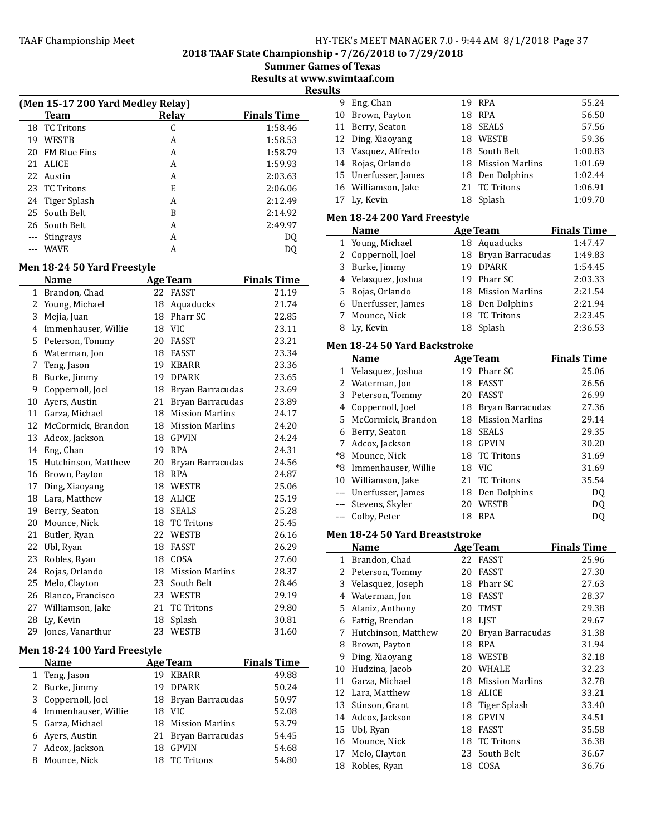2018 TAAF State Championship - 7/26/2018 to 7/29/2018

Summer Games of Texas

Results at www.swimtaaf.com

**Results** 

|    | u<br>(Men 15-17 200 Yard Medley Relay)                                     |       |                    |  |  |
|----|----------------------------------------------------------------------------|-------|--------------------|--|--|
|    | Team                                                                       | Relay | <b>Finals Time</b> |  |  |
|    | 18 TC Tritons                                                              | C     | 1:58.46            |  |  |
| 19 | <b>WESTB</b>                                                               | A     | 1:58.53            |  |  |
| 20 | <b>FM Blue Fins</b>                                                        | A     | 1:58.79            |  |  |
|    | 21 ALICE                                                                   | A     | 1:59.93            |  |  |
|    | 22 Austin                                                                  | A     | 2:03.63            |  |  |
|    | 23 TC Tritons                                                              | E     | 2:06.06            |  |  |
|    | 24 Tiger Splash                                                            | A     | 2:12.49            |  |  |
|    | 25 South Belt                                                              | B     | 2:14.92            |  |  |
|    | 26 South Belt                                                              | A     | 2:49.97            |  |  |
|    | Stingrays                                                                  | A     | DQ                 |  |  |
|    | <b>WAVE</b>                                                                | A     | DO                 |  |  |
|    | $\lambda$ $\sim$ $\lambda$ $\sim$ $\sim$ $\lambda$ $\sim$ $\lambda$<br>. . |       |                    |  |  |

# Men 18-24 50 Yard Freestyle

|              | <b>Name</b>         |    | <b>Age Team</b>        | <b>Finals Time</b> |
|--------------|---------------------|----|------------------------|--------------------|
| $\mathbf{1}$ | Brandon, Chad       | 22 | <b>FASST</b>           | 21.19              |
| 2            | Young, Michael      | 18 | Aquaducks              | 21.74              |
| 3            | Mejia, Juan         | 18 | Pharr SC               | 22.85              |
| 4            | Immenhauser, Willie |    | 18 VIC                 | 23.11              |
| 5.           | Peterson, Tommy     | 20 | FASST                  | 23.21              |
| 6            | Waterman, Jon       | 18 | FASST                  | 23.34              |
| 7            | Teng, Jason         | 19 | <b>KBARR</b>           | 23.36              |
| 8            | Burke, Jimmy        | 19 | <b>DPARK</b>           | 23.65              |
| 9            | Coppernoll, Joel    | 18 | Bryan Barracudas       | 23.69              |
| 10           | Ayers, Austin       | 21 | Bryan Barracudas       | 23.89              |
| 11           | Garza, Michael      | 18 | <b>Mission Marlins</b> | 24.17              |
| 12           | McCormick, Brandon  | 18 | <b>Mission Marlins</b> | 24.20              |
| 13           | Adcox, Jackson      | 18 | <b>GPVIN</b>           | 24.24              |
| 14           | Eng, Chan           | 19 | <b>RPA</b>             | 24.31              |
| 15           | Hutchinson, Matthew | 20 | Bryan Barracudas       | 24.56              |
| 16           | Brown, Payton       | 18 | <b>RPA</b>             | 24.87              |
| 17           | Ding, Xiaoyang      | 18 | WESTB                  | 25.06              |
| 18           | Lara, Matthew       | 18 | ALICE                  | 25.19              |
| 19           | Berry, Seaton       | 18 | <b>SEALS</b>           | 25.28              |
| 20           | Mounce, Nick        | 18 | <b>TC Tritons</b>      | 25.45              |
| 21           | Butler, Ryan        | 22 | WESTB                  | 26.16              |
| 22           | Ubl, Ryan           | 18 | <b>FASST</b>           | 26.29              |
| 23           | Robles, Ryan        | 18 | COSA                   | 27.60              |
| 24           | Rojas, Orlando      | 18 | <b>Mission Marlins</b> | 28.37              |
| 25           | Melo, Clayton       | 23 | South Belt             | 28.46              |
| 26           | Blanco, Francisco   | 23 | <b>WESTB</b>           | 29.19              |
| 27           | Williamson, Jake    | 21 | <b>TC Tritons</b>      | 29.80              |
| 28           | Ly, Kevin           | 18 | Splash                 | 30.81              |
| 29           | Jones, Vanarthur    | 23 | WESTB                  | 31.60              |

# Men 18-24 100 Yard Freestyle

|   | <b>Name</b>           |    | <b>Age Team</b>     | <b>Finals Time</b> |
|---|-----------------------|----|---------------------|--------------------|
|   | 1 Teng, Jason         |    | 19 KBARR            | 49.88              |
|   | 2 Burke, Jimmy        |    | 19 DPARK            | 50.24              |
|   | 3 Coppernoll, Joel    |    | 18 Bryan Barracudas | 50.97              |
|   | 4 Immenhauser, Willie |    | 18 VIC              | 52.08              |
|   | 5 Garza, Michael      |    | 18 Mission Marlins  | 53.79              |
|   | 6 Ayers, Austin       |    | 21 Bryan Barracudas | 54.45              |
|   | 7 Adcox, Jackson      | 18 | <b>GPVIN</b>        | 54.68              |
| 8 | Mounce, Nick          | 18 | <b>TC Tritons</b>   | 54.80              |

| 9  | Eng, Chan                      | 19 | <b>RPA</b>             | 55.24              |
|----|--------------------------------|----|------------------------|--------------------|
| 10 | Brown, Payton                  | 18 | <b>RPA</b>             | 56.50              |
| 11 | Berry, Seaton                  | 18 | <b>SEALS</b>           | 57.56              |
|    | 12 Ding, Xiaoyang              |    | 18 WESTB               | 59.36              |
|    | 13 Vasquez, Alfredo            |    | 18 South Belt          | 1:00.83            |
|    | 14 Rojas, Orlando              |    | 18 Mission Marlins     | 1:01.69            |
|    | 15 Unerfusser, James           |    | 18 Den Dolphins        | 1:02.44            |
|    | 16 Williamson, Jake            | 21 | <b>TC Tritons</b>      | 1:06.91            |
|    | 17 Ly, Kevin                   | 18 | Splash                 | 1:09.70            |
|    | Men 18-24 200 Yard Freestyle   |    |                        |                    |
|    | <b>Name</b>                    |    | <b>Age Team</b>        | <b>Finals Time</b> |
|    | 1 Young, Michael               |    | 18 Aquaducks           | 1:47.47            |
|    | 2 Coppernoll, Joel             | 18 | Bryan Barracudas       | 1:49.83            |
|    | 3 Burke, Jimmy                 | 19 | <b>DPARK</b>           | 1:54.45            |
|    | 4 Velasquez, Joshua            |    | 19 Pharr SC            | 2:03.33            |
|    | 5 Rojas, Orlando               | 18 | <b>Mission Marlins</b> | 2:21.54            |
|    | 6 Unerfusser, James            |    | 18 Den Dolphins        | 2:21.94            |
|    | 7 Mounce, Nick                 | 18 | <b>TC Tritons</b>      | 2:23.45            |
|    | 8 Ly, Kevin                    | 18 | Splash                 | 2:36.53            |
|    |                                |    |                        |                    |
|    | Men 18-24 50 Yard Backstroke   |    |                        |                    |
|    | Name                           |    | <b>Age Team</b>        | <b>Finals Time</b> |
|    | 1 Velasquez, Joshua            |    | 19 Pharr SC            | 25.06              |
|    | 2 Waterman, Jon                |    | 18 FASST               | 26.56              |
|    | 3 Peterson, Tommy              |    | 20 FASST               | 26.99              |
|    | 4 Coppernoll, Joel             | 18 | Bryan Barracudas       | 27.36              |
|    | 5 McCormick, Brandon           | 18 | <b>Mission Marlins</b> | 29.14              |
|    | 6 Berry, Seaton                | 18 | <b>SEALS</b>           | 29.35              |
|    | 7 Adcox, Jackson               |    | 18 GPVIN               | 30.20              |
|    | *8 Mounce, Nick                | 18 | <b>TC Tritons</b>      | 31.69              |
|    | *8 Immenhauser, Willie         |    | 18 VIC                 | 31.69              |
|    | 10 Williamson, Jake            |    | 21 TC Tritons          | 35.54              |
|    | --- Unerfusser, James          |    | 18 Den Dolphins        | DQ                 |
|    | --- Stevens, Skyler            |    | 20 WESTB               | DQ                 |
|    | --- Colby, Peter               |    | 18 RPA                 | DQ                 |
|    | Men 18-24 50 Yard Breaststroke |    |                        |                    |
|    | <b>Name</b>                    |    | <b>Age Team</b>        | <b>Finals Time</b> |
|    | 1 Brandon, Chad                |    | 22 FASST               | 25.96              |
| 2  | Peterson, Tommy                | 20 | FASST                  | 27.30              |
| 3  | Velasquez, Joseph              | 18 | Pharr SC               | 27.63              |
|    | 4 Waterman, Jon                | 18 | FASST                  | 28.37              |
| 5  | Alaniz, Anthony                | 20 | <b>TMST</b>            | 29.38              |
|    | 6 Fattig, Brendan              | 18 | LJST                   | 29.67              |
| 7  | Hutchinson, Matthew            | 20 | Bryan Barracudas       | 31.38              |
|    | 8 Brown, Payton                | 18 | <b>RPA</b>             | 31.94              |
|    | 9 Ding, Xiaoyang               |    | 18 WESTB               | 32.18              |
|    | 10 Hudzina, Jacob              |    | 20 WHALE               | 32.23              |
|    | 11 Garza, Michael              | 18 | <b>Mission Marlins</b> | 32.78              |
|    | 12 Lara, Matthew               |    | 18 ALICE               | 33.21              |
| 13 | Stinson, Grant                 | 18 | <b>Tiger Splash</b>    | 33.40              |
|    | 14 Adcox, Jackson              | 18 | <b>GPVIN</b>           | 34.51              |
| 15 | Ubl, Ryan                      | 18 | FASST                  | 35.58              |
| 16 | Mounce, Nick                   | 18 | <b>TC Tritons</b>      | 36.38              |
|    |                                |    |                        |                    |
| 17 | Melo, Clayton                  | 23 | South Belt             | 36.67              |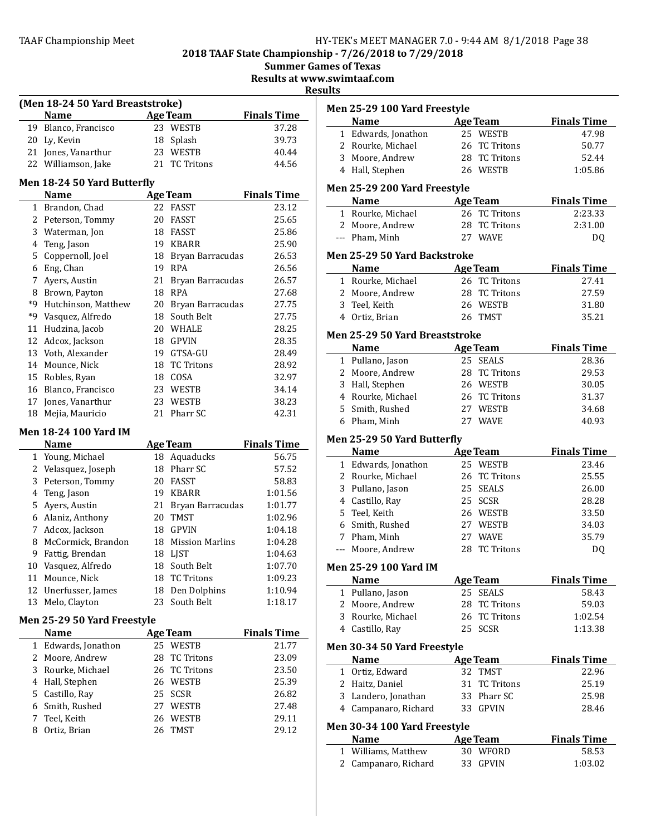2018 TAAF State Championship - 7/26/2018 to 7/29/2018

**Summer Games of Texas** 

Results at www.swimtaaf.com

# **Results**

| (Men 18-24 50 Yard Breaststroke) |                              |    |                     |                    |  |
|----------------------------------|------------------------------|----|---------------------|--------------------|--|
|                                  | <b>Name</b>                  |    | <b>Age Team</b>     | <b>Finals Time</b> |  |
|                                  | 19 Blanco, Francisco         |    | 23 WESTB            | 37.28              |  |
|                                  | 20 Ly, Kevin                 | 18 | Splash              | 39.73              |  |
|                                  | 21 Jones, Vanarthur          |    | 23 WESTB            | 40.44              |  |
|                                  | 22 Williamson, Jake          |    | 21 TC Tritons       | 44.56              |  |
|                                  | Men 18-24 50 Yard Butterfly  |    |                     |                    |  |
|                                  | Name                         |    | <b>Age Team</b>     | <b>Finals Time</b> |  |
| 1                                | Brandon, Chad                | 22 | <b>FASST</b>        | 23.12              |  |
|                                  | 2 Peterson, Tommy            | 20 | <b>FASST</b>        | 25.65              |  |
|                                  | 3 Waterman, Jon              |    | 18 FASST            | 25.86              |  |
|                                  | 4 Teng, Jason                |    | 19 KBARR            | 25.90              |  |
|                                  | 5 Coppernoll, Joel           |    | 18 Bryan Barracudas | 26.53              |  |
|                                  | 6 Eng, Chan                  |    | 19 RPA              | 26.56              |  |
|                                  | 7 Ayers, Austin              |    | 21 Bryan Barracudas | 26.57              |  |
|                                  | 8 Brown, Payton              |    | 18 RPA              | 27.68              |  |
|                                  | *9 Hutchinson, Matthew       |    | 20 Bryan Barracudas | 27.75              |  |
| *9                               | Vasquez, Alfredo             |    | 18 South Belt       | 27.75              |  |
|                                  | 11 Hudzina, Jacob            |    | 20 WHALE            | 28.25              |  |
|                                  | 12 Adcox, Jackson            |    | 18 GPVIN            | 28.35              |  |
|                                  | 13 Voth, Alexander           |    | 19 GTSA-GU          | 28.49              |  |
|                                  | 14 Mounce, Nick              | 18 | <b>TC Tritons</b>   | 28.92              |  |
|                                  | 15 Robles, Ryan              |    | 18 COSA             | 32.97              |  |
|                                  | 16 Blanco, Francisco         |    | 23 WESTB            | 34.14              |  |
| 17                               | Jones, Vanarthur             |    | 23 WESTB            | 38.23              |  |
| 18                               | Mejia, Mauricio              |    | 21 Pharr SC         | 42.31              |  |
|                                  | <b>Men 18-24 100 Yard IM</b> |    |                     |                    |  |
|                                  | <b>Name</b>                  |    | <b>Age Team</b>     | <b>Finals Time</b> |  |
|                                  | 1 Young, Michael             |    | 18 Aquaducks        | 56.75              |  |
|                                  | 2 Velasquez, Joseph          |    | 18 Pharr SC         | 57.52              |  |
| 3                                | Peterson, Tommy              |    | 20 FASST            | 58.83              |  |
| 4                                | Teng, Jason                  |    | 19 KBARR            | 1:01.56            |  |
| 5.                               | Ayers, Austin                |    | 21 Bryan Barracudas | 1:01.77            |  |
|                                  | 6 Alaniz, Anthony            | 20 | <b>TMST</b>         | 1:02.96            |  |
| 7                                | Adcox, Jackson               |    | 18 GPVIN            | 1:04.18            |  |
|                                  | 8 McCormick, Brandon         |    | 18 Mission Marlins  | 1:04.28            |  |
|                                  | 9 Fattig, Brendan            |    | 18 LJST             | 1:04.63            |  |
| 10                               | Vasquez, Alfredo             | 18 | South Belt          | 1:07.70            |  |
| 11                               | Mounce, Nick                 |    | 18 TC Tritons       | 1:09.23            |  |
| 12                               | Unerfusser, James            | 18 | Den Dolphins        | 1:10.94            |  |
| 13                               | Melo, Clayton                | 23 | South Belt          | 1:18.17            |  |
|                                  | Men 25-29 50 Yard Freestyle  |    |                     |                    |  |
|                                  | Name                         |    | <u>Age Team</u>     | <b>Finals Time</b> |  |
| $\mathbf{1}$                     | Edwards, Jonathon            |    | 25 WESTB            | 21.77              |  |
| $\mathbf{2}$                     | Moore, Andrew                | 28 | <b>TC Tritons</b>   | 23.09              |  |
| 3                                | Rourke, Michael              | 26 | <b>TC Tritons</b>   | 23.50              |  |

4 Hall, Stephen 26 WESTB 25.39 Castillo, Ray 25 SCSR 26.82 6 Smith, Rushed 27 WESTB 27.48 Teel, Keith 26 WESTB 29.11

8 Ortiz, Brian

| Men 25-29 100 Yard Freestyle                |                                       |                             |
|---------------------------------------------|---------------------------------------|-----------------------------|
| <b>Name</b>                                 | <b>Age Team</b>                       | <b>Finals Time</b>          |
| 1 Edwards, Jonathon                         | 25 WESTB                              | 47.98                       |
| 2 Rourke, Michael                           | 26 TC Tritons                         | 50.77                       |
| 3 Moore, Andrew                             | 28 TC Tritons                         | 52.44                       |
| 4 Hall, Stephen                             | 26 WESTB                              | 1:05.86                     |
| Men 25-29 200 Yard Freestyle                |                                       |                             |
| Name                                        | <b>Age Team</b>                       | <b>Finals Time</b>          |
| 1 Rourke, Michael                           | 26 TC Tritons                         | 2:23.33                     |
| 2 Moore, Andrew                             | 28 TC Tritons                         | 2:31.00                     |
| --- Pham, Minh                              | 27 WAVE                               | DQ                          |
| Men 25-29 50 Yard Backstroke                |                                       |                             |
| <b>Name</b>                                 | <b>Age Team</b>                       | <b>Finals Time</b>          |
| 1 Rourke, Michael                           | 26 TC Tritons                         | 27.41                       |
| 2 Moore, Andrew                             | 28 TC Tritons                         | 27.59                       |
| 3 Teel, Keith                               | 26 WESTB                              | 31.80                       |
| 4 Ortiz, Brian                              | 26 TMST                               | 35.21                       |
| Men 25-29 50 Yard Breaststroke              |                                       |                             |
| <b>Name</b><br>1 Pullano, Jason             | <b>Age Team</b><br>25 SEALS           | <b>Finals Time</b><br>28.36 |
|                                             | 28 TC Tritons                         | 29.53                       |
| 2 Moore, Andrew                             | 26 WESTB                              | 30.05                       |
| 3 Hall, Stephen<br>4 Rourke, Michael        | 26 TC Tritons                         | 31.37                       |
|                                             |                                       | 34.68                       |
| 5 Smith, Rushed<br>6 Pham, Minh             | 27 WESTB<br>27 WAVE                   |                             |
|                                             |                                       | 40.93                       |
| Men 25-29 50 Yard Butterfly                 |                                       |                             |
|                                             |                                       |                             |
| <b>Name</b>                                 | <b>Age Team</b>                       | <b>Finals Time</b>          |
| 1 Edwards, Jonathon                         | 25 WESTB                              | 23.46                       |
| 2 Rourke, Michael                           | 26 TC Tritons                         | 25.55                       |
| 3 Pullano, Jason                            | 25 SEALS                              | 26.00                       |
| 4 Castillo, Ray                             | 25 SCSR                               | 28.28                       |
| 5 Teel, Keith                               | 26 WESTB                              | 33.50                       |
| 6 Smith, Rushed                             | 27 WESTB                              | 34.03                       |
| 7 Pham, Minh                                | 27 WAVE                               | 35.79                       |
| Moore, Andrew                               | <b>TC Tritons</b><br>28               | DQ                          |
| <b>Men 25-29 100 Yard IM</b>                |                                       |                             |
| Name                                        | <b>Age Team</b>                       | <b>Finals Time</b>          |
| 1 Pullano, Jason                            | 25 SEALS                              | 58.43                       |
| 2 Moore, Andrew                             | TC Tritons<br>28                      | 59.03                       |
| 3 Rourke, Michael<br>4 Castillo, Ray        | 26<br>TC Tritons<br><b>SCSR</b><br>25 | 1:02.54<br>1:13.38          |
|                                             |                                       |                             |
| Men 30-34 50 Yard Freestyle<br><b>Name</b>  | <b>Age Team</b>                       | <b>Finals Time</b>          |
| 1 Ortiz, Edward                             | 32<br><b>TMST</b>                     | 22.96                       |
| 2 Haitz, Daniel                             | <b>TC Tritons</b><br>31               | 25.19                       |
| 3 Landero, Jonathan                         | Pharr SC<br>33                        | 25.98                       |
| 4 Campanaro, Richard                        | <b>GPVIN</b><br>33                    | 28.46                       |
| Men 30-34 100 Yard Freestyle                |                                       |                             |
| Name                                        | <b>Age Team</b>                       | <b>Finals Time</b>          |
| 1 Williams, Matthew<br>2 Campanaro, Richard | 30<br>WFORD                           | 58.53                       |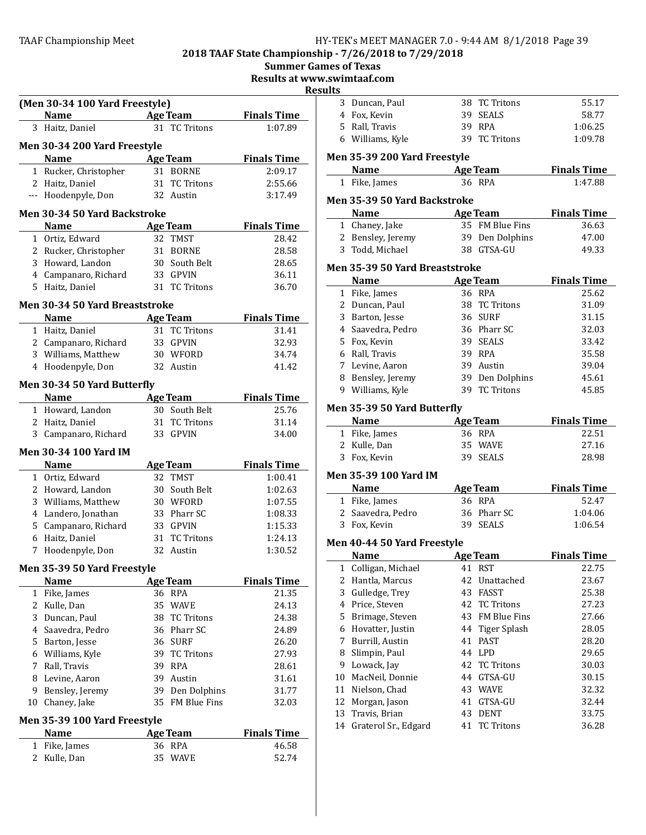# TAAF Championship Meet TAAF Championship Meet Factor MANAGER 7.0 - 9:44 AM 8/1/2018 Page 39

2018 TAAF State Championship - 7/26/2018 to 7/29/2018

Summer Games of Texas

Results at www.swimtaaf.com

|                       |                                     |                 |                 | kes                |
|-----------------------|-------------------------------------|-----------------|-----------------|--------------------|
|                       | (Men 30-34 100 Yard Freestyle)      |                 |                 |                    |
|                       | Name                                | <b>Age Team</b> |                 | <b>Finals Time</b> |
|                       | 3 Haitz, Daniel                     |                 | 31 TC Tritons   | 1:07.89            |
|                       | Men 30-34 200 Yard Freestyle        |                 |                 |                    |
|                       | <b>Name</b>                         | <b>Age Team</b> |                 | <b>Finals Time</b> |
|                       | 1 Rucker, Christopher               | 31 BORNE        |                 | 2:09.17            |
|                       | 2 Haitz, Daniel                     |                 | 31 TC Tritons   | 2:55.66            |
|                       | --- Hoodenpyle, Don                 | 32 Austin       |                 | 3:17.49            |
|                       | <b>Men 30-34 50 Yard Backstroke</b> |                 |                 |                    |
|                       | Name                                | <b>Age Team</b> |                 | <b>Finals Time</b> |
|                       | 1 Ortiz, Edward                     | 32 TMST         |                 | 28.42              |
|                       | 2 Rucker, Christopher               | 31 BORNE        |                 | 28.58              |
|                       | 3 Howard, Landon                    |                 | 30 South Belt   | 28.65              |
|                       | 4 Campanaro, Richard                | 33 GPVIN        |                 | 36.11              |
|                       | 5 Haitz, Daniel                     |                 | 31 TC Tritons   | 36.70              |
|                       | Men 30-34 50 Yard Breaststroke      |                 |                 |                    |
|                       | <b>Name</b>                         | Age Team        |                 | <b>Finals Time</b> |
|                       | 1 Haitz, Daniel                     |                 | 31 TC Tritons   | 31.41              |
|                       | 2 Campanaro, Richard                | 33 GPVIN        |                 | 32.93              |
|                       | 3 Williams, Matthew                 | 30 WFORD        |                 | 34.74              |
|                       | 4 Hoodenpyle, Don                   | 32 Austin       |                 | 41.42              |
|                       |                                     |                 |                 |                    |
|                       | Men 30-34 50 Yard Butterfly         |                 |                 |                    |
|                       | <b>Name</b>                         | <b>Age Team</b> |                 | <b>Finals Time</b> |
|                       | 1 Howard, Landon                    |                 | 30 South Belt   | 25.76              |
|                       | 2 Haitz, Daniel                     |                 | 31 TC Tritons   | 31.14              |
|                       | 3 Campanaro, Richard                | 33 GPVIN        |                 | 34.00              |
|                       | Men 30-34 100 Yard IM               |                 |                 |                    |
|                       | <b>Name</b>                         | <b>Age Team</b> |                 | <b>Finals Time</b> |
|                       | 1 Ortiz, Edward                     | 32 TMST         |                 | 1:00.41            |
|                       | 2 Howard, Landon                    |                 | 30 South Belt   | 1:02.63            |
|                       | 3 Williams, Matthew                 | 30 WFORD        |                 | 1:07.55            |
|                       | 4 Landero, Jonathan                 |                 | 33 Pharr SC     | 1:08.33            |
|                       | 5 Campanaro, Richard                | 33 GPVIN        |                 | 1:15.33            |
|                       | 6 Haitz, Daniel                     |                 | 31 TC Tritons   | 1:24.13            |
|                       | 7 Hoodenpyle, Don                   | 32 Austin       |                 | 1:30.52            |
|                       | Men 35-39 50 Yard Freestyle         |                 |                 |                    |
|                       | <b>Name</b>                         | <b>Age Team</b> |                 | <b>Finals Time</b> |
| $\mathbf{1}$          | Fike, James                         | 36 RPA          |                 | 21.35              |
| 2                     | Kulle, Dan                          | 35 WAVE         |                 | 24.13              |
| 3                     | Duncan, Paul                        |                 | 38 TC Tritons   | 24.38              |
| 4                     | Saavedra, Pedro                     |                 | 36 Pharr SC     | 24.89              |
|                       | 5 Barton, Jesse                     | 36 SURF         |                 | 26.20              |
|                       | 6 Williams, Kyle                    |                 | 39 TC Tritons   | 27.93              |
| 7                     | Rall, Travis                        | 39 RPA          |                 | 28.61              |
|                       | 8 Levine, Aaron                     | 39 Austin       |                 | 31.61              |
|                       | 9 Bensley, Jeremy                   |                 | 39 Den Dolphins | 31.77              |
|                       | 10 Chaney, Jake                     |                 | 35 FM Blue Fins | 32.03              |
|                       | <b>Men 35-39 100 Yard Freestyle</b> |                 |                 |                    |
|                       | <b>Name</b>                         | <b>Age Team</b> |                 | <b>Finals Time</b> |
| $\mathbf{1}$          | Fike, James                         | 36 RPA          |                 | 46.58              |
| $\mathbf{2}^{\prime}$ | Kulle, Dan                          | 35 WAVE         |                 | 52.74              |
|                       |                                     |                 |                 |                    |

|          | 3 Duncan, Paul                        |          | 38 TC Tritons      | 55.17              |
|----------|---------------------------------------|----------|--------------------|--------------------|
|          | 4 Fox, Kevin                          |          | 39 SEALS           | 58.77              |
|          | 5 Rall, Travis                        |          | 39 RPA             | 1:06.25            |
|          | 6 Williams, Kyle                      |          | 39 TC Tritons      | 1:09.78            |
|          |                                       |          |                    |                    |
|          | Men 35-39 200 Yard Freestyle<br>Name  |          |                    | <b>Finals Time</b> |
|          | <b>Age Team</b><br>1 Fike, James      |          | 36 RPA             | 1:47.88            |
|          |                                       |          |                    |                    |
|          | Men 35-39 50 Yard Backstroke          |          |                    |                    |
|          | <b>Name</b>                           |          | <b>Age Team</b>    | <b>Finals Time</b> |
|          | 1 Chaney, Jake                        |          | 35 FM Blue Fins    | 36.63              |
|          | 2 Bensley, Jeremy                     |          | 39 Den Dolphins    | 47.00              |
|          | 3 Todd, Michael                       |          | 38 GTSA-GU         | 49.33              |
|          | <b>Men 35-39 50 Yard Breaststroke</b> |          |                    |                    |
|          | Name                                  |          | Age Team           | <b>Finals Time</b> |
|          | 1 Fike, James                         |          | 36 RPA             | 25.62              |
|          | 2 Duncan, Paul                        |          | 38 TC Tritons      | 31.09              |
|          | 3 Barton, Jesse                       |          | 36 SURF            | 31.15              |
|          | 4 Saavedra, Pedro                     |          | 36 Pharr SC        | 32.03              |
|          | 5 Fox, Kevin                          |          | 39 SEALS           | 33.42              |
|          | 6 Rall, Travis                        |          | 39 RPA             | 35.58              |
|          | 7 Levine, Aaron                       |          | 39 Austin          | 39.04              |
|          | 8 Bensley, Jeremy                     |          | 39 Den Dolphins    | 45.61              |
|          | 9 Williams, Kyle                      |          | 39 TC Tritons      | 45.85              |
|          | Men 35-39 50 Yard Butterfly           |          |                    |                    |
|          | <b>Name</b>                           |          |                    | <b>Finals Time</b> |
|          |                                       |          |                    |                    |
|          |                                       |          | Age Team<br>36 RPA | 22.51              |
|          | 1 Fike, James<br>2 Kulle, Dan         |          | 35 WAVE            | 27.16              |
|          | 3 Fox, Kevin                          |          | 39 SEALS           | 28.98              |
|          |                                       |          |                    |                    |
|          | Men 35-39 100 Yard IM                 |          |                    |                    |
|          | <b>Name</b>                           |          | <b>Age Team</b>    | <b>Finals Time</b> |
|          | 1 Fike, James                         |          | 36 RPA             | 52.47              |
|          | 2 Saavedra, Pedro                     |          | 36 Pharr SC        | 1:04.06            |
|          | 3 Fox, Kevin                          |          | 39 SEALS           | 1:06.54            |
|          | Men 40-44 50 Yard Freestyle           |          |                    |                    |
|          | Name                                  |          | <b>Age Team</b>    | <b>Finals Time</b> |
|          | 1 Colligan, Michael                   |          | 41 RST             | 22.75              |
|          | 2 Hantla, Marcus                      |          | 42 Unattached      | 23.67              |
| 3        | Gulledge, Trey                        | 43       | FASST              | 25.38              |
|          | 4 Price, Steven                       |          | 42 TC Tritons      | 27.23              |
| 5.       | Brimage, Steven                       |          | 43 FM Blue Fins    | 27.66              |
|          | 6 Hovatter, Justin                    |          | 44 Tiger Splash    | 28.05              |
| 7        | Burrill, Austin                       | 41       | PAST               | 28.20              |
| 8        | Slimpin, Paul                         | 44       | LPD                | 29.65              |
| 9        | Lowack, Jay                           | 42       | <b>TC Tritons</b>  | 30.03              |
| 10       | MacNeil, Donnie                       | 44       | GTSA-GU            | 30.15              |
| 11       | Nielson, Chad                         |          | 43 WAVE            | 32.32              |
| 12       | Morgan, Jason                         | 41       | GTSA-GU            | 32.44              |
| 13<br>14 | Travis, Brian<br>Graterol Sr., Edgard | 43<br>41 | DENT<br>TC Tritons | 33.75<br>36.28     |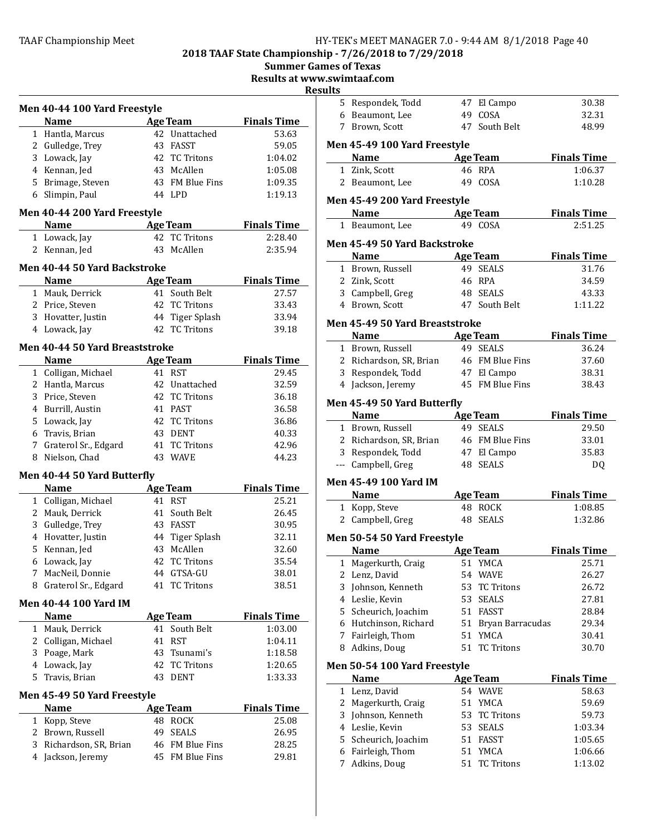2018 TAAF State Championship - 7/26/2018 to 7/29/2018

Summer Games of Texas

Results at www.swimtaaf.com

 $u$ lt

|   | Men 40-44 100 Yard Freestyle                  |                                     |                                                                           |
|---|-----------------------------------------------|-------------------------------------|---------------------------------------------------------------------------|
|   | Name                                          | Age Team                            | <b>Finals Time</b>                                                        |
|   | 1 Hantla, Marcus                              | 42 Unattached                       | 53.63                                                                     |
|   | 2 Gulledge, Trey                              | 43 FASST                            | 59.05                                                                     |
|   | 3 Lowack, Jay                                 | 42 TC Tritons                       | 1:04.02                                                                   |
|   | 4 Kennan, Jed                                 | 43 McAllen                          | 1:05.08                                                                   |
|   | 5 Brimage, Steven                             | 43 FM Blue Fins                     | 1:09.35                                                                   |
|   | 6 Slimpin, Paul                               | 44 LPD                              | 1:19.13                                                                   |
|   | Men 40-44 200 Yard Freestyle                  |                                     |                                                                           |
|   | <b>Name</b>                                   | <b>Age Team</b><br>42 TC Tritons    | <b>Finals Time</b><br>2:28.40                                             |
|   | 1 Lowack, Jay                                 | 43 McAllen                          |                                                                           |
|   | 2 Kennan, Jed                                 |                                     | 2:35.94                                                                   |
|   | Men 40-44 50 Yard Backstroke<br><b>Name</b>   |                                     |                                                                           |
|   |                                               | <b>Age Team</b><br>41 South Belt    | <b>Finals Time</b>                                                        |
|   | 1 Mauk, Derrick                               |                                     | 27.57                                                                     |
|   | 2 Price, Steven                               | 42 TC Tritons                       | 33.43                                                                     |
|   | 3 Hovatter, Justin                            | 44 Tiger Splash<br>42 TC Tritons    | 33.94                                                                     |
|   | 4 Lowack, Jay                                 |                                     | 39.18                                                                     |
|   | Men 40-44 50 Yard Breaststroke<br><b>Name</b> | <b>Age Team</b>                     | <b>Finals Time</b>                                                        |
|   | 1 Colligan, Michael                           | 41 RST                              | 29.45                                                                     |
|   | 2 Hantla, Marcus                              | 42 Unattached                       | 32.59                                                                     |
|   | 3 Price, Steven                               | 42 TC Tritons                       | 36.18                                                                     |
|   | 4 Burrill, Austin                             | 41 PAST                             | 36.58                                                                     |
|   | 5 Lowack, Jay                                 | 42 TC Tritons                       | 36.86                                                                     |
|   | 6 Travis, Brian                               | 43 DENT                             | 40.33                                                                     |
|   | 7 Graterol Sr., Edgard                        | 41 TC Tritons                       | 42.96                                                                     |
|   | 8 Nielson, Chad                               | 43 WAVE                             | 44.23                                                                     |
|   |                                               |                                     |                                                                           |
|   | Men 40-44 50 Yard Butterfly<br><b>Name</b>    | <b>Age Team</b>                     | <b>Finals Time</b>                                                        |
|   | 1 Colligan, Michael                           | 41 RST                              | 25.21                                                                     |
|   | 2 Mauk, Derrick                               | 41 South Belt                       | 26.45                                                                     |
|   | 3 Gulledge, Trey                              | 43 FASST                            | 30.95                                                                     |
|   | 4 Hovatter, Justin                            | 44 Tiger Splash                     | 32.11                                                                     |
|   | 5 Kennan, Jed                                 | 43 McAllen                          | 32.60                                                                     |
|   | 6 Lowack, Jay                                 | 42 TC Tritons                       | 35.54                                                                     |
|   |                                               |                                     | 38.01                                                                     |
|   |                                               |                                     |                                                                           |
|   | 7 MacNeil, Donnie                             | 44 GTSA-GU                          |                                                                           |
|   | 8 Graterol Sr., Edgard                        | <b>TC Tritons</b><br>41             | 38.51                                                                     |
|   | Men 40-44 100 Yard IM                         |                                     |                                                                           |
|   | Name<br>1 Mauk, Derrick                       | <b>Age Team</b><br>South Belt<br>41 |                                                                           |
|   |                                               | 41<br><b>RST</b>                    |                                                                           |
|   | 2 Colligan, Michael                           | Tsunami's<br>43                     |                                                                           |
|   | 3 Poage, Mark                                 |                                     |                                                                           |
|   | 4 Lowack, Jay<br>5 Travis, Brian              | 42 TC Tritons<br><b>DENT</b><br>43  |                                                                           |
|   |                                               |                                     | <b>Finals Time</b><br>1:03.00<br>1:04.11<br>1:18.58<br>1:20.65<br>1:33.33 |
|   | Men 45-49 50 Yard Freestyle<br><b>Name</b>    |                                     |                                                                           |
|   |                                               | <b>Age Team</b><br>48 ROCK          |                                                                           |
|   | 1 Kopp, Steve                                 | 49<br><b>SEALS</b>                  | <b>Finals Time</b><br>25.08                                               |
| 3 | 2 Brown, Russell<br>Richardson, SR, Brian     | 46 FM Blue Fins                     | 26.95<br>28.25                                                            |

| ults | .swiilitaal.com                                                          |    |                            |                               |
|------|--------------------------------------------------------------------------|----|----------------------------|-------------------------------|
|      | 5 Respondek, Todd                                                        |    | 47 El Campo                | 30.38                         |
|      | 6 Beaumont, Lee                                                          |    | 49 COSA                    | 32.31                         |
|      | 7 Brown, Scott                                                           |    | 47 South Belt              | 48.99                         |
|      |                                                                          |    |                            |                               |
|      | Men 45-49 100 Yard Freestyle<br><b>Name</b><br><b>Example 2</b> Age Team |    |                            | <b>Finals Time</b>            |
|      | 1 Zink, Scott                                                            |    | 46 RPA                     | 1:06.37                       |
|      | 2 Beaumont, Lee                                                          |    | 49 COSA                    | 1:10.28                       |
|      |                                                                          |    |                            |                               |
|      | Men 45-49 200 Yard Freestyle                                             |    |                            |                               |
|      | Name<br><b>Example 2</b> Age Team                                        |    | 49 COSA                    | <b>Finals Time</b><br>2:51.25 |
|      | 1 Beaumont, Lee                                                          |    |                            |                               |
|      | Men 45-49 50 Yard Backstroke                                             |    |                            |                               |
|      | <b>Name</b>                                                              |    | <b>Age Team</b>            | <b>Finals Time</b>            |
|      | 1 Brown, Russell                                                         |    | 49 SEALS                   | 31.76                         |
|      | 2 Zink, Scott                                                            |    | 46 RPA                     | 34.59                         |
|      | 3 Campbell, Greg                                                         |    | 48 SEALS                   | 43.33                         |
|      | 4 Brown, Scott                                                           |    | 47 South Belt              | 1:11.22                       |
|      | Men 45-49 50 Yard Breaststroke                                           |    |                            |                               |
|      | Name Age Team                                                            |    |                            | <b>Finals Time</b>            |
|      | 1 Brown, Russell                                                         |    | 49 SEALS                   | 36.24                         |
|      | 2 Richardson, SR, Brian                                                  |    | 46 FM Blue Fins            | 37.60                         |
|      | 3 Respondek, Todd                                                        |    | 47 El Campo                | 38.31                         |
|      | 4 Jackson, Jeremy                                                        |    | 45 FM Blue Fins            | 38.43                         |
|      | Men 45-49 50 Yard Butterfly                                              |    |                            |                               |
|      | <b>Name</b>                                                              |    | Age Team                   | <b>Finals Time</b>            |
|      | 1 Brown, Russell                                                         |    | 49 SEALS                   | 29.50                         |
|      | 2 Richardson, SR, Brian                                                  |    | 46 FM Blue Fins            | 33.01                         |
|      | 3 Respondek, Todd                                                        |    | 47 El Campo                | 35.83                         |
|      | --- Campbell, Greg                                                       |    | 48 SEALS                   | <b>DQ</b>                     |
|      | Men 45-49 100 Yard IM                                                    |    |                            |                               |
|      | <b>Name</b>                                                              |    | <b>Age Team</b>            | <b>Finals Time</b>            |
|      | 1 Kopp, Steve                                                            |    | 48 ROCK                    | 1:08.85                       |
|      | 2 Campbell, Greg                                                         |    | 48 SEALS                   | 1:32.86                       |
|      | Men 50-54 50 Yard Freestyle                                              |    |                            |                               |
|      | <b>Example 2</b> Age Team<br><b>Name</b>                                 |    |                            | <b>Finals Time</b>            |
| 1    | Magerkurth, Craig                                                        |    | 51 YMCA                    | 25.71                         |
| 2    | Lenz, David                                                              |    | 54 WAVE                    | 26.27                         |
| 3    | Johnson, Kenneth                                                         | 53 | <b>TC Tritons</b>          | 26.72                         |
|      | 4 Leslie, Kevin                                                          | 53 | <b>SEALS</b>               | 27.81                         |
|      | 5 Scheurich, Joachim                                                     | 51 | <b>FASST</b>               | 28.84                         |
|      | 6 Hutchinson, Richard                                                    |    | 51 Bryan Barracudas        | 29.34                         |
|      | 7 Fairleigh, Thom                                                        | 51 | YMCA                       | 30.41                         |
| 8    | Adkins, Doug                                                             | 51 | <b>TC Tritons</b>          | 30.70                         |
|      |                                                                          |    |                            |                               |
|      | Men 50-54 100 Yard Freestyle                                             |    |                            | <b>Finals Time</b>            |
|      | Name<br>1 Lenz, David                                                    |    | <u>Age Team</u><br>54 WAVE | 58.63                         |
|      | 2 Magerkurth, Craig                                                      | 51 | YMCA                       | 59.69                         |
|      | 3 Johnson, Kenneth                                                       | 53 | <b>TC Tritons</b>          | 59.73                         |
|      | 4 Leslie, Kevin                                                          | 53 | <b>SEALS</b>               | 1:03.34                       |
|      | 5 Scheurich, Joachim                                                     | 51 | FASST                      | 1:05.65                       |
|      | 6 Fairleigh, Thom                                                        | 51 | YMCA                       | 1:06.66                       |
| 7    | Adkins, Doug                                                             | 51 | <b>TC Tritons</b>          | 1:13.02                       |
|      |                                                                          |    |                            |                               |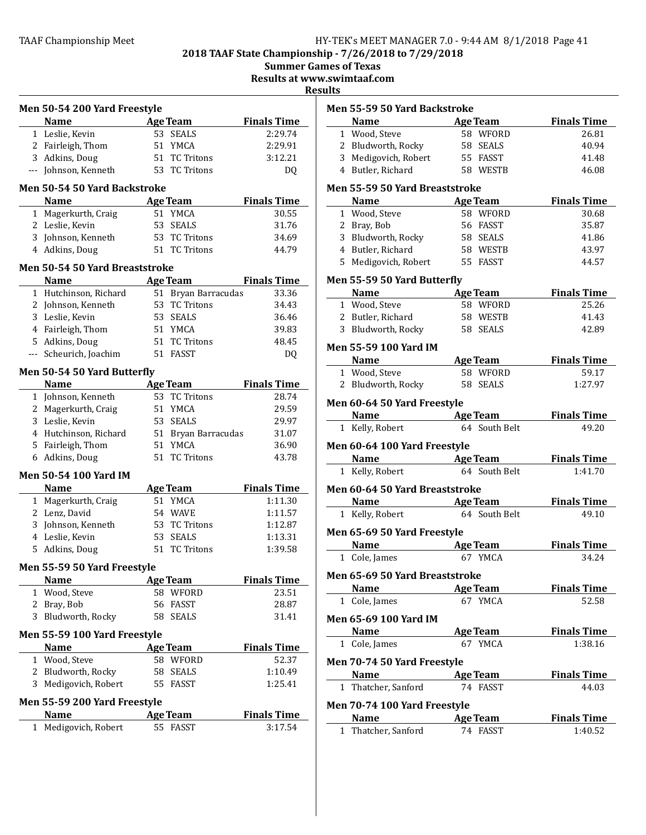2018 TAAF State Championship - 7/26/2018 to 7/29/2018

Summer Games of Texas

Results at www.swimtaaf.com

|              | Men 50-54 200 Yard Freestyle                |    |                     |                    |
|--------------|---------------------------------------------|----|---------------------|--------------------|
|              | <b>Name</b>                                 |    | Age Team            | <b>Finals Time</b> |
|              | 1 Leslie, Kevin                             | 53 | <b>SEALS</b>        | 2:29.74            |
|              | 2 Fairleigh, Thom                           |    | 51 YMCA             | 2:29.91            |
|              | 3 Adkins, Doug                              |    | 51 TC Tritons       | 3:12.21            |
|              | --- Johnson, Kenneth                        |    | 53 TC Tritons       | DQ                 |
|              | Men 50-54 50 Yard Backstroke                |    |                     |                    |
|              | <b>Name</b>                                 |    | <u>Age Team</u>     | <b>Finals Time</b> |
|              | 1 Magerkurth, Craig                         |    | 51 YMCA             | 30.55              |
|              | 2 Leslie, Kevin                             |    | 53 SEALS            | 31.76              |
|              | 3 Johnson, Kenneth                          |    | 53 TC Tritons       | 34.69              |
|              | 4 Adkins, Doug                              |    | 51 TC Tritons       | 44.79              |
|              | <b>Men 50-54 50 Yard Breaststroke</b>       |    |                     |                    |
|              | <b>Name</b>                                 |    | Age Team            | <b>Finals Time</b> |
|              | 1 Hutchinson, Richard                       |    | 51 Bryan Barracudas | 33.36              |
|              | 2 Johnson, Kenneth                          |    | 53 TC Tritons       | 34.43              |
|              | 3 Leslie, Kevin                             |    | 53 SEALS            | 36.46              |
|              | 4 Fairleigh, Thom                           |    | 51 YMCA             | 39.83              |
|              | 5 Adkins, Doug                              |    | 51 TC Tritons       | 48.45              |
|              | --- Scheurich, Joachim                      |    | 51 FASST            | DQ                 |
|              | Men 50-54 50 Yard Butterfly                 |    |                     |                    |
|              | <b>Name</b>                                 |    | <b>Age Team</b>     | <b>Finals Time</b> |
|              | 1 Johnson, Kenneth                          |    | 53 TC Tritons       | 28.74              |
|              | 2 Magerkurth, Craig                         |    | 51 YMCA             | 29.59              |
|              | 3 Leslie, Kevin                             |    | 53 SEALS            | 29.97              |
|              | 4 Hutchinson, Richard                       |    | 51 Bryan Barracudas | 31.07              |
|              | 5 Fairleigh, Thom                           |    | 51 YMCA             | 36.90              |
|              | 6 Adkins, Doug                              |    | 51 TC Tritons       | 43.78              |
|              | Men 50-54 100 Yard IM                       |    |                     |                    |
|              | <b>Name</b>                                 |    | <b>Age Team</b>     | <b>Finals Time</b> |
|              | 1 Magerkurth, Craig                         |    | 51 YMCA             | 1:11.30            |
|              | 2 Lenz, David                               |    | 54 WAVE             | 1:11.57            |
|              | 3 Johnson, Kenneth                          |    | 53 TC Tritons       | 1:12.87            |
|              | 4 Leslie, Kevin                             |    | 53 SEALS            | 1:13.31            |
|              | 5 Adkins, Doug                              |    | 51 TC Tritons       | 1:39.58            |
|              | <b>Men 55-59 50 Yard Freestyle</b>          |    |                     |                    |
|              | <b>Name</b>                                 |    | Age Team            | <b>Finals Time</b> |
| $\mathbf{1}$ | Wood, Steve                                 |    | 58 WFORD            | 23.51              |
| 2            | Bray, Bob                                   |    | 56 FASST            | 28.87              |
| 3            | Bludworth, Rocky                            | 58 | <b>SEALS</b>        | 31.41              |
|              |                                             |    |                     |                    |
|              | Men 55-59 100 Yard Freestyle<br>Name        |    | <b>Age Team</b>     | <b>Finals Time</b> |
|              | Wood, Steve                                 |    | 58 WFORD            | 52.37              |
|              | Bludworth, Rocky                            | 58 | <b>SEALS</b>        | 1:10.49            |
| 1            |                                             |    |                     |                    |
| 2            |                                             |    |                     |                    |
| 3            | Medigovich, Robert                          | 55 | <b>FASST</b>        | 1:25.41            |
|              | Men 55-59 200 Yard Freestyle<br><b>Name</b> |    | <u>Age Team</u>     | <b>Finals Time</b> |

|   | Men 55-59 50 Yard Backstroke                                                                                                                                                                                                  |                            |                    |
|---|-------------------------------------------------------------------------------------------------------------------------------------------------------------------------------------------------------------------------------|----------------------------|--------------------|
|   | Name and the same of the same of the same of the same of the same of the same of the same of the same of the same of the same of the same of the same of the same of the same of the same of the same of the same of the same | <b>Age Team</b>            | <b>Finals Time</b> |
|   | 1 Wood, Steve                                                                                                                                                                                                                 | 58 WFORD                   | 26.81              |
|   | 2 Bludworth, Rocky                                                                                                                                                                                                            | 58 SEALS                   | 40.94              |
|   | 3 Medigovich, Robert                                                                                                                                                                                                          | 55 FASST                   | 41.48              |
|   | 4 Butler, Richard                                                                                                                                                                                                             | 58 WESTB                   | 46.08              |
|   | Men 55-59 50 Yard Breaststroke                                                                                                                                                                                                |                            |                    |
|   | <b>Name</b>                                                                                                                                                                                                                   | <b>Age Team</b>            | <b>Finals Time</b> |
|   | 1 Wood, Steve                                                                                                                                                                                                                 | 58 WFORD                   | 30.68              |
|   | 2 Bray, Bob                                                                                                                                                                                                                   | 56 FASST                   | 35.87              |
|   | 3 Bludworth, Rocky                                                                                                                                                                                                            | 58 SEALS                   | 41.86              |
|   | 4 Butler, Richard                                                                                                                                                                                                             | 58 WESTB                   | 43.97              |
|   | 5 Medigovich, Robert                                                                                                                                                                                                          | 55 FASST                   | 44.57              |
|   | Men 55-59 50 Yard Butterfly                                                                                                                                                                                                   |                            |                    |
|   | Name                                                                                                                                                                                                                          | <b>Example 2 Age Team</b>  | <b>Finals Time</b> |
|   | 1 Wood, Steve                                                                                                                                                                                                                 | 58 WFORD                   | 25.26              |
|   | 2 Butler, Richard                                                                                                                                                                                                             | 58 WESTB                   | 41.43              |
|   | 3 Bludworth, Rocky                                                                                                                                                                                                            | 58 SEALS                   | 42.89              |
|   |                                                                                                                                                                                                                               |                            |                    |
|   | <b>Men 55-59 100 Yard IM</b>                                                                                                                                                                                                  |                            |                    |
|   | <b>Name</b>                                                                                                                                                                                                                   | <b>Age Team</b>            | <b>Finals Time</b> |
|   | 1 Wood, Steve                                                                                                                                                                                                                 | 58 WFORD                   | 59.17              |
|   | 2 Bludworth, Rocky                                                                                                                                                                                                            | 58 SEALS                   | 1:27.97            |
|   | Men 60-64 50 Yard Freestyle                                                                                                                                                                                                   |                            |                    |
|   | <b>Name</b>                                                                                                                                                                                                                   | <b>Example 2 Age Team</b>  | <b>Finals Time</b> |
|   | 1 Kelly, Robert                                                                                                                                                                                                               | 64 South Belt              | 49.20              |
|   | Men 60-64 100 Yard Freestyle                                                                                                                                                                                                  |                            |                    |
|   | Name Age Team                                                                                                                                                                                                                 |                            | <b>Finals Time</b> |
|   | 1 Kelly, Robert                                                                                                                                                                                                               | 64 South Belt              | 1:41.70            |
|   |                                                                                                                                                                                                                               |                            |                    |
|   | Men 60-64 50 Yard Breaststroke                                                                                                                                                                                                |                            |                    |
|   | Name Age Team                                                                                                                                                                                                                 |                            | <b>Finals Time</b> |
|   | 1 Kelly, Robert                                                                                                                                                                                                               | 64 South Belt              | 49.10              |
|   | Men 65-69 50 Yard Freestyle                                                                                                                                                                                                   |                            |                    |
|   | <b>Name</b>                                                                                                                                                                                                                   | <b>Example 2</b> Age Team  | <b>Finals Time</b> |
|   | 1 Cole, James                                                                                                                                                                                                                 | 67 YMCA                    | 34.24              |
|   | Men 65-69 50 Yard Breaststroke                                                                                                                                                                                                |                            |                    |
|   | <b>Name</b>                                                                                                                                                                                                                   | <b>Age Team</b>            | <b>Finals Time</b> |
| 1 | Cole, James                                                                                                                                                                                                                   | 67 YMCA                    | 52.58              |
|   | Men 65-69 100 Yard IM                                                                                                                                                                                                         |                            |                    |
|   | Name                                                                                                                                                                                                                          |                            | <b>Finals Time</b> |
|   | 1 Cole, James                                                                                                                                                                                                                 | <b>Age Team</b><br>67 YMCA | 1:38.16            |
|   |                                                                                                                                                                                                                               |                            |                    |
|   | Men 70-74 50 Yard Freestyle                                                                                                                                                                                                   |                            |                    |
|   | <b>Name</b>                                                                                                                                                                                                                   | <u>Age Team</u>            | <b>Finals Time</b> |
|   | 1 Thatcher, Sanford                                                                                                                                                                                                           | 74 FASST                   | 44.03              |
|   | Men 70-74 100 Yard Freestyle                                                                                                                                                                                                  |                            |                    |
|   | <b>Name</b>                                                                                                                                                                                                                   | <b>Age Team</b>            | <b>Finals Time</b> |
|   | 1 Thatcher, Sanford                                                                                                                                                                                                           | 74 FASST                   | 1:40.52            |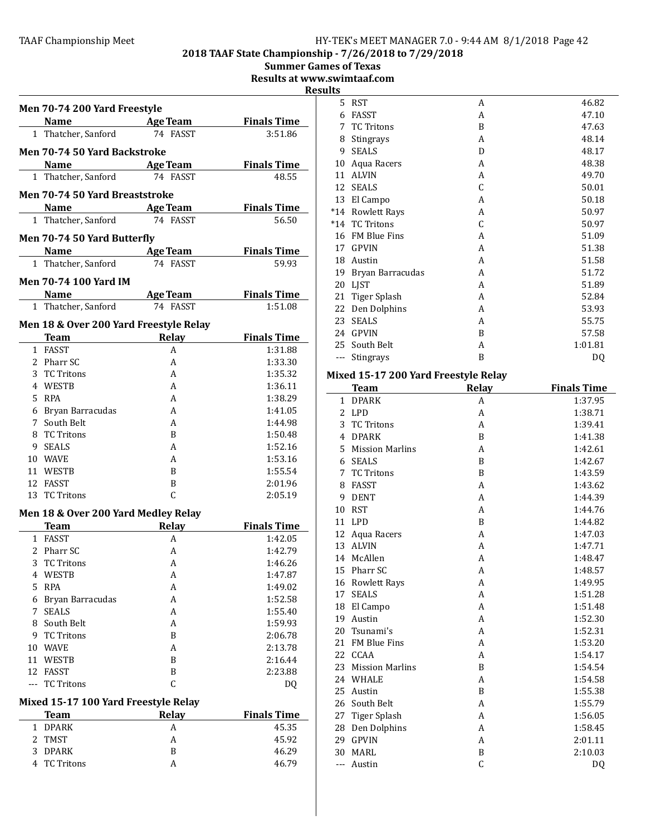#### TAAF Championship Meet The Manual HY-TEK's MEET MANAGER 7.0 - 9:44 AM 8/1/2018 Page 42

2018 TAAF State Championship - 7/26/2018 to 7/29/2018

**Summer Games of Texas** Results at www.swimtaaf.com Resul Men 70-74 200 Yard Freestyle Name Age Team Finals Time 1 Thatcher, Sanford 74 FASST 3:51.86 Men 70-74 50 Yard Backstroke Name Age Team Finals Time 1 Thatcher, Sanford 74 FASST 48.55 Men 70-74 50 Yard Breaststroke Name Age Team Finals Time 1 Thatcher, Sanford 74 FASST 56.50 Men 70-74 50 Yard Butterfly Name Age Team Finals Time<br>Thatcher, Sanford 74 FASST 59.93 1 Thatcher, Sanford Men 70-74 100 Yard IM Name Age Team Finals Time 1 Thatcher, Sanford 74 FASST 1:51.08 Men 18 & Over 200 Yard Freestyle Relay Team Relay Finals Time 1 FASST A 1:31.88 2 Pharr SC 4 1:33.30 3 TC Tritons A 1:35.32 4 WESTB A 1:36.11 5 RPA 1:38.29 6 Bryan Barracudas A 1:41.05 7 South Belt **A** 1:44.98 8 TC Tritons B 1:50.48 9 SEALS A 1:52.16 10 WAVE A 1:53.16 11 WESTB B 1:55.54 12 FASST B 2:01.96 13 TC Tritons C 2:05.19 Men 18 & Over 200 Yard Medley Relay **Team Relay Finals Time**<br>FASST A 1:42.05 1 FASST A 1:42.05 2 Pharr SC A 1:42.79 3 TC Tritons A 1:46.26 4 WESTB A 1:47.87 5 RPA A 1:49.02 6 Bryan Barracudas A 1:52.58 7 SEALS A 1:55.40 8 South Belt **A** 1:59.93 9 TC Tritons B 2:06.78 10 WAVE A 2:13.78 11 WESTB B 2:16.44 12 FASST B 2:23.88 --- TC Tritons C DQ Mixed 15-17 100 Yard Freestyle Relay Team Relay Finals Time 1 DPARK A 45.35 2 TMST A 45.92 3 DPARK B 46.29 4 TC Tritons A 46.79

| <u>ts</u> |                     |   |         |
|-----------|---------------------|---|---------|
| 5         | <b>RST</b>          | A | 46.82   |
| 6         | <b>FASST</b>        | A | 47.10   |
| 7         | <b>TC Tritons</b>   | B | 47.63   |
| 8         | Stingrays           | A | 48.14   |
| 9         | <b>SEALS</b>        | D | 48.17   |
| 10        | Aqua Racers         | A | 48.38   |
| 11        | <b>ALVIN</b>        | A | 49.70   |
| 12        | <b>SEALS</b>        | C | 50.01   |
| 13        | El Campo            | A | 50.18   |
| *14       | <b>Rowlett Rays</b> | A | 50.97   |
| $*14$     | <b>TC Tritons</b>   | C | 50.97   |
| 16        | <b>FM Blue Fins</b> | A | 51.09   |
| 17        | <b>GPVIN</b>        | A | 51.38   |
| 18        | Austin              | A | 51.58   |
| 19        | Bryan Barracudas    | A | 51.72   |
| 20        | <b>LIST</b>         | A | 51.89   |
| 21        | Tiger Splash        | A | 52.84   |
| 22        | Den Dolphins        | A | 53.93   |
| 23        | <b>SEALS</b>        | A | 55.75   |
| 2.4       | <b>GPVIN</b>        | B | 57.58   |
| 25        | South Belt          | A | 1:01.81 |
| ---       | Stingrays           | B | DQ      |

# Mixed 15-17 200 Yard Freestyle Relay

|     | <b>Team</b>            | Relay          | <b>Finals Time</b> |  |  |
|-----|------------------------|----------------|--------------------|--|--|
| 1   | <b>DPARK</b>           | A              | 1:37.95            |  |  |
| 2   | LPD                    | A              | 1:38.71            |  |  |
| 3   | <b>TC Tritons</b>      | A              | 1:39.41            |  |  |
| 4   | <b>DPARK</b>           | B              | 1:41.38            |  |  |
| 5.  | <b>Mission Marlins</b> | A              | 1:42.61            |  |  |
| 6   | <b>SEALS</b>           | B              | 1:42.67            |  |  |
| 7   | <b>TC Tritons</b>      | B              | 1:43.59            |  |  |
| 8   | <b>FASST</b>           | A              | 1:43.62            |  |  |
| 9   | <b>DENT</b>            | A              | 1:44.39            |  |  |
| 10  | <b>RST</b>             | A              | 1:44.76            |  |  |
| 11  | LPD                    | B              | 1:44.82            |  |  |
|     | 12 Aqua Racers         | A              | 1:47.03            |  |  |
| 13  | <b>ALVIN</b>           | A              | 1:47.71            |  |  |
| 14  | McAllen                | A              | 1:48.47            |  |  |
|     | 15 Pharr SC            | A              | 1:48.57            |  |  |
|     | 16 Rowlett Rays        | A              | 1:49.95            |  |  |
| 17  | <b>SEALS</b>           | A              | 1:51.28            |  |  |
| 18  | El Campo               | A              | 1:51.48            |  |  |
| 19  | Austin                 | A              | 1:52.30            |  |  |
| 20  | Tsunami's              | A              | 1:52.31            |  |  |
| 21  | <b>FM Blue Fins</b>    | A              | 1:53.20            |  |  |
|     | 22 CCAA                | A              | 1:54.17            |  |  |
| 23  | <b>Mission Marlins</b> | B              | 1:54.54            |  |  |
| 24  | <b>WHALE</b>           | A              | 1:54.58            |  |  |
| 25  | Austin                 | $\overline{B}$ | 1:55.38            |  |  |
| 26  | South Belt             | A              | 1:55.79            |  |  |
| 27  | <b>Tiger Splash</b>    | A              | 1:56.05            |  |  |
| 28  | Den Dolphins           | A              | 1:58.45            |  |  |
| 29  | <b>GPVIN</b>           | A              | 2:01.11            |  |  |
| 30  | <b>MARL</b>            | B              | 2:10.03            |  |  |
| --- | Austin                 | C              | DQ                 |  |  |
|     |                        |                |                    |  |  |